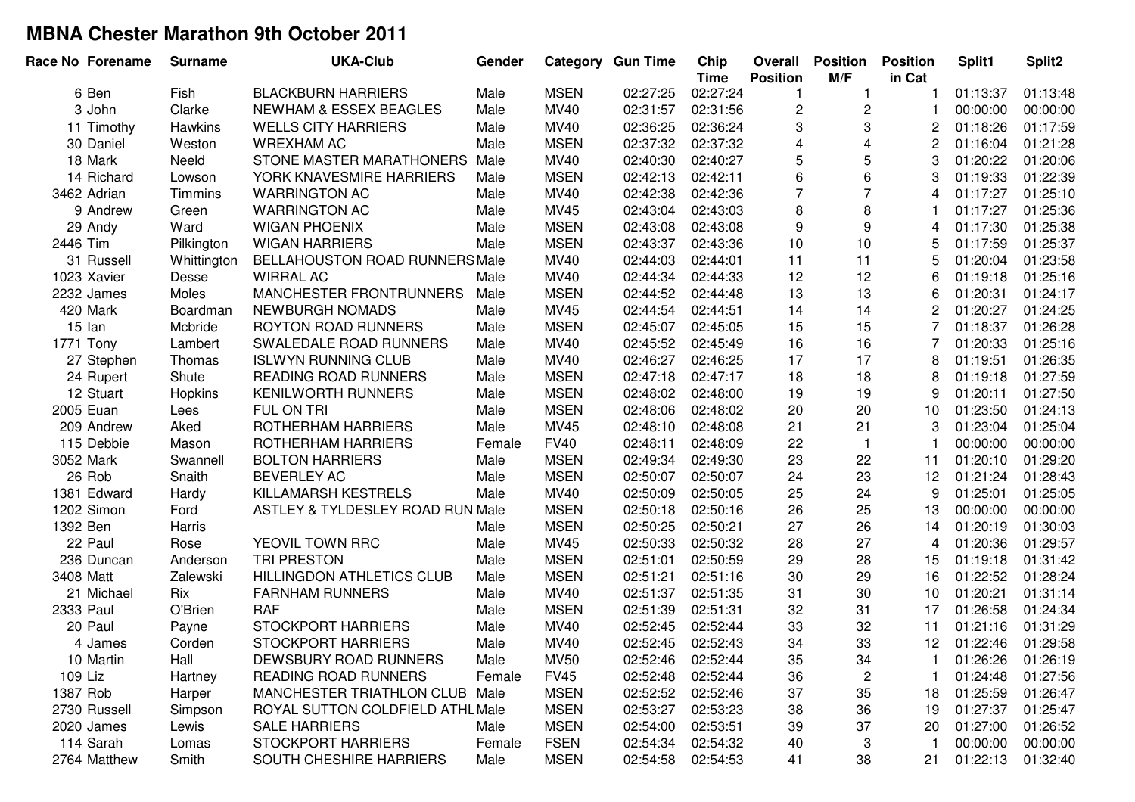| Race No Forename | <b>Surname</b> | <b>UKA-Club</b>                   | Gender |             | <b>Category Gun Time</b> | Chip<br><b>Time</b> | Overall<br><b>Position</b> | <b>Position</b><br>M/F | <b>Position</b><br>in Cat | Split1   | Split2   |
|------------------|----------------|-----------------------------------|--------|-------------|--------------------------|---------------------|----------------------------|------------------------|---------------------------|----------|----------|
| 6 Ben            | Fish           | <b>BLACKBURN HARRIERS</b>         | Male   | <b>MSEN</b> | 02:27:25                 | 02:27:24            |                            | 1                      |                           | 01:13:37 | 01:13:48 |
| 3 John           | Clarke         | <b>NEWHAM &amp; ESSEX BEAGLES</b> | Male   | MV40        | 02:31:57                 | 02:31:56            | 2                          | $\overline{c}$         |                           | 00:00:00 | 00:00:00 |
| 11 Timothy       | Hawkins        | <b>WELLS CITY HARRIERS</b>        | Male   | MV40        | 02:36:25                 | 02:36:24            | 3                          | 3                      | 2                         | 01:18:26 | 01:17:59 |
| 30 Daniel        | Weston         | <b>WREXHAM AC</b>                 | Male   | <b>MSEN</b> | 02:37:32                 | 02:37:32            | $\overline{4}$             | $\overline{4}$         | 2                         | 01:16:04 | 01:21:28 |
| 18 Mark          | Neeld          | STONE MASTER MARATHONERS          | Male   | MV40        | 02:40:30                 | 02:40:27            | 5                          | $\sqrt{5}$             | 3                         | 01:20:22 | 01:20:06 |
| 14 Richard       | Lowson         | YORK KNAVESMIRE HARRIERS          | Male   | <b>MSEN</b> | 02:42:13                 | 02:42:11            | 6                          | 6                      | 3                         | 01:19:33 | 01:22:39 |
| 3462 Adrian      | Timmins        | <b>WARRINGTON AC</b>              | Male   | MV40        | 02:42:38                 | 02:42:36            | $\overline{7}$             | $\overline{7}$         | 4                         | 01:17:27 | 01:25:10 |
| 9 Andrew         | Green          | <b>WARRINGTON AC</b>              | Male   | MV45        | 02:43:04                 | 02:43:03            | 8                          | 8                      | 1                         | 01:17:27 | 01:25:36 |
| 29 Andy          | Ward           | <b>WIGAN PHOENIX</b>              | Male   | <b>MSEN</b> | 02:43:08                 | 02:43:08            | 9                          | 9                      | 4                         | 01:17:30 | 01:25:38 |
| 2446 Tim         | Pilkington     | <b>WIGAN HARRIERS</b>             | Male   | <b>MSEN</b> | 02:43:37                 | 02:43:36            | 10                         | 10                     | 5                         | 01:17:59 | 01:25:37 |
| 31 Russell       | Whittington    | BELLAHOUSTON ROAD RUNNERS Male    |        | MV40        | 02:44:03                 | 02:44:01            | 11                         | 11                     | 5                         | 01:20:04 | 01:23:58 |
| 1023 Xavier      | Desse          | <b>WIRRAL AC</b>                  | Male   | MV40        | 02:44:34                 | 02:44:33            | 12                         | 12                     | 6                         | 01:19:18 | 01:25:16 |
| 2232 James       | Moles          | MANCHESTER FRONTRUNNERS           | Male   | <b>MSEN</b> | 02:44:52                 | 02:44:48            | 13                         | 13                     | 6                         | 01:20:31 | 01:24:17 |
| 420 Mark         | Boardman       | <b>NEWBURGH NOMADS</b>            | Male   | MV45        | 02:44:54                 | 02:44:51            | 14                         | 14                     | 2                         | 01:20:27 | 01:24:25 |
| 15 lan           | Mcbride        | <b>ROYTON ROAD RUNNERS</b>        | Male   | <b>MSEN</b> | 02:45:07                 | 02:45:05            | 15                         | 15                     |                           | 01:18:37 | 01:26:28 |
| 1771 Tony        | Lambert        | SWALEDALE ROAD RUNNERS            | Male   | MV40        | 02:45:52                 | 02:45:49            | 16                         | 16                     | 7                         | 01:20:33 | 01:25:16 |
| 27 Stephen       | Thomas         | <b>ISLWYN RUNNING CLUB</b>        | Male   | MV40        | 02:46:27                 | 02:46:25            | 17                         | 17                     | 8                         | 01:19:51 | 01:26:35 |
| 24 Rupert        | Shute          | <b>READING ROAD RUNNERS</b>       | Male   | <b>MSEN</b> | 02:47:18                 | 02:47:17            | 18                         | 18                     | 8                         | 01:19:18 | 01:27:59 |
| 12 Stuart        | <b>Hopkins</b> | <b>KENILWORTH RUNNERS</b>         | Male   | <b>MSEN</b> | 02:48:02                 | 02:48:00            | 19                         | 19                     | 9                         | 01:20:11 | 01:27:50 |
| 2005 Euan        | Lees           | FUL ON TRI                        | Male   | <b>MSEN</b> | 02:48:06                 | 02:48:02            | 20                         | 20                     | 10                        | 01:23:50 | 01:24:13 |
| 209 Andrew       | Aked           | ROTHERHAM HARRIERS                | Male   | MV45        | 02:48:10                 | 02:48:08            | 21                         | 21                     | 3                         | 01:23:04 | 01:25:04 |
| 115 Debbie       | Mason          | ROTHERHAM HARRIERS                | Female | <b>FV40</b> | 02:48:11                 | 02:48:09            | 22                         | $\overline{1}$         |                           | 00:00:00 | 00:00:00 |
| 3052 Mark        | Swannell       | <b>BOLTON HARRIERS</b>            | Male   | <b>MSEN</b> | 02:49:34                 | 02:49:30            | 23                         | 22                     | 11                        | 01:20:10 | 01:29:20 |
| 26 Rob           | Snaith         | <b>BEVERLEY AC</b>                | Male   | <b>MSEN</b> | 02:50:07                 | 02:50:07            | 24                         | 23                     | 12                        | 01:21:24 | 01:28:43 |
| 1381 Edward      | Hardy          | KILLAMARSH KESTRELS               | Male   | MV40        | 02:50:09                 | 02:50:05            | 25                         | 24                     | 9                         | 01:25:01 | 01:25:05 |
| 1202 Simon       | Ford           | ASTLEY & TYLDESLEY ROAD RUN Male  |        | <b>MSEN</b> | 02:50:18                 | 02:50:16            | 26                         | 25                     | 13                        | 00:00:00 | 00:00:00 |
| 1392 Ben         | Harris         |                                   | Male   | <b>MSEN</b> | 02:50:25                 | 02:50:21            | 27                         | 26                     | 14                        | 01:20:19 | 01:30:03 |
| 22 Paul          | Rose           | YEOVIL TOWN RRC                   | Male   | MV45        | 02:50:33                 | 02:50:32            | 28                         | 27                     | 4                         | 01:20:36 | 01:29:57 |
| 236 Duncan       | Anderson       | <b>TRI PRESTON</b>                | Male   | <b>MSEN</b> | 02:51:01                 | 02:50:59            | 29                         | 28                     | 15                        | 01:19:18 | 01:31:42 |
| 3408 Matt        | Zalewski       | <b>HILLINGDON ATHLETICS CLUB</b>  | Male   | <b>MSEN</b> | 02:51:21                 | 02:51:16            | 30                         | 29                     | 16                        | 01:22:52 | 01:28:24 |
| 21 Michael       | Rix            | <b>FARNHAM RUNNERS</b>            | Male   | MV40        | 02:51:37                 | 02:51:35            | 31                         | 30                     | 10                        | 01:20:21 | 01:31:14 |
| 2333 Paul        | O'Brien        | <b>RAF</b>                        | Male   | <b>MSEN</b> | 02:51:39                 | 02:51:31            | 32                         | 31                     | 17                        | 01:26:58 | 01:24:34 |
| 20 Paul          | Payne          | <b>STOCKPORT HARRIERS</b>         | Male   | MV40        | 02:52:45                 | 02:52:44            | 33                         | 32                     | 11                        | 01:21:16 | 01:31:29 |
| 4 James          | Corden         | <b>STOCKPORT HARRIERS</b>         | Male   | <b>MV40</b> | 02:52:45                 | 02:52:43            | 34                         | 33                     | 12                        | 01:22:46 | 01:29:58 |
| 10 Martin        | Hall           | DEWSBURY ROAD RUNNERS             | Male   | <b>MV50</b> | 02:52:46                 | 02:52:44            | 35                         | 34                     |                           | 01:26:26 | 01:26:19 |
| 109 Liz          | Hartney        | <b>READING ROAD RUNNERS</b>       | Female | <b>FV45</b> | 02:52:48                 | 02:52:44            | 36                         | 2                      |                           | 01:24:48 | 01:27:56 |
| 1387 Rob         | Harper         | MANCHESTER TRIATHLON CLUB Male    |        | <b>MSEN</b> | 02:52:52                 | 02:52:46            | 37                         | 35                     | 18                        | 01:25:59 | 01:26:47 |
| 2730 Russell     | Simpson        | ROYAL SUTTON COLDFIELD ATHL Male  |        | <b>MSEN</b> | 02:53:27                 | 02:53:23            | 38                         | 36                     | 19                        | 01:27:37 | 01:25:47 |
| 2020 James       | Lewis          | <b>SALE HARRIERS</b>              | Male   | <b>MSEN</b> | 02:54:00                 | 02:53:51            | 39                         | 37                     | 20                        | 01:27:00 | 01:26:52 |
| 114 Sarah        | Lomas          | <b>STOCKPORT HARRIERS</b>         | Female | <b>FSEN</b> | 02:54:34                 | 02:54:32            | 40                         | 3                      | 1                         | 00:00:00 | 00:00:00 |
| 2764 Matthew     | Smith          | SOUTH CHESHIRE HARRIERS           | Male   | <b>MSEN</b> | 02:54:58                 | 02:54:53            | 41                         | 38                     | 21                        | 01:22:13 | 01:32:40 |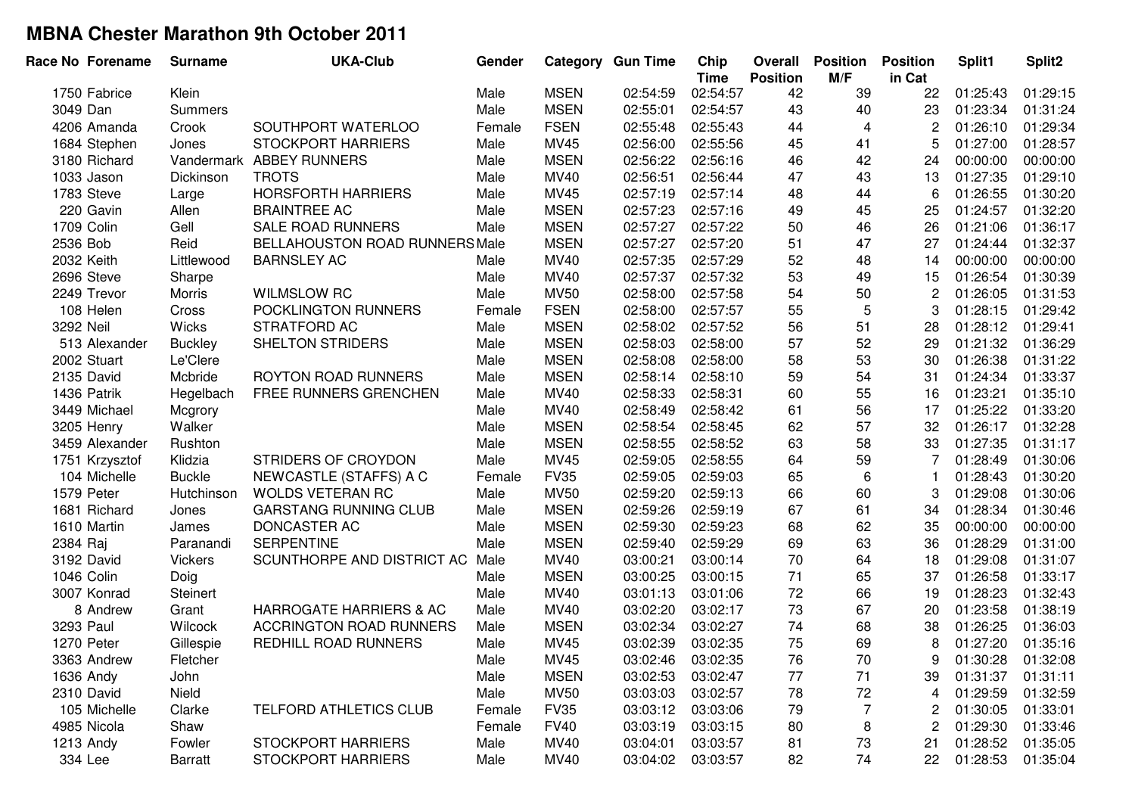| Race No Forename | <b>Surname</b>  | <b>UKA-Club</b>                       | Gender |             | <b>Category Gun Time</b> | Chip<br><b>Time</b> | Overall<br><b>Position</b> | <b>Position</b><br>M/F | <b>Position</b><br>in Cat | Split1   | Split <sub>2</sub> |
|------------------|-----------------|---------------------------------------|--------|-------------|--------------------------|---------------------|----------------------------|------------------------|---------------------------|----------|--------------------|
| 1750 Fabrice     | Klein           |                                       | Male   | <b>MSEN</b> | 02:54:59                 | 02:54:57            | 42                         | 39                     | 22                        | 01:25:43 | 01:29:15           |
| 3049 Dan         | <b>Summers</b>  |                                       | Male   | <b>MSEN</b> | 02:55:01                 | 02:54:57            | 43                         | 40                     | 23                        | 01:23:34 | 01:31:24           |
| 4206 Amanda      | Crook           | SOUTHPORT WATERLOO                    | Female | <b>FSEN</b> | 02:55:48                 | 02:55:43            | 44                         | $\overline{4}$         | 2                         | 01:26:10 | 01:29:34           |
| 1684 Stephen     | Jones           | <b>STOCKPORT HARRIERS</b>             | Male   | MV45        | 02:56:00                 | 02:55:56            | 45                         | 41                     | 5                         | 01:27:00 | 01:28:57           |
| 3180 Richard     |                 | Vandermark ABBEY RUNNERS              | Male   | <b>MSEN</b> | 02:56:22                 | 02:56:16            | 46                         | 42                     | 24                        | 00:00:00 | 00:00:00           |
| 1033 Jason       | Dickinson       | <b>TROTS</b>                          | Male   | MV40        | 02:56:51                 | 02:56:44            | 47                         | 43                     | 13                        | 01:27:35 | 01:29:10           |
| 1783 Steve       | Large           | <b>HORSFORTH HARRIERS</b>             | Male   | MV45        | 02:57:19                 | 02:57:14            | 48                         | 44                     | 6                         | 01:26:55 | 01:30:20           |
| 220 Gavin        | Allen           | <b>BRAINTREE AC</b>                   | Male   | <b>MSEN</b> | 02:57:23                 | 02:57:16            | 49                         | 45                     | 25                        | 01:24:57 | 01:32:20           |
| 1709 Colin       | Gell            | <b>SALE ROAD RUNNERS</b>              | Male   | <b>MSEN</b> | 02:57:27                 | 02:57:22            | 50                         | 46                     | 26                        | 01:21:06 | 01:36:17           |
| 2536 Bob         | Reid            | <b>BELLAHOUSTON ROAD RUNNERS Male</b> |        | <b>MSEN</b> | 02:57:27                 | 02:57:20            | 51                         | 47                     | 27                        | 01:24:44 | 01:32:37           |
| 2032 Keith       | Littlewood      | <b>BARNSLEY AC</b>                    | Male   | MV40        | 02:57:35                 | 02:57:29            | 52                         | 48                     | 14                        | 00:00:00 | 00:00:00           |
| 2696 Steve       | Sharpe          |                                       | Male   | MV40        | 02:57:37                 | 02:57:32            | 53                         | 49                     | 15                        | 01:26:54 | 01:30:39           |
| 2249 Trevor      | Morris          | <b>WILMSLOW RC</b>                    | Male   | <b>MV50</b> | 02:58:00                 | 02:57:58            | 54                         | 50                     | $\overline{c}$            | 01:26:05 | 01:31:53           |
| 108 Helen        | Cross           | POCKLINGTON RUNNERS                   | Female | <b>FSEN</b> | 02:58:00                 | 02:57:57            | 55                         | $\overline{5}$         | 3                         | 01:28:15 | 01:29:42           |
| 3292 Neil        | Wicks           | STRATFORD AC                          | Male   | <b>MSEN</b> | 02:58:02                 | 02:57:52            | 56                         | 51                     | 28                        | 01:28:12 | 01:29:41           |
| 513 Alexander    | <b>Buckley</b>  | SHELTON STRIDERS                      | Male   | <b>MSEN</b> | 02:58:03                 | 02:58:00            | 57                         | 52                     | 29                        | 01:21:32 | 01:36:29           |
| 2002 Stuart      | Le'Clere        |                                       | Male   | <b>MSEN</b> | 02:58:08                 | 02:58:00            | 58                         | 53                     | 30                        | 01:26:38 | 01:31:22           |
| 2135 David       | Mcbride         | <b>ROYTON ROAD RUNNERS</b>            | Male   | <b>MSEN</b> | 02:58:14                 | 02:58:10            | 59                         | 54                     | 31                        | 01:24:34 | 01:33:37           |
| 1436 Patrik      | Hegelbach       | FREE RUNNERS GRENCHEN                 | Male   | MV40        | 02:58:33                 | 02:58:31            | 60                         | 55                     | 16                        | 01:23:21 | 01:35:10           |
| 3449 Michael     | Mcgrory         |                                       | Male   | MV40        | 02:58:49                 | 02:58:42            | 61                         | 56                     | 17                        | 01:25:22 | 01:33:20           |
| 3205 Henry       | Walker          |                                       | Male   | <b>MSEN</b> | 02:58:54                 | 02:58:45            | 62                         | 57                     | 32                        | 01:26:17 | 01:32:28           |
| 3459 Alexander   | Rushton         |                                       | Male   | <b>MSEN</b> | 02:58:55                 | 02:58:52            | 63                         | 58                     | 33                        | 01:27:35 | 01:31:17           |
| 1751 Krzysztof   | Klidzia         | STRIDERS OF CROYDON                   | Male   | MV45        | 02:59:05                 | 02:58:55            | 64                         | 59                     | 7                         | 01:28:49 | 01:30:06           |
| 104 Michelle     | <b>Buckle</b>   | NEWCASTLE (STAFFS) A C                | Female | <b>FV35</b> | 02:59:05                 | 02:59:03            | 65                         | 6                      | $\mathbf 1$               | 01:28:43 | 01:30:20           |
| 1579 Peter       | Hutchinson      | <b>WOLDS VETERAN RC</b>               | Male   | <b>MV50</b> | 02:59:20                 | 02:59:13            | 66                         | 60                     | 3                         | 01:29:08 | 01:30:06           |
| 1681 Richard     | Jones           | <b>GARSTANG RUNNING CLUB</b>          | Male   | <b>MSEN</b> | 02:59:26                 | 02:59:19            | 67                         | 61                     | 34                        | 01:28:34 | 01:30:46           |
| 1610 Martin      | James           | DONCASTER AC                          | Male   | <b>MSEN</b> | 02:59:30                 | 02:59:23            | 68                         | 62                     | 35                        | 00:00:00 | 00:00:00           |
| 2384 Raj         | Paranandi       | <b>SERPENTINE</b>                     | Male   | <b>MSEN</b> | 02:59:40                 | 02:59:29            | 69                         | 63                     | 36                        | 01:28:29 | 01:31:00           |
| 3192 David       | <b>Vickers</b>  | SCUNTHORPE AND DISTRICT AC            | Male   | MV40        | 03:00:21                 | 03:00:14            | 70                         | 64                     | 18                        | 01:29:08 | 01:31:07           |
| 1046 Colin       | Doig            |                                       | Male   | <b>MSEN</b> | 03:00:25                 | 03:00:15            | 71                         | 65                     | 37                        | 01:26:58 | 01:33:17           |
| 3007 Konrad      | <b>Steinert</b> |                                       | Male   | MV40        | 03:01:13                 | 03:01:06            | 72                         | 66                     | 19                        | 01:28:23 | 01:32:43           |
| 8 Andrew         | Grant           | HARROGATE HARRIERS & AC               | Male   | MV40        | 03:02:20                 | 03:02:17            | 73                         | 67                     | 20                        | 01:23:58 | 01:38:19           |
| 3293 Paul        | Wilcock         | <b>ACCRINGTON ROAD RUNNERS</b>        | Male   | <b>MSEN</b> | 03:02:34                 | 03:02:27            | 74                         | 68                     | 38                        | 01:26:25 | 01:36:03           |
| 1270 Peter       | Gillespie       | REDHILL ROAD RUNNERS                  | Male   | <b>MV45</b> | 03:02:39                 | 03:02:35            | 75                         | 69                     | 8                         | 01:27:20 | 01:35:16           |
| 3363 Andrew      | Fletcher        |                                       | Male   | MV45        | 03:02:46                 | 03:02:35            | 76                         | 70                     | 9                         | 01:30:28 | 01:32:08           |
| 1636 Andy        | John            |                                       | Male   | <b>MSEN</b> | 03:02:53                 | 03:02:47            | 77                         | 71                     | 39                        | 01:31:37 | 01:31:11           |
| 2310 David       | Nield           |                                       | Male   | <b>MV50</b> | 03:03:03                 | 03:02:57            | 78                         | 72                     | 4                         | 01:29:59 | 01:32:59           |
| 105 Michelle     | Clarke          | TELFORD ATHLETICS CLUB                | Female | <b>FV35</b> | 03:03:12                 | 03:03:06            | 79                         | 7                      | 2                         | 01:30:05 | 01:33:01           |
| 4985 Nicola      | Shaw            |                                       | Female | <b>FV40</b> | 03:03:19                 | 03:03:15            | 80                         | 8                      | 2                         | 01:29:30 | 01:33:46           |
| 1213 Andy        | Fowler          | <b>STOCKPORT HARRIERS</b>             | Male   | MV40        | 03:04:01                 | 03:03:57            | 81                         | 73                     | 21                        | 01:28:52 | 01:35:05           |
| 334 Lee          | Barratt         | <b>STOCKPORT HARRIERS</b>             | Male   | MV40        | 03:04:02                 | 03:03:57            | 82                         | 74                     | 22                        | 01:28:53 | 01:35:04           |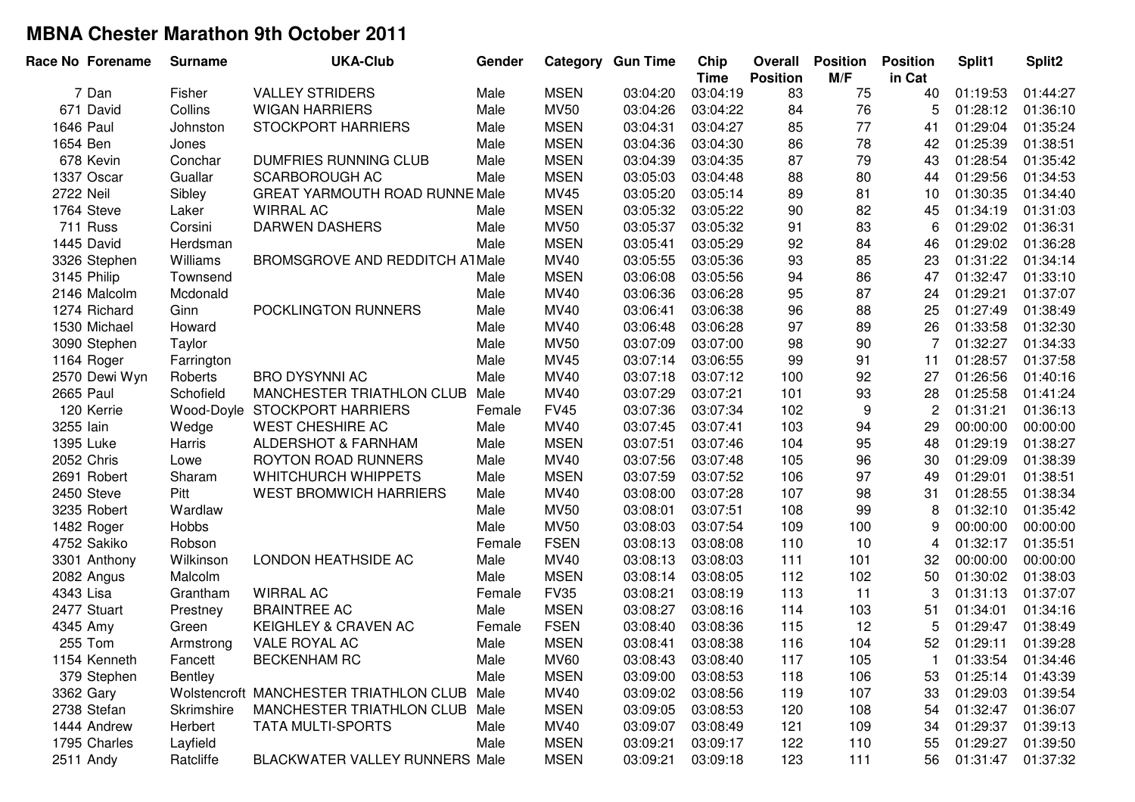| Race No Forename | <b>Surname</b> | <b>UKA-Club</b>                             | Gender |             | <b>Category Gun Time</b> | Chip<br><b>Time</b> | Overall<br><b>Position</b> | <b>Position</b><br>M/F | <b>Position</b><br>in Cat | Split1   | Split2   |
|------------------|----------------|---------------------------------------------|--------|-------------|--------------------------|---------------------|----------------------------|------------------------|---------------------------|----------|----------|
| 7 Dan            | Fisher         | <b>VALLEY STRIDERS</b>                      | Male   | <b>MSEN</b> | 03:04:20                 | 03:04:19            | 83                         | 75                     | 40                        | 01:19:53 | 01:44:27 |
| 671 David        | Collins        | <b>WIGAN HARRIERS</b>                       | Male   | <b>MV50</b> | 03:04:26                 | 03:04:22            | 84                         | 76                     | 5                         | 01:28:12 | 01:36:10 |
| 1646 Paul        | Johnston       | <b>STOCKPORT HARRIERS</b>                   | Male   | <b>MSEN</b> | 03:04:31                 | 03:04:27            | 85                         | 77                     | 41                        | 01:29:04 | 01:35:24 |
| 1654 Ben         | Jones          |                                             | Male   | <b>MSEN</b> | 03:04:36                 | 03:04:30            | 86                         | 78                     | 42                        | 01:25:39 | 01:38:51 |
| 678 Kevin        | Conchar        | <b>DUMFRIES RUNNING CLUB</b>                | Male   | <b>MSEN</b> | 03:04:39                 | 03:04:35            | 87                         | 79                     | 43                        | 01:28:54 | 01:35:42 |
| 1337 Oscar       | Guallar        | <b>SCARBOROUGH AC</b>                       | Male   | <b>MSEN</b> | 03:05:03                 | 03:04:48            | 88                         | 80                     | 44                        | 01:29:56 | 01:34:53 |
| 2722 Neil        | Sibley         | <b>GREAT YARMOUTH ROAD RUNNE Male</b>       |        | MV45        | 03:05:20                 | 03:05:14            | 89                         | 81                     | 10                        | 01:30:35 | 01:34:40 |
| 1764 Steve       | Laker          | <b>WIRRAL AC</b>                            | Male   | <b>MSEN</b> | 03:05:32                 | 03:05:22            | 90                         | 82                     | 45                        | 01:34:19 | 01:31:03 |
| 711 Russ         | Corsini        | <b>DARWEN DASHERS</b>                       | Male   | <b>MV50</b> | 03:05:37                 | 03:05:32            | 91                         | 83                     | 6                         | 01:29:02 | 01:36:31 |
| 1445 David       | Herdsman       |                                             | Male   | <b>MSEN</b> | 03:05:41                 | 03:05:29            | 92                         | 84                     | 46                        | 01:29:02 | 01:36:28 |
| 3326 Stephen     | Williams       | <b>BROMSGROVE AND REDDITCH ATMale</b>       |        | MV40        | 03:05:55                 | 03:05:36            | 93                         | 85                     | 23                        | 01:31:22 | 01:34:14 |
| 3145 Philip      | Townsend       |                                             | Male   | <b>MSEN</b> | 03:06:08                 | 03:05:56            | 94                         | 86                     | 47                        | 01:32:47 | 01:33:10 |
| 2146 Malcolm     | Mcdonald       |                                             | Male   | MV40        | 03:06:36                 | 03:06:28            | 95                         | 87                     | 24                        | 01:29:21 | 01:37:07 |
| 1274 Richard     | Ginn           | POCKLINGTON RUNNERS                         | Male   | MV40        | 03:06:41                 | 03:06:38            | 96                         | 88                     | 25                        | 01:27:49 | 01:38:49 |
| 1530 Michael     | Howard         |                                             | Male   | MV40        | 03:06:48                 | 03:06:28            | 97                         | 89                     | 26                        | 01:33:58 | 01:32:30 |
| 3090 Stephen     | Taylor         |                                             | Male   | <b>MV50</b> | 03:07:09                 | 03:07:00            | 98                         | 90                     | 7                         | 01:32:27 | 01:34:33 |
| 1164 Roger       | Farrington     |                                             | Male   | MV45        | 03:07:14                 | 03:06:55            | 99                         | 91                     | 11                        | 01:28:57 | 01:37:58 |
| 2570 Dewi Wyn    | Roberts        | <b>BRO DYSYNNI AC</b>                       | Male   | MV40        | 03:07:18                 | 03:07:12            | 100                        | 92                     | 27                        | 01:26:56 | 01:40:16 |
| 2665 Paul        | Schofield      | <b>MANCHESTER TRIATHLON CLUB</b>            | Male   | MV40        | 03:07:29                 | 03:07:21            | 101                        | 93                     | 28                        | 01:25:58 | 01:41:24 |
| 120 Kerrie       | Wood-Doyle     | <b>STOCKPORT HARRIERS</b>                   | Female | <b>FV45</b> | 03:07:36                 | 03:07:34            | 102                        | $\boldsymbol{9}$       | $\overline{c}$            | 01:31:21 | 01:36:13 |
| 3255 lain        | Wedge          | <b>WEST CHESHIRE AC</b>                     | Male   | MV40        | 03:07:45                 | 03:07:41            | 103                        | 94                     | 29                        | 00:00:00 | 00:00:00 |
| 1395 Luke        | Harris         | ALDERSHOT & FARNHAM                         | Male   | <b>MSEN</b> | 03:07:51                 | 03:07:46            | 104                        | 95                     | 48                        | 01:29:19 | 01:38:27 |
| 2052 Chris       | Lowe           | ROYTON ROAD RUNNERS                         | Male   | MV40        | 03:07:56                 | 03:07:48            | 105                        | 96                     | 30                        | 01:29:09 | 01:38:39 |
| 2691 Robert      | Sharam         | <b>WHITCHURCH WHIPPETS</b>                  | Male   | <b>MSEN</b> | 03:07:59                 | 03:07:52            | 106                        | 97                     | 49                        | 01:29:01 | 01:38:51 |
| 2450 Steve       | Pitt           | <b>WEST BROMWICH HARRIERS</b>               | Male   | MV40        | 03:08:00                 | 03:07:28            | 107                        | 98                     | 31                        | 01:28:55 | 01:38:34 |
| 3235 Robert      | Wardlaw        |                                             | Male   | <b>MV50</b> | 03:08:01                 | 03:07:51            | 108                        | 99                     | 8                         | 01:32:10 | 01:35:42 |
| 1482 Roger       | Hobbs          |                                             | Male   | <b>MV50</b> | 03:08:03                 | 03:07:54            | 109                        | 100                    | 9                         | 00:00:00 | 00:00:00 |
| 4752 Sakiko      | Robson         |                                             | Female | <b>FSEN</b> | 03:08:13                 | 03:08:08            | 110                        | 10                     | 4                         | 01:32:17 | 01:35:51 |
| 3301 Anthony     | Wilkinson      | LONDON HEATHSIDE AC                         | Male   | MV40        | 03:08:13                 | 03:08:03            | 111                        | 101                    | 32                        | 00:00:00 | 00:00:00 |
| 2082 Angus       | Malcolm        |                                             | Male   | <b>MSEN</b> | 03:08:14                 | 03:08:05            | 112                        | 102                    | 50                        | 01:30:02 | 01:38:03 |
| 4343 Lisa        | Grantham       | <b>WIRRAL AC</b>                            | Female | <b>FV35</b> | 03:08:21                 | 03:08:19            | 113                        | 11                     | 3                         | 01:31:13 | 01:37:07 |
| 2477 Stuart      | Prestney       | <b>BRAINTREE AC</b>                         | Male   | <b>MSEN</b> | 03:08:27                 | 03:08:16            | 114                        | 103                    | 51                        | 01:34:01 | 01:34:16 |
| 4345 Amy         | Green          | KEIGHLEY & CRAVEN AC                        | Female | <b>FSEN</b> | 03:08:40                 | 03:08:36            | 115                        | 12                     | 5                         | 01:29:47 | 01:38:49 |
| 255 Tom          | Armstrong      | VALE ROYAL AC                               | Male   | <b>MSEN</b> | 03:08:41                 | 03:08:38            | 116                        | 104                    | 52                        | 01:29:11 | 01:39:28 |
| 1154 Kenneth     | Fancett        | <b>BECKENHAM RC</b>                         | Male   | <b>MV60</b> | 03:08:43                 | 03:08:40            | 117                        | 105                    |                           | 01:33:54 | 01:34:46 |
| 379 Stephen      | <b>Bentley</b> |                                             | Male   | <b>MSEN</b> | 03:09:00                 | 03:08:53            | 118                        | 106                    | 53                        | 01:25:14 | 01:43:39 |
| 3362 Gary        |                | Wolstencroft MANCHESTER TRIATHLON CLUB Male |        | <b>MV40</b> | 03:09:02                 | 03:08:56            | 119                        | 107                    | 33                        | 01:29:03 | 01:39:54 |
| 2738 Stefan      | Skrimshire     | MANCHESTER TRIATHLON CLUB Male              |        | <b>MSEN</b> | 03:09:05                 | 03:08:53            | 120                        | 108                    | 54                        | 01:32:47 | 01:36:07 |
| 1444 Andrew      | Herbert        | <b>TATA MULTI-SPORTS</b>                    | Male   | MV40        | 03:09:07                 | 03:08:49            | 121                        | 109                    | 34                        | 01:29:37 | 01:39:13 |
| 1795 Charles     | Layfield       |                                             | Male   | <b>MSEN</b> | 03:09:21                 | 03:09:17            | 122                        | 110                    | 55                        | 01:29:27 | 01:39:50 |
| 2511 Andy        | Ratcliffe      | BLACKWATER VALLEY RUNNERS Male              |        | <b>MSEN</b> | 03:09:21                 | 03:09:18            | 123                        | 111                    | 56                        | 01:31:47 | 01:37:32 |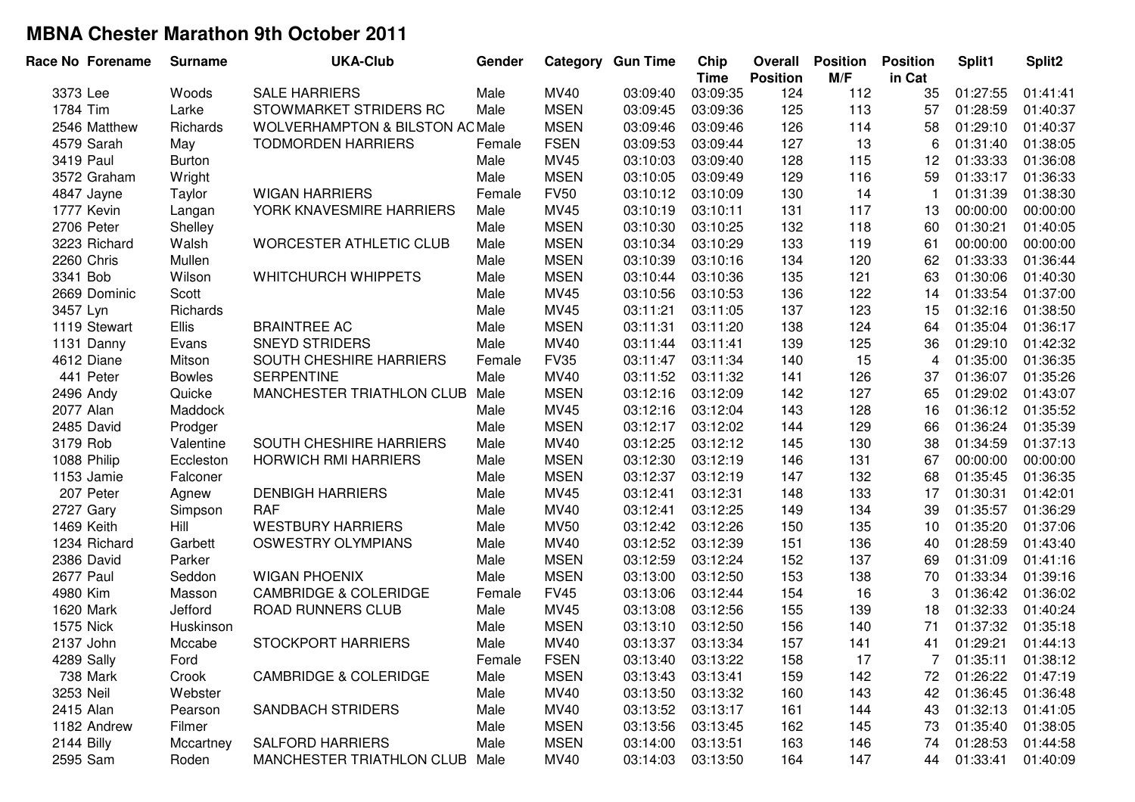| Race No Forename | <b>Surname</b> | <b>UKA-Club</b>                            | Gender |             | <b>Category Gun Time</b> | Chip<br><b>Time</b> | Overall<br><b>Position</b> | <b>Position</b><br>M/F | <b>Position</b><br>in Cat | Split1   | Split2   |
|------------------|----------------|--------------------------------------------|--------|-------------|--------------------------|---------------------|----------------------------|------------------------|---------------------------|----------|----------|
| 3373 Lee         | Woods          | <b>SALE HARRIERS</b>                       | Male   | <b>MV40</b> | 03:09:40                 | 03:09:35            | 124                        | 112                    | 35                        | 01:27:55 | 01:41:41 |
| 1784 Tim         | Larke          | STOWMARKET STRIDERS RC                     | Male   | <b>MSEN</b> | 03:09:45                 | 03:09:36            | 125                        | 113                    | 57                        | 01:28:59 | 01:40:37 |
| 2546 Matthew     | Richards       | <b>WOLVERHAMPTON &amp; BILSTON AC Male</b> |        | <b>MSEN</b> | 03:09:46                 | 03:09:46            | 126                        | 114                    | 58                        | 01:29:10 | 01:40:37 |
| 4579 Sarah       | May            | <b>TODMORDEN HARRIERS</b>                  | Female | <b>FSEN</b> | 03:09:53                 | 03:09:44            | 127                        | 13                     | 6                         | 01:31:40 | 01:38:05 |
| 3419 Paul        | <b>Burton</b>  |                                            | Male   | <b>MV45</b> | 03:10:03                 | 03:09:40            | 128                        | 115                    | 12                        | 01:33:33 | 01:36:08 |
| 3572 Graham      | Wright         |                                            | Male   | <b>MSEN</b> | 03:10:05                 | 03:09:49            | 129                        | 116                    | 59                        | 01:33:17 | 01:36:33 |
| 4847 Jayne       | Taylor         | <b>WIGAN HARRIERS</b>                      | Female | <b>FV50</b> | 03:10:12                 | 03:10:09            | 130                        | 14                     | $\mathbf{1}$              | 01:31:39 | 01:38:30 |
| 1777 Kevin       | Langan         | YORK KNAVESMIRE HARRIERS                   | Male   | <b>MV45</b> | 03:10:19                 | 03:10:11            | 131                        | 117                    | 13                        | 00:00:00 | 00:00:00 |
| 2706 Peter       | Shelley        |                                            | Male   | <b>MSEN</b> | 03:10:30                 | 03:10:25            | 132                        | 118                    | 60                        | 01:30:21 | 01:40:05 |
| 3223 Richard     | Walsh          | <b>WORCESTER ATHLETIC CLUB</b>             | Male   | <b>MSEN</b> | 03:10:34                 | 03:10:29            | 133                        | 119                    | 61                        | 00:00:00 | 00:00:00 |
| 2260 Chris       | Mullen         |                                            | Male   | <b>MSEN</b> | 03:10:39                 | 03:10:16            | 134                        | 120                    | 62                        | 01:33:33 | 01:36:44 |
| 3341 Bob         | Wilson         | WHITCHURCH WHIPPETS                        | Male   | <b>MSEN</b> | 03:10:44                 | 03:10:36            | 135                        | 121                    | 63                        | 01:30:06 | 01:40:30 |
| 2669 Dominic     | Scott          |                                            | Male   | <b>MV45</b> | 03:10:56                 | 03:10:53            | 136                        | 122                    | 14                        | 01:33:54 | 01:37:00 |
| 3457 Lyn         | Richards       |                                            | Male   | <b>MV45</b> | 03:11:21                 | 03:11:05            | 137                        | 123                    | 15                        | 01:32:16 | 01:38:50 |
| 1119 Stewart     | Ellis          | <b>BRAINTREE AC</b>                        | Male   | <b>MSEN</b> | 03:11:31                 | 03:11:20            | 138                        | 124                    | 64                        | 01:35:04 | 01:36:17 |
| 1131 Danny       | Evans          | <b>SNEYD STRIDERS</b>                      | Male   | <b>MV40</b> | 03:11:44                 | 03:11:41            | 139                        | 125                    | 36                        | 01:29:10 | 01:42:32 |
| 4612 Diane       | Mitson         | SOUTH CHESHIRE HARRIERS                    | Female | <b>FV35</b> | 03:11:47                 | 03:11:34            | 140                        | 15                     | 4                         | 01:35:00 | 01:36:35 |
| 441 Peter        | <b>Bowles</b>  | <b>SERPENTINE</b>                          | Male   | <b>MV40</b> | 03:11:52                 | 03:11:32            | 141                        | 126                    | 37                        | 01:36:07 | 01:35:26 |
| 2496 Andy        | Quicke         | MANCHESTER TRIATHLON CLUB                  | Male   | <b>MSEN</b> | 03:12:16                 | 03:12:09            | 142                        | 127                    | 65                        | 01:29:02 | 01:43:07 |
| 2077 Alan        | Maddock        |                                            | Male   | <b>MV45</b> | 03:12:16                 | 03:12:04            | 143                        | 128                    | 16                        | 01:36:12 | 01:35:52 |
| 2485 David       | Prodger        |                                            | Male   | <b>MSEN</b> | 03:12:17                 | 03:12:02            | 144                        | 129                    | 66                        | 01:36:24 | 01:35:39 |
| 3179 Rob         | Valentine      | SOUTH CHESHIRE HARRIERS                    | Male   | <b>MV40</b> | 03:12:25                 | 03:12:12            | 145                        | 130                    | 38                        | 01:34:59 | 01:37:13 |
| 1088 Philip      | Eccleston      | <b>HORWICH RMI HARRIERS</b>                | Male   | <b>MSEN</b> | 03:12:30                 | 03:12:19            | 146                        | 131                    | 67                        | 00:00:00 | 00:00:00 |
| 1153 Jamie       | Falconer       |                                            | Male   | <b>MSEN</b> | 03:12:37                 | 03:12:19            | 147                        | 132                    | 68                        | 01:35:45 | 01:36:35 |
| 207 Peter        | Agnew          | <b>DENBIGH HARRIERS</b>                    | Male   | <b>MV45</b> | 03:12:41                 | 03:12:31            | 148                        | 133                    | 17                        | 01:30:31 | 01:42:01 |
| 2727 Gary        | Simpson        | <b>RAF</b>                                 | Male   | <b>MV40</b> | 03:12:41                 | 03:12:25            | 149                        | 134                    | 39                        | 01:35:57 | 01:36:29 |
| 1469 Keith       | Hill           | <b>WESTBURY HARRIERS</b>                   | Male   | <b>MV50</b> | 03:12:42                 | 03:12:26            | 150                        | 135                    | 10                        | 01:35:20 | 01:37:06 |
| 1234 Richard     | Garbett        | <b>OSWESTRY OLYMPIANS</b>                  | Male   | <b>MV40</b> | 03:12:52                 | 03:12:39            | 151                        | 136                    | 40                        | 01:28:59 | 01:43:40 |
| 2386 David       | Parker         |                                            | Male   | <b>MSEN</b> | 03:12:59                 | 03:12:24            | 152                        | 137                    | 69                        | 01:31:09 | 01:41:16 |
| <b>2677 Paul</b> | Seddon         | <b>WIGAN PHOENIX</b>                       | Male   | <b>MSEN</b> | 03:13:00                 | 03:12:50            | 153                        | 138                    | 70                        | 01:33:34 | 01:39:16 |
| 4980 Kim         | Masson         | <b>CAMBRIDGE &amp; COLERIDGE</b>           | Female | <b>FV45</b> | 03:13:06                 | 03:12:44            | 154                        | 16                     | 3                         | 01:36:42 | 01:36:02 |
| 1620 Mark        | Jefford        | ROAD RUNNERS CLUB                          | Male   | MV45        | 03:13:08                 | 03:12:56            | 155                        | 139                    | 18                        | 01:32:33 | 01:40:24 |
| 1575 Nick        | Huskinson      |                                            | Male   | <b>MSEN</b> | 03:13:10                 | 03:12:50            | 156                        | 140                    | 71                        | 01:37:32 | 01:35:18 |
| 2137 John        | Mccabe         | <b>STOCKPORT HARRIERS</b>                  | Male   | <b>MV40</b> | 03:13:37                 | 03:13:34            | 157                        | 141                    | 41                        | 01:29:21 | 01:44:13 |
| 4289 Sally       | Ford           |                                            | Female | <b>FSEN</b> | 03:13:40                 | 03:13:22            | 158                        | 17                     |                           | 01:35:11 | 01:38:12 |
| 738 Mark         | Crook          | <b>CAMBRIDGE &amp; COLERIDGE</b>           | Male   | <b>MSEN</b> | 03:13:43                 | 03:13:41            | 159                        | 142                    | 72                        | 01:26:22 | 01:47:19 |
| 3253 Neil        | Webster        |                                            | Male   | MV40        | 03:13:50                 | 03:13:32            | 160                        | 143                    | 42                        | 01:36:45 | 01:36:48 |
| 2415 Alan        | Pearson        | <b>SANDBACH STRIDERS</b>                   | Male   | MV40        | 03:13:52                 | 03:13:17            | 161                        | 144                    | 43                        | 01:32:13 | 01:41:05 |
| 1182 Andrew      | Filmer         |                                            | Male   | <b>MSEN</b> | 03:13:56                 | 03:13:45            | 162                        | 145                    | 73                        | 01:35:40 | 01:38:05 |
| 2144 Billy       | Mccartney      | <b>SALFORD HARRIERS</b>                    | Male   | <b>MSEN</b> | 03:14:00                 | 03:13:51            | 163                        | 146                    | 74                        | 01:28:53 | 01:44:58 |
| 2595 Sam         | Roden          | MANCHESTER TRIATHLON CLUB Male             |        | <b>MV40</b> | 03:14:03                 | 03:13:50            | 164                        | 147                    | 44                        | 01:33:41 | 01:40:09 |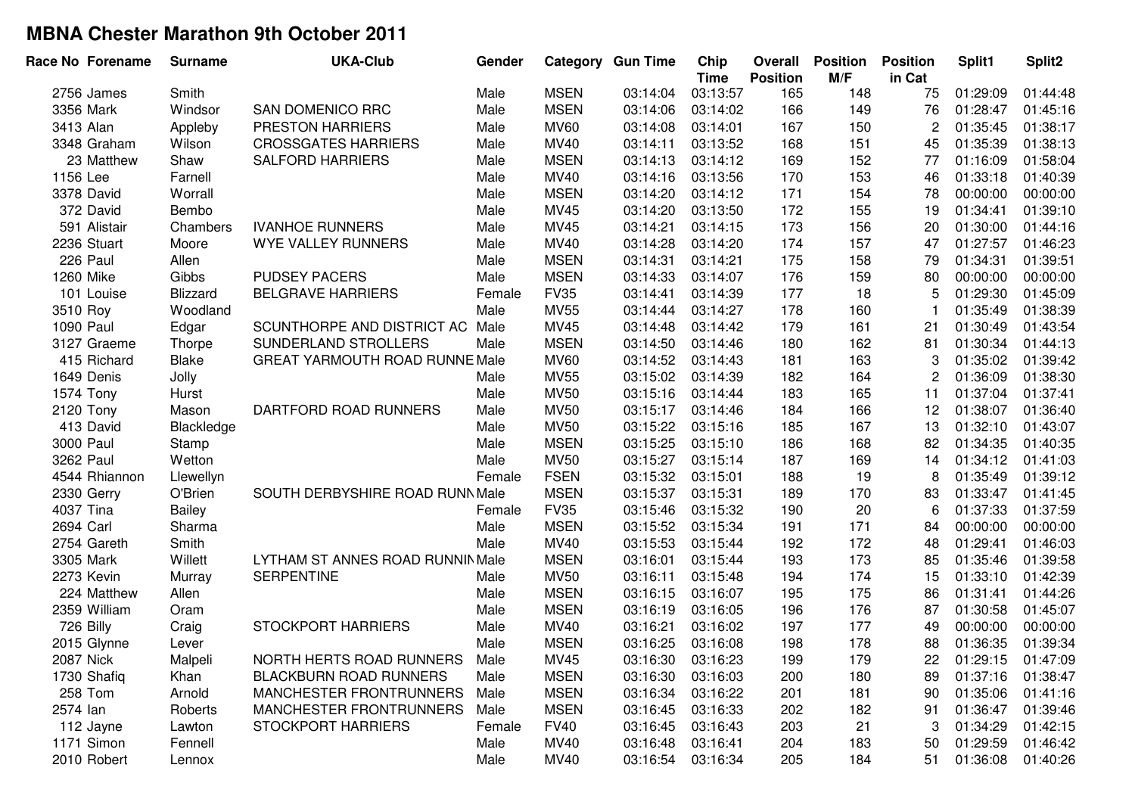| Race No Forename | <b>Surname</b> | <b>UKA-Club</b>                       | Gender |             | <b>Category Gun Time</b> | Chip<br><b>Time</b> | Overall<br><b>Position</b> | <b>Position</b><br>M/F | <b>Position</b><br>in Cat | Split1   | Split <sub>2</sub> |
|------------------|----------------|---------------------------------------|--------|-------------|--------------------------|---------------------|----------------------------|------------------------|---------------------------|----------|--------------------|
| 2756 James       | Smith          |                                       | Male   | <b>MSEN</b> | 03:14:04                 | 03:13:57            | 165                        | 148                    | 75                        | 01:29:09 | 01:44:48           |
| 3356 Mark        | Windsor        | SAN DOMENICO RRC                      | Male   | <b>MSEN</b> | 03:14:06                 | 03:14:02            | 166                        | 149                    | 76                        | 01:28:47 | 01:45:16           |
| 3413 Alan        | Appleby        | PRESTON HARRIERS                      | Male   | <b>MV60</b> | 03:14:08                 | 03:14:01            | 167                        | 150                    | 2                         | 01:35:45 | 01:38:17           |
| 3348 Graham      | Wilson         | <b>CROSSGATES HARRIERS</b>            | Male   | MV40        | 03:14:11                 | 03:13:52            | 168                        | 151                    | 45                        | 01:35:39 | 01:38:13           |
| 23 Matthew       | Shaw           | <b>SALFORD HARRIERS</b>               | Male   | <b>MSEN</b> | 03:14:13                 | 03:14:12            | 169                        | 152                    | 77                        | 01:16:09 | 01:58:04           |
| 1156 Lee         | Farnell        |                                       | Male   | <b>MV40</b> | 03:14:16                 | 03:13:56            | 170                        | 153                    | 46                        | 01:33:18 | 01:40:39           |
| 3378 David       | Worrall        |                                       | Male   | <b>MSEN</b> | 03:14:20                 | 03:14:12            | 171                        | 154                    | 78                        | 00:00:00 | 00:00:00           |
| 372 David        | Bembo          |                                       | Male   | MV45        | 03:14:20                 | 03:13:50            | 172                        | 155                    | 19                        | 01:34:41 | 01:39:10           |
| 591 Alistair     | Chambers       | <b>IVANHOE RUNNERS</b>                | Male   | MV45        | 03:14:21                 | 03:14:15            | 173                        | 156                    | 20                        | 01:30:00 | 01:44:16           |
| 2236 Stuart      | Moore          | <b>WYE VALLEY RUNNERS</b>             | Male   | MV40        | 03:14:28                 | 03:14:20            | 174                        | 157                    | 47                        | 01:27:57 | 01:46:23           |
| 226 Paul         | Allen          |                                       | Male   | <b>MSEN</b> | 03:14:31                 | 03:14:21            | 175                        | 158                    | 79                        | 01:34:31 | 01:39:51           |
| 1260 Mike        | Gibbs          | <b>PUDSEY PACERS</b>                  | Male   | <b>MSEN</b> | 03:14:33                 | 03:14:07            | 176                        | 159                    | 80                        | 00:00:00 | 00:00:00           |
| 101 Louise       | Blizzard       | <b>BELGRAVE HARRIERS</b>              | Female | <b>FV35</b> | 03:14:41                 | 03:14:39            | 177                        | 18                     | 5                         | 01:29:30 | 01:45:09           |
| 3510 Roy         | Woodland       |                                       | Male   | <b>MV55</b> | 03:14:44                 | 03:14:27            | 178                        | 160                    | -1                        | 01:35:49 | 01:38:39           |
| 1090 Paul        | Edgar          | SCUNTHORPE AND DISTRICT AC            | Male   | MV45        | 03:14:48                 | 03:14:42            | 179                        | 161                    | 21                        | 01:30:49 | 01:43:54           |
| 3127 Graeme      | Thorpe         | SUNDERLAND STROLLERS                  | Male   | <b>MSEN</b> | 03:14:50                 | 03:14:46            | 180                        | 162                    | 81                        | 01:30:34 | 01:44:13           |
| 415 Richard      | Blake          | <b>GREAT YARMOUTH ROAD RUNNE Male</b> |        | <b>MV60</b> | 03:14:52                 | 03:14:43            | 181                        | 163                    | 3                         | 01:35:02 | 01:39:42           |
| 1649 Denis       | Jolly          |                                       | Male   | <b>MV55</b> | 03:15:02                 | 03:14:39            | 182                        | 164                    | $\overline{c}$            | 01:36:09 | 01:38:30           |
| 1574 Tony        | Hurst          |                                       | Male   | <b>MV50</b> | 03:15:16                 | 03:14:44            | 183                        | 165                    | 11                        | 01:37:04 | 01:37:41           |
| 2120 Tony        | Mason          | DARTFORD ROAD RUNNERS                 | Male   | <b>MV50</b> | 03:15:17                 | 03:14:46            | 184                        | 166                    | 12                        | 01:38:07 | 01:36:40           |
| 413 David        | Blackledge     |                                       | Male   | <b>MV50</b> | 03:15:22                 | 03:15:16            | 185                        | 167                    | 13                        | 01:32:10 | 01:43:07           |
| 3000 Paul        | Stamp          |                                       | Male   | <b>MSEN</b> | 03:15:25                 | 03:15:10            | 186                        | 168                    | 82                        | 01:34:35 | 01:40:35           |
| 3262 Paul        | Wetton         |                                       | Male   | <b>MV50</b> | 03:15:27                 | 03:15:14            | 187                        | 169                    | 14                        | 01:34:12 | 01:41:03           |
| 4544 Rhiannon    | Llewellyn      |                                       | Female | <b>FSEN</b> | 03:15:32                 | 03:15:01            | 188                        | 19                     | 8                         | 01:35:49 | 01:39:12           |
| 2330 Gerry       | O'Brien        | SOUTH DERBYSHIRE ROAD RUNN Male       |        | <b>MSEN</b> | 03:15:37                 | 03:15:31            | 189                        | 170                    | 83                        | 01:33:47 | 01:41:45           |
| 4037 Tina        | Bailey         |                                       | Female | <b>FV35</b> | 03:15:46                 | 03:15:32            | 190                        | 20                     | 6                         | 01:37:33 | 01:37:59           |
| 2694 Carl        | Sharma         |                                       | Male   | <b>MSEN</b> | 03:15:52                 | 03:15:34            | 191                        | 171                    | 84                        | 00:00:00 | 00:00:00           |
| 2754 Gareth      | Smith          |                                       | Male   | MV40        | 03:15:53                 | 03:15:44            | 192                        | 172                    | 48                        | 01:29:41 | 01:46:03           |
| 3305 Mark        | Willett        | LYTHAM ST ANNES ROAD RUNNIN Male      |        | <b>MSEN</b> | 03:16:01                 | 03:15:44            | 193                        | 173                    | 85                        | 01:35:46 | 01:39:58           |
| 2273 Kevin       | Murray         | <b>SERPENTINE</b>                     | Male   | <b>MV50</b> | 03:16:11                 | 03:15:48            | 194                        | 174                    | 15                        | 01:33:10 | 01:42:39           |
| 224 Matthew      | Allen          |                                       | Male   | <b>MSEN</b> | 03:16:15                 | 03:16:07            | 195                        | 175                    | 86                        | 01:31:41 | 01:44:26           |
| 2359 William     | Oram           |                                       | Male   | <b>MSEN</b> | 03:16:19                 | 03:16:05            | 196                        | 176                    | 87                        | 01:30:58 | 01:45:07           |
| 726 Billy        | Craig          | <b>STOCKPORT HARRIERS</b>             | Male   | MV40        | 03:16:21                 | 03:16:02            | 197                        | 177                    | 49                        | 00:00:00 | 00:00:00           |
| 2015 Glynne      | Lever          |                                       | Male   | <b>MSEN</b> | 03:16:25                 | 03:16:08            | 198                        | 178                    | 88                        | 01:36:35 | 01:39:34           |
| 2087 Nick        | Malpeli        | NORTH HERTS ROAD RUNNERS              | Male   | MV45        | 03:16:30                 | 03:16:23            | 199                        | 179                    | 22                        | 01:29:15 | 01:47:09           |
| 1730 Shafiq      | Khan           | <b>BLACKBURN ROAD RUNNERS</b>         | Male   | <b>MSEN</b> | 03:16:30                 | 03:16:03            | 200                        | 180                    | 89                        | 01:37:16 | 01:38:47           |
| 258 Tom          | Arnold         | MANCHESTER FRONTRUNNERS               | Male   | <b>MSEN</b> | 03:16:34                 | 03:16:22            | 201                        | 181                    | 90                        | 01:35:06 | 01:41:16           |
| 2574 lan         | Roberts        | MANCHESTER FRONTRUNNERS               | Male   | <b>MSEN</b> | 03:16:45                 | 03:16:33            | 202                        | 182                    | 91                        | 01:36:47 | 01:39:46           |
| 112 Jayne        | Lawton         | <b>STOCKPORT HARRIERS</b>             | Female | <b>FV40</b> | 03:16:45                 | 03:16:43            | 203                        | 21                     | 3                         | 01:34:29 | 01:42:15           |
| 1171 Simon       | Fennell        |                                       | Male   | MV40        | 03:16:48                 | 03:16:41            | 204                        | 183                    | 50                        | 01:29:59 | 01:46:42           |
| 2010 Robert      | Lennox         |                                       | Male   | MV40        | 03:16:54                 | 03:16:34            | 205                        | 184                    | 51                        | 01:36:08 | 01:40:26           |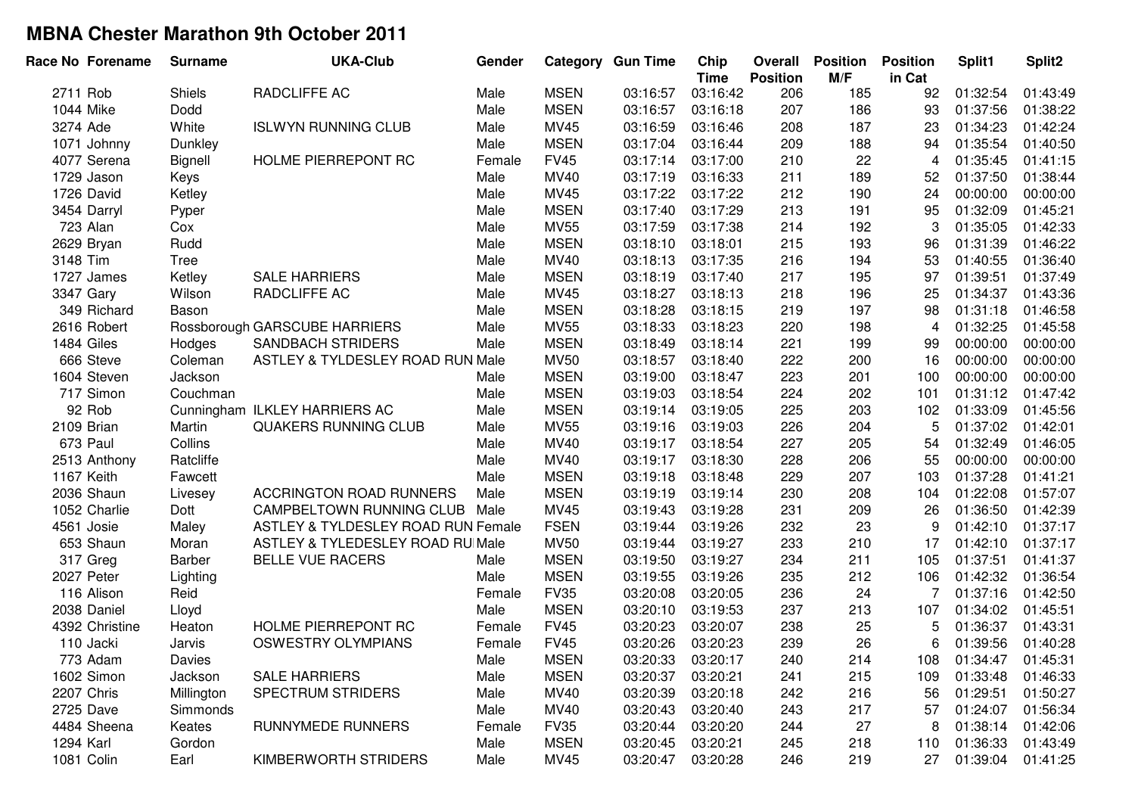|            | Race No Forename | <b>Surname</b> | <b>UKA-Club</b>                    | Gender |             | <b>Category Gun Time</b> | Chip<br><b>Time</b> | Overall<br><b>Position</b> | <b>Position</b><br>M/F | <b>Position</b><br>in Cat | Split1   | Split2   |
|------------|------------------|----------------|------------------------------------|--------|-------------|--------------------------|---------------------|----------------------------|------------------------|---------------------------|----------|----------|
| 2711 Rob   |                  | <b>Shiels</b>  | RADCLIFFE AC                       | Male   | <b>MSEN</b> | 03:16:57                 | 03:16:42            | 206                        | 185                    | 92                        | 01:32:54 | 01:43:49 |
| 1044 Mike  |                  | Dodd           |                                    | Male   | <b>MSEN</b> | 03:16:57                 | 03:16:18            | 207                        | 186                    | 93                        | 01:37:56 | 01:38:22 |
| 3274 Ade   |                  | White          | <b>ISLWYN RUNNING CLUB</b>         | Male   | MV45        | 03:16:59                 | 03:16:46            | 208                        | 187                    | 23                        | 01:34:23 | 01:42:24 |
|            | 1071 Johnny      | Dunkley        |                                    | Male   | <b>MSEN</b> | 03:17:04                 | 03:16:44            | 209                        | 188                    | 94                        | 01:35:54 | 01:40:50 |
|            | 4077 Serena      | Bignell        | HOLME PIERREPONT RC                | Female | <b>FV45</b> | 03:17:14                 | 03:17:00            | 210                        | 22                     | 4                         | 01:35:45 | 01:41:15 |
|            | 1729 Jason       | Keys           |                                    | Male   | MV40        | 03:17:19                 | 03:16:33            | 211                        | 189                    | 52                        | 01:37:50 | 01:38:44 |
|            | 1726 David       | Ketley         |                                    | Male   | MV45        | 03:17:22                 | 03:17:22            | 212                        | 190                    | 24                        | 00:00:00 | 00:00:00 |
|            | 3454 Darryl      | Pyper          |                                    | Male   | <b>MSEN</b> | 03:17:40                 | 03:17:29            | 213                        | 191                    | 95                        | 01:32:09 | 01:45:21 |
|            | 723 Alan         | Cox            |                                    | Male   | <b>MV55</b> | 03:17:59                 | 03:17:38            | 214                        | 192                    | 3                         | 01:35:05 | 01:42:33 |
|            | 2629 Bryan       | Rudd           |                                    | Male   | <b>MSEN</b> | 03:18:10                 | 03:18:01            | 215                        | 193                    | 96                        | 01:31:39 | 01:46:22 |
| 3148 Tim   |                  | Tree           |                                    | Male   | MV40        | 03:18:13                 | 03:17:35            | 216                        | 194                    | 53                        | 01:40:55 | 01:36:40 |
|            | 1727 James       | Ketley         | <b>SALE HARRIERS</b>               | Male   | <b>MSEN</b> | 03:18:19                 | 03:17:40            | 217                        | 195                    | 97                        | 01:39:51 | 01:37:49 |
| 3347 Gary  |                  | Wilson         | RADCLIFFE AC                       | Male   | MV45        | 03:18:27                 | 03:18:13            | 218                        | 196                    | 25                        | 01:34:37 | 01:43:36 |
|            | 349 Richard      | Bason          |                                    | Male   | <b>MSEN</b> | 03:18:28                 | 03:18:15            | 219                        | 197                    | 98                        | 01:31:18 | 01:46:58 |
|            | 2616 Robert      |                | Rossborough GARSCUBE HARRIERS      | Male   | <b>MV55</b> | 03:18:33                 | 03:18:23            | 220                        | 198                    | $\overline{4}$            | 01:32:25 | 01:45:58 |
| 1484 Giles |                  | Hodges         | SANDBACH STRIDERS                  | Male   | <b>MSEN</b> | 03:18:49                 | 03:18:14            | 221                        | 199                    | 99                        | 00:00:00 | 00:00:00 |
|            | 666 Steve        | Coleman        | ASTLEY & TYLDESLEY ROAD RUN Male   |        | <b>MV50</b> | 03:18:57                 | 03:18:40            | 222                        | 200                    | 16                        | 00:00:00 | 00:00:00 |
|            | 1604 Steven      | Jackson        |                                    | Male   | <b>MSEN</b> | 03:19:00                 | 03:18:47            | 223                        | 201                    | 100                       | 00:00:00 | 00:00:00 |
|            | 717 Simon        | Couchman       |                                    | Male   | <b>MSEN</b> | 03:19:03                 | 03:18:54            | 224                        | 202                    | 101                       | 01:31:12 | 01:47:42 |
|            | 92 Rob           |                | Cunningham ILKLEY HARRIERS AC      | Male   | <b>MSEN</b> | 03:19:14                 | 03:19:05            | 225                        | 203                    | 102                       | 01:33:09 | 01:45:56 |
| 2109 Brian |                  | Martin         | QUAKERS RUNNING CLUB               | Male   | <b>MV55</b> | 03:19:16                 | 03:19:03            | 226                        | 204                    | 5                         | 01:37:02 | 01:42:01 |
|            | 673 Paul         | Collins        |                                    | Male   | MV40        | 03:19:17                 | 03:18:54            | 227                        | 205                    | 54                        | 01:32:49 | 01:46:05 |
|            | 2513 Anthony     | Ratcliffe      |                                    | Male   | MV40        | 03:19:17                 | 03:18:30            | 228                        | 206                    | 55                        | 00:00:00 | 00:00:00 |
| 1167 Keith |                  | Fawcett        |                                    | Male   | <b>MSEN</b> | 03:19:18                 | 03:18:48            | 229                        | 207                    | 103                       | 01:37:28 | 01:41:21 |
|            | 2036 Shaun       | Livesey        | <b>ACCRINGTON ROAD RUNNERS</b>     | Male   | <b>MSEN</b> | 03:19:19                 | 03:19:14            | 230                        | 208                    | 104                       | 01:22:08 | 01:57:07 |
|            | 1052 Charlie     | Dott           | CAMPBELTOWN RUNNING CLUB Male      |        | MV45        | 03:19:43                 | 03:19:28            | 231                        | 209                    | 26                        | 01:36:50 | 01:42:39 |
|            | 4561 Josie       | Maley          | ASTLEY & TYLDESLEY ROAD RUN Female |        | <b>FSEN</b> | 03:19:44                 | 03:19:26            | 232                        | 23                     | 9                         | 01:42:10 | 01:37:17 |
|            | 653 Shaun        | Moran          | ASTLEY & TYLEDESLEY ROAD RU Male   |        | <b>MV50</b> | 03:19:44                 | 03:19:27            | 233                        | 210                    | 17                        | 01:42:10 | 01:37:17 |
|            | 317 Greg         | Barber         | <b>BELLE VUE RACERS</b>            | Male   | <b>MSEN</b> | 03:19:50                 | 03:19:27            | 234                        | 211                    | 105                       | 01:37:51 | 01:41:37 |
|            | 2027 Peter       | Lighting       |                                    | Male   | <b>MSEN</b> | 03:19:55                 | 03:19:26            | 235                        | 212                    | 106                       | 01:42:32 | 01:36:54 |
|            | 116 Alison       | Reid           |                                    | Female | <b>FV35</b> | 03:20:08                 | 03:20:05            | 236                        | 24                     | 7                         | 01:37:16 | 01:42:50 |
|            | 2038 Daniel      | Lloyd          |                                    | Male   | <b>MSEN</b> | 03:20:10                 | 03:19:53            | 237                        | 213                    | 107                       | 01:34:02 | 01:45:51 |
|            | 4392 Christine   | Heaton         | HOLME PIERREPONT RC                | Female | <b>FV45</b> | 03:20:23                 | 03:20:07            | 238                        | 25                     | 5                         | 01:36:37 | 01:43:31 |
|            | 110 Jacki        | Jarvis         | <b>OSWESTRY OLYMPIANS</b>          | Female | <b>FV45</b> | 03:20:26                 | 03:20:23            | 239                        | 26                     | 6                         | 01:39:56 | 01:40:28 |
|            | 773 Adam         | Davies         |                                    | Male   | <b>MSEN</b> | 03:20:33                 | 03:20:17            | 240                        | 214                    | 108                       | 01:34:47 | 01:45:31 |
|            | 1602 Simon       | Jackson        | <b>SALE HARRIERS</b>               | Male   | <b>MSEN</b> | 03:20:37                 | 03:20:21            | 241                        | 215                    | 109                       | 01:33:48 | 01:46:33 |
|            | 2207 Chris       | Millington     | <b>SPECTRUM STRIDERS</b>           | Male   | <b>MV40</b> | 03:20:39                 | 03:20:18            | 242                        | 216                    | 56                        | 01:29:51 | 01:50:27 |
|            | 2725 Dave        | Simmonds       |                                    | Male   | MV40        | 03:20:43                 | 03:20:40            | 243                        | 217                    | 57                        | 01:24:07 | 01:56:34 |
|            | 4484 Sheena      | Keates         | <b>RUNNYMEDE RUNNERS</b>           | Female | <b>FV35</b> | 03:20:44                 | 03:20:20            | 244                        | 27                     | 8                         | 01:38:14 | 01:42:06 |
| 1294 Karl  |                  | Gordon         |                                    | Male   | <b>MSEN</b> | 03:20:45                 | 03:20:21            | 245                        | 218                    | 110                       | 01:36:33 | 01:43:49 |
| 1081 Colin |                  | Earl           | KIMBERWORTH STRIDERS               | Male   | MV45        | 03:20:47                 | 03:20:28            | 246                        | 219                    | 27                        | 01:39:04 | 01:41:25 |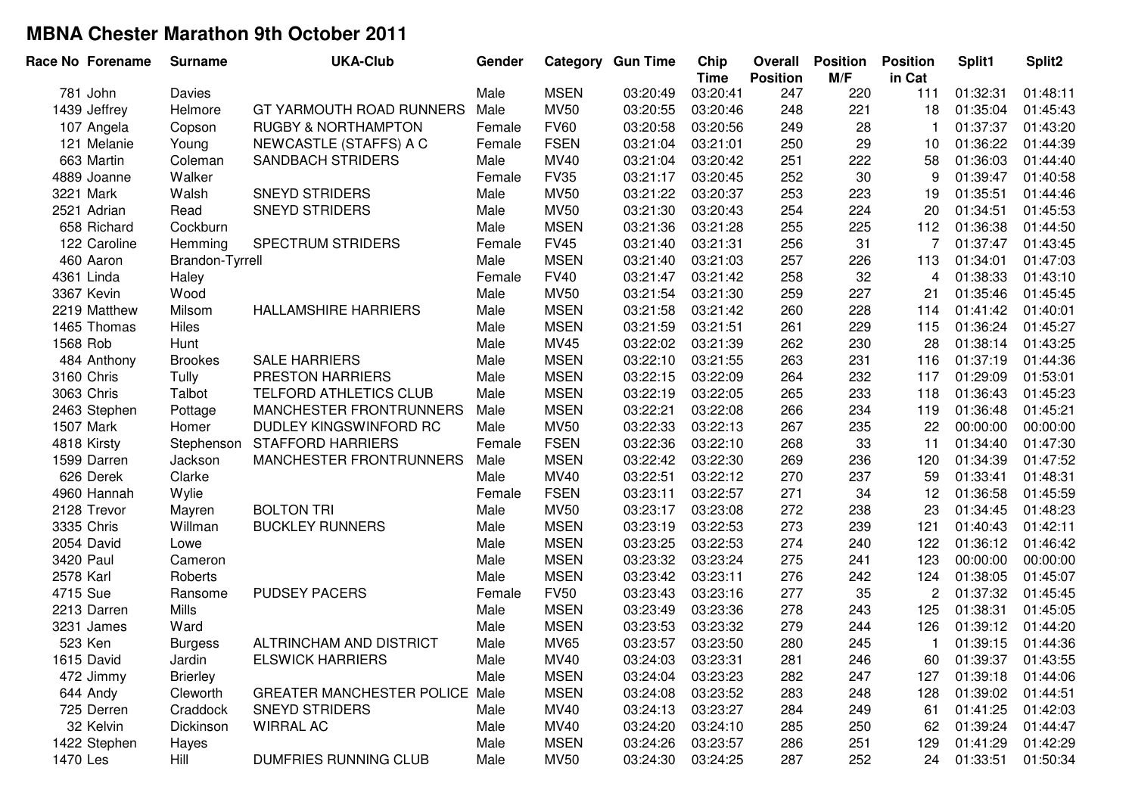|           | Race No Forename | <b>Surname</b>  | <b>UKA-Club</b>                | Gender |             | <b>Category Gun Time</b> | Chip<br><b>Time</b> | Overall<br><b>Position</b> | <b>Position</b><br>M/F | <b>Position</b><br>in Cat | Split1   | Split <sub>2</sub> |
|-----------|------------------|-----------------|--------------------------------|--------|-------------|--------------------------|---------------------|----------------------------|------------------------|---------------------------|----------|--------------------|
|           | 781 John         | <b>Davies</b>   |                                | Male   | <b>MSEN</b> | 03:20:49                 | 03:20:41            | 247                        | 220                    | 111                       | 01:32:31 | 01:48:11           |
|           | 1439 Jeffrey     | Helmore         | GT YARMOUTH ROAD RUNNERS       | Male   | <b>MV50</b> | 03:20:55                 | 03:20:46            | 248                        | 221                    | 18                        | 01:35:04 | 01:45:43           |
|           | 107 Angela       | Copson          | <b>RUGBY &amp; NORTHAMPTON</b> | Female | <b>FV60</b> | 03:20:58                 | 03:20:56            | 249                        | 28                     | -1                        | 01:37:37 | 01:43:20           |
|           | 121 Melanie      | Young           | NEWCASTLE (STAFFS) A C         | Female | <b>FSEN</b> | 03:21:04                 | 03:21:01            | 250                        | 29                     | 10                        | 01:36:22 | 01:44:39           |
|           | 663 Martin       | Coleman         | <b>SANDBACH STRIDERS</b>       | Male   | MV40        | 03:21:04                 | 03:20:42            | 251                        | 222                    | 58                        | 01:36:03 | 01:44:40           |
|           | 4889 Joanne      | Walker          |                                | Female | <b>FV35</b> | 03:21:17                 | 03:20:45            | 252                        | 30                     | 9                         | 01:39:47 | 01:40:58           |
| 3221 Mark |                  | Walsh           | <b>SNEYD STRIDERS</b>          | Male   | <b>MV50</b> | 03:21:22                 | 03:20:37            | 253                        | 223                    | 19                        | 01:35:51 | 01:44:46           |
|           | 2521 Adrian      | Read            | <b>SNEYD STRIDERS</b>          | Male   | <b>MV50</b> | 03:21:30                 | 03:20:43            | 254                        | 224                    | 20                        | 01:34:51 | 01:45:53           |
|           | 658 Richard      | Cockburn        |                                | Male   | <b>MSEN</b> | 03:21:36                 | 03:21:28            | 255                        | 225                    | 112                       | 01:36:38 | 01:44:50           |
|           | 122 Caroline     | Hemming         | SPECTRUM STRIDERS              | Female | <b>FV45</b> | 03:21:40                 | 03:21:31            | 256                        | 31                     | $\overline{7}$            | 01:37:47 | 01:43:45           |
|           | 460 Aaron        | Brandon-Tyrrell |                                | Male   | <b>MSEN</b> | 03:21:40                 | 03:21:03            | 257                        | 226                    | 113                       | 01:34:01 | 01:47:03           |
|           | 4361 Linda       | Haley           |                                | Female | <b>FV40</b> | 03:21:47                 | 03:21:42            | 258                        | 32                     | 4                         | 01:38:33 | 01:43:10           |
|           | 3367 Kevin       | Wood            |                                | Male   | <b>MV50</b> | 03:21:54                 | 03:21:30            | 259                        | 227                    | 21                        | 01:35:46 | 01:45:45           |
|           | 2219 Matthew     | Milsom          | <b>HALLAMSHIRE HARRIERS</b>    | Male   | <b>MSEN</b> | 03:21:58                 | 03:21:42            | 260                        | 228                    | 114                       | 01:41:42 | 01:40:01           |
|           | 1465 Thomas      | Hiles           |                                | Male   | <b>MSEN</b> | 03:21:59                 | 03:21:51            | 261                        | 229                    | 115                       | 01:36:24 | 01:45:27           |
| 1568 Rob  |                  | Hunt            |                                | Male   | MV45        | 03:22:02                 | 03:21:39            | 262                        | 230                    | 28                        | 01:38:14 | 01:43:25           |
|           | 484 Anthony      | <b>Brookes</b>  | <b>SALE HARRIERS</b>           | Male   | <b>MSEN</b> | 03:22:10                 | 03:21:55            | 263                        | 231                    | 116                       | 01:37:19 | 01:44:36           |
|           | 3160 Chris       | Tully           | PRESTON HARRIERS               | Male   | <b>MSEN</b> | 03:22:15                 | 03:22:09            | 264                        | 232                    | 117                       | 01:29:09 | 01:53:01           |
|           | 3063 Chris       | Talbot          | TELFORD ATHLETICS CLUB         | Male   | <b>MSEN</b> | 03:22:19                 | 03:22:05            | 265                        | 233                    | 118                       | 01:36:43 | 01:45:23           |
|           | 2463 Stephen     | Pottage         | MANCHESTER FRONTRUNNERS        | Male   | <b>MSEN</b> | 03:22:21                 | 03:22:08            | 266                        | 234                    | 119                       | 01:36:48 | 01:45:21           |
| 1507 Mark |                  | Homer           | DUDLEY KINGSWINFORD RC         | Male   | <b>MV50</b> | 03:22:33                 | 03:22:13            | 267                        | 235                    | 22                        | 00:00:00 | 00:00:00           |
|           | 4818 Kirsty      | Stephenson      | <b>STAFFORD HARRIERS</b>       | Female | <b>FSEN</b> | 03:22:36                 | 03:22:10            | 268                        | 33                     | 11                        | 01:34:40 | 01:47:30           |
|           | 1599 Darren      | Jackson         | MANCHESTER FRONTRUNNERS        | Male   | <b>MSEN</b> | 03:22:42                 | 03:22:30            | 269                        | 236                    | 120                       | 01:34:39 | 01:47:52           |
|           | 626 Derek        | Clarke          |                                | Male   | MV40        | 03:22:51                 | 03:22:12            | 270                        | 237                    | 59                        | 01:33:41 | 01:48:31           |
|           | 4960 Hannah      | Wylie           |                                | Female | <b>FSEN</b> | 03:23:11                 | 03:22:57            | 271                        | 34                     | 12                        | 01:36:58 | 01:45:59           |
|           | 2128 Trevor      | Mayren          | <b>BOLTON TRI</b>              | Male   | <b>MV50</b> | 03:23:17                 | 03:23:08            | 272                        | 238                    | 23                        | 01:34:45 | 01:48:23           |
|           | 3335 Chris       | Willman         | <b>BUCKLEY RUNNERS</b>         | Male   | <b>MSEN</b> | 03:23:19                 | 03:22:53            | 273                        | 239                    | 121                       | 01:40:43 | 01:42:11           |
|           | 2054 David       | Lowe            |                                | Male   | <b>MSEN</b> | 03:23:25                 | 03:22:53            | 274                        | 240                    | 122                       | 01:36:12 | 01:46:42           |
| 3420 Paul |                  | Cameron         |                                | Male   | <b>MSEN</b> | 03:23:32                 | 03:23:24            | 275                        | 241                    | 123                       | 00:00:00 | 00:00:00           |
| 2578 Karl |                  | Roberts         |                                | Male   | <b>MSEN</b> | 03:23:42                 | 03:23:11            | 276                        | 242                    | 124                       | 01:38:05 | 01:45:07           |
| 4715 Sue  |                  | Ransome         | <b>PUDSEY PACERS</b>           | Female | <b>FV50</b> | 03:23:43                 | 03:23:16            | 277                        | 35                     | $\overline{c}$            | 01:37:32 | 01:45:45           |
|           | 2213 Darren      | Mills           |                                | Male   | <b>MSEN</b> | 03:23:49                 | 03:23:36            | 278                        | 243                    | 125                       | 01:38:31 | 01:45:05           |
|           | 3231 James       | Ward            |                                | Male   | <b>MSEN</b> | 03:23:53                 | 03:23:32            | 279                        | 244                    | 126                       | 01:39:12 | 01:44:20           |
| 523 Ken   |                  | <b>Burgess</b>  | ALTRINCHAM AND DISTRICT        | Male   | <b>MV65</b> | 03:23:57                 | 03:23:50            | 280                        | 245                    |                           | 01:39:15 | 01:44:36           |
|           | 1615 David       | Jardin          | <b>ELSWICK HARRIERS</b>        | Male   | <b>MV40</b> | 03:24:03                 | 03:23:31            | 281                        | 246                    | 60                        | 01:39:37 | 01:43:55           |
|           | 472 Jimmy        | <b>Brierley</b> |                                | Male   | <b>MSEN</b> | 03:24:04                 | 03:23:23            | 282                        | 247                    | 127                       | 01:39:18 | 01:44:06           |
|           | 644 Andy         | Cleworth        | GREATER MANCHESTER POLICE Male |        | <b>MSEN</b> | 03:24:08                 | 03:23:52            | 283                        | 248                    | 128                       | 01:39:02 | 01:44:51           |
|           | 725 Derren       | Craddock        | <b>SNEYD STRIDERS</b>          | Male   | <b>MV40</b> | 03:24:13                 | 03:23:27            | 284                        | 249                    | 61                        | 01:41:25 | 01:42:03           |
|           | 32 Kelvin        | Dickinson       | <b>WIRRAL AC</b>               | Male   | <b>MV40</b> | 03:24:20                 | 03:24:10            | 285                        | 250                    | 62                        | 01:39:24 | 01:44:47           |
|           | 1422 Stephen     | Hayes           |                                | Male   | <b>MSEN</b> | 03:24:26                 | 03:23:57            | 286                        | 251                    | 129                       | 01:41:29 | 01:42:29           |
| 1470 Les  |                  | Hill            | <b>DUMFRIES RUNNING CLUB</b>   | Male   | <b>MV50</b> | 03:24:30                 | 03:24:25            | 287                        | 252                    | 24                        | 01:33:51 | 01:50:34           |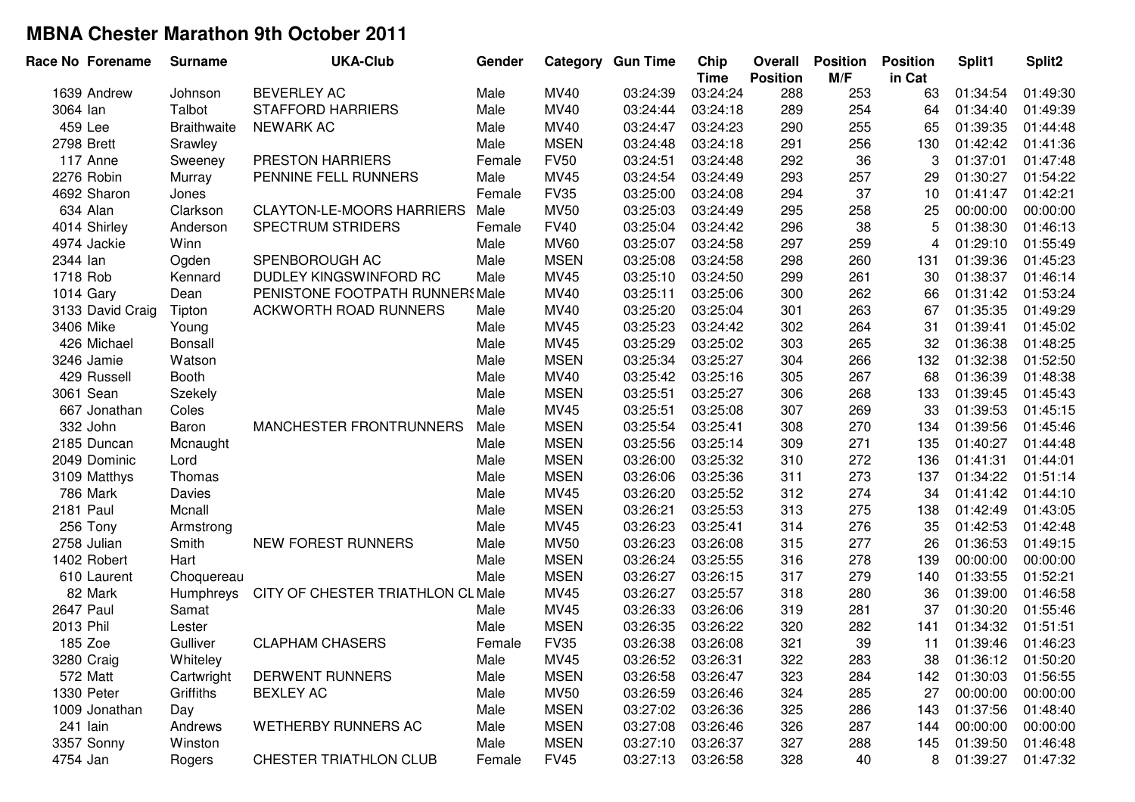| Race No Forename | <b>Surname</b>     | <b>UKA-Club</b>                   | Gender |             | <b>Category Gun Time</b> | Chip<br><b>Time</b> | Overall<br><b>Position</b> | <b>Position</b><br>M/F | <b>Position</b><br>in Cat | Split1   | Split2   |
|------------------|--------------------|-----------------------------------|--------|-------------|--------------------------|---------------------|----------------------------|------------------------|---------------------------|----------|----------|
| 1639 Andrew      | Johnson            | <b>BEVERLEY AC</b>                | Male   | <b>MV40</b> | 03:24:39                 | 03:24:24            | 288                        | 253                    | 63                        | 01:34:54 | 01:49:30 |
| 3064 lan         | Talbot             | <b>STAFFORD HARRIERS</b>          | Male   | MV40        | 03:24:44                 | 03:24:18            | 289                        | 254                    | 64                        | 01:34:40 | 01:49:39 |
| 459 Lee          | <b>Braithwaite</b> | <b>NEWARK AC</b>                  | Male   | MV40        | 03:24:47                 | 03:24:23            | 290                        | 255                    | 65                        | 01:39:35 | 01:44:48 |
| 2798 Brett       | Srawley            |                                   | Male   | <b>MSEN</b> | 03:24:48                 | 03:24:18            | 291                        | 256                    | 130                       | 01:42:42 | 01:41:36 |
| 117 Anne         | Sweeney            | PRESTON HARRIERS                  | Female | <b>FV50</b> | 03:24:51                 | 03:24:48            | 292                        | 36                     | 3                         | 01:37:01 | 01:47:48 |
| 2276 Robin       | Murray             | PENNINE FELL RUNNERS              | Male   | MV45        | 03:24:54                 | 03:24:49            | 293                        | 257                    | 29                        | 01:30:27 | 01:54:22 |
| 4692 Sharon      | Jones              |                                   | Female | <b>FV35</b> | 03:25:00                 | 03:24:08            | 294                        | 37                     | 10                        | 01:41:47 | 01:42:21 |
| 634 Alan         | Clarkson           | <b>CLAYTON-LE-MOORS HARRIERS</b>  | Male   | <b>MV50</b> | 03:25:03                 | 03:24:49            | 295                        | 258                    | 25                        | 00:00:00 | 00:00:00 |
| 4014 Shirley     | Anderson           | SPECTRUM STRIDERS                 | Female | <b>FV40</b> | 03:25:04                 | 03:24:42            | 296                        | 38                     | 5                         | 01:38:30 | 01:46:13 |
| 4974 Jackie      | Winn               |                                   | Male   | <b>MV60</b> | 03:25:07                 | 03:24:58            | 297                        | 259                    | 4                         | 01:29:10 | 01:55:49 |
| 2344 lan         | Ogden              | SPENBOROUGH AC                    | Male   | <b>MSEN</b> | 03:25:08                 | 03:24:58            | 298                        | 260                    | 131                       | 01:39:36 | 01:45:23 |
| 1718 Rob         | Kennard            | DUDLEY KINGSWINFORD RC            | Male   | MV45        | 03:25:10                 | 03:24:50            | 299                        | 261                    | 30                        | 01:38:37 | 01:46:14 |
| 1014 Gary        | Dean               | PENISTONE FOOTPATH RUNNERS Male   |        | MV40        | 03:25:11                 | 03:25:06            | 300                        | 262                    | 66                        | 01:31:42 | 01:53:24 |
| 3133 David Craig | Tipton             | <b>ACKWORTH ROAD RUNNERS</b>      | Male   | MV40        | 03:25:20                 | 03:25:04            | 301                        | 263                    | 67                        | 01:35:35 | 01:49:29 |
| 3406 Mike        | Young              |                                   | Male   | MV45        | 03:25:23                 | 03:24:42            | 302                        | 264                    | 31                        | 01:39:41 | 01:45:02 |
| 426 Michael      | Bonsall            |                                   | Male   | MV45        | 03:25:29                 | 03:25:02            | 303                        | 265                    | 32                        | 01:36:38 | 01:48:25 |
| 3246 Jamie       | Watson             |                                   | Male   | <b>MSEN</b> | 03:25:34                 | 03:25:27            | 304                        | 266                    | 132                       | 01:32:38 | 01:52:50 |
| 429 Russell      | <b>Booth</b>       |                                   | Male   | MV40        | 03:25:42                 | 03:25:16            | 305                        | 267                    | 68                        | 01:36:39 | 01:48:38 |
| 3061 Sean        | Szekely            |                                   | Male   | <b>MSEN</b> | 03:25:51                 | 03:25:27            | 306                        | 268                    | 133                       | 01:39:45 | 01:45:43 |
| 667 Jonathan     | Coles              |                                   | Male   | MV45        | 03:25:51                 | 03:25:08            | 307                        | 269                    | 33                        | 01:39:53 | 01:45:15 |
| 332 John         | Baron              | MANCHESTER FRONTRUNNERS           | Male   | <b>MSEN</b> | 03:25:54                 | 03:25:41            | 308                        | 270                    | 134                       | 01:39:56 | 01:45:46 |
| 2185 Duncan      | Mcnaught           |                                   | Male   | <b>MSEN</b> | 03:25:56                 | 03:25:14            | 309                        | 271                    | 135                       | 01:40:27 | 01:44:48 |
| 2049 Dominic     | Lord               |                                   | Male   | <b>MSEN</b> | 03:26:00                 | 03:25:32            | 310                        | 272                    | 136                       | 01:41:31 | 01:44:01 |
| 3109 Matthys     | Thomas             |                                   | Male   | <b>MSEN</b> | 03:26:06                 | 03:25:36            | 311                        | 273                    | 137                       | 01:34:22 | 01:51:14 |
| 786 Mark         | Davies             |                                   | Male   | MV45        | 03:26:20                 | 03:25:52            | 312                        | 274                    | 34                        | 01:41:42 | 01:44:10 |
| <b>2181 Paul</b> | Mcnall             |                                   | Male   | <b>MSEN</b> | 03:26:21                 | 03:25:53            | 313                        | 275                    | 138                       | 01:42:49 | 01:43:05 |
| 256 Tony         | Armstrong          |                                   | Male   | MV45        | 03:26:23                 | 03:25:41            | 314                        | 276                    | 35                        | 01:42:53 | 01:42:48 |
| 2758 Julian      | Smith              | NEW FOREST RUNNERS                | Male   | <b>MV50</b> | 03:26:23                 | 03:26:08            | 315                        | 277                    | 26                        | 01:36:53 | 01:49:15 |
| 1402 Robert      | Hart               |                                   | Male   | <b>MSEN</b> | 03:26:24                 | 03:25:55            | 316                        | 278                    | 139                       | 00:00:00 | 00:00:00 |
| 610 Laurent      | Choquereau         |                                   | Male   | <b>MSEN</b> | 03:26:27                 | 03:26:15            | 317                        | 279                    | 140                       | 01:33:55 | 01:52:21 |
| 82 Mark          | Humphreys          | CITY OF CHESTER TRIATHLON CL Male |        | MV45        | 03:26:27                 | 03:25:57            | 318                        | 280                    | 36                        | 01:39:00 | 01:46:58 |
| 2647 Paul        | Samat              |                                   | Male   | MV45        | 03:26:33                 | 03:26:06            | 319                        | 281                    | 37                        | 01:30:20 | 01:55:46 |
| 2013 Phil        | Lester             |                                   | Male   | <b>MSEN</b> | 03:26:35                 | 03:26:22            | 320                        | 282                    | 141                       | 01:34:32 | 01:51:51 |
| 185 Zoe          | Gulliver           | <b>CLAPHAM CHASERS</b>            | Female | <b>FV35</b> | 03:26:38                 | 03:26:08            | 321                        | 39                     | 11                        | 01:39:46 | 01:46:23 |
| 3280 Craig       | Whiteley           |                                   | Male   | MV45        | 03:26:52                 | 03:26:31            | 322                        | 283                    | 38                        | 01:36:12 | 01:50:20 |
| 572 Matt         | Cartwright         | <b>DERWENT RUNNERS</b>            | Male   | <b>MSEN</b> | 03:26:58                 | 03:26:47            | 323                        | 284                    | 142                       | 01:30:03 | 01:56:55 |
| 1330 Peter       | Griffiths          | <b>BEXLEY AC</b>                  | Male   | <b>MV50</b> | 03:26:59                 | 03:26:46            | 324                        | 285                    | 27                        | 00:00:00 | 00:00:00 |
| 1009 Jonathan    | Day                |                                   | Male   | <b>MSEN</b> | 03:27:02                 | 03:26:36            | 325                        | 286                    | 143                       | 01:37:56 | 01:48:40 |
| 241 lain         | Andrews            | <b>WETHERBY RUNNERS AC</b>        | Male   | <b>MSEN</b> | 03:27:08                 | 03:26:46            | 326                        | 287                    | 144                       | 00:00:00 | 00:00:00 |
| 3357 Sonny       | Winston            |                                   | Male   | <b>MSEN</b> | 03:27:10                 | 03:26:37            | 327                        | 288                    | 145                       | 01:39:50 | 01:46:48 |
| 4754 Jan         | Rogers             | <b>CHESTER TRIATHLON CLUB</b>     | Female | <b>FV45</b> | 03:27:13                 | 03:26:58            | 328                        | 40                     | 8                         | 01:39:27 | 01:47:32 |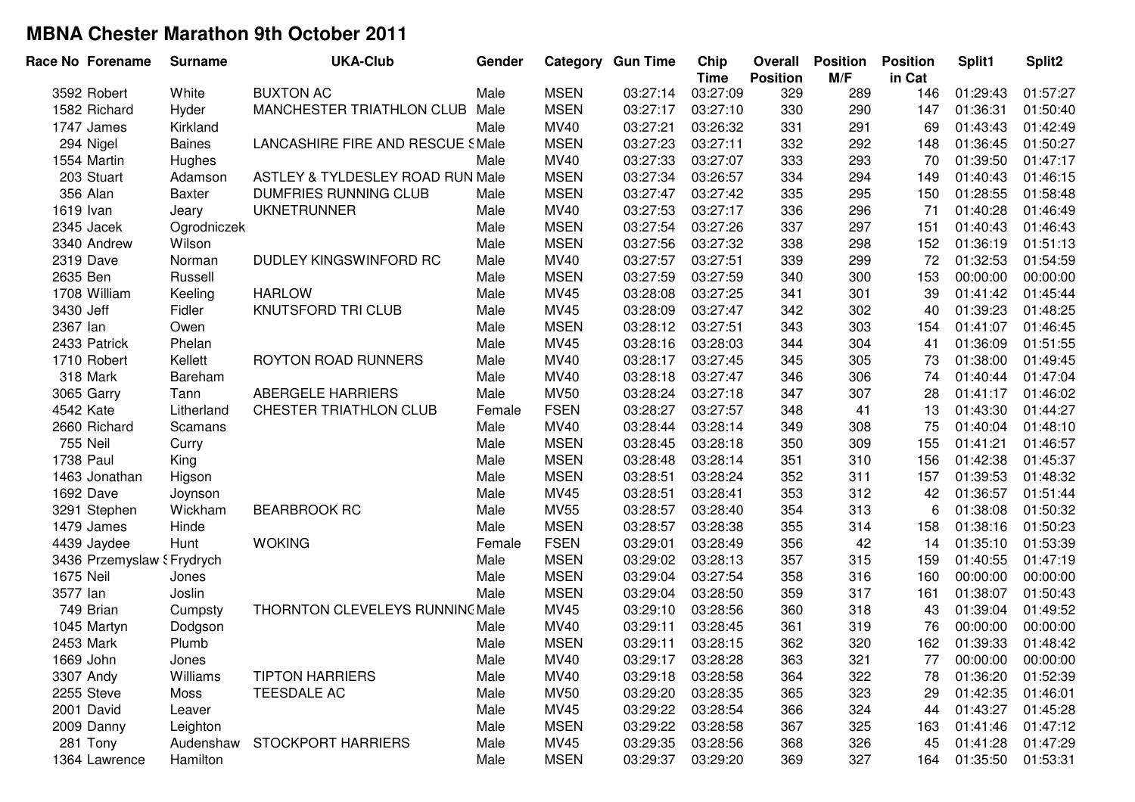|           | Race No Forename           | <b>Surname</b> | <b>UKA-Club</b>                         | Gender |             | <b>Category Gun Time</b> | Chip<br><b>Time</b> | Overall<br><b>Position</b> | <b>Position</b><br>M/F | <b>Position</b><br>in Cat | Split1   | Split <sub>2</sub> |
|-----------|----------------------------|----------------|-----------------------------------------|--------|-------------|--------------------------|---------------------|----------------------------|------------------------|---------------------------|----------|--------------------|
|           | 3592 Robert                | White          | <b>BUXTON AC</b>                        | Male   | <b>MSEN</b> | 03:27:14                 | 03:27:09            | 329                        | 289                    | 146                       | 01:29:43 | 01:57:27           |
|           | 1582 Richard               | Hyder          | MANCHESTER TRIATHLON CLUB               | Male   | <b>MSEN</b> | 03:27:17                 | 03:27:10            | 330                        | 290                    | 147                       | 01:36:31 | 01:50:40           |
|           | 1747 James                 | Kirkland       |                                         | Male   | MV40        | 03:27:21                 | 03:26:32            | 331                        | 291                    | 69                        | 01:43:43 | 01:42:49           |
|           | 294 Nigel                  | <b>Baines</b>  | <b>LANCASHIRE FIRE AND RESCUE SMale</b> |        | <b>MSEN</b> | 03:27:23                 | 03:27:11            | 332                        | 292                    | 148                       | 01:36:45 | 01:50:27           |
|           | 1554 Martin                | Hughes         |                                         | Male   | MV40        | 03:27:33                 | 03:27:07            | 333                        | 293                    | 70                        | 01:39:50 | 01:47:17           |
|           | 203 Stuart                 | Adamson        | ASTLEY & TYLDESLEY ROAD RUN Male        |        | <b>MSEN</b> | 03:27:34                 | 03:26:57            | 334                        | 294                    | 149                       | 01:40:43 | 01:46:15           |
|           | 356 Alan                   | <b>Baxter</b>  | DUMFRIES RUNNING CLUB                   | Male   | <b>MSEN</b> | 03:27:47                 | 03:27:42            | 335                        | 295                    | 150                       | 01:28:55 | 01:58:48           |
| 1619 Ivan |                            | Jeary          | <b>UKNETRUNNER</b>                      | Male   | MV40        | 03:27:53                 | 03:27:17            | 336                        | 296                    | 71                        | 01:40:28 | 01:46:49           |
|           | 2345 Jacek                 | Ogrodniczek    |                                         | Male   | <b>MSEN</b> | 03:27:54                 | 03:27:26            | 337                        | 297                    | 151                       | 01:40:43 | 01:46:43           |
|           | 3340 Andrew                | Wilson         |                                         | Male   | <b>MSEN</b> | 03:27:56                 | 03:27:32            | 338                        | 298                    | 152                       | 01:36:19 | 01:51:13           |
| 2319 Dave |                            | Norman         | DUDLEY KINGSWINFORD RC                  | Male   | MV40        | 03:27:57                 | 03:27:51            | 339                        | 299                    | 72                        | 01:32:53 | 01:54:59           |
| 2635 Ben  |                            | Russell        |                                         | Male   | <b>MSEN</b> | 03:27:59                 | 03:27:59            | 340                        | 300                    | 153                       | 00:00:00 | 00:00:00           |
|           | 1708 William               | Keeling        | <b>HARLOW</b>                           | Male   | MV45        | 03:28:08                 | 03:27:25            | 341                        | 301                    | 39                        | 01:41:42 | 01:45:44           |
| 3430 Jeff |                            | Fidler         | KNUTSFORD TRI CLUB                      | Male   | MV45        | 03:28:09                 | 03:27:47            | 342                        | 302                    | 40                        | 01:39:23 | 01:48:25           |
| 2367 lan  |                            | Owen           |                                         | Male   | <b>MSEN</b> | 03:28:12                 | 03:27:51            | 343                        | 303                    | 154                       | 01:41:07 | 01:46:45           |
|           | 2433 Patrick               | Phelan         |                                         | Male   | MV45        | 03:28:16                 | 03:28:03            | 344                        | 304                    | 41                        | 01:36:09 | 01:51:55           |
|           | 1710 Robert                | Kellett        | ROYTON ROAD RUNNERS                     | Male   | MV40        | 03:28:17                 | 03:27:45            | 345                        | 305                    | 73                        | 01:38:00 | 01:49:45           |
|           | 318 Mark                   | Bareham        |                                         | Male   | MV40        | 03:28:18                 | 03:27:47            | 346                        | 306                    | 74                        | 01:40:44 | 01:47:04           |
|           | 3065 Garry                 | Tann           | <b>ABERGELE HARRIERS</b>                | Male   | <b>MV50</b> | 03:28:24                 | 03:27:18            | 347                        | 307                    | 28                        | 01:41:17 | 01:46:02           |
| 4542 Kate |                            | Litherland     | CHESTER TRIATHLON CLUB                  | Female | <b>FSEN</b> | 03:28:27                 | 03:27:57            | 348                        | 41                     | 13                        | 01:43:30 | 01:44:27           |
|           | 2660 Richard               | Scamans        |                                         | Male   | MV40        | 03:28:44                 | 03:28:14            | 349                        | 308                    | 75                        | 01:40:04 | 01:48:10           |
| 755 Neil  |                            | Curry          |                                         | Male   | <b>MSEN</b> | 03:28:45                 | 03:28:18            | 350                        | 309                    | 155                       | 01:41:21 | 01:46:57           |
| 1738 Paul |                            | King           |                                         | Male   | <b>MSEN</b> | 03:28:48                 | 03:28:14            | 351                        | 310                    | 156                       | 01:42:38 | 01:45:37           |
|           | 1463 Jonathan              | Higson         |                                         | Male   | <b>MSEN</b> | 03:28:51                 | 03:28:24            | 352                        | 311                    | 157                       | 01:39:53 | 01:48:32           |
| 1692 Dave |                            | Joynson        |                                         | Male   | MV45        | 03:28:51                 | 03:28:41            | 353                        | 312                    | 42                        | 01:36:57 | 01:51:44           |
|           | 3291 Stephen               | Wickham        | <b>BEARBROOK RC</b>                     | Male   | <b>MV55</b> | 03:28:57                 | 03:28:40            | 354                        | 313                    | 6                         | 01:38:08 | 01:50:32           |
|           | 1479 James                 | Hinde          |                                         | Male   | <b>MSEN</b> | 03:28:57                 | 03:28:38            | 355                        | 314                    | 158                       | 01:38:16 | 01:50:23           |
|           | 4439 Jaydee                | Hunt           | <b>WOKING</b>                           | Female | <b>FSEN</b> | 03:29:01                 | 03:28:49            | 356                        | 42                     | 14                        | 01:35:10 | 01:53:39           |
|           | 3436 Przemyslaw § Frydrych |                |                                         | Male   | <b>MSEN</b> | 03:29:02                 | 03:28:13            | 357                        | 315                    | 159                       | 01:40:55 | 01:47:19           |
| 1675 Neil |                            | Jones          |                                         | Male   | <b>MSEN</b> | 03:29:04                 | 03:27:54            | 358                        | 316                    | 160                       | 00:00:00 | 00:00:00           |
| 3577 lan  |                            | Joslin         |                                         | Male   | <b>MSEN</b> | 03:29:04                 | 03:28:50            | 359                        | 317                    | 161                       | 01:38:07 | 01:50:43           |
|           | 749 Brian                  | Cumpsty        | THORNTON CLEVELEYS RUNNING Male         |        | MV45        | 03:29:10                 | 03:28:56            | 360                        | 318                    | 43                        | 01:39:04 | 01:49:52           |
|           | 1045 Martyn                | Dodgson        |                                         | Male   | <b>MV40</b> | 03:29:11                 | 03:28:45            | 361                        | 319                    | 76                        | 00:00:00 | 00:00:00           |
| 2453 Mark |                            | Plumb          |                                         | Male   | <b>MSEN</b> | 03:29:11                 | 03:28:15            | 362                        | 320                    | 162                       | 01:39:33 | 01:48:42           |
| 1669 John |                            | Jones          |                                         | Male   | <b>MV40</b> | 03:29:17                 | 03:28:28            | 363                        | 321                    | 77                        | 00:00:00 | 00:00:00           |
| 3307 Andy |                            | Williams       | <b>TIPTON HARRIERS</b>                  | Male   | <b>MV40</b> | 03:29:18                 | 03:28:58            | 364                        | 322                    | 78                        | 01:36:20 | 01:52:39           |
|           | 2255 Steve                 | Moss           | TEESDALE AC                             | Male   | <b>MV50</b> | 03:29:20                 | 03:28:35            | 365                        | 323                    | 29                        | 01:42:35 | 01:46:01           |
|           | 2001 David                 | Leaver         |                                         | Male   | MV45        | 03:29:22                 | 03:28:54            | 366                        | 324                    | 44                        | 01:43:27 | 01:45:28           |
|           | 2009 Danny                 | Leighton       |                                         | Male   | <b>MSEN</b> | 03:29:22                 | 03:28:58            | 367                        | 325                    | 163                       | 01:41:46 | 01:47:12           |
|           | 281 Tony                   | Audenshaw      | <b>STOCKPORT HARRIERS</b>               | Male   | MV45        | 03:29:35                 | 03:28:56            | 368                        | 326                    | 45                        | 01:41:28 | 01:47:29           |
|           | 1364 Lawrence              | Hamilton       |                                         | Male   | <b>MSEN</b> | 03:29:37                 | 03:29:20            | 369                        | 327                    | 164                       | 01:35:50 | 01:53:31           |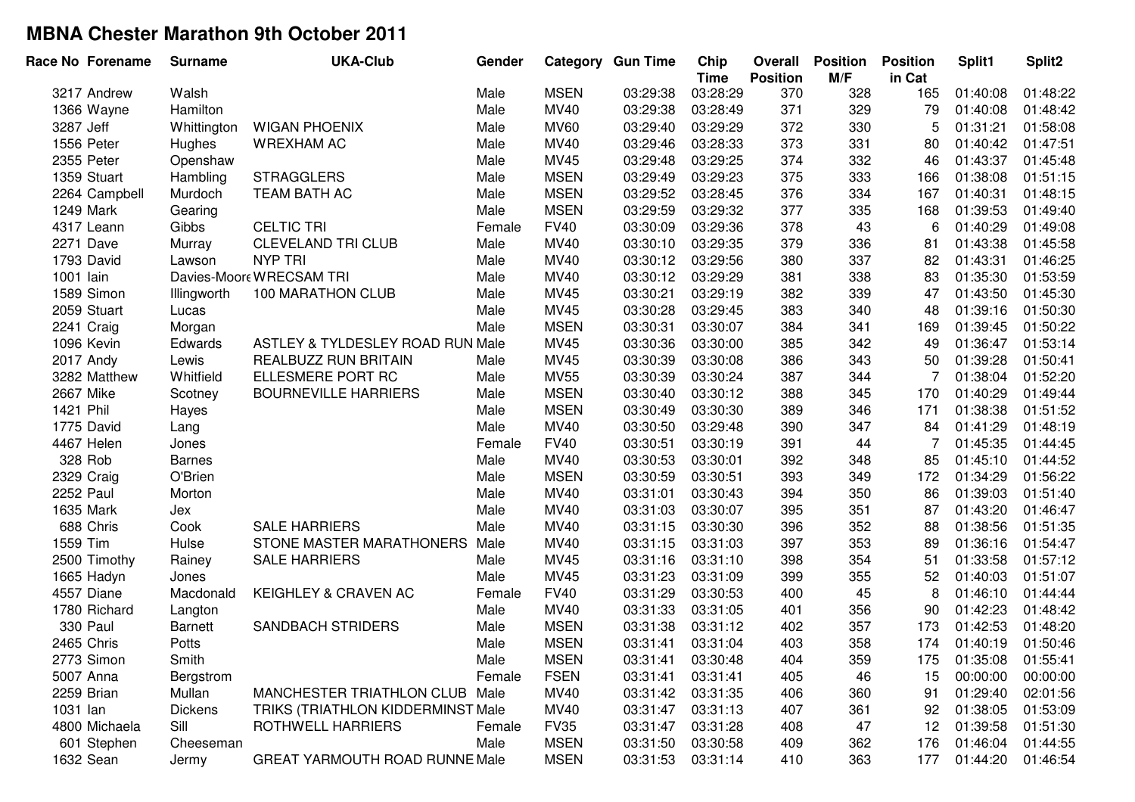| Race No Forename | <b>Surname</b> | <b>UKA-Club</b>                   | Gender |             | <b>Category Gun Time</b> | Chip                    | Overall         | <b>Position</b> | <b>Position</b> | Split1                | Split <sub>2</sub> |
|------------------|----------------|-----------------------------------|--------|-------------|--------------------------|-------------------------|-----------------|-----------------|-----------------|-----------------------|--------------------|
|                  |                |                                   |        |             |                          | <b>Time</b><br>03:28:29 | <b>Position</b> | M/F             | in Cat          |                       |                    |
| 3217 Andrew      | Walsh          |                                   | Male   | <b>MSEN</b> | 03:29:38                 |                         | 370             | 328             | 165             | 01:40:08              | 01:48:22           |
| 1366 Wayne       | Hamilton       |                                   | Male   | MV40        | 03:29:38                 | 03:28:49                | 371             | 329             | 79              | 01:40:08              | 01:48:42           |
| 3287 Jeff        | Whittington    | <b>WIGAN PHOENIX</b>              | Male   | <b>MV60</b> | 03:29:40                 | 03:29:29                | 372             | 330             | 5               | 01:31:21              | 01:58:08           |
| 1556 Peter       | Hughes         | <b>WREXHAM AC</b>                 | Male   | MV40        | 03:29:46                 | 03:28:33                | 373             | 331             | 80              | 01:40:42              | 01:47:51           |
| 2355 Peter       | Openshaw       |                                   | Male   | MV45        | 03:29:48                 | 03:29:25                | 374             | 332             | 46              | 01:43:37              | 01:45:48           |
| 1359 Stuart      | Hambling       | <b>STRAGGLERS</b>                 | Male   | <b>MSEN</b> | 03:29:49                 | 03:29:23                | 375             | 333             | 166             | 01:38:08              | 01:51:15           |
| 2264 Campbell    | Murdoch        | TEAM BATH AC                      | Male   | <b>MSEN</b> | 03:29:52                 | 03:28:45                | 376             | 334             | 167             | 01:40:31              | 01:48:15           |
| 1249 Mark        | Gearing        |                                   | Male   | <b>MSEN</b> | 03:29:59                 | 03:29:32                | 377             | 335             | 168             | 01:39:53              | 01:49:40           |
| 4317 Leann       | Gibbs          | <b>CELTIC TRI</b>                 | Female | <b>FV40</b> | 03:30:09                 | 03:29:36                | 378             | 43              | 6               | 01:40:29              | 01:49:08           |
| 2271 Dave        | Murray         | <b>CLEVELAND TRI CLUB</b>         | Male   | MV40        | 03:30:10                 | 03:29:35                | 379             | 336             | 81              | 01:43:38              | 01:45:58           |
| 1793 David       | Lawson         | <b>NYP TRI</b>                    | Male   | MV40        | 03:30:12                 | 03:29:56                | 380             | 337             | 82              | 01:43:31              | 01:46:25           |
| 1001 lain        |                | Davies-Moore WRECSAM TRI          | Male   | MV40        | 03:30:12                 | 03:29:29                | 381             | 338             | 83              | 01:35:30              | 01:53:59           |
| 1589 Simon       | Illingworth    | 100 MARATHON CLUB                 | Male   | MV45        | 03:30:21                 | 03:29:19                | 382             | 339             | 47              | 01:43:50              | 01:45:30           |
| 2059 Stuart      | Lucas          |                                   | Male   | MV45        | 03:30:28                 | 03:29:45                | 383             | 340             | 48              | 01:39:16              | 01:50:30           |
| 2241 Craig       | Morgan         |                                   | Male   | <b>MSEN</b> | 03:30:31                 | 03:30:07                | 384             | 341             | 169             | 01:39:45              | 01:50:22           |
| 1096 Kevin       | Edwards        | ASTLEY & TYLDESLEY ROAD RUN Male  |        | MV45        | 03:30:36                 | 03:30:00                | 385             | 342             | 49              | 01:36:47              | 01:53:14           |
| 2017 Andy        | Lewis          | <b>REALBUZZ RUN BRITAIN</b>       | Male   | MV45        | 03:30:39                 | 03:30:08                | 386             | 343             | 50              | 01:39:28              | 01:50:41           |
| 3282 Matthew     | Whitfield      | ELLESMERE PORT RC                 | Male   | <b>MV55</b> | 03:30:39                 | 03:30:24                | 387             | 344             | 7               | 01:38:04              | 01:52:20           |
| 2667 Mike        | Scotney        | <b>BOURNEVILLE HARRIERS</b>       | Male   | <b>MSEN</b> | 03:30:40                 | 03:30:12                | 388             | 345             | 170             | 01:40:29              | 01:49:44           |
| 1421 Phil        | Hayes          |                                   | Male   | <b>MSEN</b> | 03:30:49                 | 03:30:30                | 389             | 346             | 171             | 01:38:38              | 01:51:52           |
| 1775 David       | Lang           |                                   | Male   | <b>MV40</b> | 03:30:50                 | 03:29:48                | 390             | 347             | 84              | 01:41:29              | 01:48:19           |
| 4467 Helen       | Jones          |                                   | Female | <b>FV40</b> | 03:30:51                 | 03:30:19                | 391             | 44              | 7               | 01:45:35              | 01:44:45           |
| 328 Rob          | <b>Barnes</b>  |                                   | Male   | MV40        | 03:30:53                 | 03:30:01                | 392             | 348             | 85              | 01:45:10              | 01:44:52           |
| 2329 Craig       | O'Brien        |                                   | Male   | <b>MSEN</b> | 03:30:59                 | 03:30:51                | 393             | 349             | 172             | 01:34:29              | 01:56:22           |
| 2252 Paul        | Morton         |                                   | Male   | MV40        | 03:31:01                 | 03:30:43                | 394             | 350             | 86              | 01:39:03              | 01:51:40           |
| 1635 Mark        | Jex            |                                   | Male   | MV40        | 03:31:03                 | 03:30:07                | 395             | 351             | 87              | 01:43:20              | 01:46:47           |
| 688 Chris        | Cook           | <b>SALE HARRIERS</b>              | Male   | MV40        | 03:31:15                 | 03:30:30                | 396             | 352             | 88              | 01:38:56              | 01:51:35           |
| 1559 Tim         | Hulse          | STONE MASTER MARATHONERS          | Male   | MV40        | 03:31:15                 | 03:31:03                | 397             | 353             | 89              | 01:36:16              | 01:54:47           |
| 2500 Timothy     | Rainey         | <b>SALE HARRIERS</b>              | Male   | MV45        | 03:31:16                 | 03:31:10                | 398             | 354             | 51              | 01:33:58              | 01:57:12           |
| 1665 Hadyn       | Jones          |                                   | Male   | MV45        | 03:31:23                 | 03:31:09                | 399             | 355             | 52              | 01:40:03              | 01:51:07           |
| 4557 Diane       | Macdonald      | KEIGHLEY & CRAVEN AC              | Female | <b>FV40</b> | 03:31:29                 | 03:30:53                | 400             | 45              | 8               | 01:46:10              | 01:44:44           |
| 1780 Richard     | Langton        |                                   | Male   | MV40        | 03:31:33                 | 03:31:05                | 401             | 356             | 90              | 01:42:23              | 01:48:42           |
| <b>330 Paul</b>  | <b>Barnett</b> | <b>SANDBACH STRIDERS</b>          | Male   | <b>MSEN</b> | 03:31:38                 | 03:31:12                | 402             | 357             | 173             | 01:42:53              | 01:48:20           |
| 2465 Chris       | Potts          |                                   | Male   | <b>MSEN</b> | 03:31:41                 | 03:31:04                | 403             | 358             | 174             | 01:40:19              | 01:50:46           |
| 2773 Simon       | Smith          |                                   | Male   | <b>MSEN</b> | 03:31:41                 | 03:30:48                | 404             | 359             |                 | 175 01:35:08 01:55:41 |                    |
| 5007 Anna        | Bergstrom      |                                   | Female | <b>FSEN</b> | 03:31:41                 | 03:31:41                | 405             | 46              | 15              | 00:00:00              | 00:00:00           |
| 2259 Brian       | Mullan         | MANCHESTER TRIATHLON CLUB Male    |        | MV40        | 03:31:42                 | 03:31:35                | 406             | 360             | 91              | 01:29:40              | 02:01:56           |
| 1031 lan         | <b>Dickens</b> | TRIKS (TRIATHLON KIDDERMINST Male |        | MV40        | 03:31:47                 | 03:31:13                | 407             | 361             | 92              | 01:38:05              | 01:53:09           |
| 4800 Michaela    | Sill           | ROTHWELL HARRIERS                 | Female | <b>FV35</b> | 03:31:47                 | 03:31:28                | 408             | 47              | 12              | 01:39:58              | 01:51:30           |
| 601 Stephen      | Cheeseman      |                                   | Male   | <b>MSEN</b> | 03:31:50                 | 03:30:58                | 409             | 362             | 176             | 01:46:04              | 01:44:55           |
| 1632 Sean        | Jermy          | GREAT YARMOUTH ROAD RUNNE Male    |        | <b>MSEN</b> | 03:31:53                 | 03:31:14                | 410             | 363             | 177             | 01:44:20              | 01:46:54           |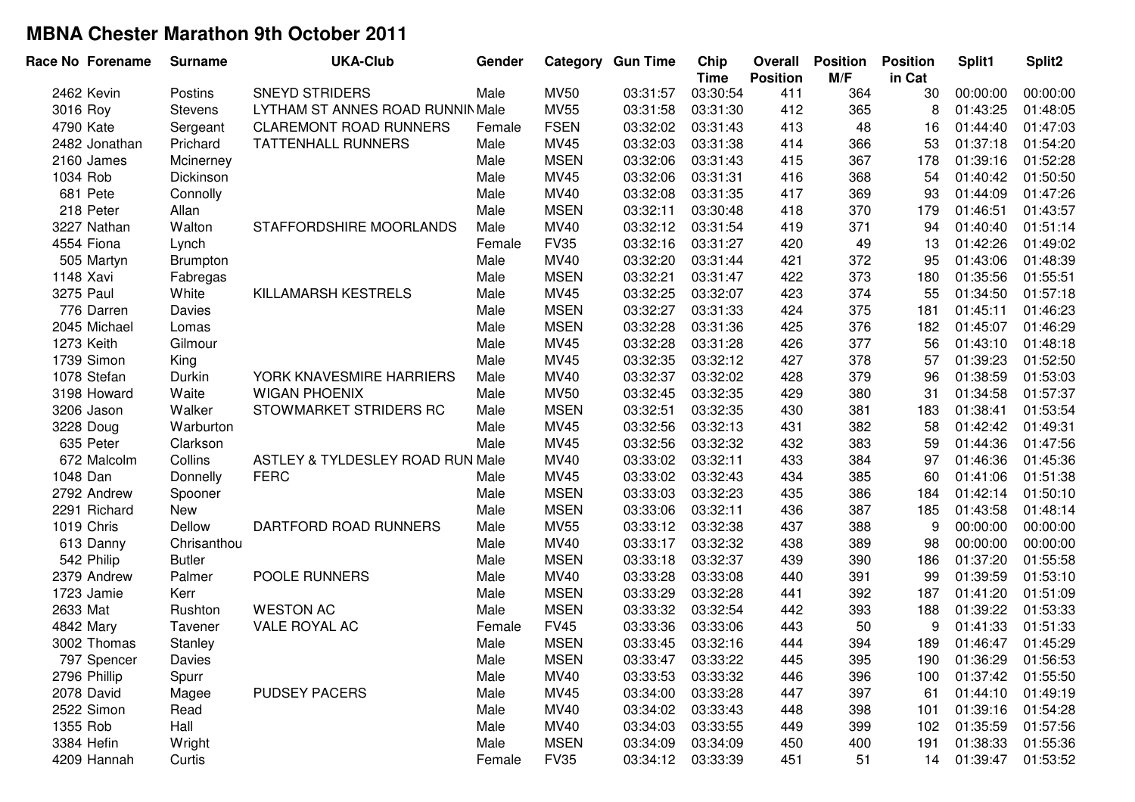| Race No Forename | <b>Surname</b>  | <b>UKA-Club</b>                  | Gender |             | <b>Category Gun Time</b> | Chip<br><b>Time</b> | <b>Overall</b><br><b>Position</b> | <b>Position</b><br>M/F | <b>Position</b><br>in Cat | Split1   | Split2   |
|------------------|-----------------|----------------------------------|--------|-------------|--------------------------|---------------------|-----------------------------------|------------------------|---------------------------|----------|----------|
| 2462 Kevin       | Postins         | <b>SNEYD STRIDERS</b>            | Male   | <b>MV50</b> | 03:31:57                 | 03:30:54            | 411                               | 364                    | 30                        | 00:00:00 | 00:00:00 |
| 3016 Roy         | <b>Stevens</b>  | LYTHAM ST ANNES ROAD RUNNIN Male |        | <b>MV55</b> | 03:31:58                 | 03:31:30            | 412                               | 365                    | 8                         | 01:43:25 | 01:48:05 |
| 4790 Kate        | Sergeant        | <b>CLAREMONT ROAD RUNNERS</b>    | Female | <b>FSEN</b> | 03:32:02                 | 03:31:43            | 413                               | 48                     | 16                        | 01:44:40 | 01:47:03 |
| 2482 Jonathan    | Prichard        | <b>TATTENHALL RUNNERS</b>        | Male   | MV45        | 03:32:03                 | 03:31:38            | 414                               | 366                    | 53                        | 01:37:18 | 01:54:20 |
| 2160 James       | Mcinerney       |                                  | Male   | <b>MSEN</b> | 03:32:06                 | 03:31:43            | 415                               | 367                    | 178                       | 01:39:16 | 01:52:28 |
| 1034 Rob         | Dickinson       |                                  | Male   | MV45        | 03:32:06                 | 03:31:31            | 416                               | 368                    | 54                        | 01:40:42 | 01:50:50 |
| 681 Pete         | Connolly        |                                  | Male   | MV40        | 03:32:08                 | 03:31:35            | 417                               | 369                    | 93                        | 01:44:09 | 01:47:26 |
| 218 Peter        | Allan           |                                  | Male   | <b>MSEN</b> | 03:32:11                 | 03:30:48            | 418                               | 370                    | 179                       | 01:46:51 | 01:43:57 |
| 3227 Nathan      | Walton          | STAFFORDSHIRE MOORLANDS          | Male   | MV40        | 03:32:12                 | 03:31:54            | 419                               | 371                    | 94                        | 01:40:40 | 01:51:14 |
| 4554 Fiona       | Lynch           |                                  | Female | <b>FV35</b> | 03:32:16                 | 03:31:27            | 420                               | 49                     | 13                        | 01:42:26 | 01:49:02 |
| 505 Martyn       | <b>Brumpton</b> |                                  | Male   | MV40        | 03:32:20                 | 03:31:44            | 421                               | 372                    | 95                        | 01:43:06 | 01:48:39 |
| 1148 Xavi        | Fabregas        |                                  | Male   | <b>MSEN</b> | 03:32:21                 | 03:31:47            | 422                               | 373                    | 180                       | 01:35:56 | 01:55:51 |
| 3275 Paul        | White           | KILLAMARSH KESTRELS              | Male   | MV45        | 03:32:25                 | 03:32:07            | 423                               | 374                    | 55                        | 01:34:50 | 01:57:18 |
| 776 Darren       | Davies          |                                  | Male   | <b>MSEN</b> | 03:32:27                 | 03:31:33            | 424                               | 375                    | 181                       | 01:45:11 | 01:46:23 |
| 2045 Michael     | Lomas           |                                  | Male   | <b>MSEN</b> | 03:32:28                 | 03:31:36            | 425                               | 376                    | 182                       | 01:45:07 | 01:46:29 |
| 1273 Keith       | Gilmour         |                                  | Male   | MV45        | 03:32:28                 | 03:31:28            | 426                               | 377                    | 56                        | 01:43:10 | 01:48:18 |
| 1739 Simon       | King            |                                  | Male   | MV45        | 03:32:35                 | 03:32:12            | 427                               | 378                    | 57                        | 01:39:23 | 01:52:50 |
| 1078 Stefan      | Durkin          | YORK KNAVESMIRE HARRIERS         | Male   | MV40        | 03:32:37                 | 03:32:02            | 428                               | 379                    | 96                        | 01:38:59 | 01:53:03 |
| 3198 Howard      | Waite           | <b>WIGAN PHOENIX</b>             | Male   | <b>MV50</b> | 03:32:45                 | 03:32:35            | 429                               | 380                    | 31                        | 01:34:58 | 01:57:37 |
| 3206 Jason       | Walker          | STOWMARKET STRIDERS RC           | Male   | <b>MSEN</b> | 03:32:51                 | 03:32:35            | 430                               | 381                    | 183                       | 01:38:41 | 01:53:54 |
| 3228 Doug        | Warburton       |                                  | Male   | MV45        | 03:32:56                 | 03:32:13            | 431                               | 382                    | 58                        | 01:42:42 | 01:49:31 |
| 635 Peter        | Clarkson        |                                  | Male   | MV45        | 03:32:56                 | 03:32:32            | 432                               | 383                    | 59                        | 01:44:36 | 01:47:56 |
| 672 Malcolm      | Collins         | ASTLEY & TYLDESLEY ROAD RUN Male |        | MV40        | 03:33:02                 | 03:32:11            | 433                               | 384                    | 97                        | 01:46:36 | 01:45:36 |
| 1048 Dan         | Donnelly        | <b>FERC</b>                      | Male   | MV45        | 03:33:02                 | 03:32:43            | 434                               | 385                    | 60                        | 01:41:06 | 01:51:38 |
| 2792 Andrew      | Spooner         |                                  | Male   | <b>MSEN</b> | 03:33:03                 | 03:32:23            | 435                               | 386                    | 184                       | 01:42:14 | 01:50:10 |
| 2291 Richard     | New             |                                  | Male   | <b>MSEN</b> | 03:33:06                 | 03:32:11            | 436                               | 387                    | 185                       | 01:43:58 | 01:48:14 |
| 1019 Chris       | Dellow          | DARTFORD ROAD RUNNERS            | Male   | <b>MV55</b> | 03:33:12                 | 03:32:38            | 437                               | 388                    | 9                         | 00:00:00 | 00:00:00 |
| 613 Danny        | Chrisanthou     |                                  | Male   | MV40        | 03:33:17                 | 03:32:32            | 438                               | 389                    | 98                        | 00:00:00 | 00:00:00 |
| 542 Philip       | <b>Butler</b>   |                                  | Male   | <b>MSEN</b> | 03:33:18                 | 03:32:37            | 439                               | 390                    | 186                       | 01:37:20 | 01:55:58 |
| 2379 Andrew      | Palmer          | POOLE RUNNERS                    | Male   | MV40        | 03:33:28                 | 03:33:08            | 440                               | 391                    | 99                        | 01:39:59 | 01:53:10 |
| 1723 Jamie       | Kerr            |                                  | Male   | <b>MSEN</b> | 03:33:29                 | 03:32:28            | 441                               | 392                    | 187                       | 01:41:20 | 01:51:09 |
| 2633 Mat         | Rushton         | <b>WESTON AC</b>                 | Male   | <b>MSEN</b> | 03:33:32                 | 03:32:54            | 442                               | 393                    | 188                       | 01:39:22 | 01:53:33 |
| 4842 Mary        | Tavener         | VALE ROYAL AC                    | Female | <b>FV45</b> | 03:33:36                 | 03:33:06            | 443                               | 50                     | 9                         | 01:41:33 | 01:51:33 |
| 3002 Thomas      | Stanley         |                                  | Male   | <b>MSEN</b> | 03:33:45                 | 03:32:16            | 444                               | 394                    | 189                       | 01:46:47 | 01:45:29 |
| 797 Spencer      | Davies          |                                  | Male   | <b>MSEN</b> | 03:33:47                 | 03:33:22            | 445                               | 395                    | 190                       | 01:36:29 | 01:56:53 |
| 2796 Phillip     | Spurr           |                                  | Male   | <b>MV40</b> | 03:33:53                 | 03:33:32            | 446                               | 396                    | 100                       | 01:37:42 | 01:55:50 |
| 2078 David       | Magee           | <b>PUDSEY PACERS</b>             | Male   | MV45        | 03:34:00                 | 03:33:28            | 447                               | 397                    | 61                        | 01:44:10 | 01:49:19 |
| 2522 Simon       | Read            |                                  | Male   | MV40        | 03:34:02                 | 03:33:43            | 448                               | 398                    | 101                       | 01:39:16 | 01:54:28 |
| 1355 Rob         | Hall            |                                  | Male   | MV40        | 03:34:03                 | 03:33:55            | 449                               | 399                    | 102                       | 01:35:59 | 01:57:56 |
| 3384 Hefin       | Wright          |                                  | Male   | <b>MSEN</b> | 03:34:09                 | 03:34:09            | 450                               | 400                    | 191                       | 01:38:33 | 01:55:36 |
| 4209 Hannah      | Curtis          |                                  | Female | <b>FV35</b> | 03:34:12                 | 03:33:39            | 451                               | 51                     | 14                        | 01:39:47 | 01:53:52 |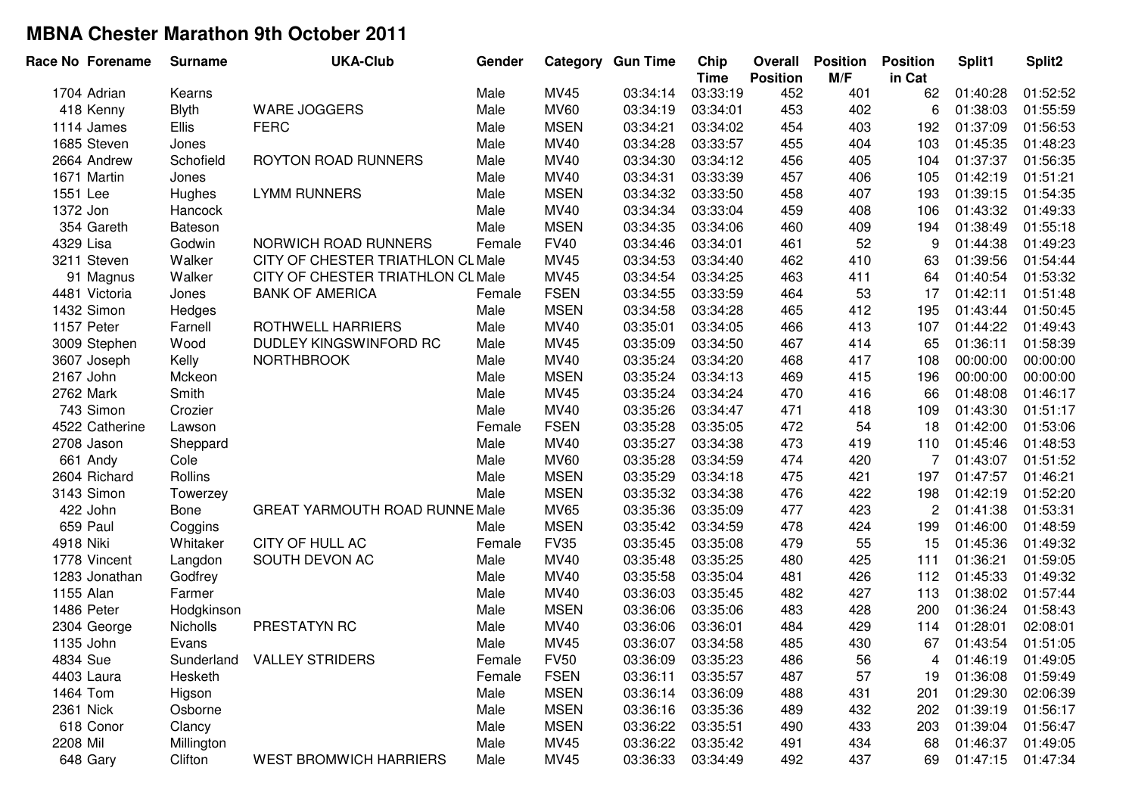| Race No Forename | <b>Surname</b> | <b>UKA-Club</b>                       | Gender |             | <b>Category Gun Time</b> | Chip<br><b>Time</b> | Overall<br><b>Position</b> | <b>Position</b><br>M/F | <b>Position</b><br>in Cat | Split1   | Split <sub>2</sub> |
|------------------|----------------|---------------------------------------|--------|-------------|--------------------------|---------------------|----------------------------|------------------------|---------------------------|----------|--------------------|
| 1704 Adrian      | Kearns         |                                       | Male   | MV45        | 03:34:14                 | 03:33:19            | 452                        | 401                    | 62                        | 01:40:28 | 01:52:52           |
| 418 Kenny        | <b>Blyth</b>   | WARE JOGGERS                          | Male   | <b>MV60</b> | 03:34:19                 | 03:34:01            | 453                        | 402                    | 6                         | 01:38:03 | 01:55:59           |
| 1114 James       | <b>Ellis</b>   | <b>FERC</b>                           | Male   | <b>MSEN</b> | 03:34:21                 | 03:34:02            | 454                        | 403                    | 192                       | 01:37:09 | 01:56:53           |
| 1685 Steven      | Jones          |                                       | Male   | MV40        | 03:34:28                 | 03:33:57            | 455                        | 404                    | 103                       | 01:45:35 | 01:48:23           |
| 2664 Andrew      | Schofield      | <b>ROYTON ROAD RUNNERS</b>            | Male   | MV40        | 03:34:30                 | 03:34:12            | 456                        | 405                    | 104                       | 01:37:37 | 01:56:35           |
| 1671 Martin      | Jones          |                                       | Male   | MV40        | 03:34:31                 | 03:33:39            | 457                        | 406                    | 105                       | 01:42:19 | 01:51:21           |
| 1551 Lee         | Hughes         | <b>LYMM RUNNERS</b>                   | Male   | <b>MSEN</b> | 03:34:32                 | 03:33:50            | 458                        | 407                    | 193                       | 01:39:15 | 01:54:35           |
| 1372 Jon         | Hancock        |                                       | Male   | MV40        | 03:34:34                 | 03:33:04            | 459                        | 408                    | 106                       | 01:43:32 | 01:49:33           |
| 354 Gareth       | Bateson        |                                       | Male   | <b>MSEN</b> | 03:34:35                 | 03:34:06            | 460                        | 409                    | 194                       | 01:38:49 | 01:55:18           |
| 4329 Lisa        | Godwin         | NORWICH ROAD RUNNERS                  | Female | <b>FV40</b> | 03:34:46                 | 03:34:01            | 461                        | 52                     | 9                         | 01:44:38 | 01:49:23           |
| 3211 Steven      | Walker         | CITY OF CHESTER TRIATHLON CL Male     |        | MV45        | 03:34:53                 | 03:34:40            | 462                        | 410                    | 63                        | 01:39:56 | 01:54:44           |
| 91 Magnus        | Walker         | CITY OF CHESTER TRIATHLON CL Male     |        | MV45        | 03:34:54                 | 03:34:25            | 463                        | 411                    | 64                        | 01:40:54 | 01:53:32           |
| 4481 Victoria    | Jones          | <b>BANK OF AMERICA</b>                | Female | <b>FSEN</b> | 03:34:55                 | 03:33:59            | 464                        | 53                     | 17                        | 01:42:11 | 01:51:48           |
| 1432 Simon       | Hedges         |                                       | Male   | <b>MSEN</b> | 03:34:58                 | 03:34:28            | 465                        | 412                    | 195                       | 01:43:44 | 01:50:45           |
| 1157 Peter       | Farnell        | ROTHWELL HARRIERS                     | Male   | MV40        | 03:35:01                 | 03:34:05            | 466                        | 413                    | 107                       | 01:44:22 | 01:49:43           |
| 3009 Stephen     | Wood           | DUDLEY KINGSWINFORD RC                | Male   | MV45        | 03:35:09                 | 03:34:50            | 467                        | 414                    | 65                        | 01:36:11 | 01:58:39           |
| 3607 Joseph      | Kelly          | <b>NORTHBROOK</b>                     | Male   | MV40        | 03:35:24                 | 03:34:20            | 468                        | 417                    | 108                       | 00:00:00 | 00:00:00           |
| 2167 John        | Mckeon         |                                       | Male   | <b>MSEN</b> | 03:35:24                 | 03:34:13            | 469                        | 415                    | 196                       | 00:00:00 | 00:00:00           |
| 2762 Mark        | Smith          |                                       | Male   | MV45        | 03:35:24                 | 03:34:24            | 470                        | 416                    | 66                        | 01:48:08 | 01:46:17           |
| 743 Simon        | Crozier        |                                       | Male   | <b>MV40</b> | 03:35:26                 | 03:34:47            | 471                        | 418                    | 109                       | 01:43:30 | 01:51:17           |
| 4522 Catherine   | Lawson         |                                       | Female | <b>FSEN</b> | 03:35:28                 | 03:35:05            | 472                        | 54                     | 18                        | 01:42:00 | 01:53:06           |
| 2708 Jason       | Sheppard       |                                       | Male   | MV40        | 03:35:27                 | 03:34:38            | 473                        | 419                    | 110                       | 01:45:46 | 01:48:53           |
| 661 Andy         | Cole           |                                       | Male   | <b>MV60</b> | 03:35:28                 | 03:34:59            | 474                        | 420                    | $\overline{7}$            | 01:43:07 | 01:51:52           |
| 2604 Richard     | Rollins        |                                       | Male   | <b>MSEN</b> | 03:35:29                 | 03:34:18            | 475                        | 421                    | 197                       | 01:47:57 | 01:46:21           |
| 3143 Simon       | Towerzey       |                                       | Male   | <b>MSEN</b> | 03:35:32                 | 03:34:38            | 476                        | 422                    | 198                       | 01:42:19 | 01:52:20           |
| 422 John         | Bone           | <b>GREAT YARMOUTH ROAD RUNNE Male</b> |        | <b>MV65</b> | 03:35:36                 | 03:35:09            | 477                        | 423                    | $\overline{c}$            | 01:41:38 | 01:53:31           |
| 659 Paul         | Coggins        |                                       | Male   | <b>MSEN</b> | 03:35:42                 | 03:34:59            | 478                        | 424                    | 199                       | 01:46:00 | 01:48:59           |
| 4918 Niki        | Whitaker       | CITY OF HULL AC                       | Female | <b>FV35</b> | 03:35:45                 | 03:35:08            | 479                        | 55                     | 15                        | 01:45:36 | 01:49:32           |
| 1778 Vincent     | Langdon        | SOUTH DEVON AC                        | Male   | MV40        | 03:35:48                 | 03:35:25            | 480                        | 425                    | 111                       | 01:36:21 | 01:59:05           |
| 1283 Jonathan    | Godfrey        |                                       | Male   | MV40        | 03:35:58                 | 03:35:04            | 481                        | 426                    | 112                       | 01:45:33 | 01:49:32           |
| 1155 Alan        | Farmer         |                                       | Male   | MV40        | 03:36:03                 | 03:35:45            | 482                        | 427                    | 113                       | 01:38:02 | 01:57:44           |
| 1486 Peter       | Hodgkinson     |                                       | Male   | <b>MSEN</b> | 03:36:06                 | 03:35:06            | 483                        | 428                    | 200                       | 01:36:24 | 01:58:43           |
| 2304 George      | Nicholls       | PRESTATYN RC                          | Male   | MV40        | 03:36:06                 | 03:36:01            | 484                        | 429                    | 114                       | 01:28:01 | 02:08:01           |
| 1135 John        | Evans          |                                       | Male   | MV45        | 03:36:07                 | 03:34:58            | 485                        | 430                    | 67                        | 01:43:54 | 01:51:05           |
| 4834 Sue         | Sunderland     | <b>VALLEY STRIDERS</b>                | Female | <b>FV50</b> | 03:36:09                 | 03:35:23            | 486                        | 56                     | 4                         | 01:46:19 | 01:49:05           |
| 4403 Laura       | Hesketh        |                                       | Female | <b>FSEN</b> | 03:36:11                 | 03:35:57            | 487                        | 57                     | 19                        | 01:36:08 | 01:59:49           |
| 1464 Tom         | Higson         |                                       | Male   | <b>MSEN</b> | 03:36:14                 | 03:36:09            | 488                        | 431                    | 201                       | 01:29:30 | 02:06:39           |
| 2361 Nick        | Osborne        |                                       | Male   | <b>MSEN</b> | 03:36:16                 | 03:35:36            | 489                        | 432                    | 202                       | 01:39:19 | 01:56:17           |
| 618 Conor        | Clancy         |                                       | Male   | <b>MSEN</b> | 03:36:22                 | 03:35:51            | 490                        | 433                    | 203                       | 01:39:04 | 01:56:47           |
| 2208 Mil         | Millington     |                                       | Male   | MV45        | 03:36:22                 | 03:35:42            | 491                        | 434                    | 68                        | 01:46:37 | 01:49:05           |
| 648 Gary         | Clifton        | <b>WEST BROMWICH HARRIERS</b>         | Male   | <b>MV45</b> | 03:36:33                 | 03:34:49            | 492                        | 437                    | 69                        | 01:47:15 | 01:47:34           |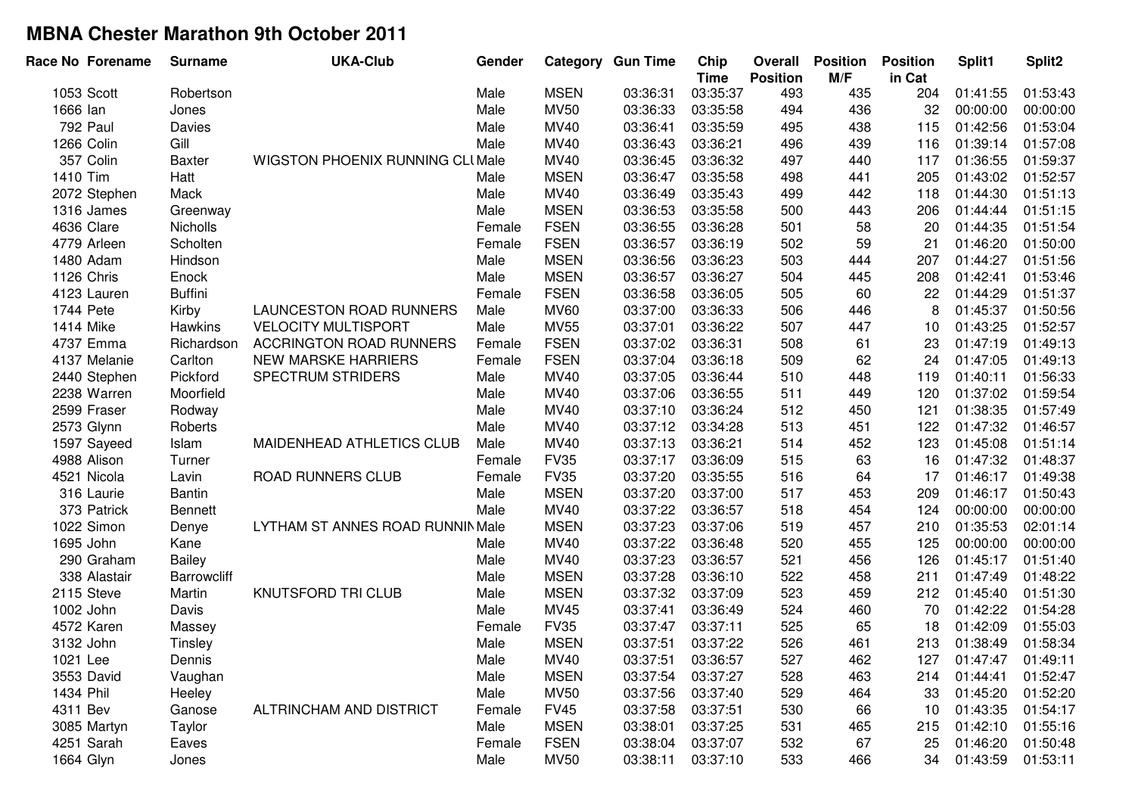| Race No Forename | <b>Surname</b>     | <b>UKA-Club</b>                         | Gender |             | <b>Category Gun Time</b> | Chip<br><b>Time</b> | Overall<br><b>Position</b> | <b>Position</b><br>M/F | <b>Position</b><br>in Cat | Split1   | Split <sub>2</sub> |
|------------------|--------------------|-----------------------------------------|--------|-------------|--------------------------|---------------------|----------------------------|------------------------|---------------------------|----------|--------------------|
| 1053 Scott       | Robertson          |                                         | Male   | <b>MSEN</b> | 03:36:31                 | 03:35:37            | 493                        | 435                    | 204                       | 01:41:55 | 01:53:43           |
| 1666 lan         | Jones              |                                         | Male   | <b>MV50</b> | 03:36:33                 | 03:35:58            | 494                        | 436                    | 32                        | 00:00:00 | 00:00:00           |
| 792 Paul         | Davies             |                                         | Male   | MV40        | 03:36:41                 | 03:35:59            | 495                        | 438                    | 115                       | 01:42:56 | 01:53:04           |
| 1266 Colin       | Gill               |                                         | Male   | MV40        | 03:36:43                 | 03:36:21            | 496                        | 439                    | 116                       | 01:39:14 | 01:57:08           |
| 357 Colin        | <b>Baxter</b>      | <b>WIGSTON PHOENIX RUNNING CLI Male</b> |        | MV40        | 03:36:45                 | 03:36:32            | 497                        | 440                    | 117                       | 01:36:55 | 01:59:37           |
| 1410 Tim         | Hatt               |                                         | Male   | <b>MSEN</b> | 03:36:47                 | 03:35:58            | 498                        | 441                    | 205                       | 01:43:02 | 01:52:57           |
| 2072 Stephen     | Mack               |                                         | Male   | <b>MV40</b> | 03:36:49                 | 03:35:43            | 499                        | 442                    | 118                       | 01:44:30 | 01:51:13           |
| 1316 James       | Greenway           |                                         | Male   | <b>MSEN</b> | 03:36:53                 | 03:35:58            | 500                        | 443                    | 206                       | 01:44:44 | 01:51:15           |
| 4636 Clare       | <b>Nicholls</b>    |                                         | Female | <b>FSEN</b> | 03:36:55                 | 03:36:28            | 501                        | 58                     | 20                        | 01:44:35 | 01:51:54           |
| 4779 Arleen      | Scholten           |                                         | Female | <b>FSEN</b> | 03:36:57                 | 03:36:19            | 502                        | 59                     | 21                        | 01:46:20 | 01:50:00           |
| 1480 Adam        | Hindson            |                                         | Male   | <b>MSEN</b> | 03:36:56                 | 03:36:23            | 503                        | 444                    | 207                       | 01:44:27 | 01:51:56           |
| 1126 Chris       | Enock              |                                         | Male   | <b>MSEN</b> | 03:36:57                 | 03:36:27            | 504                        | 445                    | 208                       | 01:42:41 | 01:53:46           |
| 4123 Lauren      | <b>Buffini</b>     |                                         | Female | <b>FSEN</b> | 03:36:58                 | 03:36:05            | 505                        | 60                     | 22                        | 01:44:29 | 01:51:37           |
| 1744 Pete        | Kirby              | LAUNCESTON ROAD RUNNERS                 | Male   | <b>MV60</b> | 03:37:00                 | 03:36:33            | 506                        | 446                    | 8                         | 01:45:37 | 01:50:56           |
| 1414 Mike        | Hawkins            | <b>VELOCITY MULTISPORT</b>              | Male   | <b>MV55</b> | 03:37:01                 | 03:36:22            | 507                        | 447                    | 10                        | 01:43:25 | 01:52:57           |
| 4737 Emma        | Richardson         | <b>ACCRINGTON ROAD RUNNERS</b>          | Female | <b>FSEN</b> | 03:37:02                 | 03:36:31            | 508                        | 61                     | 23                        | 01:47:19 | 01:49:13           |
| 4137 Melanie     | Carlton            | <b>NEW MARSKE HARRIERS</b>              | Female | <b>FSEN</b> | 03:37:04                 | 03:36:18            | 509                        | 62                     | 24                        | 01:47:05 | 01:49:13           |
| 2440 Stephen     | Pickford           | <b>SPECTRUM STRIDERS</b>                | Male   | <b>MV40</b> | 03:37:05                 | 03:36:44            | 510                        | 448                    | 119                       | 01:40:11 | 01:56:33           |
| 2238 Warren      | Moorfield          |                                         | Male   | MV40        | 03:37:06                 | 03:36:55            | 511                        | 449                    | 120                       | 01:37:02 | 01:59:54           |
| 2599 Fraser      | Rodway             |                                         | Male   | MV40        | 03:37:10                 | 03:36:24            | 512                        | 450                    | 121                       | 01:38:35 | 01:57:49           |
| 2573 Glynn       | Roberts            |                                         | Male   | MV40        | 03:37:12                 | 03:34:28            | 513                        | 451                    | 122                       | 01:47:32 | 01:46:57           |
| 1597 Sayeed      | Islam              | MAIDENHEAD ATHLETICS CLUB               | Male   | MV40        | 03:37:13                 | 03:36:21            | 514                        | 452                    | 123                       | 01:45:08 | 01:51:14           |
| 4988 Alison      | Turner             |                                         | Female | <b>FV35</b> | 03:37:17                 | 03:36:09            | 515                        | 63                     | 16                        | 01:47:32 | 01:48:37           |
| 4521 Nicola      | Lavin              | ROAD RUNNERS CLUB                       | Female | <b>FV35</b> | 03:37:20                 | 03:35:55            | 516                        | 64                     | 17                        | 01:46:17 | 01:49:38           |
| 316 Laurie       | <b>Bantin</b>      |                                         | Male   | <b>MSEN</b> | 03:37:20                 | 03:37:00            | 517                        | 453                    | 209                       | 01:46:17 | 01:50:43           |
| 373 Patrick      | Bennett            |                                         | Male   | MV40        | 03:37:22                 | 03:36:57            | 518                        | 454                    | 124                       | 00:00:00 | 00:00:00           |
| 1022 Simon       | Denye              | LYTHAM ST ANNES ROAD RUNNIN Male        |        | <b>MSEN</b> | 03:37:23                 | 03:37:06            | 519                        | 457                    | 210                       | 01:35:53 | 02:01:14           |
| 1695 John        | Kane               |                                         | Male   | MV40        | 03:37:22                 | 03:36:48            | 520                        | 455                    | 125                       | 00:00:00 | 00:00:00           |
| 290 Graham       | <b>Bailey</b>      |                                         | Male   | MV40        | 03:37:23                 | 03:36:57            | 521                        | 456                    | 126                       | 01:45:17 | 01:51:40           |
| 338 Alastair     | <b>Barrowcliff</b> |                                         | Male   | <b>MSEN</b> | 03:37:28                 | 03:36:10            | 522                        | 458                    | 211                       | 01:47:49 | 01:48:22           |
| 2115 Steve       | Martin             | KNUTSFORD TRI CLUB                      | Male   | <b>MSEN</b> | 03:37:32                 | 03:37:09            | 523                        | 459                    | 212                       | 01:45:40 | 01:51:30           |
| 1002 John        | Davis              |                                         | Male   | MV45        | 03:37:41                 | 03:36:49            | 524                        | 460                    | 70                        | 01:42:22 | 01:54:28           |
| 4572 Karen       | Massey             |                                         | Female | <b>FV35</b> | 03:37:47                 | 03:37:11            | 525                        | 65                     | 18                        | 01:42:09 | 01:55:03           |
| 3132 John        | Tinsley            |                                         | Male   | <b>MSEN</b> | 03:37:51                 | 03:37:22            | 526                        | 461                    | 213                       | 01:38:49 | 01:58:34           |
| 1021 Lee         | Dennis             |                                         | Male   | MV40        | 03:37:51                 | 03:36:57            | 527                        | 462                    | 127                       | 01:47:47 | 01:49:11           |
| 3553 David       | Vaughan            |                                         | Male   | <b>MSEN</b> | 03:37:54                 | 03:37:27            | 528                        | 463                    | 214                       | 01:44:41 | 01:52:47           |
| 1434 Phil        | Heeley             |                                         | Male   | <b>MV50</b> | 03:37:56                 | 03:37:40            | 529                        | 464                    | 33                        | 01:45:20 | 01:52:20           |
| 4311 Bev         | Ganose             | ALTRINCHAM AND DISTRICT                 | Female | <b>FV45</b> | 03:37:58                 | 03:37:51            | 530                        | 66                     | 10                        | 01:43:35 | 01:54:17           |
| 3085 Martyn      | Taylor             |                                         | Male   | <b>MSEN</b> | 03:38:01                 | 03:37:25            | 531                        | 465                    | 215                       | 01:42:10 | 01:55:16           |
| 4251 Sarah       | Eaves              |                                         | Female | <b>FSEN</b> | 03:38:04                 | 03:37:07            | 532                        | 67                     | 25                        | 01:46:20 | 01:50:48           |
| 1664 Glyn        | Jones              |                                         | Male   | <b>MV50</b> | 03:38:11                 | 03:37:10            | 533                        | 466                    | 34                        | 01:43:59 | 01:53:11           |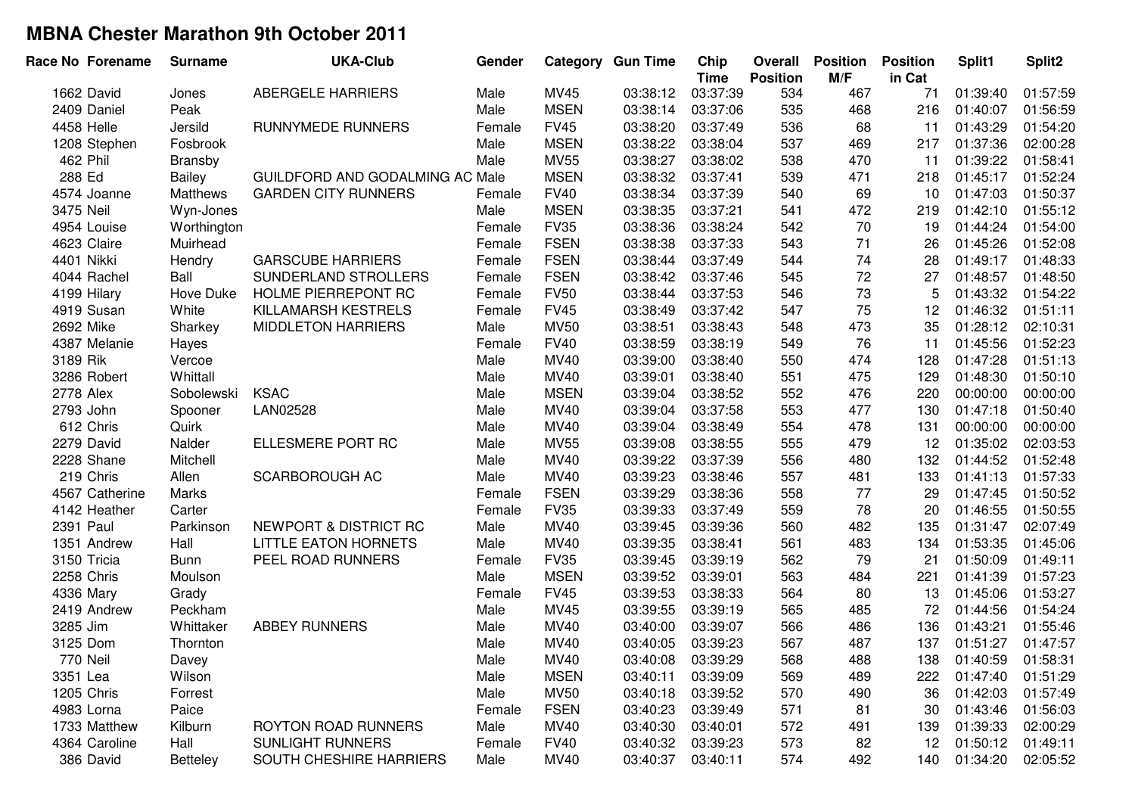| Race No Forename | <b>Surname</b>  | <b>UKA-Club</b>                 | Gender |             | <b>Category Gun Time</b> | Chip<br><b>Time</b> | Overall<br><b>Position</b> | <b>Position</b><br>M/F | <b>Position</b><br>in Cat | Split1   | Split2   |
|------------------|-----------------|---------------------------------|--------|-------------|--------------------------|---------------------|----------------------------|------------------------|---------------------------|----------|----------|
| 1662 David       | Jones           | ABERGELE HARRIERS               | Male   | <b>MV45</b> | 03:38:12                 | 03:37:39            | 534                        | 467                    | 71                        | 01:39:40 | 01:57:59 |
| 2409 Daniel      | Peak            |                                 | Male   | <b>MSEN</b> | 03:38:14                 | 03:37:06            | 535                        | 468                    | 216                       | 01:40:07 | 01:56:59 |
| 4458 Helle       | Jersild         | RUNNYMEDE RUNNERS               | Female | <b>FV45</b> | 03:38:20                 | 03:37:49            | 536                        | 68                     | 11                        | 01:43:29 | 01:54:20 |
| 1208 Stephen     | Fosbrook        |                                 | Male   | <b>MSEN</b> | 03:38:22                 | 03:38:04            | 537                        | 469                    | 217                       | 01:37:36 | 02:00:28 |
| 462 Phil         | Bransby         |                                 | Male   | <b>MV55</b> | 03:38:27                 | 03:38:02            | 538                        | 470                    | 11                        | 01:39:22 | 01:58:41 |
| 288 Ed           | Bailey          | GUILDFORD AND GODALMING AC Male |        | <b>MSEN</b> | 03:38:32                 | 03:37:41            | 539                        | 471                    | 218                       | 01:45:17 | 01:52:24 |
| 4574 Joanne      | Matthews        | <b>GARDEN CITY RUNNERS</b>      | Female | <b>FV40</b> | 03:38:34                 | 03:37:39            | 540                        | 69                     | 10                        | 01:47:03 | 01:50:37 |
| 3475 Neil        | Wyn-Jones       |                                 | Male   | <b>MSEN</b> | 03:38:35                 | 03:37:21            | 541                        | 472                    | 219                       | 01:42:10 | 01:55:12 |
| 4954 Louise      | Worthington     |                                 | Female | <b>FV35</b> | 03:38:36                 | 03:38:24            | 542                        | 70                     | 19                        | 01:44:24 | 01:54:00 |
| 4623 Claire      | Muirhead        |                                 | Female | <b>FSEN</b> | 03:38:38                 | 03:37:33            | 543                        | 71                     | 26                        | 01:45:26 | 01:52:08 |
| 4401 Nikki       | Hendry          | <b>GARSCUBE HARRIERS</b>        | Female | <b>FSEN</b> | 03:38:44                 | 03:37:49            | 544                        | 74                     | 28                        | 01:49:17 | 01:48:33 |
| 4044 Rachel      | Ball            | SUNDERLAND STROLLERS            | Female | <b>FSEN</b> | 03:38:42                 | 03:37:46            | 545                        | 72                     | 27                        | 01:48:57 | 01:48:50 |
| 4199 Hilary      | Hove Duke       | HOLME PIERREPONT RC             | Female | <b>FV50</b> | 03:38:44                 | 03:37:53            | 546                        | 73                     | 5                         | 01:43:32 | 01:54:22 |
| 4919 Susan       | White           | KILLAMARSH KESTRELS             | Female | <b>FV45</b> | 03:38:49                 | 03:37:42            | 547                        | 75                     | 12                        | 01:46:32 | 01:51:11 |
| 2692 Mike        | Sharkey         | <b>MIDDLETON HARRIERS</b>       | Male   | <b>MV50</b> | 03:38:51                 | 03:38:43            | 548                        | 473                    | 35                        | 01:28:12 | 02:10:31 |
| 4387 Melanie     | Hayes           |                                 | Female | <b>FV40</b> | 03:38:59                 | 03:38:19            | 549                        | 76                     | 11                        | 01:45:56 | 01:52:23 |
| 3189 Rik         | Vercoe          |                                 | Male   | MV40        | 03:39:00                 | 03:38:40            | 550                        | 474                    | 128                       | 01:47:28 | 01:51:13 |
| 3286 Robert      | Whittall        |                                 | Male   | MV40        | 03:39:01                 | 03:38:40            | 551                        | 475                    | 129                       | 01:48:30 | 01:50:10 |
| 2778 Alex        | Sobolewski      | <b>KSAC</b>                     | Male   | <b>MSEN</b> | 03:39:04                 | 03:38:52            | 552                        | 476                    | 220                       | 00:00:00 | 00:00:00 |
| 2793 John        | Spooner         | LAN02528                        | Male   | MV40        | 03:39:04                 | 03:37:58            | 553                        | 477                    | 130                       | 01:47:18 | 01:50:40 |
| 612 Chris        | Quirk           |                                 | Male   | MV40        | 03:39:04                 | 03:38:49            | 554                        | 478                    | 131                       | 00:00:00 | 00:00:00 |
| 2279 David       | Nalder          | ELLESMERE PORT RC               | Male   | <b>MV55</b> | 03:39:08                 | 03:38:55            | 555                        | 479                    | 12                        | 01:35:02 | 02:03:53 |
| 2228 Shane       | Mitchell        |                                 | Male   | MV40        | 03:39:22                 | 03:37:39            | 556                        | 480                    | 132                       | 01:44:52 | 01:52:48 |
| 219 Chris        | Allen           | SCARBOROUGH AC                  | Male   | MV40        | 03:39:23                 | 03:38:46            | 557                        | 481                    | 133                       | 01:41:13 | 01:57:33 |
| 4567 Catherine   | Marks           |                                 | Female | <b>FSEN</b> | 03:39:29                 | 03:38:36            | 558                        | 77                     | 29                        | 01:47:45 | 01:50:52 |
| 4142 Heather     | Carter          |                                 | Female | <b>FV35</b> | 03:39:33                 | 03:37:49            | 559                        | 78                     | 20                        | 01:46:55 | 01:50:55 |
| 2391 Paul        | Parkinson       | NEWPORT & DISTRICT RC           | Male   | MV40        | 03:39:45                 | 03:39:36            | 560                        | 482                    | 135                       | 01:31:47 | 02:07:49 |
| 1351 Andrew      | Hall            | <b>LITTLE EATON HORNETS</b>     | Male   | MV40        | 03:39:35                 | 03:38:41            | 561                        | 483                    | 134                       | 01:53:35 | 01:45:06 |
| 3150 Tricia      | <b>Bunn</b>     | PEEL ROAD RUNNERS               | Female | <b>FV35</b> | 03:39:45                 | 03:39:19            | 562                        | 79                     | 21                        | 01:50:09 | 01:49:11 |
| 2258 Chris       | Moulson         |                                 | Male   | <b>MSEN</b> | 03:39:52                 | 03:39:01            | 563                        | 484                    | 221                       | 01:41:39 | 01:57:23 |
| 4336 Mary        | Grady           |                                 | Female | <b>FV45</b> | 03:39:53                 | 03:38:33            | 564                        | 80                     | 13                        | 01:45:06 | 01:53:27 |
| 2419 Andrew      | Peckham         |                                 | Male   | MV45        | 03:39:55                 | 03:39:19            | 565                        | 485                    | 72                        | 01:44:56 | 01:54:24 |
| 3285 Jim         | Whittaker       | <b>ABBEY RUNNERS</b>            | Male   | MV40        | 03:40:00                 | 03:39:07            | 566                        | 486                    | 136                       | 01:43:21 | 01:55:46 |
| 3125 Dom         | Thornton        |                                 | Male   | MV40        | 03:40:05                 | 03:39:23            | 567                        | 487                    | 137                       | 01:51:27 | 01:47:57 |
| 770 Neil         | Davey           |                                 | Male   | MV40        | 03:40:08                 | 03:39:29            | 568                        | 488                    | 138                       | 01:40:59 | 01:58:31 |
| 3351 Lea         | Wilson          |                                 | Male   | <b>MSEN</b> | 03:40:11                 | 03:39:09            | 569                        | 489                    | 222                       | 01:47:40 | 01:51:29 |
| 1205 Chris       | Forrest         |                                 | Male   | <b>MV50</b> | 03:40:18                 | 03:39:52            | 570                        | 490                    | 36                        | 01:42:03 | 01:57:49 |
| 4983 Lorna       | Paice           |                                 | Female | <b>FSEN</b> | 03:40:23                 | 03:39:49            | 571                        | 81                     | 30                        | 01:43:46 | 01:56:03 |
| 1733 Matthew     | Kilburn         | ROYTON ROAD RUNNERS             | Male   | MV40        | 03:40:30                 | 03:40:01            | 572                        | 491                    | 139                       | 01:39:33 | 02:00:29 |
| 4364 Caroline    | Hall            | <b>SUNLIGHT RUNNERS</b>         | Female | <b>FV40</b> | 03:40:32                 | 03:39:23            | 573                        | 82                     | 12                        | 01:50:12 | 01:49:11 |
| 386 David        | <b>Betteley</b> | SOUTH CHESHIRE HARRIERS         | Male   | MV40        | 03:40:37                 | 03:40:11            | 574                        | 492                    | 140                       | 01:34:20 | 02:05:52 |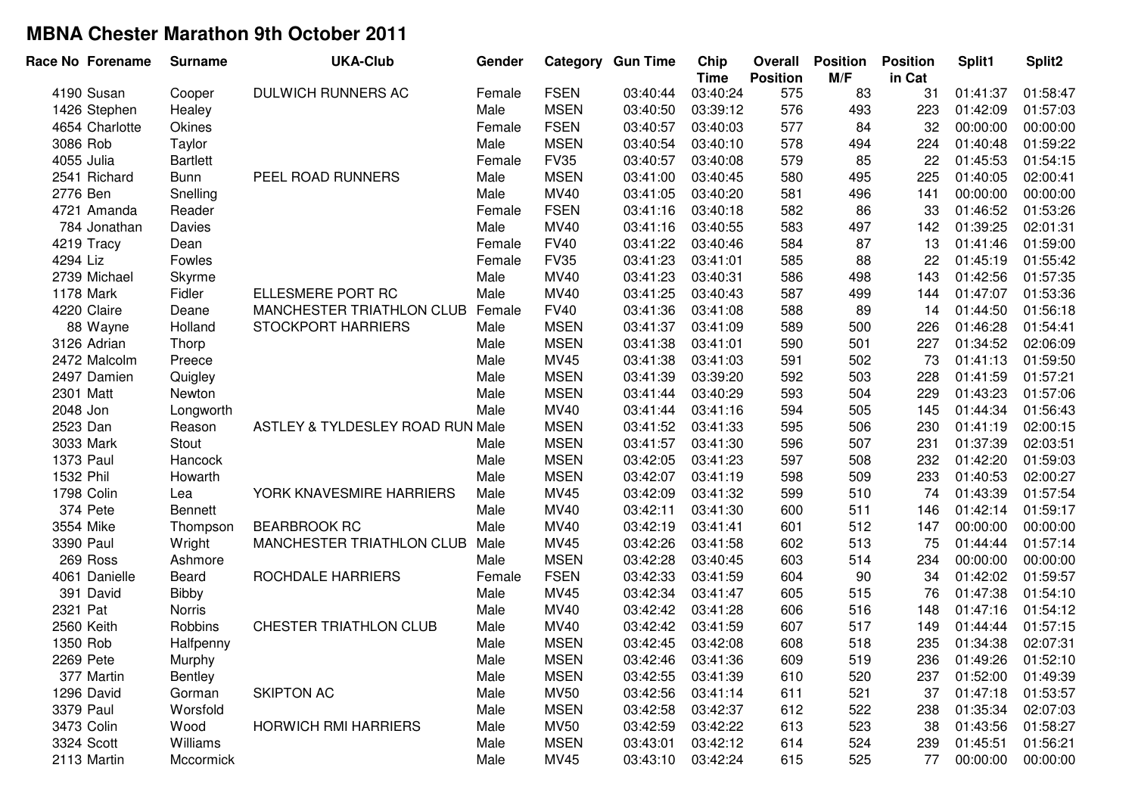| <b>FSEN</b><br>03:40:44<br>575<br>31<br>01:58:47<br>4190 Susan<br>DULWICH RUNNERS AC<br>03:40:24<br>83<br>01:41:37<br>Female<br>Cooper<br><b>MSEN</b><br>576<br>1426 Stephen<br>Male<br>03:40:50<br>03:39:12<br>493<br>223<br>01:42:09<br>01:57:03<br>Healey<br><b>FSEN</b><br>84<br>4654 Charlotte<br><b>Okines</b><br>03:40:57<br>577<br>32<br>00:00:00<br>00:00:00<br>Female<br>03:40:03<br><b>MSEN</b><br>578<br>3086 Rob<br>Taylor<br>Male<br>03:40:54<br>03:40:10<br>494<br>224<br>01:40:48<br>01:59:22<br><b>FV35</b><br>579<br>85<br>01:54:15<br>4055 Julia<br><b>Bartlett</b><br>03:40:57<br>03:40:08<br>22<br>01:45:53<br>Female<br><b>MSEN</b><br>495<br>02:00:41<br>2541 Richard<br><b>Bunn</b><br>PEEL ROAD RUNNERS<br>Male<br>03:41:00<br>03:40:45<br>580<br>225<br>01:40:05<br>MV40<br>581<br>496<br>00:00:00<br>2776 Ben<br>Snelling<br>Male<br>03:41:05<br>03:40:20<br>141<br>00:00:00<br><b>FSEN</b><br>582<br>86<br>01:53:26<br>03:41:16<br>03:40:18<br>33<br>01:46:52<br>4721 Amanda<br>Reader<br>Female<br>497<br>Davies<br>Male<br>MV40<br>03:41:16<br>03:40:55<br>583<br>142<br>01:39:25<br>02:01:31<br>784 Jonathan<br>87<br>4219 Tracy<br><b>FV40</b><br>03:41:22<br>03:40:46<br>584<br>13<br>01:41:46<br>01:59:00<br>Dean<br>Female<br><b>FV35</b><br>585<br>88<br>4294 Liz<br>Fowles<br>03:41:23<br>03:41:01<br>22<br>01:45:19<br>01:55:42<br>Female<br>01:57:35<br>2739 Michael<br>Male<br><b>MV40</b><br>03:41:23<br>586<br>498<br>143<br>01:42:56<br>Skyrme<br>03:40:31<br>Fidler<br>587<br>1178 Mark<br>ELLESMERE PORT RC<br>Male<br><b>MV40</b><br>03:41:25<br>03:40:43<br>499<br>144<br>01:47:07<br>01:53:36<br>588<br>89<br>4220 Claire<br><b>MANCHESTER TRIATHLON CLUB</b><br>Female<br><b>FV40</b><br>03:41:36<br>03:41:08<br>01:44:50<br>01:56:18<br>14<br>Deane<br><b>MSEN</b><br>500<br>STOCKPORT HARRIERS<br>03:41:37<br>589<br>226<br>01:46:28<br>01:54:41<br>88 Wayne<br>Holland<br>Male<br>03:41:09<br><b>MSEN</b><br>03:41:38<br>590<br>501<br>01:34:52<br>02:06:09<br>3126 Adrian<br>Male<br>03:41:01<br>227<br>Thorp<br>Preece<br>MV45<br>03:41:38<br>591<br>502<br>73<br>01:41:13<br>01:59:50<br>2472 Malcolm<br>Male<br>03:41:03<br><b>MSEN</b><br>503<br>03:41:39<br>03:39:20<br>592<br>228<br>01:41:59<br>01:57:21<br>2497 Damien<br>Quigley<br>Male<br><b>MSEN</b><br>593<br>504<br>Newton<br>Male<br>03:41:44<br>03:40:29<br>229<br>01:43:23<br>01:57:06<br>2301 Matt<br>MV40<br>2048 Jon<br>Male<br>03:41:44<br>594<br>505<br>01:44:34<br>01:56:43<br>Longworth<br>03:41:16<br>145<br><b>MSEN</b><br>506<br>2523 Dan<br>ASTLEY & TYLDESLEY ROAD RUN Male<br>03:41:52<br>595<br>230<br>01:41:19<br>02:00:15<br>Reason<br>03:41:33<br><b>MSEN</b><br>507<br>01:37:39<br>02:03:51<br>3033 Mark<br>Stout<br>03:41:57<br>03:41:30<br>596<br>231<br>Male<br><b>MSEN</b><br>03:42:05<br>597<br>508<br>01:59:03<br>1373 Paul<br>Male<br>03:41:23<br>232<br>01:42:20<br>Hancock<br>1532 Phil<br><b>MSEN</b><br>03:42:07<br>02:00:27<br>Male<br>03:41:19<br>598<br>509<br>233<br>01:40:53<br>Howarth<br>MV45<br>510<br>01:57:54<br>1798 Colin<br>YORK KNAVESMIRE HARRIERS<br>Male<br>03:42:09<br>03:41:32<br>599<br>74<br>01:43:39<br>Lea<br><b>MV40</b><br>511<br>374 Pete<br>Male<br>03:42:11<br>03:41:30<br>600<br>146<br>01:42:14<br>01:59:17<br><b>Bennett</b><br>512<br>Male<br><b>MV40</b><br>03:42:19<br>3554 Mike<br><b>BEARBROOK RC</b><br>601<br>147<br>00:00:00<br>00:00:00<br>03:41:41<br>Thompson<br>513<br>3390 Paul<br>Wright<br><b>MANCHESTER TRIATHLON CLUB</b><br>Male<br>MV45<br>03:42:26<br>602<br>75<br>01:44:44<br>01:57:14<br>03:41:58<br>514<br><b>MSEN</b><br>269 Ross<br>Male<br>03:42:28<br>03:40:45<br>603<br>234<br>00:00:00<br>00:00:00<br>Ashmore<br><b>FSEN</b><br>90<br>4061 Danielle<br>ROCHDALE HARRIERS<br>03:42:33<br>03:41:59<br>604<br>34<br>01:42:02<br>01:59:57<br>Beard<br>Female<br>515<br>391 David<br><b>Bibby</b><br><b>MV45</b><br>03:42:34<br>605<br>76<br>01:47:38<br>01:54:10<br>Male<br>03:41:47<br>2321 Pat<br><b>MV40</b><br>516<br>01:47:16<br>01:54:12<br>Norris<br>Male<br>03:42:42<br>03:41:28<br>606<br>148<br>2560 Keith<br>Robbins<br>CHESTER TRIATHLON CLUB<br><b>MV40</b><br>03:42:42<br>607<br>517<br>01:57:15<br>Male<br>03:41:59<br>149<br>01:44:44<br><b>MSEN</b><br>608<br>518<br>02:07:31<br>1350 Rob<br>Male<br>03:42:45<br>03:42:08<br>235<br>01:34:38<br>Halfpenny<br>2269 Pete<br>Murphy<br>Male<br><b>MSEN</b><br>03:42:46<br>03:41:36<br>609<br>519<br>236<br>01:49:26<br>01:52:10<br><b>MSEN</b><br>377 Martin<br>Male<br>03:42:55<br>03:41:39<br>610<br>520<br>237<br>01:52:00<br>01:49:39<br>Bentley<br>SKIPTON AC<br><b>MV50</b><br>611<br>01:47:18<br>1296 David<br>Gorman<br>Male<br>03:42:56<br>03:41:14<br>521<br>37<br>01:53:57<br><b>MSEN</b><br>612<br>522<br>01:35:34<br>02:07:03<br>3379 Paul<br>Worsfold<br>Male<br>03:42:58<br>03:42:37<br>238<br>3473 Colin<br><b>HORWICH RMI HARRIERS</b><br><b>MV50</b><br>03:42:59<br>613<br>523<br>01:43:56<br>Wood<br>Male<br>03:42:22<br>38<br>01:58:27<br>3324 Scott<br>Williams<br><b>MSEN</b><br>03:43:01<br>614<br>Male<br>03:42:12<br>524<br>239<br>01:45:51<br>01:56:21 | Race No Forename | <b>Surname</b> | <b>UKA-Club</b> | Gender |      | <b>Category Gun Time</b> | Chip<br><b>Time</b> | <b>Overall</b><br><b>Position</b> | <b>Position</b><br>M/F | <b>Position</b><br>in Cat | Split1   | Split <sub>2</sub> |
|-----------------------------------------------------------------------------------------------------------------------------------------------------------------------------------------------------------------------------------------------------------------------------------------------------------------------------------------------------------------------------------------------------------------------------------------------------------------------------------------------------------------------------------------------------------------------------------------------------------------------------------------------------------------------------------------------------------------------------------------------------------------------------------------------------------------------------------------------------------------------------------------------------------------------------------------------------------------------------------------------------------------------------------------------------------------------------------------------------------------------------------------------------------------------------------------------------------------------------------------------------------------------------------------------------------------------------------------------------------------------------------------------------------------------------------------------------------------------------------------------------------------------------------------------------------------------------------------------------------------------------------------------------------------------------------------------------------------------------------------------------------------------------------------------------------------------------------------------------------------------------------------------------------------------------------------------------------------------------------------------------------------------------------------------------------------------------------------------------------------------------------------------------------------------------------------------------------------------------------------------------------------------------------------------------------------------------------------------------------------------------------------------------------------------------------------------------------------------------------------------------------------------------------------------------------------------------------------------------------------------------------------------------------------------------------------------------------------------------------------------------------------------------------------------------------------------------------------------------------------------------------------------------------------------------------------------------------------------------------------------------------------------------------------------------------------------------------------------------------------------------------------------------------------------------------------------------------------------------------------------------------------------------------------------------------------------------------------------------------------------------------------------------------------------------------------------------------------------------------------------------------------------------------------------------------------------------------------------------------------------------------------------------------------------------------------------------------------------------------------------------------------------------------------------------------------------------------------------------------------------------------------------------------------------------------------------------------------------------------------------------------------------------------------------------------------------------------------------------------------------------------------------------------------------------------------------------------------------------------------------------------------------------------------------------------------------------------------------------------------------------------------------------------------------------------------------------------------------------------------------------------------------------------------------------------------------------------------------------------------------------------------------------------------------------------------------------------------------------------------------------------------------------------------------------------------------------------------------------------------------------------------------------------------------------------------------------------------------------------------------------------------------------------------------------------------------------------------------------------------------------------------------------------|------------------|----------------|-----------------|--------|------|--------------------------|---------------------|-----------------------------------|------------------------|---------------------------|----------|--------------------|
|                                                                                                                                                                                                                                                                                                                                                                                                                                                                                                                                                                                                                                                                                                                                                                                                                                                                                                                                                                                                                                                                                                                                                                                                                                                                                                                                                                                                                                                                                                                                                                                                                                                                                                                                                                                                                                                                                                                                                                                                                                                                                                                                                                                                                                                                                                                                                                                                                                                                                                                                                                                                                                                                                                                                                                                                                                                                                                                                                                                                                                                                                                                                                                                                                                                                                                                                                                                                                                                                                                                                                                                                                                                                                                                                                                                                                                                                                                                                                                                                                                                                                                                                                                                                                                                                                                                                                                                                                                                                                                                                                                                                                                                                                                                                                                                                                                                                                                                                                                                                                                                                                                                                                           |                  |                |                 |        |      |                          |                     |                                   |                        |                           |          |                    |
|                                                                                                                                                                                                                                                                                                                                                                                                                                                                                                                                                                                                                                                                                                                                                                                                                                                                                                                                                                                                                                                                                                                                                                                                                                                                                                                                                                                                                                                                                                                                                                                                                                                                                                                                                                                                                                                                                                                                                                                                                                                                                                                                                                                                                                                                                                                                                                                                                                                                                                                                                                                                                                                                                                                                                                                                                                                                                                                                                                                                                                                                                                                                                                                                                                                                                                                                                                                                                                                                                                                                                                                                                                                                                                                                                                                                                                                                                                                                                                                                                                                                                                                                                                                                                                                                                                                                                                                                                                                                                                                                                                                                                                                                                                                                                                                                                                                                                                                                                                                                                                                                                                                                                           |                  |                |                 |        |      |                          |                     |                                   |                        |                           |          |                    |
|                                                                                                                                                                                                                                                                                                                                                                                                                                                                                                                                                                                                                                                                                                                                                                                                                                                                                                                                                                                                                                                                                                                                                                                                                                                                                                                                                                                                                                                                                                                                                                                                                                                                                                                                                                                                                                                                                                                                                                                                                                                                                                                                                                                                                                                                                                                                                                                                                                                                                                                                                                                                                                                                                                                                                                                                                                                                                                                                                                                                                                                                                                                                                                                                                                                                                                                                                                                                                                                                                                                                                                                                                                                                                                                                                                                                                                                                                                                                                                                                                                                                                                                                                                                                                                                                                                                                                                                                                                                                                                                                                                                                                                                                                                                                                                                                                                                                                                                                                                                                                                                                                                                                                           |                  |                |                 |        |      |                          |                     |                                   |                        |                           |          |                    |
|                                                                                                                                                                                                                                                                                                                                                                                                                                                                                                                                                                                                                                                                                                                                                                                                                                                                                                                                                                                                                                                                                                                                                                                                                                                                                                                                                                                                                                                                                                                                                                                                                                                                                                                                                                                                                                                                                                                                                                                                                                                                                                                                                                                                                                                                                                                                                                                                                                                                                                                                                                                                                                                                                                                                                                                                                                                                                                                                                                                                                                                                                                                                                                                                                                                                                                                                                                                                                                                                                                                                                                                                                                                                                                                                                                                                                                                                                                                                                                                                                                                                                                                                                                                                                                                                                                                                                                                                                                                                                                                                                                                                                                                                                                                                                                                                                                                                                                                                                                                                                                                                                                                                                           |                  |                |                 |        |      |                          |                     |                                   |                        |                           |          |                    |
|                                                                                                                                                                                                                                                                                                                                                                                                                                                                                                                                                                                                                                                                                                                                                                                                                                                                                                                                                                                                                                                                                                                                                                                                                                                                                                                                                                                                                                                                                                                                                                                                                                                                                                                                                                                                                                                                                                                                                                                                                                                                                                                                                                                                                                                                                                                                                                                                                                                                                                                                                                                                                                                                                                                                                                                                                                                                                                                                                                                                                                                                                                                                                                                                                                                                                                                                                                                                                                                                                                                                                                                                                                                                                                                                                                                                                                                                                                                                                                                                                                                                                                                                                                                                                                                                                                                                                                                                                                                                                                                                                                                                                                                                                                                                                                                                                                                                                                                                                                                                                                                                                                                                                           |                  |                |                 |        |      |                          |                     |                                   |                        |                           |          |                    |
|                                                                                                                                                                                                                                                                                                                                                                                                                                                                                                                                                                                                                                                                                                                                                                                                                                                                                                                                                                                                                                                                                                                                                                                                                                                                                                                                                                                                                                                                                                                                                                                                                                                                                                                                                                                                                                                                                                                                                                                                                                                                                                                                                                                                                                                                                                                                                                                                                                                                                                                                                                                                                                                                                                                                                                                                                                                                                                                                                                                                                                                                                                                                                                                                                                                                                                                                                                                                                                                                                                                                                                                                                                                                                                                                                                                                                                                                                                                                                                                                                                                                                                                                                                                                                                                                                                                                                                                                                                                                                                                                                                                                                                                                                                                                                                                                                                                                                                                                                                                                                                                                                                                                                           |                  |                |                 |        |      |                          |                     |                                   |                        |                           |          |                    |
|                                                                                                                                                                                                                                                                                                                                                                                                                                                                                                                                                                                                                                                                                                                                                                                                                                                                                                                                                                                                                                                                                                                                                                                                                                                                                                                                                                                                                                                                                                                                                                                                                                                                                                                                                                                                                                                                                                                                                                                                                                                                                                                                                                                                                                                                                                                                                                                                                                                                                                                                                                                                                                                                                                                                                                                                                                                                                                                                                                                                                                                                                                                                                                                                                                                                                                                                                                                                                                                                                                                                                                                                                                                                                                                                                                                                                                                                                                                                                                                                                                                                                                                                                                                                                                                                                                                                                                                                                                                                                                                                                                                                                                                                                                                                                                                                                                                                                                                                                                                                                                                                                                                                                           |                  |                |                 |        |      |                          |                     |                                   |                        |                           |          |                    |
|                                                                                                                                                                                                                                                                                                                                                                                                                                                                                                                                                                                                                                                                                                                                                                                                                                                                                                                                                                                                                                                                                                                                                                                                                                                                                                                                                                                                                                                                                                                                                                                                                                                                                                                                                                                                                                                                                                                                                                                                                                                                                                                                                                                                                                                                                                                                                                                                                                                                                                                                                                                                                                                                                                                                                                                                                                                                                                                                                                                                                                                                                                                                                                                                                                                                                                                                                                                                                                                                                                                                                                                                                                                                                                                                                                                                                                                                                                                                                                                                                                                                                                                                                                                                                                                                                                                                                                                                                                                                                                                                                                                                                                                                                                                                                                                                                                                                                                                                                                                                                                                                                                                                                           |                  |                |                 |        |      |                          |                     |                                   |                        |                           |          |                    |
|                                                                                                                                                                                                                                                                                                                                                                                                                                                                                                                                                                                                                                                                                                                                                                                                                                                                                                                                                                                                                                                                                                                                                                                                                                                                                                                                                                                                                                                                                                                                                                                                                                                                                                                                                                                                                                                                                                                                                                                                                                                                                                                                                                                                                                                                                                                                                                                                                                                                                                                                                                                                                                                                                                                                                                                                                                                                                                                                                                                                                                                                                                                                                                                                                                                                                                                                                                                                                                                                                                                                                                                                                                                                                                                                                                                                                                                                                                                                                                                                                                                                                                                                                                                                                                                                                                                                                                                                                                                                                                                                                                                                                                                                                                                                                                                                                                                                                                                                                                                                                                                                                                                                                           |                  |                |                 |        |      |                          |                     |                                   |                        |                           |          |                    |
|                                                                                                                                                                                                                                                                                                                                                                                                                                                                                                                                                                                                                                                                                                                                                                                                                                                                                                                                                                                                                                                                                                                                                                                                                                                                                                                                                                                                                                                                                                                                                                                                                                                                                                                                                                                                                                                                                                                                                                                                                                                                                                                                                                                                                                                                                                                                                                                                                                                                                                                                                                                                                                                                                                                                                                                                                                                                                                                                                                                                                                                                                                                                                                                                                                                                                                                                                                                                                                                                                                                                                                                                                                                                                                                                                                                                                                                                                                                                                                                                                                                                                                                                                                                                                                                                                                                                                                                                                                                                                                                                                                                                                                                                                                                                                                                                                                                                                                                                                                                                                                                                                                                                                           |                  |                |                 |        |      |                          |                     |                                   |                        |                           |          |                    |
|                                                                                                                                                                                                                                                                                                                                                                                                                                                                                                                                                                                                                                                                                                                                                                                                                                                                                                                                                                                                                                                                                                                                                                                                                                                                                                                                                                                                                                                                                                                                                                                                                                                                                                                                                                                                                                                                                                                                                                                                                                                                                                                                                                                                                                                                                                                                                                                                                                                                                                                                                                                                                                                                                                                                                                                                                                                                                                                                                                                                                                                                                                                                                                                                                                                                                                                                                                                                                                                                                                                                                                                                                                                                                                                                                                                                                                                                                                                                                                                                                                                                                                                                                                                                                                                                                                                                                                                                                                                                                                                                                                                                                                                                                                                                                                                                                                                                                                                                                                                                                                                                                                                                                           |                  |                |                 |        |      |                          |                     |                                   |                        |                           |          |                    |
|                                                                                                                                                                                                                                                                                                                                                                                                                                                                                                                                                                                                                                                                                                                                                                                                                                                                                                                                                                                                                                                                                                                                                                                                                                                                                                                                                                                                                                                                                                                                                                                                                                                                                                                                                                                                                                                                                                                                                                                                                                                                                                                                                                                                                                                                                                                                                                                                                                                                                                                                                                                                                                                                                                                                                                                                                                                                                                                                                                                                                                                                                                                                                                                                                                                                                                                                                                                                                                                                                                                                                                                                                                                                                                                                                                                                                                                                                                                                                                                                                                                                                                                                                                                                                                                                                                                                                                                                                                                                                                                                                                                                                                                                                                                                                                                                                                                                                                                                                                                                                                                                                                                                                           |                  |                |                 |        |      |                          |                     |                                   |                        |                           |          |                    |
|                                                                                                                                                                                                                                                                                                                                                                                                                                                                                                                                                                                                                                                                                                                                                                                                                                                                                                                                                                                                                                                                                                                                                                                                                                                                                                                                                                                                                                                                                                                                                                                                                                                                                                                                                                                                                                                                                                                                                                                                                                                                                                                                                                                                                                                                                                                                                                                                                                                                                                                                                                                                                                                                                                                                                                                                                                                                                                                                                                                                                                                                                                                                                                                                                                                                                                                                                                                                                                                                                                                                                                                                                                                                                                                                                                                                                                                                                                                                                                                                                                                                                                                                                                                                                                                                                                                                                                                                                                                                                                                                                                                                                                                                                                                                                                                                                                                                                                                                                                                                                                                                                                                                                           |                  |                |                 |        |      |                          |                     |                                   |                        |                           |          |                    |
|                                                                                                                                                                                                                                                                                                                                                                                                                                                                                                                                                                                                                                                                                                                                                                                                                                                                                                                                                                                                                                                                                                                                                                                                                                                                                                                                                                                                                                                                                                                                                                                                                                                                                                                                                                                                                                                                                                                                                                                                                                                                                                                                                                                                                                                                                                                                                                                                                                                                                                                                                                                                                                                                                                                                                                                                                                                                                                                                                                                                                                                                                                                                                                                                                                                                                                                                                                                                                                                                                                                                                                                                                                                                                                                                                                                                                                                                                                                                                                                                                                                                                                                                                                                                                                                                                                                                                                                                                                                                                                                                                                                                                                                                                                                                                                                                                                                                                                                                                                                                                                                                                                                                                           |                  |                |                 |        |      |                          |                     |                                   |                        |                           |          |                    |
|                                                                                                                                                                                                                                                                                                                                                                                                                                                                                                                                                                                                                                                                                                                                                                                                                                                                                                                                                                                                                                                                                                                                                                                                                                                                                                                                                                                                                                                                                                                                                                                                                                                                                                                                                                                                                                                                                                                                                                                                                                                                                                                                                                                                                                                                                                                                                                                                                                                                                                                                                                                                                                                                                                                                                                                                                                                                                                                                                                                                                                                                                                                                                                                                                                                                                                                                                                                                                                                                                                                                                                                                                                                                                                                                                                                                                                                                                                                                                                                                                                                                                                                                                                                                                                                                                                                                                                                                                                                                                                                                                                                                                                                                                                                                                                                                                                                                                                                                                                                                                                                                                                                                                           |                  |                |                 |        |      |                          |                     |                                   |                        |                           |          |                    |
|                                                                                                                                                                                                                                                                                                                                                                                                                                                                                                                                                                                                                                                                                                                                                                                                                                                                                                                                                                                                                                                                                                                                                                                                                                                                                                                                                                                                                                                                                                                                                                                                                                                                                                                                                                                                                                                                                                                                                                                                                                                                                                                                                                                                                                                                                                                                                                                                                                                                                                                                                                                                                                                                                                                                                                                                                                                                                                                                                                                                                                                                                                                                                                                                                                                                                                                                                                                                                                                                                                                                                                                                                                                                                                                                                                                                                                                                                                                                                                                                                                                                                                                                                                                                                                                                                                                                                                                                                                                                                                                                                                                                                                                                                                                                                                                                                                                                                                                                                                                                                                                                                                                                                           |                  |                |                 |        |      |                          |                     |                                   |                        |                           |          |                    |
|                                                                                                                                                                                                                                                                                                                                                                                                                                                                                                                                                                                                                                                                                                                                                                                                                                                                                                                                                                                                                                                                                                                                                                                                                                                                                                                                                                                                                                                                                                                                                                                                                                                                                                                                                                                                                                                                                                                                                                                                                                                                                                                                                                                                                                                                                                                                                                                                                                                                                                                                                                                                                                                                                                                                                                                                                                                                                                                                                                                                                                                                                                                                                                                                                                                                                                                                                                                                                                                                                                                                                                                                                                                                                                                                                                                                                                                                                                                                                                                                                                                                                                                                                                                                                                                                                                                                                                                                                                                                                                                                                                                                                                                                                                                                                                                                                                                                                                                                                                                                                                                                                                                                                           |                  |                |                 |        |      |                          |                     |                                   |                        |                           |          |                    |
|                                                                                                                                                                                                                                                                                                                                                                                                                                                                                                                                                                                                                                                                                                                                                                                                                                                                                                                                                                                                                                                                                                                                                                                                                                                                                                                                                                                                                                                                                                                                                                                                                                                                                                                                                                                                                                                                                                                                                                                                                                                                                                                                                                                                                                                                                                                                                                                                                                                                                                                                                                                                                                                                                                                                                                                                                                                                                                                                                                                                                                                                                                                                                                                                                                                                                                                                                                                                                                                                                                                                                                                                                                                                                                                                                                                                                                                                                                                                                                                                                                                                                                                                                                                                                                                                                                                                                                                                                                                                                                                                                                                                                                                                                                                                                                                                                                                                                                                                                                                                                                                                                                                                                           |                  |                |                 |        |      |                          |                     |                                   |                        |                           |          |                    |
|                                                                                                                                                                                                                                                                                                                                                                                                                                                                                                                                                                                                                                                                                                                                                                                                                                                                                                                                                                                                                                                                                                                                                                                                                                                                                                                                                                                                                                                                                                                                                                                                                                                                                                                                                                                                                                                                                                                                                                                                                                                                                                                                                                                                                                                                                                                                                                                                                                                                                                                                                                                                                                                                                                                                                                                                                                                                                                                                                                                                                                                                                                                                                                                                                                                                                                                                                                                                                                                                                                                                                                                                                                                                                                                                                                                                                                                                                                                                                                                                                                                                                                                                                                                                                                                                                                                                                                                                                                                                                                                                                                                                                                                                                                                                                                                                                                                                                                                                                                                                                                                                                                                                                           |                  |                |                 |        |      |                          |                     |                                   |                        |                           |          |                    |
|                                                                                                                                                                                                                                                                                                                                                                                                                                                                                                                                                                                                                                                                                                                                                                                                                                                                                                                                                                                                                                                                                                                                                                                                                                                                                                                                                                                                                                                                                                                                                                                                                                                                                                                                                                                                                                                                                                                                                                                                                                                                                                                                                                                                                                                                                                                                                                                                                                                                                                                                                                                                                                                                                                                                                                                                                                                                                                                                                                                                                                                                                                                                                                                                                                                                                                                                                                                                                                                                                                                                                                                                                                                                                                                                                                                                                                                                                                                                                                                                                                                                                                                                                                                                                                                                                                                                                                                                                                                                                                                                                                                                                                                                                                                                                                                                                                                                                                                                                                                                                                                                                                                                                           |                  |                |                 |        |      |                          |                     |                                   |                        |                           |          |                    |
|                                                                                                                                                                                                                                                                                                                                                                                                                                                                                                                                                                                                                                                                                                                                                                                                                                                                                                                                                                                                                                                                                                                                                                                                                                                                                                                                                                                                                                                                                                                                                                                                                                                                                                                                                                                                                                                                                                                                                                                                                                                                                                                                                                                                                                                                                                                                                                                                                                                                                                                                                                                                                                                                                                                                                                                                                                                                                                                                                                                                                                                                                                                                                                                                                                                                                                                                                                                                                                                                                                                                                                                                                                                                                                                                                                                                                                                                                                                                                                                                                                                                                                                                                                                                                                                                                                                                                                                                                                                                                                                                                                                                                                                                                                                                                                                                                                                                                                                                                                                                                                                                                                                                                           |                  |                |                 |        |      |                          |                     |                                   |                        |                           |          |                    |
|                                                                                                                                                                                                                                                                                                                                                                                                                                                                                                                                                                                                                                                                                                                                                                                                                                                                                                                                                                                                                                                                                                                                                                                                                                                                                                                                                                                                                                                                                                                                                                                                                                                                                                                                                                                                                                                                                                                                                                                                                                                                                                                                                                                                                                                                                                                                                                                                                                                                                                                                                                                                                                                                                                                                                                                                                                                                                                                                                                                                                                                                                                                                                                                                                                                                                                                                                                                                                                                                                                                                                                                                                                                                                                                                                                                                                                                                                                                                                                                                                                                                                                                                                                                                                                                                                                                                                                                                                                                                                                                                                                                                                                                                                                                                                                                                                                                                                                                                                                                                                                                                                                                                                           |                  |                |                 |        |      |                          |                     |                                   |                        |                           |          |                    |
|                                                                                                                                                                                                                                                                                                                                                                                                                                                                                                                                                                                                                                                                                                                                                                                                                                                                                                                                                                                                                                                                                                                                                                                                                                                                                                                                                                                                                                                                                                                                                                                                                                                                                                                                                                                                                                                                                                                                                                                                                                                                                                                                                                                                                                                                                                                                                                                                                                                                                                                                                                                                                                                                                                                                                                                                                                                                                                                                                                                                                                                                                                                                                                                                                                                                                                                                                                                                                                                                                                                                                                                                                                                                                                                                                                                                                                                                                                                                                                                                                                                                                                                                                                                                                                                                                                                                                                                                                                                                                                                                                                                                                                                                                                                                                                                                                                                                                                                                                                                                                                                                                                                                                           |                  |                |                 |        |      |                          |                     |                                   |                        |                           |          |                    |
|                                                                                                                                                                                                                                                                                                                                                                                                                                                                                                                                                                                                                                                                                                                                                                                                                                                                                                                                                                                                                                                                                                                                                                                                                                                                                                                                                                                                                                                                                                                                                                                                                                                                                                                                                                                                                                                                                                                                                                                                                                                                                                                                                                                                                                                                                                                                                                                                                                                                                                                                                                                                                                                                                                                                                                                                                                                                                                                                                                                                                                                                                                                                                                                                                                                                                                                                                                                                                                                                                                                                                                                                                                                                                                                                                                                                                                                                                                                                                                                                                                                                                                                                                                                                                                                                                                                                                                                                                                                                                                                                                                                                                                                                                                                                                                                                                                                                                                                                                                                                                                                                                                                                                           |                  |                |                 |        |      |                          |                     |                                   |                        |                           |          |                    |
|                                                                                                                                                                                                                                                                                                                                                                                                                                                                                                                                                                                                                                                                                                                                                                                                                                                                                                                                                                                                                                                                                                                                                                                                                                                                                                                                                                                                                                                                                                                                                                                                                                                                                                                                                                                                                                                                                                                                                                                                                                                                                                                                                                                                                                                                                                                                                                                                                                                                                                                                                                                                                                                                                                                                                                                                                                                                                                                                                                                                                                                                                                                                                                                                                                                                                                                                                                                                                                                                                                                                                                                                                                                                                                                                                                                                                                                                                                                                                                                                                                                                                                                                                                                                                                                                                                                                                                                                                                                                                                                                                                                                                                                                                                                                                                                                                                                                                                                                                                                                                                                                                                                                                           |                  |                |                 |        |      |                          |                     |                                   |                        |                           |          |                    |
|                                                                                                                                                                                                                                                                                                                                                                                                                                                                                                                                                                                                                                                                                                                                                                                                                                                                                                                                                                                                                                                                                                                                                                                                                                                                                                                                                                                                                                                                                                                                                                                                                                                                                                                                                                                                                                                                                                                                                                                                                                                                                                                                                                                                                                                                                                                                                                                                                                                                                                                                                                                                                                                                                                                                                                                                                                                                                                                                                                                                                                                                                                                                                                                                                                                                                                                                                                                                                                                                                                                                                                                                                                                                                                                                                                                                                                                                                                                                                                                                                                                                                                                                                                                                                                                                                                                                                                                                                                                                                                                                                                                                                                                                                                                                                                                                                                                                                                                                                                                                                                                                                                                                                           |                  |                |                 |        |      |                          |                     |                                   |                        |                           |          |                    |
|                                                                                                                                                                                                                                                                                                                                                                                                                                                                                                                                                                                                                                                                                                                                                                                                                                                                                                                                                                                                                                                                                                                                                                                                                                                                                                                                                                                                                                                                                                                                                                                                                                                                                                                                                                                                                                                                                                                                                                                                                                                                                                                                                                                                                                                                                                                                                                                                                                                                                                                                                                                                                                                                                                                                                                                                                                                                                                                                                                                                                                                                                                                                                                                                                                                                                                                                                                                                                                                                                                                                                                                                                                                                                                                                                                                                                                                                                                                                                                                                                                                                                                                                                                                                                                                                                                                                                                                                                                                                                                                                                                                                                                                                                                                                                                                                                                                                                                                                                                                                                                                                                                                                                           |                  |                |                 |        |      |                          |                     |                                   |                        |                           |          |                    |
|                                                                                                                                                                                                                                                                                                                                                                                                                                                                                                                                                                                                                                                                                                                                                                                                                                                                                                                                                                                                                                                                                                                                                                                                                                                                                                                                                                                                                                                                                                                                                                                                                                                                                                                                                                                                                                                                                                                                                                                                                                                                                                                                                                                                                                                                                                                                                                                                                                                                                                                                                                                                                                                                                                                                                                                                                                                                                                                                                                                                                                                                                                                                                                                                                                                                                                                                                                                                                                                                                                                                                                                                                                                                                                                                                                                                                                                                                                                                                                                                                                                                                                                                                                                                                                                                                                                                                                                                                                                                                                                                                                                                                                                                                                                                                                                                                                                                                                                                                                                                                                                                                                                                                           |                  |                |                 |        |      |                          |                     |                                   |                        |                           |          |                    |
|                                                                                                                                                                                                                                                                                                                                                                                                                                                                                                                                                                                                                                                                                                                                                                                                                                                                                                                                                                                                                                                                                                                                                                                                                                                                                                                                                                                                                                                                                                                                                                                                                                                                                                                                                                                                                                                                                                                                                                                                                                                                                                                                                                                                                                                                                                                                                                                                                                                                                                                                                                                                                                                                                                                                                                                                                                                                                                                                                                                                                                                                                                                                                                                                                                                                                                                                                                                                                                                                                                                                                                                                                                                                                                                                                                                                                                                                                                                                                                                                                                                                                                                                                                                                                                                                                                                                                                                                                                                                                                                                                                                                                                                                                                                                                                                                                                                                                                                                                                                                                                                                                                                                                           |                  |                |                 |        |      |                          |                     |                                   |                        |                           |          |                    |
|                                                                                                                                                                                                                                                                                                                                                                                                                                                                                                                                                                                                                                                                                                                                                                                                                                                                                                                                                                                                                                                                                                                                                                                                                                                                                                                                                                                                                                                                                                                                                                                                                                                                                                                                                                                                                                                                                                                                                                                                                                                                                                                                                                                                                                                                                                                                                                                                                                                                                                                                                                                                                                                                                                                                                                                                                                                                                                                                                                                                                                                                                                                                                                                                                                                                                                                                                                                                                                                                                                                                                                                                                                                                                                                                                                                                                                                                                                                                                                                                                                                                                                                                                                                                                                                                                                                                                                                                                                                                                                                                                                                                                                                                                                                                                                                                                                                                                                                                                                                                                                                                                                                                                           |                  |                |                 |        |      |                          |                     |                                   |                        |                           |          |                    |
|                                                                                                                                                                                                                                                                                                                                                                                                                                                                                                                                                                                                                                                                                                                                                                                                                                                                                                                                                                                                                                                                                                                                                                                                                                                                                                                                                                                                                                                                                                                                                                                                                                                                                                                                                                                                                                                                                                                                                                                                                                                                                                                                                                                                                                                                                                                                                                                                                                                                                                                                                                                                                                                                                                                                                                                                                                                                                                                                                                                                                                                                                                                                                                                                                                                                                                                                                                                                                                                                                                                                                                                                                                                                                                                                                                                                                                                                                                                                                                                                                                                                                                                                                                                                                                                                                                                                                                                                                                                                                                                                                                                                                                                                                                                                                                                                                                                                                                                                                                                                                                                                                                                                                           |                  |                |                 |        |      |                          |                     |                                   |                        |                           |          |                    |
|                                                                                                                                                                                                                                                                                                                                                                                                                                                                                                                                                                                                                                                                                                                                                                                                                                                                                                                                                                                                                                                                                                                                                                                                                                                                                                                                                                                                                                                                                                                                                                                                                                                                                                                                                                                                                                                                                                                                                                                                                                                                                                                                                                                                                                                                                                                                                                                                                                                                                                                                                                                                                                                                                                                                                                                                                                                                                                                                                                                                                                                                                                                                                                                                                                                                                                                                                                                                                                                                                                                                                                                                                                                                                                                                                                                                                                                                                                                                                                                                                                                                                                                                                                                                                                                                                                                                                                                                                                                                                                                                                                                                                                                                                                                                                                                                                                                                                                                                                                                                                                                                                                                                                           |                  |                |                 |        |      |                          |                     |                                   |                        |                           |          |                    |
|                                                                                                                                                                                                                                                                                                                                                                                                                                                                                                                                                                                                                                                                                                                                                                                                                                                                                                                                                                                                                                                                                                                                                                                                                                                                                                                                                                                                                                                                                                                                                                                                                                                                                                                                                                                                                                                                                                                                                                                                                                                                                                                                                                                                                                                                                                                                                                                                                                                                                                                                                                                                                                                                                                                                                                                                                                                                                                                                                                                                                                                                                                                                                                                                                                                                                                                                                                                                                                                                                                                                                                                                                                                                                                                                                                                                                                                                                                                                                                                                                                                                                                                                                                                                                                                                                                                                                                                                                                                                                                                                                                                                                                                                                                                                                                                                                                                                                                                                                                                                                                                                                                                                                           |                  |                |                 |        |      |                          |                     |                                   |                        |                           |          |                    |
|                                                                                                                                                                                                                                                                                                                                                                                                                                                                                                                                                                                                                                                                                                                                                                                                                                                                                                                                                                                                                                                                                                                                                                                                                                                                                                                                                                                                                                                                                                                                                                                                                                                                                                                                                                                                                                                                                                                                                                                                                                                                                                                                                                                                                                                                                                                                                                                                                                                                                                                                                                                                                                                                                                                                                                                                                                                                                                                                                                                                                                                                                                                                                                                                                                                                                                                                                                                                                                                                                                                                                                                                                                                                                                                                                                                                                                                                                                                                                                                                                                                                                                                                                                                                                                                                                                                                                                                                                                                                                                                                                                                                                                                                                                                                                                                                                                                                                                                                                                                                                                                                                                                                                           |                  |                |                 |        |      |                          |                     |                                   |                        |                           |          |                    |
|                                                                                                                                                                                                                                                                                                                                                                                                                                                                                                                                                                                                                                                                                                                                                                                                                                                                                                                                                                                                                                                                                                                                                                                                                                                                                                                                                                                                                                                                                                                                                                                                                                                                                                                                                                                                                                                                                                                                                                                                                                                                                                                                                                                                                                                                                                                                                                                                                                                                                                                                                                                                                                                                                                                                                                                                                                                                                                                                                                                                                                                                                                                                                                                                                                                                                                                                                                                                                                                                                                                                                                                                                                                                                                                                                                                                                                                                                                                                                                                                                                                                                                                                                                                                                                                                                                                                                                                                                                                                                                                                                                                                                                                                                                                                                                                                                                                                                                                                                                                                                                                                                                                                                           |                  |                |                 |        |      |                          |                     |                                   |                        |                           |          |                    |
|                                                                                                                                                                                                                                                                                                                                                                                                                                                                                                                                                                                                                                                                                                                                                                                                                                                                                                                                                                                                                                                                                                                                                                                                                                                                                                                                                                                                                                                                                                                                                                                                                                                                                                                                                                                                                                                                                                                                                                                                                                                                                                                                                                                                                                                                                                                                                                                                                                                                                                                                                                                                                                                                                                                                                                                                                                                                                                                                                                                                                                                                                                                                                                                                                                                                                                                                                                                                                                                                                                                                                                                                                                                                                                                                                                                                                                                                                                                                                                                                                                                                                                                                                                                                                                                                                                                                                                                                                                                                                                                                                                                                                                                                                                                                                                                                                                                                                                                                                                                                                                                                                                                                                           |                  |                |                 |        |      |                          |                     |                                   |                        |                           |          |                    |
|                                                                                                                                                                                                                                                                                                                                                                                                                                                                                                                                                                                                                                                                                                                                                                                                                                                                                                                                                                                                                                                                                                                                                                                                                                                                                                                                                                                                                                                                                                                                                                                                                                                                                                                                                                                                                                                                                                                                                                                                                                                                                                                                                                                                                                                                                                                                                                                                                                                                                                                                                                                                                                                                                                                                                                                                                                                                                                                                                                                                                                                                                                                                                                                                                                                                                                                                                                                                                                                                                                                                                                                                                                                                                                                                                                                                                                                                                                                                                                                                                                                                                                                                                                                                                                                                                                                                                                                                                                                                                                                                                                                                                                                                                                                                                                                                                                                                                                                                                                                                                                                                                                                                                           |                  |                |                 |        |      |                          |                     |                                   |                        |                           |          |                    |
|                                                                                                                                                                                                                                                                                                                                                                                                                                                                                                                                                                                                                                                                                                                                                                                                                                                                                                                                                                                                                                                                                                                                                                                                                                                                                                                                                                                                                                                                                                                                                                                                                                                                                                                                                                                                                                                                                                                                                                                                                                                                                                                                                                                                                                                                                                                                                                                                                                                                                                                                                                                                                                                                                                                                                                                                                                                                                                                                                                                                                                                                                                                                                                                                                                                                                                                                                                                                                                                                                                                                                                                                                                                                                                                                                                                                                                                                                                                                                                                                                                                                                                                                                                                                                                                                                                                                                                                                                                                                                                                                                                                                                                                                                                                                                                                                                                                                                                                                                                                                                                                                                                                                                           |                  |                |                 |        |      |                          |                     |                                   |                        |                           |          |                    |
|                                                                                                                                                                                                                                                                                                                                                                                                                                                                                                                                                                                                                                                                                                                                                                                                                                                                                                                                                                                                                                                                                                                                                                                                                                                                                                                                                                                                                                                                                                                                                                                                                                                                                                                                                                                                                                                                                                                                                                                                                                                                                                                                                                                                                                                                                                                                                                                                                                                                                                                                                                                                                                                                                                                                                                                                                                                                                                                                                                                                                                                                                                                                                                                                                                                                                                                                                                                                                                                                                                                                                                                                                                                                                                                                                                                                                                                                                                                                                                                                                                                                                                                                                                                                                                                                                                                                                                                                                                                                                                                                                                                                                                                                                                                                                                                                                                                                                                                                                                                                                                                                                                                                                           |                  |                |                 |        |      |                          |                     |                                   |                        |                           |          |                    |
|                                                                                                                                                                                                                                                                                                                                                                                                                                                                                                                                                                                                                                                                                                                                                                                                                                                                                                                                                                                                                                                                                                                                                                                                                                                                                                                                                                                                                                                                                                                                                                                                                                                                                                                                                                                                                                                                                                                                                                                                                                                                                                                                                                                                                                                                                                                                                                                                                                                                                                                                                                                                                                                                                                                                                                                                                                                                                                                                                                                                                                                                                                                                                                                                                                                                                                                                                                                                                                                                                                                                                                                                                                                                                                                                                                                                                                                                                                                                                                                                                                                                                                                                                                                                                                                                                                                                                                                                                                                                                                                                                                                                                                                                                                                                                                                                                                                                                                                                                                                                                                                                                                                                                           |                  |                |                 |        |      |                          |                     |                                   |                        |                           |          |                    |
|                                                                                                                                                                                                                                                                                                                                                                                                                                                                                                                                                                                                                                                                                                                                                                                                                                                                                                                                                                                                                                                                                                                                                                                                                                                                                                                                                                                                                                                                                                                                                                                                                                                                                                                                                                                                                                                                                                                                                                                                                                                                                                                                                                                                                                                                                                                                                                                                                                                                                                                                                                                                                                                                                                                                                                                                                                                                                                                                                                                                                                                                                                                                                                                                                                                                                                                                                                                                                                                                                                                                                                                                                                                                                                                                                                                                                                                                                                                                                                                                                                                                                                                                                                                                                                                                                                                                                                                                                                                                                                                                                                                                                                                                                                                                                                                                                                                                                                                                                                                                                                                                                                                                                           | 2113 Martin      | Mccormick      |                 | Male   | MV45 | 03:43:10                 | 03:42:24            | 615                               | 525                    | 77                        | 00:00:00 | 00:00:00           |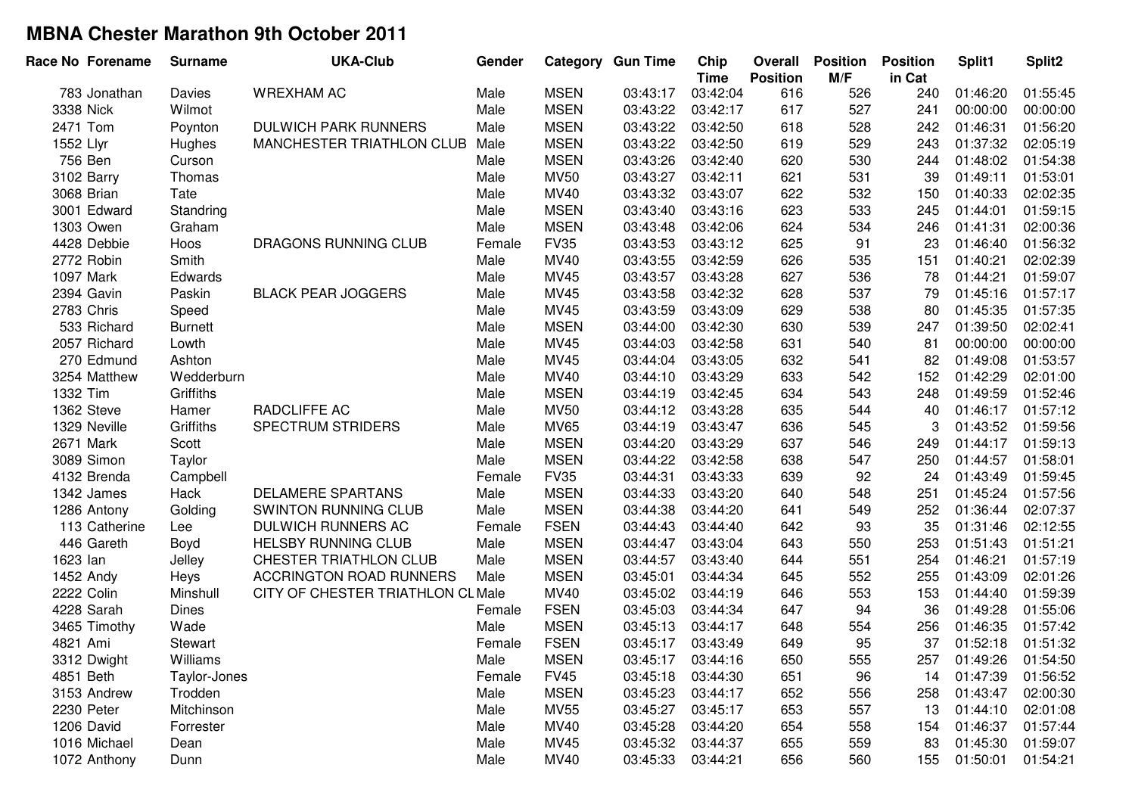| M/F<br><b>Position</b><br>in Cat<br><b>Time</b><br><b>WREXHAM AC</b><br><b>MSEN</b><br>03:43:17<br>03:42:04<br>616<br>Male<br>526<br>240<br>783 Jonathan<br><b>Davies</b><br><b>MSEN</b><br>617<br>Wilmot<br>Male<br>03:42:17<br>527<br>241<br>3338 Nick<br>03:43:22<br><b>MSEN</b><br><b>DULWICH PARK RUNNERS</b><br>618<br>528<br>2471 Tom<br>Poynton<br>Male<br>03:43:22<br>03:42:50<br>242<br>1552 Llyr<br>MANCHESTER TRIATHLON CLUB<br><b>MSEN</b><br>03:43:22<br>03:42:50<br>619<br>529<br>243<br>Hughes<br>Male<br>756 Ben<br><b>MSEN</b><br>03:43:26<br>03:42:40<br>620<br>530<br>244<br>Curson<br>Male<br>3102 Barry<br><b>MV50</b><br>03:43:27<br>03:42:11<br>621<br>531<br>39<br>Thomas<br>Male<br>MV40<br>532<br>3068 Brian<br>Male<br>03:43:32<br>03:43:07<br>622<br>150<br>Tate<br><b>MSEN</b><br>533<br>3001 Edward<br>Standring<br>Male<br>03:43:40<br>623<br>245<br>03:43:16<br><b>MSEN</b><br>534<br>1303 Owen<br>Graham<br>Male<br>03:43:48<br>03:42:06<br>624<br>246<br><b>FV35</b><br>625<br>91<br>4428 Debbie<br><b>DRAGONS RUNNING CLUB</b><br>03:43:53<br>03:43:12<br>23<br>Hoos<br>Female<br>535<br>MV40<br>2772 Robin<br>Smith<br>03:43:55<br>03:42:59<br>626<br>151<br>Male<br>1097 Mark<br>MV45<br>03:43:57<br>03:43:28<br>627<br>536<br>78<br>Edwards<br>Male<br>MV45<br>537<br>2394 Gavin<br>Paskin<br><b>BLACK PEAR JOGGERS</b><br>Male<br>03:43:58<br>03:42:32<br>628<br>79<br>MV45<br>538<br>2783 Chris<br>Male<br>03:43:59<br>03:43:09<br>629<br>80<br>Speed<br><b>MSEN</b><br>539<br>533 Richard<br>Male<br>03:44:00<br>03:42:30<br>630<br>247<br><b>Burnett</b><br>2057 Richard<br>Male<br>MV45<br>03:44:03<br>631<br>540<br>81<br>Lowth<br>03:42:58 | Split1<br>Split <sub>2</sub> |
|------------------------------------------------------------------------------------------------------------------------------------------------------------------------------------------------------------------------------------------------------------------------------------------------------------------------------------------------------------------------------------------------------------------------------------------------------------------------------------------------------------------------------------------------------------------------------------------------------------------------------------------------------------------------------------------------------------------------------------------------------------------------------------------------------------------------------------------------------------------------------------------------------------------------------------------------------------------------------------------------------------------------------------------------------------------------------------------------------------------------------------------------------------------------------------------------------------------------------------------------------------------------------------------------------------------------------------------------------------------------------------------------------------------------------------------------------------------------------------------------------------------------------------------------------------------------------------------------------------------------------------------------------------------------------------------|------------------------------|
|                                                                                                                                                                                                                                                                                                                                                                                                                                                                                                                                                                                                                                                                                                                                                                                                                                                                                                                                                                                                                                                                                                                                                                                                                                                                                                                                                                                                                                                                                                                                                                                                                                                                                          | 01:55:45<br>01:46:20         |
|                                                                                                                                                                                                                                                                                                                                                                                                                                                                                                                                                                                                                                                                                                                                                                                                                                                                                                                                                                                                                                                                                                                                                                                                                                                                                                                                                                                                                                                                                                                                                                                                                                                                                          | 00:00:00<br>00:00:00         |
|                                                                                                                                                                                                                                                                                                                                                                                                                                                                                                                                                                                                                                                                                                                                                                                                                                                                                                                                                                                                                                                                                                                                                                                                                                                                                                                                                                                                                                                                                                                                                                                                                                                                                          | 01:56:20<br>01:46:31         |
|                                                                                                                                                                                                                                                                                                                                                                                                                                                                                                                                                                                                                                                                                                                                                                                                                                                                                                                                                                                                                                                                                                                                                                                                                                                                                                                                                                                                                                                                                                                                                                                                                                                                                          | 01:37:32<br>02:05:19         |
|                                                                                                                                                                                                                                                                                                                                                                                                                                                                                                                                                                                                                                                                                                                                                                                                                                                                                                                                                                                                                                                                                                                                                                                                                                                                                                                                                                                                                                                                                                                                                                                                                                                                                          | 01:48:02<br>01:54:38         |
|                                                                                                                                                                                                                                                                                                                                                                                                                                                                                                                                                                                                                                                                                                                                                                                                                                                                                                                                                                                                                                                                                                                                                                                                                                                                                                                                                                                                                                                                                                                                                                                                                                                                                          | 01:49:11<br>01:53:01         |
|                                                                                                                                                                                                                                                                                                                                                                                                                                                                                                                                                                                                                                                                                                                                                                                                                                                                                                                                                                                                                                                                                                                                                                                                                                                                                                                                                                                                                                                                                                                                                                                                                                                                                          | 01:40:33<br>02:02:35         |
|                                                                                                                                                                                                                                                                                                                                                                                                                                                                                                                                                                                                                                                                                                                                                                                                                                                                                                                                                                                                                                                                                                                                                                                                                                                                                                                                                                                                                                                                                                                                                                                                                                                                                          | 01:44:01<br>01:59:15         |
|                                                                                                                                                                                                                                                                                                                                                                                                                                                                                                                                                                                                                                                                                                                                                                                                                                                                                                                                                                                                                                                                                                                                                                                                                                                                                                                                                                                                                                                                                                                                                                                                                                                                                          | 01:41:31<br>02:00:36         |
|                                                                                                                                                                                                                                                                                                                                                                                                                                                                                                                                                                                                                                                                                                                                                                                                                                                                                                                                                                                                                                                                                                                                                                                                                                                                                                                                                                                                                                                                                                                                                                                                                                                                                          | 01:56:32<br>01:46:40         |
|                                                                                                                                                                                                                                                                                                                                                                                                                                                                                                                                                                                                                                                                                                                                                                                                                                                                                                                                                                                                                                                                                                                                                                                                                                                                                                                                                                                                                                                                                                                                                                                                                                                                                          | 02:02:39<br>01:40:21         |
|                                                                                                                                                                                                                                                                                                                                                                                                                                                                                                                                                                                                                                                                                                                                                                                                                                                                                                                                                                                                                                                                                                                                                                                                                                                                                                                                                                                                                                                                                                                                                                                                                                                                                          | 01:44:21<br>01:59:07         |
|                                                                                                                                                                                                                                                                                                                                                                                                                                                                                                                                                                                                                                                                                                                                                                                                                                                                                                                                                                                                                                                                                                                                                                                                                                                                                                                                                                                                                                                                                                                                                                                                                                                                                          | 01:45:16<br>01:57:17         |
|                                                                                                                                                                                                                                                                                                                                                                                                                                                                                                                                                                                                                                                                                                                                                                                                                                                                                                                                                                                                                                                                                                                                                                                                                                                                                                                                                                                                                                                                                                                                                                                                                                                                                          | 01:45:35<br>01:57:35         |
|                                                                                                                                                                                                                                                                                                                                                                                                                                                                                                                                                                                                                                                                                                                                                                                                                                                                                                                                                                                                                                                                                                                                                                                                                                                                                                                                                                                                                                                                                                                                                                                                                                                                                          | 02:02:41<br>01:39:50         |
|                                                                                                                                                                                                                                                                                                                                                                                                                                                                                                                                                                                                                                                                                                                                                                                                                                                                                                                                                                                                                                                                                                                                                                                                                                                                                                                                                                                                                                                                                                                                                                                                                                                                                          | 00:00:00<br>00:00:00         |
| 541<br>270 Edmund<br>Ashton<br>Male<br>MV45<br>03:44:04<br>03:43:05<br>632<br>82                                                                                                                                                                                                                                                                                                                                                                                                                                                                                                                                                                                                                                                                                                                                                                                                                                                                                                                                                                                                                                                                                                                                                                                                                                                                                                                                                                                                                                                                                                                                                                                                         | 01:49:08<br>01:53:57         |
| 633<br>542<br>Wedderburn<br>MV40<br>03:44:10<br>03:43:29<br>152<br>3254 Matthew<br>Male                                                                                                                                                                                                                                                                                                                                                                                                                                                                                                                                                                                                                                                                                                                                                                                                                                                                                                                                                                                                                                                                                                                                                                                                                                                                                                                                                                                                                                                                                                                                                                                                  | 01:42:29<br>02:01:00         |
| <b>MSEN</b><br>634<br>543<br>1332 Tim<br>Griffiths<br>03:44:19<br>03:42:45<br>248<br>Male                                                                                                                                                                                                                                                                                                                                                                                                                                                                                                                                                                                                                                                                                                                                                                                                                                                                                                                                                                                                                                                                                                                                                                                                                                                                                                                                                                                                                                                                                                                                                                                                | 01:49:59<br>01:52:46         |
| RADCLIFFE AC<br><b>MV50</b><br>03:44:12<br>635<br>544<br>1362 Steve<br>Hamer<br>Male<br>03:43:28<br>40                                                                                                                                                                                                                                                                                                                                                                                                                                                                                                                                                                                                                                                                                                                                                                                                                                                                                                                                                                                                                                                                                                                                                                                                                                                                                                                                                                                                                                                                                                                                                                                   | 01:46:17<br>01:57:12         |
| Griffiths<br><b>SPECTRUM STRIDERS</b><br>MV65<br>03:44:19<br>03:43:47<br>636<br>545<br>1329 Neville<br>Male<br>3                                                                                                                                                                                                                                                                                                                                                                                                                                                                                                                                                                                                                                                                                                                                                                                                                                                                                                                                                                                                                                                                                                                                                                                                                                                                                                                                                                                                                                                                                                                                                                         | 01:43:52<br>01:59:56         |
| <b>MSEN</b><br>2671 Mark<br>03:44:20<br>03:43:29<br>637<br>546<br>Scott<br>Male<br>249                                                                                                                                                                                                                                                                                                                                                                                                                                                                                                                                                                                                                                                                                                                                                                                                                                                                                                                                                                                                                                                                                                                                                                                                                                                                                                                                                                                                                                                                                                                                                                                                   | 01:44:17<br>01:59:13         |
| <b>MSEN</b><br>547<br>3089 Simon<br>Male<br>03:44:22<br>03:42:58<br>638<br>250<br>Taylor                                                                                                                                                                                                                                                                                                                                                                                                                                                                                                                                                                                                                                                                                                                                                                                                                                                                                                                                                                                                                                                                                                                                                                                                                                                                                                                                                                                                                                                                                                                                                                                                 | 01:44:57<br>01:58:01         |
| <b>FV35</b><br>92<br>03:44:31<br>03:43:33<br>639<br>24<br>4132 Brenda<br>Campbell<br>Female                                                                                                                                                                                                                                                                                                                                                                                                                                                                                                                                                                                                                                                                                                                                                                                                                                                                                                                                                                                                                                                                                                                                                                                                                                                                                                                                                                                                                                                                                                                                                                                              | 01:43:49<br>01:59:45         |
| <b>MSEN</b><br>548<br>1342 James<br>Hack<br><b>DELAMERE SPARTANS</b><br>Male<br>03:44:33<br>03:43:20<br>640<br>251                                                                                                                                                                                                                                                                                                                                                                                                                                                                                                                                                                                                                                                                                                                                                                                                                                                                                                                                                                                                                                                                                                                                                                                                                                                                                                                                                                                                                                                                                                                                                                       | 01:45:24<br>01:57:56         |
| <b>MSEN</b><br>549<br>1286 Antony<br>Golding<br><b>SWINTON RUNNING CLUB</b><br>Male<br>03:44:38<br>03:44:20<br>641<br>252                                                                                                                                                                                                                                                                                                                                                                                                                                                                                                                                                                                                                                                                                                                                                                                                                                                                                                                                                                                                                                                                                                                                                                                                                                                                                                                                                                                                                                                                                                                                                                | 02:07:37<br>01:36:44         |
| <b>FSEN</b><br>93<br>113 Catherine<br>DULWICH RUNNERS AC<br>03:44:43<br>03:44:40<br>642<br>35<br>Lee<br>Female                                                                                                                                                                                                                                                                                                                                                                                                                                                                                                                                                                                                                                                                                                                                                                                                                                                                                                                                                                                                                                                                                                                                                                                                                                                                                                                                                                                                                                                                                                                                                                           | 01:31:46<br>02:12:55         |
| 446 Gareth<br><b>MSEN</b><br>550<br><b>HELSBY RUNNING CLUB</b><br>Male<br>03:44:47<br>03:43:04<br>643<br>253<br>Boyd                                                                                                                                                                                                                                                                                                                                                                                                                                                                                                                                                                                                                                                                                                                                                                                                                                                                                                                                                                                                                                                                                                                                                                                                                                                                                                                                                                                                                                                                                                                                                                     | 01:51:21<br>01:51:43         |
| <b>MSEN</b><br>1623 lan<br>Jelley<br>CHESTER TRIATHLON CLUB<br>Male<br>03:44:57<br>03:43:40<br>644<br>551<br>254                                                                                                                                                                                                                                                                                                                                                                                                                                                                                                                                                                                                                                                                                                                                                                                                                                                                                                                                                                                                                                                                                                                                                                                                                                                                                                                                                                                                                                                                                                                                                                         | 01:57:19<br>01:46:21         |
| <b>MSEN</b><br>552<br>1452 Andy<br><b>ACCRINGTON ROAD RUNNERS</b><br>Male<br>03:45:01<br>03:44:34<br>645<br>255<br>Heys                                                                                                                                                                                                                                                                                                                                                                                                                                                                                                                                                                                                                                                                                                                                                                                                                                                                                                                                                                                                                                                                                                                                                                                                                                                                                                                                                                                                                                                                                                                                                                  | 02:01:26<br>01:43:09         |
| MV40<br>553<br>2222 Colin<br>Minshull<br>CITY OF CHESTER TRIATHLON CL Male<br>03:45:02<br>03:44:19<br>646<br>153                                                                                                                                                                                                                                                                                                                                                                                                                                                                                                                                                                                                                                                                                                                                                                                                                                                                                                                                                                                                                                                                                                                                                                                                                                                                                                                                                                                                                                                                                                                                                                         | 01:59:39<br>01:44:40         |
| 94<br>4228 Sarah<br><b>FSEN</b><br>03:45:03<br>647<br>36<br><b>Dines</b><br>03:44:34<br>Female                                                                                                                                                                                                                                                                                                                                                                                                                                                                                                                                                                                                                                                                                                                                                                                                                                                                                                                                                                                                                                                                                                                                                                                                                                                                                                                                                                                                                                                                                                                                                                                           | 01:49:28<br>01:55:06         |
| 3465 Timothy<br>Wade<br><b>MSEN</b><br>03:45:13<br>648<br>554<br>256<br>Male<br>03:44:17                                                                                                                                                                                                                                                                                                                                                                                                                                                                                                                                                                                                                                                                                                                                                                                                                                                                                                                                                                                                                                                                                                                                                                                                                                                                                                                                                                                                                                                                                                                                                                                                 | 01:46:35<br>01:57:42         |
| 95<br>4821 Ami<br><b>FSEN</b><br>649<br>37<br>03:45:17<br>03:43:49<br>Stewart<br>Female                                                                                                                                                                                                                                                                                                                                                                                                                                                                                                                                                                                                                                                                                                                                                                                                                                                                                                                                                                                                                                                                                                                                                                                                                                                                                                                                                                                                                                                                                                                                                                                                  | 01:52:18<br>01:51:32         |
| <b>MSEN</b><br>3312 Dwight<br>Williams<br>555<br>650<br>Male<br>03:45:17<br>03:44:16<br>257                                                                                                                                                                                                                                                                                                                                                                                                                                                                                                                                                                                                                                                                                                                                                                                                                                                                                                                                                                                                                                                                                                                                                                                                                                                                                                                                                                                                                                                                                                                                                                                              | 01:49:26<br>01:54:50         |
| <b>FV45</b><br>651<br>4851 Beth<br>03:45:18<br>03:44:30<br>96<br>14<br>Taylor-Jones<br>Female                                                                                                                                                                                                                                                                                                                                                                                                                                                                                                                                                                                                                                                                                                                                                                                                                                                                                                                                                                                                                                                                                                                                                                                                                                                                                                                                                                                                                                                                                                                                                                                            | 01:47:39<br>01:56:52         |
| <b>MSEN</b><br>3153 Andrew<br>Trodden<br>Male<br>03:45:23<br>03:44:17<br>652<br>556<br>258                                                                                                                                                                                                                                                                                                                                                                                                                                                                                                                                                                                                                                                                                                                                                                                                                                                                                                                                                                                                                                                                                                                                                                                                                                                                                                                                                                                                                                                                                                                                                                                               | 01:43:47<br>02:00:30         |
| <b>MV55</b><br>653<br>2230 Peter<br>Mitchinson<br>Male<br>03:45:27<br>03:45:17<br>557<br>13                                                                                                                                                                                                                                                                                                                                                                                                                                                                                                                                                                                                                                                                                                                                                                                                                                                                                                                                                                                                                                                                                                                                                                                                                                                                                                                                                                                                                                                                                                                                                                                              | 02:01:08<br>01:44:10         |
| 1206 David<br><b>MV40</b><br>03:45:28<br>654<br>Forrester<br>Male<br>03:44:20<br>558<br>154                                                                                                                                                                                                                                                                                                                                                                                                                                                                                                                                                                                                                                                                                                                                                                                                                                                                                                                                                                                                                                                                                                                                                                                                                                                                                                                                                                                                                                                                                                                                                                                              | 01:46:37<br>01:57:44         |
| 1016 Michael<br>MV45<br>03:45:32<br>655<br>83<br>Male<br>03:44:37<br>559<br>Dean                                                                                                                                                                                                                                                                                                                                                                                                                                                                                                                                                                                                                                                                                                                                                                                                                                                                                                                                                                                                                                                                                                                                                                                                                                                                                                                                                                                                                                                                                                                                                                                                         | 01:45:30<br>01:59:07         |
| MV40<br>656<br>560<br>155<br>1072 Anthony<br>Dunn<br>Male<br>03:45:33<br>03:44:21                                                                                                                                                                                                                                                                                                                                                                                                                                                                                                                                                                                                                                                                                                                                                                                                                                                                                                                                                                                                                                                                                                                                                                                                                                                                                                                                                                                                                                                                                                                                                                                                        | 01:50:01<br>01:54:21         |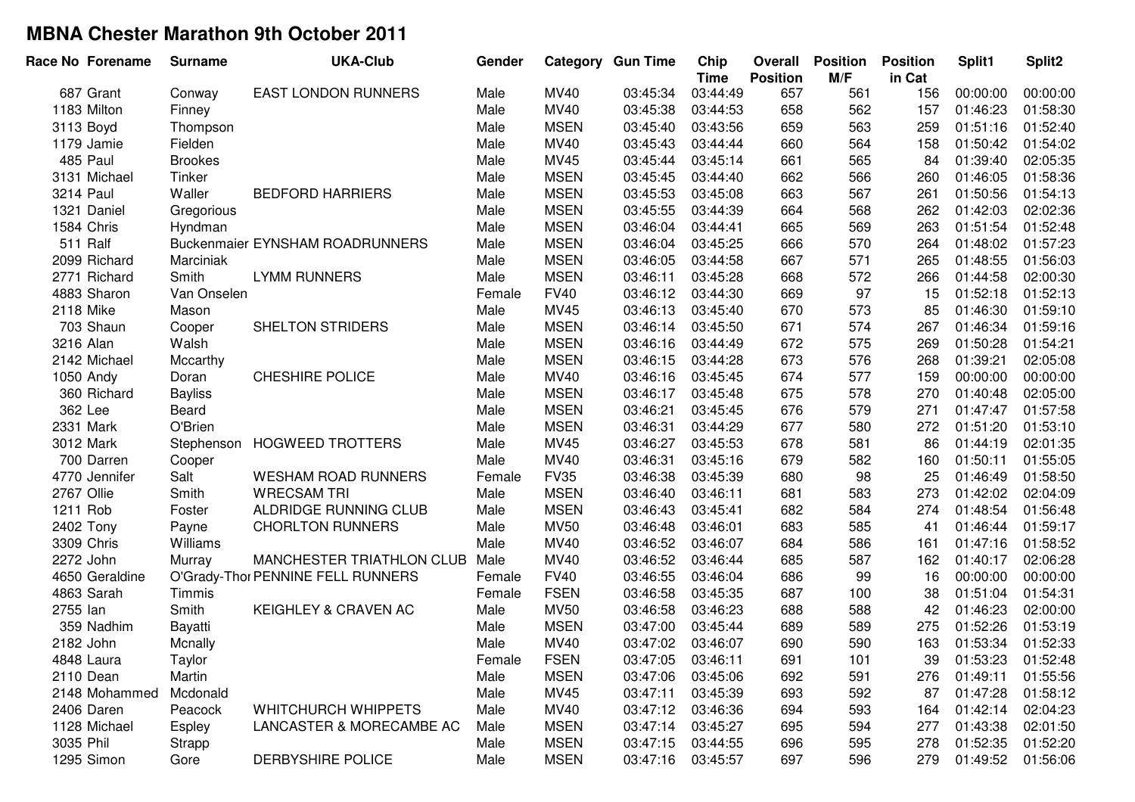| Race No Forename | <b>Surname</b> | <b>UKA-Club</b>                   | Gender |             | <b>Category Gun Time</b> | Chip<br><b>Time</b> | Overall<br><b>Position</b> | <b>Position</b><br>M/F | <b>Position</b><br>in Cat | Split1   | Split <sub>2</sub> |
|------------------|----------------|-----------------------------------|--------|-------------|--------------------------|---------------------|----------------------------|------------------------|---------------------------|----------|--------------------|
| 687 Grant        | Conway         | <b>EAST LONDON RUNNERS</b>        | Male   | <b>MV40</b> | 03:45:34                 | 03:44:49            | 657                        | 561                    | 156                       | 00:00:00 | 00:00:00           |
| 1183 Milton      | Finney         |                                   | Male   | MV40        | 03:45:38                 | 03:44:53            | 658                        | 562                    | 157                       | 01:46:23 | 01:58:30           |
| 3113 Boyd        | Thompson       |                                   | Male   | <b>MSEN</b> | 03:45:40                 | 03:43:56            | 659                        | 563                    | 259                       | 01:51:16 | 01:52:40           |
| 1179 Jamie       | Fielden        |                                   | Male   | MV40        | 03:45:43                 | 03:44:44            | 660                        | 564                    | 158                       | 01:50:42 | 01:54:02           |
| 485 Paul         | <b>Brookes</b> |                                   | Male   | MV45        | 03:45:44                 | 03:45:14            | 661                        | 565                    | 84                        | 01:39:40 | 02:05:35           |
| 3131 Michael     | Tinker         |                                   | Male   | <b>MSEN</b> | 03:45:45                 | 03:44:40            | 662                        | 566                    | 260                       | 01:46:05 | 01:58:36           |
| 3214 Paul        | Waller         | <b>BEDFORD HARRIERS</b>           | Male   | <b>MSEN</b> | 03:45:53                 | 03:45:08            | 663                        | 567                    | 261                       | 01:50:56 | 01:54:13           |
| 1321 Daniel      | Gregorious     |                                   | Male   | <b>MSEN</b> | 03:45:55                 | 03:44:39            | 664                        | 568                    | 262                       | 01:42:03 | 02:02:36           |
| 1584 Chris       | Hyndman        |                                   | Male   | <b>MSEN</b> | 03:46:04                 | 03:44:41            | 665                        | 569                    | 263                       | 01:51:54 | 01:52:48           |
| 511 Ralf         |                | Buckenmaier EYNSHAM ROADRUNNERS   | Male   | <b>MSEN</b> | 03:46:04                 | 03:45:25            | 666                        | 570                    | 264                       | 01:48:02 | 01:57:23           |
| 2099 Richard     | Marciniak      |                                   | Male   | <b>MSEN</b> | 03:46:05                 | 03:44:58            | 667                        | 571                    | 265                       | 01:48:55 | 01:56:03           |
| 2771 Richard     | Smith          | <b>LYMM RUNNERS</b>               | Male   | <b>MSEN</b> | 03:46:11                 | 03:45:28            | 668                        | 572                    | 266                       | 01:44:58 | 02:00:30           |
| 4883 Sharon      | Van Onselen    |                                   | Female | <b>FV40</b> | 03:46:12                 | 03:44:30            | 669                        | 97                     | 15                        | 01:52:18 | 01:52:13           |
| 2118 Mike        | Mason          |                                   | Male   | MV45        | 03:46:13                 | 03:45:40            | 670                        | 573                    | 85                        | 01:46:30 | 01:59:10           |
| 703 Shaun        | Cooper         | SHELTON STRIDERS                  | Male   | <b>MSEN</b> | 03:46:14                 | 03:45:50            | 671                        | 574                    | 267                       | 01:46:34 | 01:59:16           |
| 3216 Alan        | Walsh          |                                   | Male   | <b>MSEN</b> | 03:46:16                 | 03:44:49            | 672                        | 575                    | 269                       | 01:50:28 | 01:54:21           |
| 2142 Michael     | Mccarthy       |                                   | Male   | <b>MSEN</b> | 03:46:15                 | 03:44:28            | 673                        | 576                    | 268                       | 01:39:21 | 02:05:08           |
| 1050 Andy        | Doran          | <b>CHESHIRE POLICE</b>            | Male   | MV40        | 03:46:16                 | 03:45:45            | 674                        | 577                    | 159                       | 00:00:00 | 00:00:00           |
| 360 Richard      | <b>Bayliss</b> |                                   | Male   | <b>MSEN</b> | 03:46:17                 | 03:45:48            | 675                        | 578                    | 270                       | 01:40:48 | 02:05:00           |
| 362 Lee          | Beard          |                                   | Male   | <b>MSEN</b> | 03:46:21                 | 03:45:45            | 676                        | 579                    | 271                       | 01:47:47 | 01:57:58           |
| 2331 Mark        | O'Brien        |                                   | Male   | <b>MSEN</b> | 03:46:31                 | 03:44:29            | 677                        | 580                    | 272                       | 01:51:20 | 01:53:10           |
| 3012 Mark        | Stephenson     | <b>HOGWEED TROTTERS</b>           | Male   | MV45        | 03:46:27                 | 03:45:53            | 678                        | 581                    | 86                        | 01:44:19 | 02:01:35           |
| 700 Darren       | Cooper         |                                   | Male   | MV40        | 03:46:31                 | 03:45:16            | 679                        | 582                    | 160                       | 01:50:11 | 01:55:05           |
| 4770 Jennifer    | Salt           | <b>WESHAM ROAD RUNNERS</b>        | Female | <b>FV35</b> | 03:46:38                 | 03:45:39            | 680                        | 98                     | 25                        | 01:46:49 | 01:58:50           |
| 2767 Ollie       | Smith          | <b>WRECSAM TRI</b>                | Male   | <b>MSEN</b> | 03:46:40                 | 03:46:11            | 681                        | 583                    | 273                       | 01:42:02 | 02:04:09           |
| 1211 Rob         | Foster         | ALDRIDGE RUNNING CLUB             | Male   | <b>MSEN</b> | 03:46:43                 | 03:45:41            | 682                        | 584                    | 274                       | 01:48:54 | 01:56:48           |
| 2402 Tony        | Payne          | <b>CHORLTON RUNNERS</b>           | Male   | <b>MV50</b> | 03:46:48                 | 03:46:01            | 683                        | 585                    | 41                        | 01:46:44 | 01:59:17           |
| 3309 Chris       | Williams       |                                   | Male   | MV40        | 03:46:52                 | 03:46:07            | 684                        | 586                    | 161                       | 01:47:16 | 01:58:52           |
| 2272 John        | Murray         | MANCHESTER TRIATHLON CLUB         | Male   | MV40        | 03:46:52                 | 03:46:44            | 685                        | 587                    | 162                       | 01:40:17 | 02:06:28           |
| 4650 Geraldine   |                | O'Grady-Thor PENNINE FELL RUNNERS | Female | <b>FV40</b> | 03:46:55                 | 03:46:04            | 686                        | 99                     | 16                        | 00:00:00 | 00:00:00           |
| 4863 Sarah       | Timmis         |                                   | Female | <b>FSEN</b> | 03:46:58                 | 03:45:35            | 687                        | 100                    | 38                        | 01:51:04 | 01:54:31           |
| 2755 lan         | Smith          | KEIGHLEY & CRAVEN AC              | Male   | <b>MV50</b> | 03:46:58                 | 03:46:23            | 688                        | 588                    | 42                        | 01:46:23 | 02:00:00           |
| 359 Nadhim       | Bayatti        |                                   | Male   | <b>MSEN</b> | 03:47:00                 | 03:45:44            | 689                        | 589                    | 275                       | 01:52:26 | 01:53:19           |
| 2182 John        | Mcnally        |                                   | Male   | <b>MV40</b> | 03:47:02                 | 03:46:07            | 690                        | 590                    | 163                       | 01:53:34 | 01:52:33           |
| 4848 Laura       | Taylor         |                                   | Female | <b>FSEN</b> | 03:47:05                 | 03:46:11            | 691                        | 101                    | 39                        | 01:53:23 | 01:52:48           |
| 2110 Dean        | Martin         |                                   | Male   | <b>MSEN</b> | 03:47:06                 | 03:45:06            | 692                        | 591                    | 276                       | 01:49:11 | 01:55:56           |
| 2148 Mohammed    | Mcdonald       |                                   | Male   | MV45        | 03:47:11                 | 03:45:39            | 693                        | 592                    | 87                        | 01:47:28 | 01:58:12           |
| 2406 Daren       | Peacock        | <b>WHITCHURCH WHIPPETS</b>        | Male   | MV40        | 03:47:12                 | 03:46:36            | 694                        | 593                    | 164                       | 01:42:14 | 02:04:23           |
| 1128 Michael     | <b>Espley</b>  | LANCASTER & MORECAMBE AC          | Male   | <b>MSEN</b> | 03:47:14                 | 03:45:27            | 695                        | 594                    | 277                       | 01:43:38 | 02:01:50           |
| 3035 Phil        | Strapp         |                                   | Male   | <b>MSEN</b> | 03:47:15                 | 03:44:55            | 696                        | 595                    | 278                       | 01:52:35 | 01:52:20           |
| 1295 Simon       | Gore           | DERBYSHIRE POLICE                 | Male   | <b>MSEN</b> | 03:47:16                 | 03:45:57            | 697                        | 596                    | 279                       | 01:49:52 | 01:56:06           |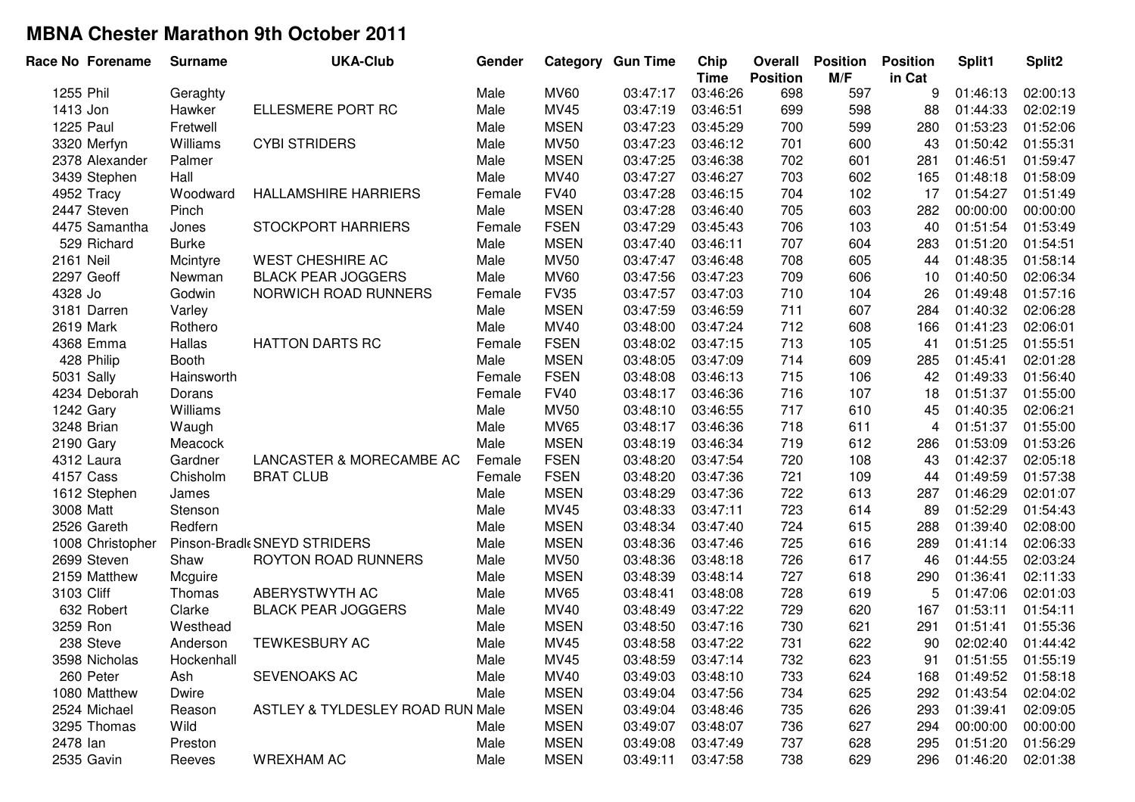| Race No Forename | <b>Surname</b> | <b>UKA-Club</b>                  | Gender |             | <b>Category Gun Time</b> | Chip<br><b>Time</b> | Overall<br><b>Position</b> | <b>Position</b><br>M/F | <b>Position</b><br>in Cat | Split1   | Split <sub>2</sub> |
|------------------|----------------|----------------------------------|--------|-------------|--------------------------|---------------------|----------------------------|------------------------|---------------------------|----------|--------------------|
| 1255 Phil        | Geraghty       |                                  | Male   | <b>MV60</b> | 03:47:17                 | 03:46:26            | 698                        | 597                    | 9                         | 01:46:13 | 02:00:13           |
| 1413 Jon         | Hawker         | ELLESMERE PORT RC                | Male   | MV45        | 03:47:19                 | 03:46:51            | 699                        | 598                    | 88                        | 01:44:33 | 02:02:19           |
| 1225 Paul        | Fretwell       |                                  | Male   | <b>MSEN</b> | 03:47:23                 | 03:45:29            | 700                        | 599                    | 280                       | 01:53:23 | 01:52:06           |
| 3320 Merfyn      | Williams       | <b>CYBI STRIDERS</b>             | Male   | <b>MV50</b> | 03:47:23                 | 03:46:12            | 701                        | 600                    | 43                        | 01:50:42 | 01:55:31           |
| 2378 Alexander   | Palmer         |                                  | Male   | <b>MSEN</b> | 03:47:25                 | 03:46:38            | 702                        | 601                    | 281                       | 01:46:51 | 01:59:47           |
| 3439 Stephen     | Hall           |                                  | Male   | MV40        | 03:47:27                 | 03:46:27            | 703                        | 602                    | 165                       | 01:48:18 | 01:58:09           |
| 4952 Tracy       | Woodward       | <b>HALLAMSHIRE HARRIERS</b>      | Female | <b>FV40</b> | 03:47:28                 | 03:46:15            | 704                        | 102                    | 17                        | 01:54:27 | 01:51:49           |
| 2447 Steven      | Pinch          |                                  | Male   | <b>MSEN</b> | 03:47:28                 | 03:46:40            | 705                        | 603                    | 282                       | 00:00:00 | 00:00:00           |
| 4475 Samantha    | Jones          | <b>STOCKPORT HARRIERS</b>        | Female | <b>FSEN</b> | 03:47:29                 | 03:45:43            | 706                        | 103                    | 40                        | 01:51:54 | 01:53:49           |
| 529 Richard      | <b>Burke</b>   |                                  | Male   | <b>MSEN</b> | 03:47:40                 | 03:46:11            | 707                        | 604                    | 283                       | 01:51:20 | 01:54:51           |
| 2161 Neil        | Mcintyre       | <b>WEST CHESHIRE AC</b>          | Male   | <b>MV50</b> | 03:47:47                 | 03:46:48            | 708                        | 605                    | 44                        | 01:48:35 | 01:58:14           |
| 2297 Geoff       | Newman         | <b>BLACK PEAR JOGGERS</b>        | Male   | <b>MV60</b> | 03:47:56                 | 03:47:23            | 709                        | 606                    | 10                        | 01:40:50 | 02:06:34           |
| 4328 Jo          | Godwin         | NORWICH ROAD RUNNERS             | Female | <b>FV35</b> | 03:47:57                 | 03:47:03            | 710                        | 104                    | 26                        | 01:49:48 | 01:57:16           |
| 3181 Darren      | Varley         |                                  | Male   | <b>MSEN</b> | 03:47:59                 | 03:46:59            | 711                        | 607                    | 284                       | 01:40:32 | 02:06:28           |
| 2619 Mark        | Rothero        |                                  | Male   | <b>MV40</b> | 03:48:00                 | 03:47:24            | 712                        | 608                    | 166                       | 01:41:23 | 02:06:01           |
| 4368 Emma        | Hallas         | <b>HATTON DARTS RC</b>           | Female | <b>FSEN</b> | 03:48:02                 | 03:47:15            | 713                        | 105                    | 41                        | 01:51:25 | 01:55:51           |
| 428 Philip       | <b>Booth</b>   |                                  | Male   | <b>MSEN</b> | 03:48:05                 | 03:47:09            | 714                        | 609                    | 285                       | 01:45:41 | 02:01:28           |
| 5031 Sally       | Hainsworth     |                                  | Female | <b>FSEN</b> | 03:48:08                 | 03:46:13            | 715                        | 106                    | 42                        | 01:49:33 | 01:56:40           |
| 4234 Deborah     | Dorans         |                                  | Female | <b>FV40</b> | 03:48:17                 | 03:46:36            | 716                        | 107                    | 18                        | 01:51:37 | 01:55:00           |
| 1242 Gary        | Williams       |                                  | Male   | <b>MV50</b> | 03:48:10                 | 03:46:55            | 717                        | 610                    | 45                        | 01:40:35 | 02:06:21           |
| 3248 Brian       | Waugh          |                                  | Male   | <b>MV65</b> | 03:48:17                 | 03:46:36            | 718                        | 611                    | 4                         | 01:51:37 | 01:55:00           |
| 2190 Gary        | Meacock        |                                  | Male   | <b>MSEN</b> | 03:48:19                 | 03:46:34            | 719                        | 612                    | 286                       | 01:53:09 | 01:53:26           |
| 4312 Laura       | Gardner        | LANCASTER & MORECAMBE AC         | Female | <b>FSEN</b> | 03:48:20                 | 03:47:54            | 720                        | 108                    | 43                        | 01:42:37 | 02:05:18           |
| 4157 Cass        | Chisholm       | <b>BRAT CLUB</b>                 | Female | <b>FSEN</b> | 03:48:20                 | 03:47:36            | 721                        | 109                    | 44                        | 01:49:59 | 01:57:38           |
| 1612 Stephen     | James          |                                  | Male   | <b>MSEN</b> | 03:48:29                 | 03:47:36            | 722                        | 613                    | 287                       | 01:46:29 | 02:01:07           |
| 3008 Matt        | Stenson        |                                  | Male   | MV45        | 03:48:33                 | 03:47:11            | 723                        | 614                    | 89                        | 01:52:29 | 01:54:43           |
| 2526 Gareth      | Redfern        |                                  | Male   | <b>MSEN</b> | 03:48:34                 | 03:47:40            | 724                        | 615                    | 288                       | 01:39:40 | 02:08:00           |
| 1008 Christopher |                | Pinson-Bradk SNEYD STRIDERS      | Male   | <b>MSEN</b> | 03:48:36                 | 03:47:46            | 725                        | 616                    | 289                       | 01:41:14 | 02:06:33           |
| 2699 Steven      | Shaw           | <b>ROYTON ROAD RUNNERS</b>       | Male   | <b>MV50</b> | 03:48:36                 | 03:48:18            | 726                        | 617                    | 46                        | 01:44:55 | 02:03:24           |
| 2159 Matthew     | Mcguire        |                                  | Male   | <b>MSEN</b> | 03:48:39                 | 03:48:14            | 727                        | 618                    | 290                       | 01:36:41 | 02:11:33           |
| 3103 Cliff       | Thomas         | ABERYSTWYTH AC                   | Male   | <b>MV65</b> | 03:48:41                 | 03:48:08            | 728                        | 619                    | 5                         | 01:47:06 | 02:01:03           |
| 632 Robert       | Clarke         | <b>BLACK PEAR JOGGERS</b>        | Male   | MV40        | 03:48:49                 | 03:47:22            | 729                        | 620                    | 167                       | 01:53:11 | 01:54:11           |
| 3259 Ron         | Westhead       |                                  | Male   | <b>MSEN</b> | 03:48:50                 | 03:47:16            | 730                        | 621                    | 291                       | 01:51:41 | 01:55:36           |
| 238 Steve        | Anderson       | <b>TEWKESBURY AC</b>             | Male   | <b>MV45</b> | 03:48:58                 | 03:47:22            | 731                        | 622                    | 90                        | 02:02:40 | 01:44:42           |
| 3598 Nicholas    | Hockenhall     |                                  | Male   | MV45        | 03:48:59                 | 03:47:14            | 732                        | 623                    | 91                        | 01:51:55 | 01:55:19           |
| 260 Peter        | Ash            | <b>SEVENOAKS AC</b>              | Male   | <b>MV40</b> | 03:49:03                 | 03:48:10            | 733                        | 624                    | 168                       | 01:49:52 | 01:58:18           |
| 1080 Matthew     | Dwire          |                                  | Male   | <b>MSEN</b> | 03:49:04                 | 03:47:56            | 734                        | 625                    | 292                       | 01:43:54 | 02:04:02           |
| 2524 Michael     | Reason         | ASTLEY & TYLDESLEY ROAD RUN Male |        | <b>MSEN</b> | 03:49:04                 | 03:48:46            | 735                        | 626                    | 293                       | 01:39:41 | 02:09:05           |
| 3295 Thomas      | Wild           |                                  | Male   | <b>MSEN</b> | 03:49:07                 | 03:48:07            | 736                        | 627                    | 294                       | 00:00:00 | 00:00:00           |
| 2478 lan         | Preston        |                                  | Male   | <b>MSEN</b> | 03:49:08                 | 03:47:49            | 737                        | 628                    | 295                       | 01:51:20 | 01:56:29           |
| 2535 Gavin       | Reeves         | <b>WREXHAM AC</b>                | Male   | <b>MSEN</b> | 03:49:11                 | 03:47:58            | 738                        | 629                    | 296                       | 01:46:20 | 02:01:38           |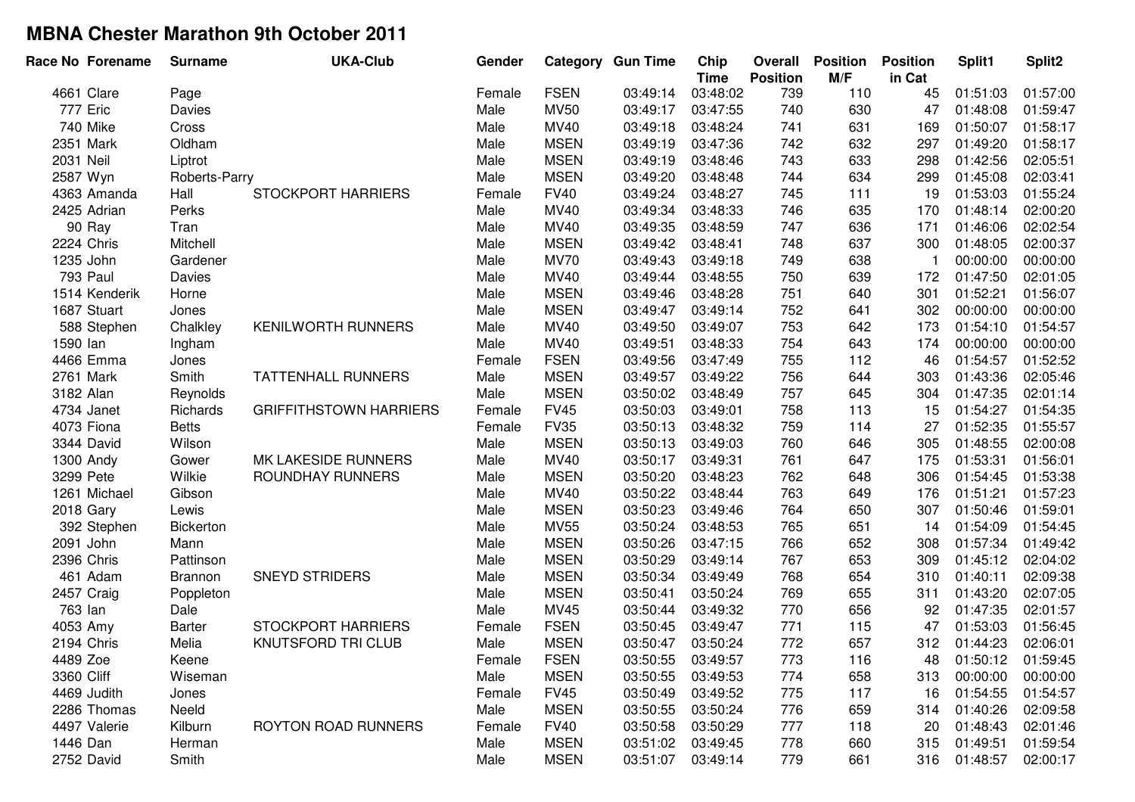|            | Race No Forename | <b>Surname</b>   | <b>UKA-Club</b>               | Gender |             | <b>Category Gun Time</b> | Chip<br><b>Time</b> | Overall<br><b>Position</b> | <b>Position</b><br>M/F | <b>Position</b><br>in Cat | Split1   | Split <sub>2</sub> |
|------------|------------------|------------------|-------------------------------|--------|-------------|--------------------------|---------------------|----------------------------|------------------------|---------------------------|----------|--------------------|
|            | 4661 Clare       | Page             |                               | Female | <b>FSEN</b> | 03:49:14                 | 03:48:02            | 739                        | 110                    | 45                        | 01:51:03 | 01:57:00           |
|            | 777 Eric         | Davies           |                               | Male   | <b>MV50</b> | 03:49:17                 | 03:47:55            | 740                        | 630                    | 47                        | 01:48:08 | 01:59:47           |
|            | 740 Mike         | Cross            |                               | Male   | MV40        | 03:49:18                 | 03:48:24            | 741                        | 631                    | 169                       | 01:50:07 | 01:58:17           |
|            | 2351 Mark        | Oldham           |                               | Male   | <b>MSEN</b> | 03:49:19                 | 03:47:36            | 742                        | 632                    | 297                       | 01:49:20 | 01:58:17           |
| 2031 Neil  |                  | Liptrot          |                               | Male   | <b>MSEN</b> | 03:49:19                 | 03:48:46            | 743                        | 633                    | 298                       | 01:42:56 | 02:05:51           |
|            | 2587 Wyn         | Roberts-Parry    |                               | Male   | <b>MSEN</b> | 03:49:20                 | 03:48:48            | 744                        | 634                    | 299                       | 01:45:08 | 02:03:41           |
|            | 4363 Amanda      | Hall             | <b>STOCKPORT HARRIERS</b>     | Female | <b>FV40</b> | 03:49:24                 | 03:48:27            | 745                        | 111                    | 19                        | 01:53:03 | 01:55:24           |
|            | 2425 Adrian      | Perks            |                               | Male   | MV40        | 03:49:34                 | 03:48:33            | 746                        | 635                    | 170                       | 01:48:14 | 02:00:20           |
|            | 90 Ray           | Tran             |                               | Male   | MV40        | 03:49:35                 | 03:48:59            | 747                        | 636                    | 171                       | 01:46:06 | 02:02:54           |
|            | 2224 Chris       | Mitchell         |                               | Male   | <b>MSEN</b> | 03:49:42                 | 03:48:41            | 748                        | 637                    | 300                       | 01:48:05 | 02:00:37           |
|            | 1235 John        | Gardener         |                               | Male   | <b>MV70</b> | 03:49:43                 | 03:49:18            | 749                        | 638                    | -1                        | 00:00:00 | 00:00:00           |
|            | <b>793 Paul</b>  | Davies           |                               | Male   | MV40        | 03:49:44                 | 03:48:55            | 750                        | 639                    | 172                       | 01:47:50 | 02:01:05           |
|            | 1514 Kenderik    | Horne            |                               | Male   | <b>MSEN</b> | 03:49:46                 | 03:48:28            | 751                        | 640                    | 301                       | 01:52:21 | 01:56:07           |
|            | 1687 Stuart      | Jones            |                               | Male   | <b>MSEN</b> | 03:49:47                 | 03:49:14            | 752                        | 641                    | 302                       | 00:00:00 | 00:00:00           |
|            | 588 Stephen      | Chalkley         | <b>KENILWORTH RUNNERS</b>     | Male   | MV40        | 03:49:50                 | 03:49:07            | 753                        | 642                    | 173                       | 01:54:10 | 01:54:57           |
| 1590 lan   |                  | Ingham           |                               | Male   | MV40        | 03:49:51                 | 03:48:33            | 754                        | 643                    | 174                       | 00:00:00 | 00:00:00           |
|            | 4466 Emma        | Jones            |                               | Female | <b>FSEN</b> | 03:49:56                 | 03:47:49            | 755                        | 112                    | 46                        | 01:54:57 | 01:52:52           |
|            | 2761 Mark        | Smith            | <b>TATTENHALL RUNNERS</b>     | Male   | <b>MSEN</b> | 03:49:57                 | 03:49:22            | 756                        | 644                    | 303                       | 01:43:36 | 02:05:46           |
| 3182 Alan  |                  | Reynolds         |                               | Male   | <b>MSEN</b> | 03:50:02                 | 03:48:49            | 757                        | 645                    | 304                       | 01:47:35 | 02:01:14           |
|            | 4734 Janet       | Richards         | <b>GRIFFITHSTOWN HARRIERS</b> | Female | <b>FV45</b> | 03:50:03                 | 03:49:01            | 758                        | 113                    | 15                        | 01:54:27 | 01:54:35           |
|            | 4073 Fiona       | <b>Betts</b>     |                               | Female | <b>FV35</b> | 03:50:13                 | 03:48:32            | 759                        | 114                    | 27                        | 01:52:35 | 01:55:57           |
|            | 3344 David       | Wilson           |                               | Male   | <b>MSEN</b> | 03:50:13                 | 03:49:03            | 760                        | 646                    | 305                       | 01:48:55 | 02:00:08           |
|            | 1300 Andy        | Gower            | MK LAKESIDE RUNNERS           | Male   | MV40        | 03:50:17                 | 03:49:31            | 761                        | 647                    | 175                       | 01:53:31 | 01:56:01           |
|            | 3299 Pete        | Wilkie           | <b>ROUNDHAY RUNNERS</b>       | Male   | <b>MSEN</b> | 03:50:20                 | 03:48:23            | 762                        | 648                    | 306                       | 01:54:45 | 01:53:38           |
|            | 1261 Michael     | Gibson           |                               | Male   | MV40        | 03:50:22                 | 03:48:44            | 763                        | 649                    | 176                       | 01:51:21 | 01:57:23           |
|            | 2018 Gary        | Lewis            |                               | Male   | <b>MSEN</b> | 03:50:23                 | 03:49:46            | 764                        | 650                    | 307                       | 01:50:46 | 01:59:01           |
|            | 392 Stephen      | <b>Bickerton</b> |                               | Male   | <b>MV55</b> | 03:50:24                 | 03:48:53            | 765                        | 651                    | 14                        | 01:54:09 | 01:54:45           |
|            | 2091 John        | Mann             |                               | Male   | <b>MSEN</b> | 03:50:26                 | 03:47:15            | 766                        | 652                    | 308                       | 01:57:34 | 01:49:42           |
|            | 2396 Chris       | Pattinson        |                               | Male   | <b>MSEN</b> | 03:50:29                 | 03:49:14            | 767                        | 653                    | 309                       | 01:45:12 | 02:04:02           |
|            | 461 Adam         | <b>Brannon</b>   | <b>SNEYD STRIDERS</b>         | Male   | <b>MSEN</b> | 03:50:34                 | 03:49:49            | 768                        | 654                    | 310                       | 01:40:11 | 02:09:38           |
|            | 2457 Craig       | Poppleton        |                               | Male   | <b>MSEN</b> | 03:50:41                 | 03:50:24            | 769                        | 655                    | 311                       | 01:43:20 | 02:07:05           |
| 763 lan    |                  | Dale             |                               | Male   | MV45        | 03:50:44                 | 03:49:32            | 770                        | 656                    | 92                        | 01:47:35 | 02:01:57           |
| 4053 Amy   |                  | Barter           | <b>STOCKPORT HARRIERS</b>     | Female | <b>FSEN</b> | 03:50:45                 | 03:49:47            | 771                        | 115                    | 47                        | 01:53:03 | 01:56:45           |
|            | 2194 Chris       | Melia            | <b>KNUTSFORD TRI CLUB</b>     | Male   | <b>MSEN</b> | 03:50:47                 | 03:50:24            | 772                        | 657                    | 312                       | 01:44:23 | 02:06:01           |
| 4489 Zoe   |                  | Keene            |                               | Female | <b>FSEN</b> | 03:50:55                 | 03:49:57            | 773                        | 116                    | 48                        | 01:50:12 | 01:59:45           |
| 3360 Cliff |                  | Wiseman          |                               | Male   | <b>MSEN</b> | 03:50:55                 | 03:49:53            | 774                        | 658                    | 313                       | 00:00:00 | 00:00:00           |
|            | 4469 Judith      | Jones            |                               | Female | <b>FV45</b> | 03:50:49                 | 03:49:52            | 775                        | 117                    | 16                        | 01:54:55 | 01:54:57           |
|            | 2286 Thomas      | Neeld            |                               | Male   | <b>MSEN</b> | 03:50:55                 | 03:50:24            | 776                        | 659                    | 314                       | 01:40:26 | 02:09:58           |
|            | 4497 Valerie     | Kilburn          | <b>ROYTON ROAD RUNNERS</b>    | Female | <b>FV40</b> | 03:50:58                 | 03:50:29            | 777                        | 118                    | 20                        | 01:48:43 | 02:01:46           |
| 1446 Dan   |                  | Herman           |                               | Male   | <b>MSEN</b> | 03:51:02                 | 03:49:45            | 778                        | 660                    | 315                       | 01:49:51 | 01:59:54           |
|            | 2752 David       | Smith            |                               | Male   | <b>MSEN</b> | 03:51:07                 | 03:49:14            | 779                        | 661                    | 316                       | 01:48:57 | 02:00:17           |
|            |                  |                  |                               |        |             |                          |                     |                            |                        |                           |          |                    |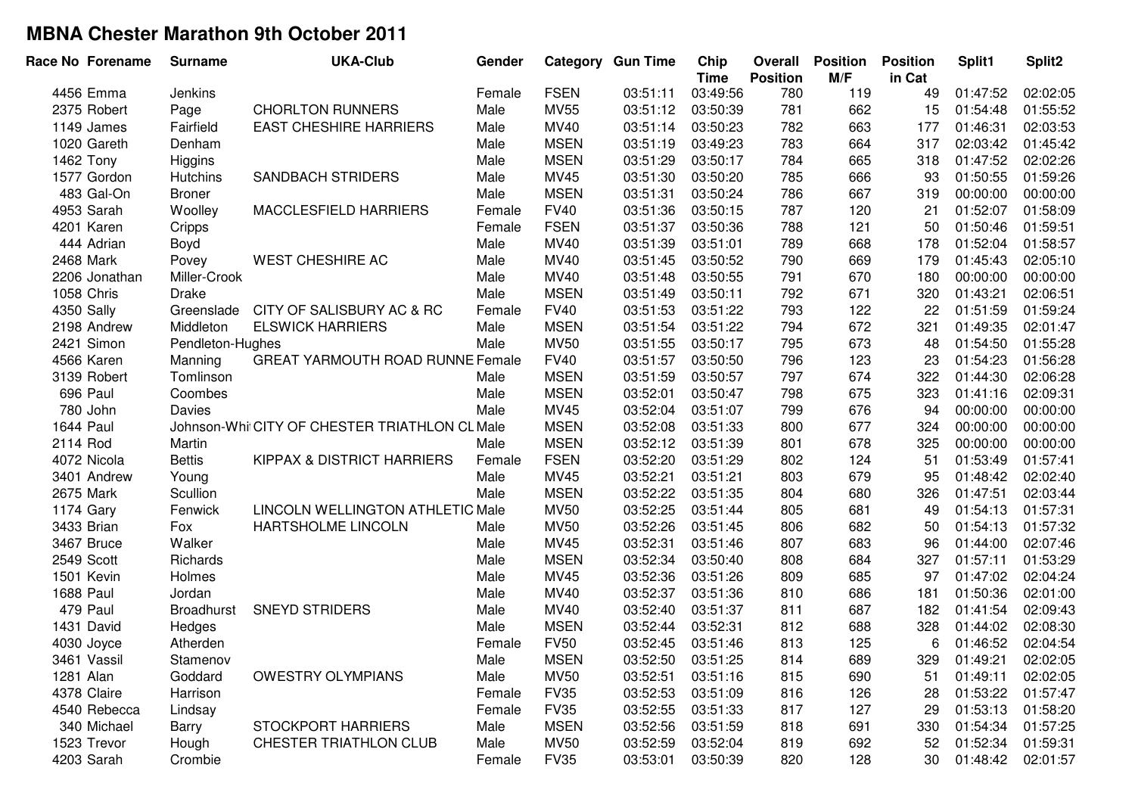| Race No Forename | <b>Surname</b>    | <b>UKA-Club</b>                               | Gender |             | <b>Category Gun Time</b> | Chip<br><b>Time</b> | <b>Overall</b><br><b>Position</b> | <b>Position</b><br>M/F | <b>Position</b><br>in Cat | Split1   | Split <sub>2</sub> |
|------------------|-------------------|-----------------------------------------------|--------|-------------|--------------------------|---------------------|-----------------------------------|------------------------|---------------------------|----------|--------------------|
| 4456 Emma        | Jenkins           |                                               | Female | <b>FSEN</b> | 03:51:11                 | 03:49:56            | 780                               | 119                    | 49                        | 01:47:52 | 02:02:05           |
| 2375 Robert      | Page              | <b>CHORLTON RUNNERS</b>                       | Male   | <b>MV55</b> | 03:51:12                 | 03:50:39            | 781                               | 662                    | 15                        | 01:54:48 | 01:55:52           |
| 1149 James       | Fairfield         | <b>EAST CHESHIRE HARRIERS</b>                 | Male   | MV40        | 03:51:14                 | 03:50:23            | 782                               | 663                    | 177                       | 01:46:31 | 02:03:53           |
| 1020 Gareth      | Denham            |                                               | Male   | <b>MSEN</b> | 03:51:19                 | 03:49:23            | 783                               | 664                    | 317                       | 02:03:42 | 01:45:42           |
| 1462 Tony        | Higgins           |                                               | Male   | <b>MSEN</b> | 03:51:29                 | 03:50:17            | 784                               | 665                    | 318                       | 01:47:52 | 02:02:26           |
| 1577 Gordon      | Hutchins          | <b>SANDBACH STRIDERS</b>                      | Male   | MV45        | 03:51:30                 | 03:50:20            | 785                               | 666                    | 93                        | 01:50:55 | 01:59:26           |
| 483 Gal-On       | <b>Broner</b>     |                                               | Male   | <b>MSEN</b> | 03:51:31                 | 03:50:24            | 786                               | 667                    | 319                       | 00:00:00 | 00:00:00           |
| 4953 Sarah       | Woolley           | MACCLESFIELD HARRIERS                         | Female | <b>FV40</b> | 03:51:36                 | 03:50:15            | 787                               | 120                    | 21                        | 01:52:07 | 01:58:09           |
| 4201 Karen       | Cripps            |                                               | Female | <b>FSEN</b> | 03:51:37                 | 03:50:36            | 788                               | 121                    | 50                        | 01:50:46 | 01:59:51           |
| 444 Adrian       | Boyd              |                                               | Male   | MV40        | 03:51:39                 | 03:51:01            | 789                               | 668                    | 178                       | 01:52:04 | 01:58:57           |
| 2468 Mark        | Povey             | <b>WEST CHESHIRE AC</b>                       | Male   | MV40        | 03:51:45                 | 03:50:52            | 790                               | 669                    | 179                       | 01:45:43 | 02:05:10           |
| 2206 Jonathan    | Miller-Crook      |                                               | Male   | MV40        | 03:51:48                 | 03:50:55            | 791                               | 670                    | 180                       | 00:00:00 | 00:00:00           |
| 1058 Chris       | <b>Drake</b>      |                                               | Male   | <b>MSEN</b> | 03:51:49                 | 03:50:11            | 792                               | 671                    | 320                       | 01:43:21 | 02:06:51           |
| 4350 Sally       | Greenslade        | CITY OF SALISBURY AC & RC                     | Female | <b>FV40</b> | 03:51:53                 | 03:51:22            | 793                               | 122                    | 22                        | 01:51:59 | 01:59:24           |
| 2198 Andrew      | Middleton         | <b>ELSWICK HARRIERS</b>                       | Male   | <b>MSEN</b> | 03:51:54                 | 03:51:22            | 794                               | 672                    | 321                       | 01:49:35 | 02:01:47           |
| 2421 Simon       | Pendleton-Hughes  |                                               | Male   | <b>MV50</b> | 03:51:55                 | 03:50:17            | 795                               | 673                    | 48                        | 01:54:50 | 01:55:28           |
| 4566 Karen       | Manning           | <b>GREAT YARMOUTH ROAD RUNNE Female</b>       |        | <b>FV40</b> | 03:51:57                 | 03:50:50            | 796                               | 123                    | 23                        | 01:54:23 | 01:56:28           |
| 3139 Robert      | Tomlinson         |                                               | Male   | <b>MSEN</b> | 03:51:59                 | 03:50:57            | 797                               | 674                    | 322                       | 01:44:30 | 02:06:28           |
| 696 Paul         | Coombes           |                                               | Male   | <b>MSEN</b> | 03:52:01                 | 03:50:47            | 798                               | 675                    | 323                       | 01:41:16 | 02:09:31           |
| 780 John         | Davies            |                                               | Male   | MV45        | 03:52:04                 | 03:51:07            | 799                               | 676                    | 94                        | 00:00:00 | 00:00:00           |
| <b>1644 Paul</b> |                   | Johnson-Whi CITY OF CHESTER TRIATHLON CL Male |        | <b>MSEN</b> | 03:52:08                 | 03:51:33            | 800                               | 677                    | 324                       | 00:00:00 | 00:00:00           |
| 2114 Rod         | Martin            |                                               | Male   | <b>MSEN</b> | 03:52:12                 | 03:51:39            | 801                               | 678                    | 325                       | 00:00:00 | 00:00:00           |
| 4072 Nicola      | <b>Bettis</b>     | KIPPAX & DISTRICT HARRIERS                    | Female | <b>FSEN</b> | 03:52:20                 | 03:51:29            | 802                               | 124                    | 51                        | 01:53:49 | 01:57:41           |
| 3401 Andrew      | Young             |                                               | Male   | MV45        | 03:52:21                 | 03:51:21            | 803                               | 679                    | 95                        | 01:48:42 | 02:02:40           |
| 2675 Mark        | Scullion          |                                               | Male   | <b>MSEN</b> | 03:52:22                 | 03:51:35            | 804                               | 680                    | 326                       | 01:47:51 | 02:03:44           |
| 1174 Gary        | Fenwick           | LINCOLN WELLINGTON ATHLETIC Male              |        | <b>MV50</b> | 03:52:25                 | 03:51:44            | 805                               | 681                    | 49                        | 01:54:13 | 01:57:31           |
| 3433 Brian       | Fox               | HARTSHOLME LINCOLN                            | Male   | <b>MV50</b> | 03:52:26                 | 03:51:45            | 806                               | 682                    | 50                        | 01:54:13 | 01:57:32           |
| 3467 Bruce       | Walker            |                                               | Male   | MV45        | 03:52:31                 | 03:51:46            | 807                               | 683                    | 96                        | 01:44:00 | 02:07:46           |
| 2549 Scott       | Richards          |                                               | Male   | <b>MSEN</b> | 03:52:34                 | 03:50:40            | 808                               | 684                    | 327                       | 01:57:11 | 01:53:29           |
| 1501 Kevin       | Holmes            |                                               | Male   | MV45        | 03:52:36                 | 03:51:26            | 809                               | 685                    | 97                        | 01:47:02 | 02:04:24           |
| <b>1688 Paul</b> | Jordan            |                                               | Male   | MV40        | 03:52:37                 | 03:51:36            | 810                               | 686                    | 181                       | 01:50:36 | 02:01:00           |
| 479 Paul         | <b>Broadhurst</b> | <b>SNEYD STRIDERS</b>                         | Male   | MV40        | 03:52:40                 | 03:51:37            | 811                               | 687                    | 182                       | 01:41:54 | 02:09:43           |
| 1431 David       | Hedges            |                                               | Male   | <b>MSEN</b> | 03:52:44                 | 03:52:31            | 812                               | 688                    | 328                       | 01:44:02 | 02:08:30           |
| 4030 Joyce       | Atherden          |                                               | Female | <b>FV50</b> | 03:52:45                 | 03:51:46            | 813                               | 125                    | 6                         | 01:46:52 | 02:04:54           |
| 3461 Vassil      | Stamenov          |                                               | Male   | <b>MSEN</b> | 03:52:50                 | 03:51:25            | 814                               | 689                    | 329                       | 01:49:21 | 02:02:05           |
| 1281 Alan        | Goddard           | <b>OWESTRY OLYMPIANS</b>                      | Male   | <b>MV50</b> | 03:52:51                 | 03:51:16            | 815                               | 690                    | 51                        | 01:49:11 | 02:02:05           |
| 4378 Claire      | Harrison          |                                               | Female | <b>FV35</b> | 03:52:53                 | 03:51:09            | 816                               | 126                    | 28                        | 01:53:22 | 01:57:47           |
| 4540 Rebecca     | Lindsay           |                                               | Female | <b>FV35</b> | 03:52:55                 | 03:51:33            | 817                               | 127                    | 29                        | 01:53:13 | 01:58:20           |
| 340 Michael      | Barry             | <b>STOCKPORT HARRIERS</b>                     | Male   | <b>MSEN</b> | 03:52:56                 | 03:51:59            | 818                               | 691                    | 330                       | 01:54:34 | 01:57:25           |
| 1523 Trevor      | Hough             | <b>CHESTER TRIATHLON CLUB</b>                 | Male   | <b>MV50</b> | 03:52:59                 | 03:52:04            | 819                               | 692                    | 52                        | 01:52:34 | 01:59:31           |
| 4203 Sarah       | Crombie           |                                               | Female | <b>FV35</b> | 03:53:01                 | 03:50:39            | 820                               | 128                    | 30                        | 01:48:42 | 02:01:57           |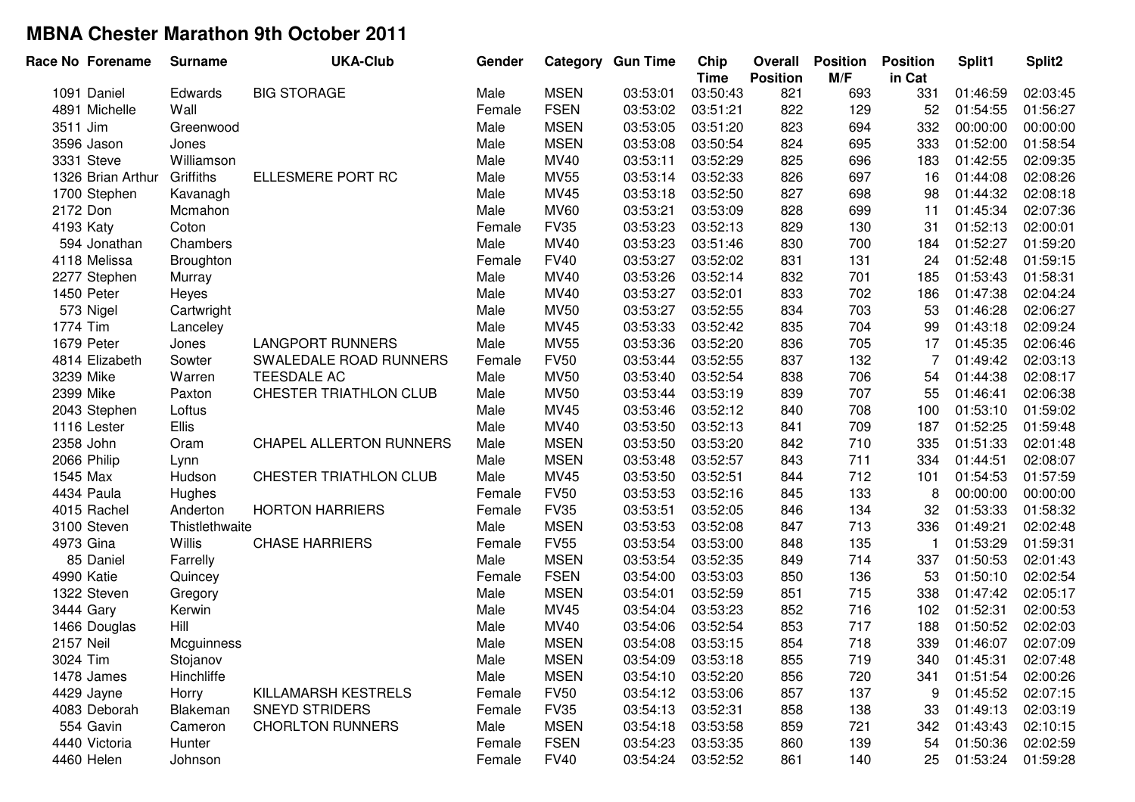| Race No Forename  | <b>Surname</b> | <b>UKA-Club</b>         | Gender |             | <b>Category Gun Time</b> | Chip<br><b>Time</b> | Overall<br><b>Position</b> | <b>Position</b><br>M/F | <b>Position</b><br>in Cat | Split1   | Split <sub>2</sub> |
|-------------------|----------------|-------------------------|--------|-------------|--------------------------|---------------------|----------------------------|------------------------|---------------------------|----------|--------------------|
| 1091 Daniel       | Edwards        | <b>BIG STORAGE</b>      | Male   | <b>MSEN</b> | 03:53:01                 | 03:50:43            | 821                        | 693                    | 331                       | 01:46:59 | 02:03:45           |
| 4891 Michelle     | Wall           |                         | Female | <b>FSEN</b> | 03:53:02                 | 03:51:21            | 822                        | 129                    | 52                        | 01:54:55 | 01:56:27           |
| 3511 Jim          | Greenwood      |                         | Male   | <b>MSEN</b> | 03:53:05                 | 03:51:20            | 823                        | 694                    | 332                       | 00:00:00 | 00:00:00           |
| 3596 Jason        | Jones          |                         | Male   | <b>MSEN</b> | 03:53:08                 | 03:50:54            | 824                        | 695                    | 333                       | 01:52:00 | 01:58:54           |
| 3331 Steve        | Williamson     |                         | Male   | MV40        | 03:53:11                 | 03:52:29            | 825                        | 696                    | 183                       | 01:42:55 | 02:09:35           |
| 1326 Brian Arthur | Griffiths      | ELLESMERE PORT RC       | Male   | <b>MV55</b> | 03:53:14                 | 03:52:33            | 826                        | 697                    | 16                        | 01:44:08 | 02:08:26           |
| 1700 Stephen      | Kavanagh       |                         | Male   | MV45        | 03:53:18                 | 03:52:50            | 827                        | 698                    | 98                        | 01:44:32 | 02:08:18           |
| 2172 Don          | Mcmahon        |                         | Male   | <b>MV60</b> | 03:53:21                 | 03:53:09            | 828                        | 699                    | 11                        | 01:45:34 | 02:07:36           |
| 4193 Katy         | Coton          |                         | Female | <b>FV35</b> | 03:53:23                 | 03:52:13            | 829                        | 130                    | 31                        | 01:52:13 | 02:00:01           |
| 594 Jonathan      | Chambers       |                         | Male   | MV40        | 03:53:23                 | 03:51:46            | 830                        | 700                    | 184                       | 01:52:27 | 01:59:20           |
| 4118 Melissa      | Broughton      |                         | Female | <b>FV40</b> | 03:53:27                 | 03:52:02            | 831                        | 131                    | 24                        | 01:52:48 | 01:59:15           |
| 2277 Stephen      | Murray         |                         | Male   | MV40        | 03:53:26                 | 03:52:14            | 832                        | 701                    | 185                       | 01:53:43 | 01:58:31           |
| 1450 Peter        | Heyes          |                         | Male   | MV40        | 03:53:27                 | 03:52:01            | 833                        | 702                    | 186                       | 01:47:38 | 02:04:24           |
| 573 Nigel         | Cartwright     |                         | Male   | <b>MV50</b> | 03:53:27                 | 03:52:55            | 834                        | 703                    | 53                        | 01:46:28 | 02:06:27           |
| 1774 Tim          | Lanceley       |                         | Male   | MV45        | 03:53:33                 | 03:52:42            | 835                        | 704                    | 99                        | 01:43:18 | 02:09:24           |
| 1679 Peter        | Jones          | <b>LANGPORT RUNNERS</b> | Male   | <b>MV55</b> | 03:53:36                 | 03:52:20            | 836                        | 705                    | 17                        | 01:45:35 | 02:06:46           |
| 4814 Elizabeth    | Sowter         | SWALEDALE ROAD RUNNERS  | Female | <b>FV50</b> | 03:53:44                 | 03:52:55            | 837                        | 132                    | 7                         | 01:49:42 | 02:03:13           |
| 3239 Mike         | Warren         | TEESDALE AC             | Male   | <b>MV50</b> | 03:53:40                 | 03:52:54            | 838                        | 706                    | 54                        | 01:44:38 | 02:08:17           |
| 2399 Mike         | Paxton         | CHESTER TRIATHLON CLUB  | Male   | <b>MV50</b> | 03:53:44                 | 03:53:19            | 839                        | 707                    | 55                        | 01:46:41 | 02:06:38           |
| 2043 Stephen      | Loftus         |                         | Male   | MV45        | 03:53:46                 | 03:52:12            | 840                        | 708                    | 100                       | 01:53:10 | 01:59:02           |
| 1116 Lester       | Ellis          |                         | Male   | MV40        | 03:53:50                 | 03:52:13            | 841                        | 709                    | 187                       | 01:52:25 | 01:59:48           |
| 2358 John         | Oram           | CHAPEL ALLERTON RUNNERS | Male   | <b>MSEN</b> | 03:53:50                 | 03:53:20            | 842                        | 710                    | 335                       | 01:51:33 | 02:01:48           |
| 2066 Philip       | Lynn           |                         | Male   | <b>MSEN</b> | 03:53:48                 | 03:52:57            | 843                        | 711                    | 334                       | 01:44:51 | 02:08:07           |
| 1545 Max          | Hudson         | CHESTER TRIATHLON CLUB  | Male   | MV45        | 03:53:50                 | 03:52:51            | 844                        | 712                    | 101                       | 01:54:53 | 01:57:59           |
| 4434 Paula        | Hughes         |                         | Female | <b>FV50</b> | 03:53:53                 | 03:52:16            | 845                        | 133                    | 8                         | 00:00:00 | 00:00:00           |
| 4015 Rachel       | Anderton       | <b>HORTON HARRIERS</b>  | Female | <b>FV35</b> | 03:53:51                 | 03:52:05            | 846                        | 134                    | 32                        | 01:53:33 | 01:58:32           |
| 3100 Steven       | Thistlethwaite |                         | Male   | <b>MSEN</b> | 03:53:53                 | 03:52:08            | 847                        | 713                    | 336                       | 01:49:21 | 02:02:48           |
| 4973 Gina         | Willis         | <b>CHASE HARRIERS</b>   | Female | <b>FV55</b> | 03:53:54                 | 03:53:00            | 848                        | 135                    | $\overline{1}$            | 01:53:29 | 01:59:31           |
| 85 Daniel         | Farrelly       |                         | Male   | <b>MSEN</b> | 03:53:54                 | 03:52:35            | 849                        | 714                    | 337                       | 01:50:53 | 02:01:43           |
| 4990 Katie        | Quincey        |                         | Female | <b>FSEN</b> | 03:54:00                 | 03:53:03            | 850                        | 136                    | 53                        | 01:50:10 | 02:02:54           |
| 1322 Steven       | Gregory        |                         | Male   | <b>MSEN</b> | 03:54:01                 | 03:52:59            | 851                        | 715                    | 338                       | 01:47:42 | 02:05:17           |
| 3444 Gary         | Kerwin         |                         | Male   | MV45        | 03:54:04                 | 03:53:23            | 852                        | 716                    | 102                       | 01:52:31 | 02:00:53           |
| 1466 Douglas      | Hill           |                         | Male   | MV40        | 03:54:06                 | 03:52:54            | 853                        | 717                    | 188                       | 01:50:52 | 02:02:03           |
| 2157 Neil         | Mcguinness     |                         | Male   | <b>MSEN</b> | 03:54:08                 | 03:53:15            | 854                        | 718                    | 339                       | 01:46:07 | 02:07:09           |
| 3024 Tim          | Stojanov       |                         | Male   | <b>MSEN</b> | 03:54:09                 | 03:53:18            | 855                        | 719                    | 340                       | 01:45:31 | 02:07:48           |
| 1478 James        | Hinchliffe     |                         | Male   | <b>MSEN</b> | 03:54:10                 | 03:52:20            | 856                        | 720                    | 341                       | 01:51:54 | 02:00:26           |
| 4429 Jayne        | Horry          | KILLAMARSH KESTRELS     | Female | <b>FV50</b> | 03:54:12                 | 03:53:06            | 857                        | 137                    | 9                         | 01:45:52 | 02:07:15           |
| 4083 Deborah      | Blakeman       | <b>SNEYD STRIDERS</b>   | Female | <b>FV35</b> | 03:54:13                 | 03:52:31            | 858                        | 138                    | 33                        | 01:49:13 | 02:03:19           |
| 554 Gavin         | Cameron        | <b>CHORLTON RUNNERS</b> | Male   | <b>MSEN</b> | 03:54:18                 | 03:53:58            | 859                        | 721                    | 342                       | 01:43:43 | 02:10:15           |
| 4440 Victoria     | Hunter         |                         | Female | <b>FSEN</b> | 03:54:23                 | 03:53:35            | 860                        | 139                    | 54                        | 01:50:36 | 02:02:59           |
| 4460 Helen        | Johnson        |                         | Female | <b>FV40</b> | 03:54:24                 | 03:52:52            | 861                        | 140                    | 25                        | 01:53:24 | 01:59:28           |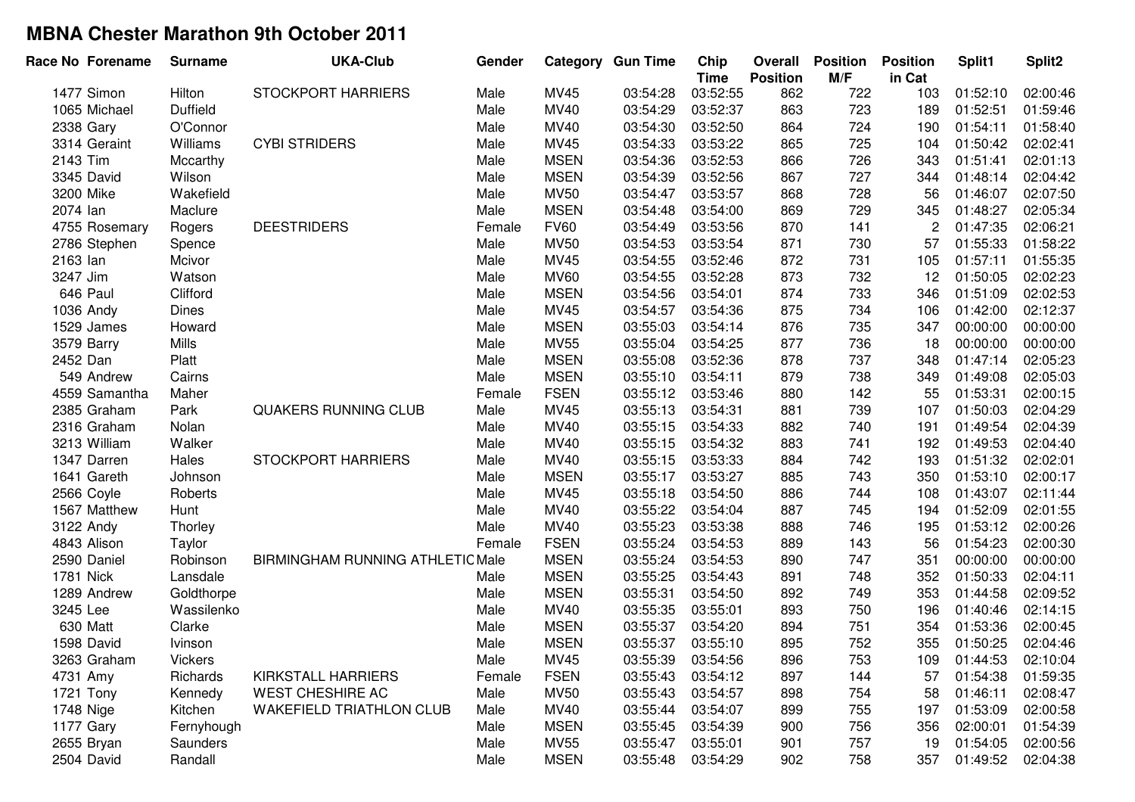| Race No Forename | <b>Surname</b>  | <b>UKA-Club</b>                         | Gender |             | <b>Category Gun Time</b> | Chip<br><b>Time</b> | Overall<br><b>Position</b> | <b>Position</b><br>M/F | <b>Position</b><br>in Cat | Split1   | Split <sub>2</sub> |
|------------------|-----------------|-----------------------------------------|--------|-------------|--------------------------|---------------------|----------------------------|------------------------|---------------------------|----------|--------------------|
| 1477 Simon       | Hilton          | <b>STOCKPORT HARRIERS</b>               | Male   | MV45        | 03:54:28                 | 03:52:55            | 862                        | 722                    | 103                       | 01:52:10 | 02:00:46           |
| 1065 Michael     | <b>Duffield</b> |                                         | Male   | MV40        | 03:54:29                 | 03:52:37            | 863                        | 723                    | 189                       | 01:52:51 | 01:59:46           |
| 2338 Gary        | O'Connor        |                                         | Male   | MV40        | 03:54:30                 | 03:52:50            | 864                        | 724                    | 190                       | 01:54:11 | 01:58:40           |
| 3314 Geraint     | Williams        | <b>CYBI STRIDERS</b>                    | Male   | MV45        | 03:54:33                 | 03:53:22            | 865                        | 725                    | 104                       | 01:50:42 | 02:02:41           |
| 2143 Tim         | Mccarthy        |                                         | Male   | <b>MSEN</b> | 03:54:36                 | 03:52:53            | 866                        | 726                    | 343                       | 01:51:41 | 02:01:13           |
| 3345 David       | Wilson          |                                         | Male   | <b>MSEN</b> | 03:54:39                 | 03:52:56            | 867                        | 727                    | 344                       | 01:48:14 | 02:04:42           |
| 3200 Mike        | Wakefield       |                                         | Male   | <b>MV50</b> | 03:54:47                 | 03:53:57            | 868                        | 728                    | 56                        | 01:46:07 | 02:07:50           |
| 2074 lan         | Maclure         |                                         | Male   | <b>MSEN</b> | 03:54:48                 | 03:54:00            | 869                        | 729                    | 345                       | 01:48:27 | 02:05:34           |
| 4755 Rosemary    | Rogers          | <b>DEESTRIDERS</b>                      | Female | <b>FV60</b> | 03:54:49                 | 03:53:56            | 870                        | 141                    | $\overline{c}$            | 01:47:35 | 02:06:21           |
| 2786 Stephen     | Spence          |                                         | Male   | <b>MV50</b> | 03:54:53                 | 03:53:54            | 871                        | 730                    | 57                        | 01:55:33 | 01:58:22           |
| 2163 lan         | Mcivor          |                                         | Male   | MV45        | 03:54:55                 | 03:52:46            | 872                        | 731                    | 105                       | 01:57:11 | 01:55:35           |
| 3247 Jim         | Watson          |                                         | Male   | <b>MV60</b> | 03:54:55                 | 03:52:28            | 873                        | 732                    | 12                        | 01:50:05 | 02:02:23           |
| 646 Paul         | Clifford        |                                         | Male   | <b>MSEN</b> | 03:54:56                 | 03:54:01            | 874                        | 733                    | 346                       | 01:51:09 | 02:02:53           |
| 1036 Andy        | <b>Dines</b>    |                                         | Male   | MV45        | 03:54:57                 | 03:54:36            | 875                        | 734                    | 106                       | 01:42:00 | 02:12:37           |
| 1529 James       | Howard          |                                         | Male   | <b>MSEN</b> | 03:55:03                 | 03:54:14            | 876                        | 735                    | 347                       | 00:00:00 | 00:00:00           |
| 3579 Barry       | Mills           |                                         | Male   | <b>MV55</b> | 03:55:04                 | 03:54:25            | 877                        | 736                    | 18                        | 00:00:00 | 00:00:00           |
| 2452 Dan         | Platt           |                                         | Male   | <b>MSEN</b> | 03:55:08                 | 03:52:36            | 878                        | 737                    | 348                       | 01:47:14 | 02:05:23           |
| 549 Andrew       | Cairns          |                                         | Male   | <b>MSEN</b> | 03:55:10                 | 03:54:11            | 879                        | 738                    | 349                       | 01:49:08 | 02:05:03           |
| 4559 Samantha    | Maher           |                                         | Female | <b>FSEN</b> | 03:55:12                 | 03:53:46            | 880                        | 142                    | 55                        | 01:53:31 | 02:00:15           |
| 2385 Graham      | Park            | QUAKERS RUNNING CLUB                    | Male   | MV45        | 03:55:13                 | 03:54:31            | 881                        | 739                    | 107                       | 01:50:03 | 02:04:29           |
| 2316 Graham      | Nolan           |                                         | Male   | MV40        | 03:55:15                 | 03:54:33            | 882                        | 740                    | 191                       | 01:49:54 | 02:04:39           |
| 3213 William     | Walker          |                                         | Male   | MV40        | 03:55:15                 | 03:54:32            | 883                        | 741                    | 192                       | 01:49:53 | 02:04:40           |
| 1347 Darren      | Hales           | <b>STOCKPORT HARRIERS</b>               | Male   | MV40        | 03:55:15                 | 03:53:33            | 884                        | 742                    | 193                       | 01:51:32 | 02:02:01           |
| 1641 Gareth      | Johnson         |                                         | Male   | <b>MSEN</b> | 03:55:17                 | 03:53:27            | 885                        | 743                    | 350                       | 01:53:10 | 02:00:17           |
| 2566 Coyle       | Roberts         |                                         | Male   | MV45        | 03:55:18                 | 03:54:50            | 886                        | 744                    | 108                       | 01:43:07 | 02:11:44           |
| 1567 Matthew     | Hunt            |                                         | Male   | MV40        | 03:55:22                 | 03:54:04            | 887                        | 745                    | 194                       | 01:52:09 | 02:01:55           |
| 3122 Andy        | Thorley         |                                         | Male   | MV40        | 03:55:23                 | 03:53:38            | 888                        | 746                    | 195                       | 01:53:12 | 02:00:26           |
| 4843 Alison      | Taylor          |                                         | Female | <b>FSEN</b> | 03:55:24                 | 03:54:53            | 889                        | 143                    | 56                        | 01:54:23 | 02:00:30           |
| 2590 Daniel      | Robinson        | <b>BIRMINGHAM RUNNING ATHLETIC Male</b> |        | <b>MSEN</b> | 03:55:24                 | 03:54:53            | 890                        | 747                    | 351                       | 00:00:00 | 00:00:00           |
| <b>1781 Nick</b> | Lansdale        |                                         | Male   | <b>MSEN</b> | 03:55:25                 | 03:54:43            | 891                        | 748                    | 352                       | 01:50:33 | 02:04:11           |
| 1289 Andrew      | Goldthorpe      |                                         | Male   | <b>MSEN</b> | 03:55:31                 | 03:54:50            | 892                        | 749                    | 353                       | 01:44:58 | 02:09:52           |
| 3245 Lee         | Wassilenko      |                                         | Male   | MV40        | 03:55:35                 | 03:55:01            | 893                        | 750                    | 196                       | 01:40:46 | 02:14:15           |
| 630 Matt         | Clarke          |                                         | Male   | <b>MSEN</b> | 03:55:37                 | 03:54:20            | 894                        | 751                    | 354                       | 01:53:36 | 02:00:45           |
| 1598 David       | <b>Ivinson</b>  |                                         | Male   | <b>MSEN</b> | 03:55:37                 | 03:55:10            | 895                        | 752                    | 355                       | 01:50:25 | 02:04:46           |
| 3263 Graham      | Vickers         |                                         | Male   | MV45        | 03:55:39                 | 03:54:56            | 896                        | 753                    | 109                       | 01:44:53 | 02:10:04           |
| 4731 Amy         | Richards        | KIRKSTALL HARRIERS                      | Female | <b>FSEN</b> | 03:55:43                 | 03:54:12            | 897                        | 144                    | 57                        | 01:54:38 | 01:59:35           |
| 1721 Tony        | Kennedy         | WEST CHESHIRE AC                        | Male   | <b>MV50</b> | 03:55:43                 | 03:54:57            | 898                        | 754                    | 58                        | 01:46:11 | 02:08:47           |
| 1748 Nige        | Kitchen         | <b>WAKEFIELD TRIATHLON CLUB</b>         | Male   | <b>MV40</b> | 03:55:44                 | 03:54:07            | 899                        | 755                    | 197                       | 01:53:09 | 02:00:58           |
| 1177 Gary        | Fernyhough      |                                         | Male   | <b>MSEN</b> | 03:55:45                 | 03:54:39            | 900                        | 756                    | 356                       | 02:00:01 | 01:54:39           |
| 2655 Bryan       | Saunders        |                                         | Male   | <b>MV55</b> | 03:55:47                 | 03:55:01            | 901                        | 757                    | 19                        | 01:54:05 | 02:00:56           |
| 2504 David       | Randall         |                                         | Male   | <b>MSEN</b> | 03:55:48                 | 03:54:29            | 902                        | 758                    | 357                       | 01:49:52 | 02:04:38           |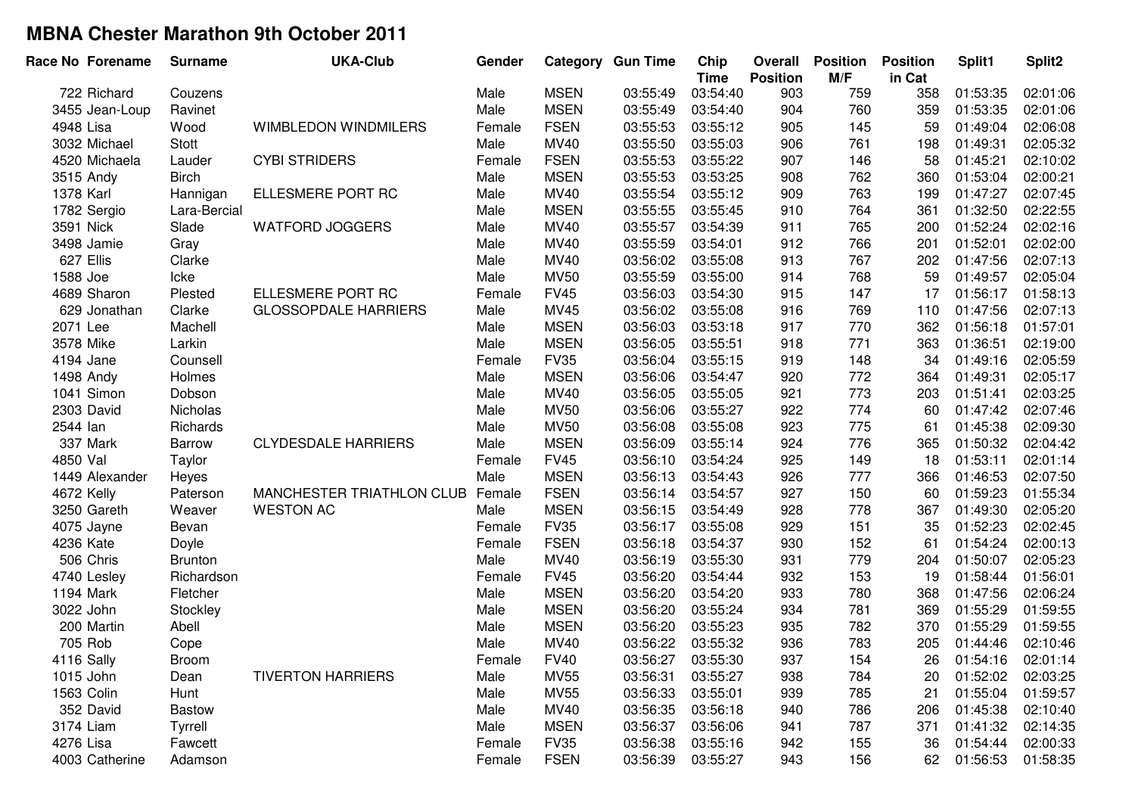| Race No Forename | <b>Surname</b> | <b>UKA-Club</b>             | Gender |             | <b>Category Gun Time</b> | Chip<br><b>Time</b> | Overall<br><b>Position</b> | <b>Position</b><br>M/F | <b>Position</b><br>in Cat | Split1   | Split <sub>2</sub> |
|------------------|----------------|-----------------------------|--------|-------------|--------------------------|---------------------|----------------------------|------------------------|---------------------------|----------|--------------------|
| 722 Richard      | Couzens        |                             | Male   | <b>MSEN</b> | 03:55:49                 | 03:54:40            | 903                        | 759                    | 358                       | 01:53:35 | 02:01:06           |
| 3455 Jean-Loup   | Ravinet        |                             | Male   | <b>MSEN</b> | 03:55:49                 | 03:54:40            | 904                        | 760                    | 359                       | 01:53:35 | 02:01:06           |
| 4948 Lisa        | Wood           | <b>WIMBLEDON WINDMILERS</b> | Female | <b>FSEN</b> | 03:55:53                 | 03:55:12            | 905                        | 145                    | 59                        | 01:49:04 | 02:06:08           |
| 3032 Michael     | Stott          |                             | Male   | MV40        | 03:55:50                 | 03:55:03            | 906                        | 761                    | 198                       | 01:49:31 | 02:05:32           |
| 4520 Michaela    | Lauder         | <b>CYBI STRIDERS</b>        | Female | <b>FSEN</b> | 03:55:53                 | 03:55:22            | 907                        | 146                    | 58                        | 01:45:21 | 02:10:02           |
| 3515 Andy        | <b>Birch</b>   |                             | Male   | <b>MSEN</b> | 03:55:53                 | 03:53:25            | 908                        | 762                    | 360                       | 01:53:04 | 02:00:21           |
| 1378 Karl        | Hannigan       | ELLESMERE PORT RC           | Male   | MV40        | 03:55:54                 | 03:55:12            | 909                        | 763                    | 199                       | 01:47:27 | 02:07:45           |
| 1782 Sergio      | Lara-Bercial   |                             | Male   | <b>MSEN</b> | 03:55:55                 | 03:55:45            | 910                        | 764                    | 361                       | 01:32:50 | 02:22:55           |
| 3591 Nick        | Slade          | <b>WATFORD JOGGERS</b>      | Male   | MV40        | 03:55:57                 | 03:54:39            | 911                        | 765                    | 200                       | 01:52:24 | 02:02:16           |
| 3498 Jamie       | Gray           |                             | Male   | MV40        | 03:55:59                 | 03:54:01            | 912                        | 766                    | 201                       | 01:52:01 | 02:02:00           |
| 627 Ellis        | Clarke         |                             | Male   | MV40        | 03:56:02                 | 03:55:08            | 913                        | 767                    | 202                       | 01:47:56 | 02:07:13           |
| 1588 Joe         | Icke           |                             | Male   | <b>MV50</b> | 03:55:59                 | 03:55:00            | 914                        | 768                    | 59                        | 01:49:57 | 02:05:04           |
| 4689 Sharon      | Plested        | ELLESMERE PORT RC           | Female | <b>FV45</b> | 03:56:03                 | 03:54:30            | 915                        | 147                    | 17                        | 01:56:17 | 01:58:13           |
| 629 Jonathan     | Clarke         | <b>GLOSSOPDALE HARRIERS</b> | Male   | <b>MV45</b> | 03:56:02                 | 03:55:08            | 916                        | 769                    | 110                       | 01:47:56 | 02:07:13           |
| 2071 Lee         | Machell        |                             | Male   | <b>MSEN</b> | 03:56:03                 | 03:53:18            | 917                        | 770                    | 362                       | 01:56:18 | 01:57:01           |
| 3578 Mike        | Larkin         |                             | Male   | <b>MSEN</b> | 03:56:05                 | 03:55:51            | 918                        | 771                    | 363                       | 01:36:51 | 02:19:00           |
| 4194 Jane        | Counsell       |                             | Female | <b>FV35</b> | 03:56:04                 | 03:55:15            | 919                        | 148                    | 34                        | 01:49:16 | 02:05:59           |
| 1498 Andy        | Holmes         |                             | Male   | <b>MSEN</b> | 03:56:06                 | 03:54:47            | 920                        | 772                    | 364                       | 01:49:31 | 02:05:17           |
| 1041 Simon       | Dobson         |                             | Male   | MV40        | 03:56:05                 | 03:55:05            | 921                        | 773                    | 203                       | 01:51:41 | 02:03:25           |
| 2303 David       | Nicholas       |                             | Male   | <b>MV50</b> | 03:56:06                 | 03:55:27            | 922                        | 774                    | 60                        | 01:47:42 | 02:07:46           |
| 2544 lan         | Richards       |                             | Male   | <b>MV50</b> | 03:56:08                 | 03:55:08            | 923                        | 775                    | 61                        | 01:45:38 | 02:09:30           |
| 337 Mark         | Barrow         | <b>CLYDESDALE HARRIERS</b>  | Male   | <b>MSEN</b> | 03:56:09                 | 03:55:14            | 924                        | 776                    | 365                       | 01:50:32 | 02:04:42           |
| 4850 Val         | Taylor         |                             | Female | <b>FV45</b> | 03:56:10                 | 03:54:24            | 925                        | 149                    | 18                        | 01:53:11 | 02:01:14           |
| 1449 Alexander   | Heyes          |                             | Male   | <b>MSEN</b> | 03:56:13                 | 03:54:43            | 926                        | 777                    | 366                       | 01:46:53 | 02:07:50           |
| 4672 Kelly       | Paterson       | MANCHESTER TRIATHLON CLUB   | Female | <b>FSEN</b> | 03:56:14                 | 03:54:57            | 927                        | 150                    | 60                        | 01:59:23 | 01:55:34           |
| 3250 Gareth      | Weaver         | <b>WESTON AC</b>            | Male   | <b>MSEN</b> | 03:56:15                 | 03:54:49            | 928                        | 778                    | 367                       | 01:49:30 | 02:05:20           |
| 4075 Jayne       | Bevan          |                             | Female | <b>FV35</b> | 03:56:17                 | 03:55:08            | 929                        | 151                    | 35                        | 01:52:23 | 02:02:45           |
| 4236 Kate        | Doyle          |                             | Female | <b>FSEN</b> | 03:56:18                 | 03:54:37            | 930                        | 152                    | 61                        | 01:54:24 | 02:00:13           |
| 506 Chris        | <b>Brunton</b> |                             | Male   | MV40        | 03:56:19                 | 03:55:30            | 931                        | 779                    | 204                       | 01:50:07 | 02:05:23           |
| 4740 Lesley      | Richardson     |                             | Female | <b>FV45</b> | 03:56:20                 | 03:54:44            | 932                        | 153                    | 19                        | 01:58:44 | 01:56:01           |
| 1194 Mark        | Fletcher       |                             | Male   | <b>MSEN</b> | 03:56:20                 | 03:54:20            | 933                        | 780                    | 368                       | 01:47:56 | 02:06:24           |
| 3022 John        | Stockley       |                             | Male   | <b>MSEN</b> | 03:56:20                 | 03:55:24            | 934                        | 781                    | 369                       | 01:55:29 | 01:59:55           |
| 200 Martin       | Abell          |                             | Male   | <b>MSEN</b> | 03:56:20                 | 03:55:23            | 935                        | 782                    | 370                       | 01:55:29 | 01:59:55           |
| 705 Rob          | Cope           |                             | Male   | <b>MV40</b> | 03:56:22                 | 03:55:32            | 936                        | 783                    | 205                       | 01:44:46 | 02:10:46           |
| 4116 Sally       | <b>Broom</b>   |                             | Female | <b>FV40</b> | 03:56:27                 | 03:55:30            | 937                        | 154                    | 26                        | 01:54:16 | 02:01:14           |
| 1015 John        | Dean           | <b>TIVERTON HARRIERS</b>    | Male   | <b>MV55</b> | 03:56:31                 | 03:55:27            | 938                        | 784                    | 20                        | 01:52:02 | 02:03:25           |
| 1563 Colin       | Hunt           |                             | Male   | <b>MV55</b> | 03:56:33                 | 03:55:01            | 939                        | 785                    | 21                        | 01:55:04 | 01:59:57           |
| 352 David        | <b>Bastow</b>  |                             | Male   | MV40        | 03:56:35                 | 03:56:18            | 940                        | 786                    | 206                       | 01:45:38 | 02:10:40           |
| 3174 Liam        | Tyrrell        |                             | Male   | <b>MSEN</b> | 03:56:37                 | 03:56:06            | 941                        | 787                    | 371                       | 01:41:32 | 02:14:35           |
| 4276 Lisa        | Fawcett        |                             | Female | <b>FV35</b> | 03:56:38                 | 03:55:16            | 942                        | 155                    | 36                        | 01:54:44 | 02:00:33           |
| 4003 Catherine   | Adamson        |                             | Female | <b>FSEN</b> | 03:56:39                 | 03:55:27            | 943                        | 156                    | 62                        | 01:56:53 | 01:58:35           |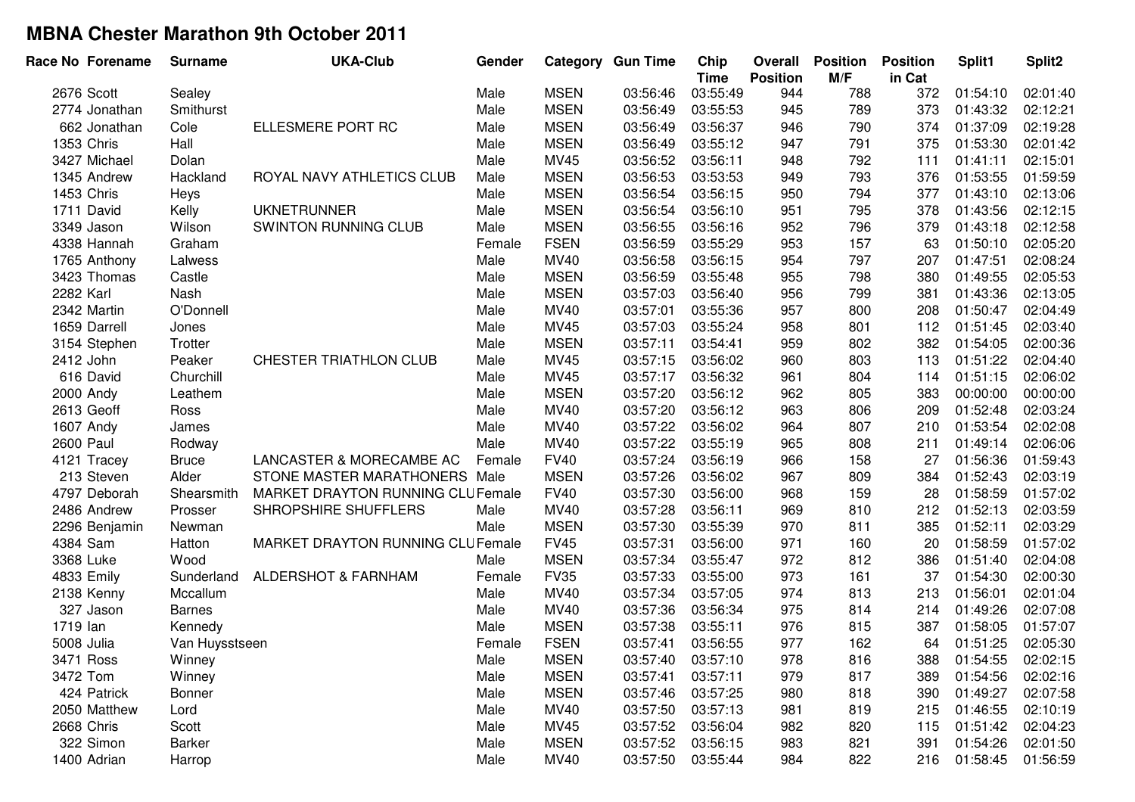| Race No Forename | <b>Surname</b> | <b>UKA-Club</b>                         | Gender |             | <b>Category Gun Time</b> | Chip<br><b>Time</b> | Overall<br><b>Position</b> | <b>Position</b><br>M/F | <b>Position</b><br>in Cat | Split1   | Split <sub>2</sub> |
|------------------|----------------|-----------------------------------------|--------|-------------|--------------------------|---------------------|----------------------------|------------------------|---------------------------|----------|--------------------|
| 2676 Scott       | Sealey         |                                         | Male   | <b>MSEN</b> | 03:56:46                 | 03:55:49            | 944                        | 788                    | 372                       | 01:54:10 | 02:01:40           |
| 2774 Jonathan    | Smithurst      |                                         | Male   | <b>MSEN</b> | 03:56:49                 | 03:55:53            | 945                        | 789                    | 373                       | 01:43:32 | 02:12:21           |
| 662 Jonathan     | Cole           | ELLESMERE PORT RC                       | Male   | <b>MSEN</b> | 03:56:49                 | 03:56:37            | 946                        | 790                    | 374                       | 01:37:09 | 02:19:28           |
| 1353 Chris       | Hall           |                                         | Male   | <b>MSEN</b> | 03:56:49                 | 03:55:12            | 947                        | 791                    | 375                       | 01:53:30 | 02:01:42           |
| 3427 Michael     | Dolan          |                                         | Male   | MV45        | 03:56:52                 | 03:56:11            | 948                        | 792                    | 111                       | 01:41:11 | 02:15:01           |
| 1345 Andrew      | Hackland       | ROYAL NAVY ATHLETICS CLUB               | Male   | <b>MSEN</b> | 03:56:53                 | 03:53:53            | 949                        | 793                    | 376                       | 01:53:55 | 01:59:59           |
| 1453 Chris       | Heys           |                                         | Male   | <b>MSEN</b> | 03:56:54                 | 03:56:15            | 950                        | 794                    | 377                       | 01:43:10 | 02:13:06           |
| 1711 David       | Kelly          | <b>UKNETRUNNER</b>                      | Male   | <b>MSEN</b> | 03:56:54                 | 03:56:10            | 951                        | 795                    | 378                       | 01:43:56 | 02:12:15           |
| 3349 Jason       | Wilson         | SWINTON RUNNING CLUB                    | Male   | <b>MSEN</b> | 03:56:55                 | 03:56:16            | 952                        | 796                    | 379                       | 01:43:18 | 02:12:58           |
| 4338 Hannah      | Graham         |                                         | Female | <b>FSEN</b> | 03:56:59                 | 03:55:29            | 953                        | 157                    | 63                        | 01:50:10 | 02:05:20           |
| 1765 Anthony     | Lalwess        |                                         | Male   | MV40        | 03:56:58                 | 03:56:15            | 954                        | 797                    | 207                       | 01:47:51 | 02:08:24           |
| 3423 Thomas      | Castle         |                                         | Male   | <b>MSEN</b> | 03:56:59                 | 03:55:48            | 955                        | 798                    | 380                       | 01:49:55 | 02:05:53           |
| 2282 Karl        | Nash           |                                         | Male   | <b>MSEN</b> | 03:57:03                 | 03:56:40            | 956                        | 799                    | 381                       | 01:43:36 | 02:13:05           |
| 2342 Martin      | O'Donnell      |                                         | Male   | MV40        | 03:57:01                 | 03:55:36            | 957                        | 800                    | 208                       | 01:50:47 | 02:04:49           |
| 1659 Darrell     | Jones          |                                         | Male   | MV45        | 03:57:03                 | 03:55:24            | 958                        | 801                    | 112                       | 01:51:45 | 02:03:40           |
| 3154 Stephen     | Trotter        |                                         | Male   | <b>MSEN</b> | 03:57:11                 | 03:54:41            | 959                        | 802                    | 382                       | 01:54:05 | 02:00:36           |
| 2412 John        | Peaker         | CHESTER TRIATHLON CLUB                  | Male   | MV45        | 03:57:15                 | 03:56:02            | 960                        | 803                    | 113                       | 01:51:22 | 02:04:40           |
| 616 David        | Churchill      |                                         | Male   | MV45        | 03:57:17                 | 03:56:32            | 961                        | 804                    | 114                       | 01:51:15 | 02:06:02           |
| 2000 Andy        | Leathem        |                                         | Male   | <b>MSEN</b> | 03:57:20                 | 03:56:12            | 962                        | 805                    | 383                       | 00:00:00 | 00:00:00           |
| 2613 Geoff       | Ross           |                                         | Male   | MV40        | 03:57:20                 | 03:56:12            | 963                        | 806                    | 209                       | 01:52:48 | 02:03:24           |
| 1607 Andy        | James          |                                         | Male   | MV40        | 03:57:22                 | 03:56:02            | 964                        | 807                    | 210                       | 01:53:54 | 02:02:08           |
| <b>2600 Paul</b> | Rodway         |                                         | Male   | MV40        | 03:57:22                 | 03:55:19            | 965                        | 808                    | 211                       | 01:49:14 | 02:06:06           |
| 4121 Tracey      | <b>Bruce</b>   | LANCASTER & MORECAMBE AC                | Female | <b>FV40</b> | 03:57:24                 | 03:56:19            | 966                        | 158                    | 27                        | 01:56:36 | 01:59:43           |
| 213 Steven       | Alder          | STONE MASTER MARATHONERS Male           |        | <b>MSEN</b> | 03:57:26                 | 03:56:02            | 967                        | 809                    | 384                       | 01:52:43 | 02:03:19           |
| 4797 Deborah     | Shearsmith     | <b>MARKET DRAYTON RUNNING CLUFemale</b> |        | <b>FV40</b> | 03:57:30                 | 03:56:00            | 968                        | 159                    | 28                        | 01:58:59 | 01:57:02           |
| 2486 Andrew      | Prosser        | SHROPSHIRE SHUFFLERS                    | Male   | MV40        | 03:57:28                 | 03:56:11            | 969                        | 810                    | 212                       | 01:52:13 | 02:03:59           |
| 2296 Benjamin    | Newman         |                                         | Male   | <b>MSEN</b> | 03:57:30                 | 03:55:39            | 970                        | 811                    | 385                       | 01:52:11 | 02:03:29           |
| 4384 Sam         | Hatton         | MARKET DRAYTON RUNNING CLUFemale        |        | <b>FV45</b> | 03:57:31                 | 03:56:00            | 971                        | 160                    | 20                        | 01:58:59 | 01:57:02           |
| 3368 Luke        | Wood           |                                         | Male   | <b>MSEN</b> | 03:57:34                 | 03:55:47            | 972                        | 812                    | 386                       | 01:51:40 | 02:04:08           |
| 4833 Emily       | Sunderland     | ALDERSHOT & FARNHAM                     | Female | <b>FV35</b> | 03:57:33                 | 03:55:00            | 973                        | 161                    | 37                        | 01:54:30 | 02:00:30           |
| 2138 Kenny       | Mccallum       |                                         | Male   | MV40        | 03:57:34                 | 03:57:05            | 974                        | 813                    | 213                       | 01:56:01 | 02:01:04           |
| 327 Jason        | <b>Barnes</b>  |                                         | Male   | MV40        | 03:57:36                 | 03:56:34            | 975                        | 814                    | 214                       | 01:49:26 | 02:07:08           |
| 1719 lan         | Kennedy        |                                         | Male   | <b>MSEN</b> | 03:57:38                 | 03:55:11            | 976                        | 815                    | 387                       | 01:58:05 | 01:57:07           |
| 5008 Julia       | Van Huysstseen |                                         | Female | <b>FSEN</b> | 03:57:41                 | 03:56:55            | 977                        | 162                    | 64                        | 01:51:25 | 02:05:30           |
| 3471 Ross        | Winney         |                                         | Male   | <b>MSEN</b> | 03:57:40                 | 03:57:10            | 978                        | 816                    | 388                       | 01:54:55 | 02:02:15           |
| 3472 Tom         | Winney         |                                         | Male   | <b>MSEN</b> | 03:57:41                 | 03:57:11            | 979                        | 817                    | 389                       | 01:54:56 | 02:02:16           |
| 424 Patrick      | Bonner         |                                         | Male   | <b>MSEN</b> | 03:57:46                 | 03:57:25            | 980                        | 818                    | 390                       | 01:49:27 | 02:07:58           |
| 2050 Matthew     | Lord           |                                         | Male   | <b>MV40</b> | 03:57:50                 | 03:57:13            | 981                        | 819                    | 215                       | 01:46:55 | 02:10:19           |
| 2668 Chris       | Scott          |                                         | Male   | <b>MV45</b> | 03:57:52                 | 03:56:04            | 982                        | 820                    | 115                       | 01:51:42 | 02:04:23           |
| 322 Simon        | Barker         |                                         | Male   | <b>MSEN</b> | 03:57:52                 | 03:56:15            | 983                        | 821                    | 391                       | 01:54:26 | 02:01:50           |
| 1400 Adrian      | Harrop         |                                         | Male   | MV40        | 03:57:50                 | 03:55:44            | 984                        | 822                    | 216                       | 01:58:45 | 01:56:59           |
|                  |                |                                         |        |             |                          |                     |                            |                        |                           |          |                    |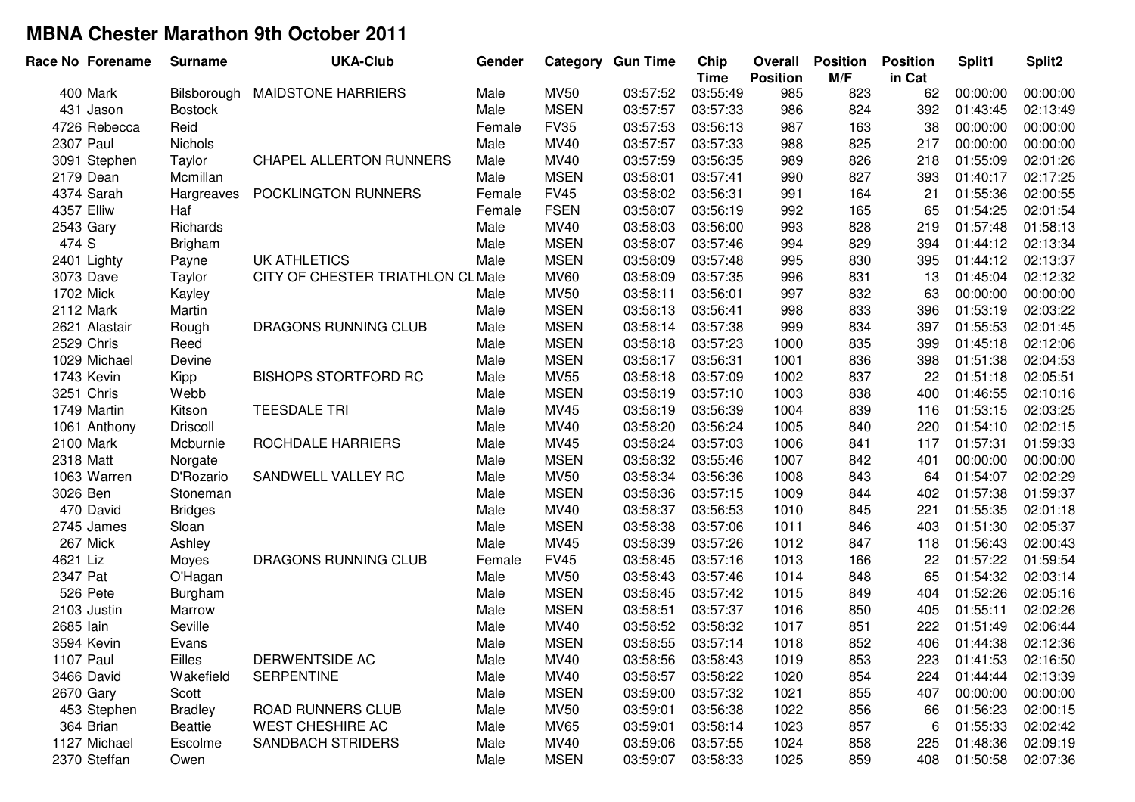| Race No Forename  | <b>Surname</b> | <b>UKA-Club</b>                   | Gender |             | <b>Category Gun Time</b> | Chip<br><b>Time</b> | Overall<br><b>Position</b> | <b>Position</b><br>M/F | <b>Position</b><br>in Cat | Split1   | Split <sub>2</sub> |
|-------------------|----------------|-----------------------------------|--------|-------------|--------------------------|---------------------|----------------------------|------------------------|---------------------------|----------|--------------------|
| 400 Mark          | Bilsborough    | <b>MAIDSTONE HARRIERS</b>         | Male   | <b>MV50</b> | 03:57:52                 | 03:55:49            | 985                        | 823                    | 62                        | 00:00:00 | 00:00:00           |
| 431 Jason         | <b>Bostock</b> |                                   | Male   | <b>MSEN</b> | 03:57:57                 | 03:57:33            | 986                        | 824                    | 392                       | 01:43:45 | 02:13:49           |
| 4726 Rebecca      | Reid           |                                   | Female | <b>FV35</b> | 03:57:53                 | 03:56:13            | 987                        | 163                    | 38                        | 00:00:00 | 00:00:00           |
| 2307 Paul         | <b>Nichols</b> |                                   | Male   | MV40        | 03:57:57                 | 03:57:33            | 988                        | 825                    | 217                       | 00:00:00 | 00:00:00           |
| 3091 Stephen      | Taylor         | <b>CHAPEL ALLERTON RUNNERS</b>    | Male   | MV40        | 03:57:59                 | 03:56:35            | 989                        | 826                    | 218                       | 01:55:09 | 02:01:26           |
| 2179 Dean         | Mcmillan       |                                   | Male   | <b>MSEN</b> | 03:58:01                 | 03:57:41            | 990                        | 827                    | 393                       | 01:40:17 | 02:17:25           |
| 4374 Sarah        | Hargreaves     | POCKLINGTON RUNNERS               | Female | <b>FV45</b> | 03:58:02                 | 03:56:31            | 991                        | 164                    | 21                        | 01:55:36 | 02:00:55           |
| <b>4357 Elliw</b> | Haf            |                                   | Female | <b>FSEN</b> | 03:58:07                 | 03:56:19            | 992                        | 165                    | 65                        | 01:54:25 | 02:01:54           |
| 2543 Gary         | Richards       |                                   | Male   | MV40        | 03:58:03                 | 03:56:00            | 993                        | 828                    | 219                       | 01:57:48 | 01:58:13           |
| 474 S             | <b>Brigham</b> |                                   | Male   | <b>MSEN</b> | 03:58:07                 | 03:57:46            | 994                        | 829                    | 394                       | 01:44:12 | 02:13:34           |
| 2401 Lighty       | Payne          | <b>UK ATHLETICS</b>               | Male   | <b>MSEN</b> | 03:58:09                 | 03:57:48            | 995                        | 830                    | 395                       | 01:44:12 | 02:13:37           |
| 3073 Dave         | Taylor         | CITY OF CHESTER TRIATHLON CL Male |        | <b>MV60</b> | 03:58:09                 | 03:57:35            | 996                        | 831                    | 13                        | 01:45:04 | 02:12:32           |
| 1702 Mick         | Kayley         |                                   | Male   | <b>MV50</b> | 03:58:11                 | 03:56:01            | 997                        | 832                    | 63                        | 00:00:00 | 00:00:00           |
| 2112 Mark         | Martin         |                                   | Male   | <b>MSEN</b> | 03:58:13                 | 03:56:41            | 998                        | 833                    | 396                       | 01:53:19 | 02:03:22           |
| 2621 Alastair     | Rough          | DRAGONS RUNNING CLUB              | Male   | <b>MSEN</b> | 03:58:14                 | 03:57:38            | 999                        | 834                    | 397                       | 01:55:53 | 02:01:45           |
| 2529 Chris        | Reed           |                                   | Male   | <b>MSEN</b> | 03:58:18                 | 03:57:23            | 1000                       | 835                    | 399                       | 01:45:18 | 02:12:06           |
| 1029 Michael      | Devine         |                                   | Male   | <b>MSEN</b> | 03:58:17                 | 03:56:31            | 1001                       | 836                    | 398                       | 01:51:38 | 02:04:53           |
| 1743 Kevin        | Kipp           | <b>BISHOPS STORTFORD RC</b>       | Male   | <b>MV55</b> | 03:58:18                 | 03:57:09            | 1002                       | 837                    | 22                        | 01:51:18 | 02:05:51           |
| 3251 Chris        | Webb           |                                   | Male   | <b>MSEN</b> | 03:58:19                 | 03:57:10            | 1003                       | 838                    | 400                       | 01:46:55 | 02:10:16           |
| 1749 Martin       | Kitson         | <b>TEESDALE TRI</b>               | Male   | MV45        | 03:58:19                 | 03:56:39            | 1004                       | 839                    | 116                       | 01:53:15 | 02:03:25           |
| 1061 Anthony      | Driscoll       |                                   | Male   | MV40        | 03:58:20                 | 03:56:24            | 1005                       | 840                    | 220                       | 01:54:10 | 02:02:15           |
| 2100 Mark         | Mcburnie       | ROCHDALE HARRIERS                 | Male   | MV45        | 03:58:24                 | 03:57:03            | 1006                       | 841                    | 117                       | 01:57:31 | 01:59:33           |
| 2318 Matt         | Norgate        |                                   | Male   | <b>MSEN</b> | 03:58:32                 | 03:55:46            | 1007                       | 842                    | 401                       | 00:00:00 | 00:00:00           |
| 1063 Warren       | D'Rozario      | SANDWELL VALLEY RC                | Male   | <b>MV50</b> | 03:58:34                 | 03:56:36            | 1008                       | 843                    | 64                        | 01:54:07 | 02:02:29           |
| 3026 Ben          | Stoneman       |                                   | Male   | <b>MSEN</b> | 03:58:36                 | 03:57:15            | 1009                       | 844                    | 402                       | 01:57:38 | 01:59:37           |
| 470 David         | <b>Bridges</b> |                                   | Male   | MV40        | 03:58:37                 | 03:56:53            | 1010                       | 845                    | 221                       | 01:55:35 | 02:01:18           |
| 2745 James        | Sloan          |                                   | Male   | <b>MSEN</b> | 03:58:38                 | 03:57:06            | 1011                       | 846                    | 403                       | 01:51:30 | 02:05:37           |
| 267 Mick          | Ashley         |                                   | Male   | MV45        | 03:58:39                 | 03:57:26            | 1012                       | 847                    | 118                       | 01:56:43 | 02:00:43           |
| 4621 Liz          | Moyes          | DRAGONS RUNNING CLUB              | Female | <b>FV45</b> | 03:58:45                 | 03:57:16            | 1013                       | 166                    | 22                        | 01:57:22 | 01:59:54           |
| 2347 Pat          | O'Hagan        |                                   | Male   | <b>MV50</b> | 03:58:43                 | 03:57:46            | 1014                       | 848                    | 65                        | 01:54:32 | 02:03:14           |
| 526 Pete          | Burgham        |                                   | Male   | <b>MSEN</b> | 03:58:45                 | 03:57:42            | 1015                       | 849                    | 404                       | 01:52:26 | 02:05:16           |
| 2103 Justin       | Marrow         |                                   | Male   | <b>MSEN</b> | 03:58:51                 | 03:57:37            | 1016                       | 850                    | 405                       | 01:55:11 | 02:02:26           |
| 2685 lain         | Seville        |                                   | Male   | MV40        | 03:58:52                 | 03:58:32            | 1017                       | 851                    | 222                       | 01:51:49 | 02:06:44           |
| 3594 Kevin        | Evans          |                                   | Male   | <b>MSEN</b> | 03:58:55                 | 03:57:14            | 1018                       | 852                    | 406                       | 01:44:38 | 02:12:36           |
| <b>1107 Paul</b>  | Eilles         | DERWENTSIDE AC                    | Male   | MV40        | 03:58:56                 | 03:58:43            | 1019                       | 853                    | 223                       | 01:41:53 | 02:16:50           |
| 3466 David        | Wakefield      | <b>SERPENTINE</b>                 | Male   | <b>MV40</b> | 03:58:57                 | 03:58:22            | 1020                       | 854                    | 224                       | 01:44:44 | 02:13:39           |
| 2670 Gary         | Scott          |                                   | Male   | <b>MSEN</b> | 03:59:00                 | 03:57:32            | 1021                       | 855                    | 407                       | 00:00:00 | 00:00:00           |
| 453 Stephen       | <b>Bradley</b> | <b>ROAD RUNNERS CLUB</b>          | Male   | <b>MV50</b> | 03:59:01                 | 03:56:38            | 1022                       | 856                    | 66                        | 01:56:23 | 02:00:15           |
| 364 Brian         | Beattie        | <b>WEST CHESHIRE AC</b>           | Male   | <b>MV65</b> | 03:59:01                 | 03:58:14            | 1023                       | 857                    | 6                         | 01:55:33 | 02:02:42           |
| 1127 Michael      | Escolme        | <b>SANDBACH STRIDERS</b>          | Male   | MV40        | 03:59:06                 | 03:57:55            | 1024                       | 858                    | 225                       | 01:48:36 | 02:09:19           |
| 2370 Steffan      | Owen           |                                   | Male   | <b>MSEN</b> | 03:59:07                 | 03:58:33            | 1025                       | 859                    | 408                       | 01:50:58 | 02:07:36           |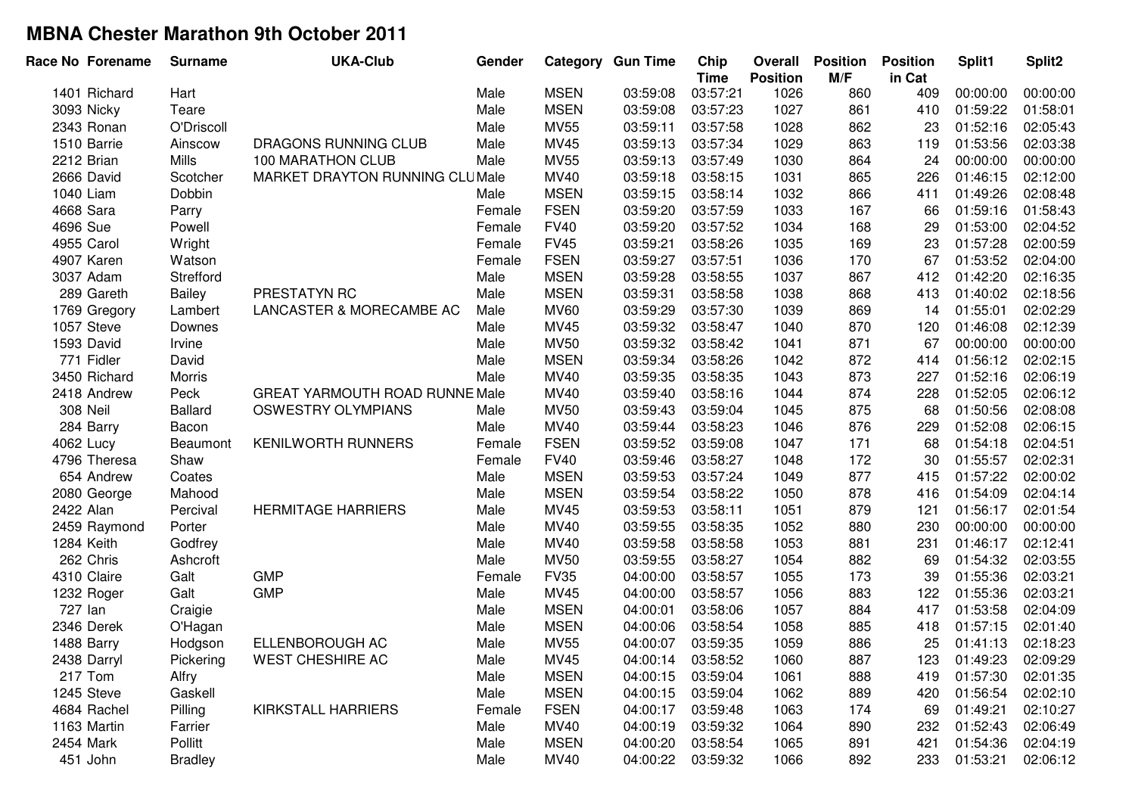| Race No Forename | <b>Surname</b> | <b>UKA-Club</b>                       | Gender |             | <b>Category Gun Time</b> | Chip<br><b>Time</b> | Overall<br><b>Position</b> | <b>Position</b><br>M/F | <b>Position</b><br>in Cat | Split1   | Split <sub>2</sub> |
|------------------|----------------|---------------------------------------|--------|-------------|--------------------------|---------------------|----------------------------|------------------------|---------------------------|----------|--------------------|
| 1401 Richard     | Hart           |                                       | Male   | <b>MSEN</b> | 03:59:08                 | 03:57:21            | 1026                       | 860                    | 409                       | 00:00:00 | 00:00:00           |
| 3093 Nicky       | Teare          |                                       | Male   | <b>MSEN</b> | 03:59:08                 | 03:57:23            | 1027                       | 861                    | 410                       | 01:59:22 | 01:58:01           |
| 2343 Ronan       | O'Driscoll     |                                       | Male   | <b>MV55</b> | 03:59:11                 | 03:57:58            | 1028                       | 862                    | 23                        | 01:52:16 | 02:05:43           |
| 1510 Barrie      | Ainscow        | <b>DRAGONS RUNNING CLUB</b>           | Male   | MV45        | 03:59:13                 | 03:57:34            | 1029                       | 863                    | 119                       | 01:53:56 | 02:03:38           |
| 2212 Brian       | Mills          | 100 MARATHON CLUB                     | Male   | <b>MV55</b> | 03:59:13                 | 03:57:49            | 1030                       | 864                    | 24                        | 00:00:00 | 00:00:00           |
| 2666 David       | Scotcher       | MARKET DRAYTON RUNNING CLUMale        |        | MV40        | 03:59:18                 | 03:58:15            | 1031                       | 865                    | 226                       | 01:46:15 | 02:12:00           |
| 1040 Liam        | Dobbin         |                                       | Male   | <b>MSEN</b> | 03:59:15                 | 03:58:14            | 1032                       | 866                    | 411                       | 01:49:26 | 02:08:48           |
| 4668 Sara        | Parry          |                                       | Female | <b>FSEN</b> | 03:59:20                 | 03:57:59            | 1033                       | 167                    | 66                        | 01:59:16 | 01:58:43           |
| 4696 Sue         | Powell         |                                       | Female | <b>FV40</b> | 03:59:20                 | 03:57:52            | 1034                       | 168                    | 29                        | 01:53:00 | 02:04:52           |
| 4955 Carol       | Wright         |                                       | Female | <b>FV45</b> | 03:59:21                 | 03:58:26            | 1035                       | 169                    | 23                        | 01:57:28 | 02:00:59           |
| 4907 Karen       | Watson         |                                       | Female | <b>FSEN</b> | 03:59:27                 | 03:57:51            | 1036                       | 170                    | 67                        | 01:53:52 | 02:04:00           |
| 3037 Adam        | Strefford      |                                       | Male   | <b>MSEN</b> | 03:59:28                 | 03:58:55            | 1037                       | 867                    | 412                       | 01:42:20 | 02:16:35           |
| 289 Gareth       | Bailey         | PRESTATYN RC                          | Male   | <b>MSEN</b> | 03:59:31                 | 03:58:58            | 1038                       | 868                    | 413                       | 01:40:02 | 02:18:56           |
| 1769 Gregory     | Lambert        | LANCASTER & MORECAMBE AC              | Male   | <b>MV60</b> | 03:59:29                 | 03:57:30            | 1039                       | 869                    | 14                        | 01:55:01 | 02:02:29           |
| 1057 Steve       | Downes         |                                       | Male   | MV45        | 03:59:32                 | 03:58:47            | 1040                       | 870                    | 120                       | 01:46:08 | 02:12:39           |
| 1593 David       | Irvine         |                                       | Male   | <b>MV50</b> | 03:59:32                 | 03:58:42            | 1041                       | 871                    | 67                        | 00:00:00 | 00:00:00           |
| 771 Fidler       | David          |                                       | Male   | <b>MSEN</b> | 03:59:34                 | 03:58:26            | 1042                       | 872                    | 414                       | 01:56:12 | 02:02:15           |
| 3450 Richard     | Morris         |                                       | Male   | MV40        | 03:59:35                 | 03:58:35            | 1043                       | 873                    | 227                       | 01:52:16 | 02:06:19           |
| 2418 Andrew      | Peck           | <b>GREAT YARMOUTH ROAD RUNNE Male</b> |        | MV40        | 03:59:40                 | 03:58:16            | 1044                       | 874                    | 228                       | 01:52:05 | 02:06:12           |
| 308 Neil         | <b>Ballard</b> | <b>OSWESTRY OLYMPIANS</b>             | Male   | <b>MV50</b> | 03:59:43                 | 03:59:04            | 1045                       | 875                    | 68                        | 01:50:56 | 02:08:08           |
| 284 Barry        | Bacon          |                                       | Male   | MV40        | 03:59:44                 | 03:58:23            | 1046                       | 876                    | 229                       | 01:52:08 | 02:06:15           |
| 4062 Lucy        | Beaumont       | <b>KENILWORTH RUNNERS</b>             | Female | <b>FSEN</b> | 03:59:52                 | 03:59:08            | 1047                       | 171                    | 68                        | 01:54:18 | 02:04:51           |
| 4796 Theresa     | Shaw           |                                       | Female | <b>FV40</b> | 03:59:46                 | 03:58:27            | 1048                       | 172                    | 30                        | 01:55:57 | 02:02:31           |
| 654 Andrew       | Coates         |                                       | Male   | <b>MSEN</b> | 03:59:53                 | 03:57:24            | 1049                       | 877                    | 415                       | 01:57:22 | 02:00:02           |
| 2080 George      | Mahood         |                                       | Male   | <b>MSEN</b> | 03:59:54                 | 03:58:22            | 1050                       | 878                    | 416                       | 01:54:09 | 02:04:14           |
| 2422 Alan        | Percival       | <b>HERMITAGE HARRIERS</b>             | Male   | MV45        | 03:59:53                 | 03:58:11            | 1051                       | 879                    | 121                       | 01:56:17 | 02:01:54           |
| 2459 Raymond     | Porter         |                                       | Male   | MV40        | 03:59:55                 | 03:58:35            | 1052                       | 880                    | 230                       | 00:00:00 | 00:00:00           |
| 1284 Keith       | Godfrey        |                                       | Male   | MV40        | 03:59:58                 | 03:58:58            | 1053                       | 881                    | 231                       | 01:46:17 | 02:12:41           |
| 262 Chris        | Ashcroft       |                                       | Male   | <b>MV50</b> | 03:59:55                 | 03:58:27            | 1054                       | 882                    | 69                        | 01:54:32 | 02:03:55           |
| 4310 Claire      | Galt           | <b>GMP</b>                            | Female | <b>FV35</b> | 04:00:00                 | 03:58:57            | 1055                       | 173                    | 39                        | 01:55:36 | 02:03:21           |
| 1232 Roger       | Galt           | <b>GMP</b>                            | Male   | MV45        | 04:00:00                 | 03:58:57            | 1056                       | 883                    | 122                       | 01:55:36 | 02:03:21           |
| 727 Ian          | Craigie        |                                       | Male   | <b>MSEN</b> | 04:00:01                 | 03:58:06            | 1057                       | 884                    | 417                       | 01:53:58 | 02:04:09           |
| 2346 Derek       | O'Hagan        |                                       | Male   | <b>MSEN</b> | 04:00:06                 | 03:58:54            | 1058                       | 885                    | 418                       | 01:57:15 | 02:01:40           |
| 1488 Barry       | Hodgson        | ELLENBOROUGH AC                       | Male   | <b>MV55</b> | 04:00:07                 | 03:59:35            | 1059                       | 886                    | 25                        | 01:41:13 | 02:18:23           |
| 2438 Darryl      | Pickering      | <b>WEST CHESHIRE AC</b>               | Male   | MV45        | 04:00:14                 | 03:58:52            | 1060                       | 887                    | 123                       | 01:49:23 | 02:09:29           |
| 217 Tom          | Alfry          |                                       | Male   | <b>MSEN</b> | 04:00:15                 | 03:59:04            | 1061                       | 888                    | 419                       | 01:57:30 | 02:01:35           |
| 1245 Steve       | Gaskell        |                                       | Male   | <b>MSEN</b> | 04:00:15                 | 03:59:04            | 1062                       | 889                    | 420                       | 01:56:54 | 02:02:10           |
| 4684 Rachel      | Pilling        | KIRKSTALL HARRIERS                    | Female | <b>FSEN</b> | 04:00:17                 | 03:59:48            | 1063                       | 174                    | 69                        | 01:49:21 | 02:10:27           |
| 1163 Martin      | Farrier        |                                       | Male   | MV40        | 04:00:19                 | 03:59:32            | 1064                       | 890                    | 232                       | 01:52:43 | 02:06:49           |
| 2454 Mark        | Pollitt        |                                       | Male   | <b>MSEN</b> | 04:00:20                 | 03:58:54            | 1065                       | 891                    | 421                       | 01:54:36 | 02:04:19           |
| 451 John         | <b>Bradley</b> |                                       | Male   | MV40        | 04:00:22                 | 03:59:32            | 1066                       | 892                    | 233                       | 01:53:21 | 02:06:12           |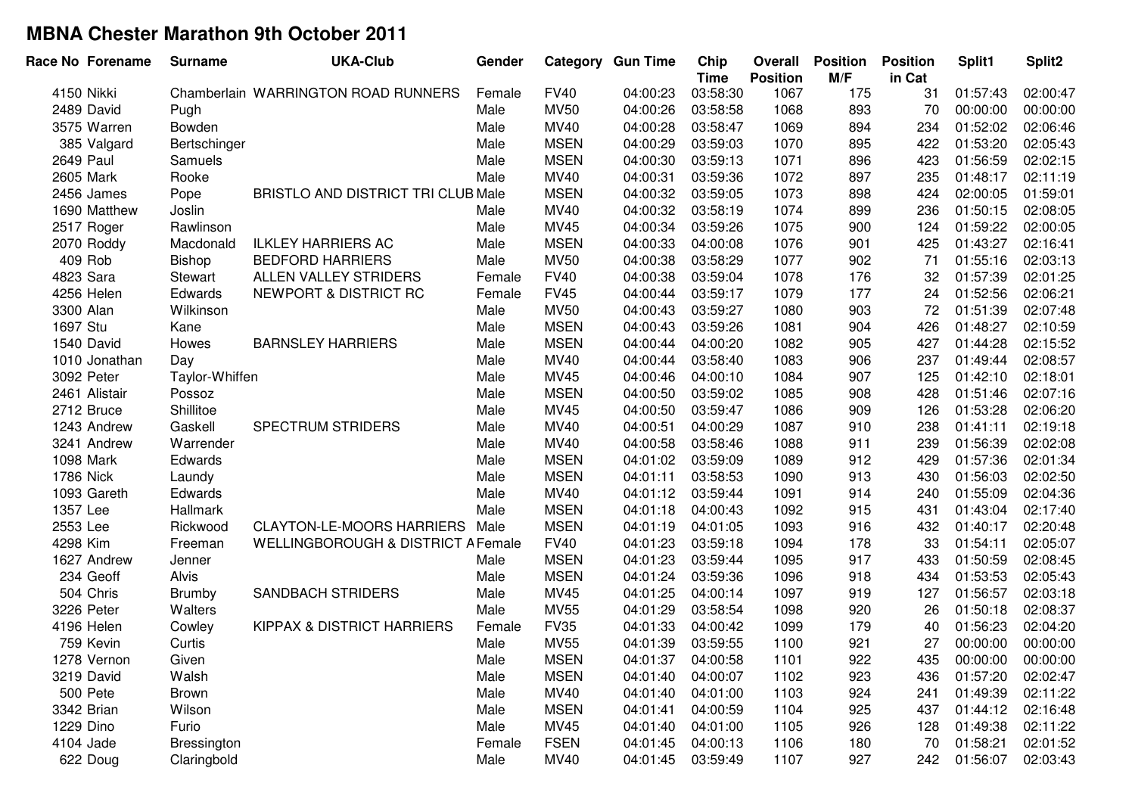| Race No Forename | <b>Surname</b> | <b>UKA-Club</b>                           | Gender |             | <b>Category Gun Time</b> | Chip<br><b>Time</b> | Overall<br><b>Position</b> | <b>Position</b><br>M/F | <b>Position</b><br>in Cat | Split1   | Split <sub>2</sub> |
|------------------|----------------|-------------------------------------------|--------|-------------|--------------------------|---------------------|----------------------------|------------------------|---------------------------|----------|--------------------|
| 4150 Nikki       |                | Chamberlain WARRINGTON ROAD RUNNERS       | Female | <b>FV40</b> | 04:00:23                 | 03:58:30            | 1067                       | 175                    | 31                        | 01:57:43 | 02:00:47           |
| 2489 David       | Pugh           |                                           | Male   | <b>MV50</b> | 04:00:26                 | 03:58:58            | 1068                       | 893                    | 70                        | 00:00:00 | 00:00:00           |
| 3575 Warren      | Bowden         |                                           | Male   | MV40        | 04:00:28                 | 03:58:47            | 1069                       | 894                    | 234                       | 01:52:02 | 02:06:46           |
| 385 Valgard      | Bertschinger   |                                           | Male   | <b>MSEN</b> | 04:00:29                 | 03:59:03            | 1070                       | 895                    | 422                       | 01:53:20 | 02:05:43           |
| 2649 Paul        | Samuels        |                                           | Male   | <b>MSEN</b> | 04:00:30                 | 03:59:13            | 1071                       | 896                    | 423                       | 01:56:59 | 02:02:15           |
| 2605 Mark        | Rooke          |                                           | Male   | MV40        | 04:00:31                 | 03:59:36            | 1072                       | 897                    | 235                       | 01:48:17 | 02:11:19           |
| 2456 James       | Pope           | <b>BRISTLO AND DISTRICT TRI CLUB Male</b> |        | <b>MSEN</b> | 04:00:32                 | 03:59:05            | 1073                       | 898                    | 424                       | 02:00:05 | 01:59:01           |
| 1690 Matthew     | Joslin         |                                           | Male   | MV40        | 04:00:32                 | 03:58:19            | 1074                       | 899                    | 236                       | 01:50:15 | 02:08:05           |
| 2517 Roger       | Rawlinson      |                                           | Male   | <b>MV45</b> | 04:00:34                 | 03:59:26            | 1075                       | 900                    | 124                       | 01:59:22 | 02:00:05           |
| 2070 Roddy       | Macdonald      | <b>ILKLEY HARRIERS AC</b>                 | Male   | <b>MSEN</b> | 04:00:33                 | 04:00:08            | 1076                       | 901                    | 425                       | 01:43:27 | 02:16:41           |
| 409 Rob          | Bishop         | <b>BEDFORD HARRIERS</b>                   | Male   | <b>MV50</b> | 04:00:38                 | 03:58:29            | 1077                       | 902                    | 71                        | 01:55:16 | 02:03:13           |
| 4823 Sara        | Stewart        | ALLEN VALLEY STRIDERS                     | Female | <b>FV40</b> | 04:00:38                 | 03:59:04            | 1078                       | 176                    | 32                        | 01:57:39 | 02:01:25           |
| 4256 Helen       | Edwards        | NEWPORT & DISTRICT RC                     | Female | <b>FV45</b> | 04:00:44                 | 03:59:17            | 1079                       | 177                    | 24                        | 01:52:56 | 02:06:21           |
| 3300 Alan        | Wilkinson      |                                           | Male   | <b>MV50</b> | 04:00:43                 | 03:59:27            | 1080                       | 903                    | 72                        | 01:51:39 | 02:07:48           |
| 1697 Stu         | Kane           |                                           | Male   | <b>MSEN</b> | 04:00:43                 | 03:59:26            | 1081                       | 904                    | 426                       | 01:48:27 | 02:10:59           |
| 1540 David       | Howes          | <b>BARNSLEY HARRIERS</b>                  | Male   | <b>MSEN</b> | 04:00:44                 | 04:00:20            | 1082                       | 905                    | 427                       | 01:44:28 | 02:15:52           |
| 1010 Jonathan    | Day            |                                           | Male   | MV40        | 04:00:44                 | 03:58:40            | 1083                       | 906                    | 237                       | 01:49:44 | 02:08:57           |
| 3092 Peter       | Taylor-Whiffen |                                           | Male   | <b>MV45</b> | 04:00:46                 | 04:00:10            | 1084                       | 907                    | 125                       | 01:42:10 | 02:18:01           |
| 2461 Alistair    | Possoz         |                                           | Male   | <b>MSEN</b> | 04:00:50                 | 03:59:02            | 1085                       | 908                    | 428                       | 01:51:46 | 02:07:16           |
| 2712 Bruce       | Shillitoe      |                                           | Male   | MV45        | 04:00:50                 | 03:59:47            | 1086                       | 909                    | 126                       | 01:53:28 | 02:06:20           |
| 1243 Andrew      | Gaskell        | <b>SPECTRUM STRIDERS</b>                  | Male   | MV40        | 04:00:51                 | 04:00:29            | 1087                       | 910                    | 238                       | 01:41:11 | 02:19:18           |
| 3241 Andrew      | Warrender      |                                           | Male   | MV40        | 04:00:58                 | 03:58:46            | 1088                       | 911                    | 239                       | 01:56:39 | 02:02:08           |
| 1098 Mark        | Edwards        |                                           | Male   | <b>MSEN</b> | 04:01:02                 | 03:59:09            | 1089                       | 912                    | 429                       | 01:57:36 | 02:01:34           |
| 1786 Nick        | Laundy         |                                           | Male   | <b>MSEN</b> | 04:01:11                 | 03:58:53            | 1090                       | 913                    | 430                       | 01:56:03 | 02:02:50           |
| 1093 Gareth      | Edwards        |                                           | Male   | MV40        | 04:01:12                 | 03:59:44            | 1091                       | 914                    | 240                       | 01:55:09 | 02:04:36           |
| 1357 Lee         | Hallmark       |                                           | Male   | <b>MSEN</b> | 04:01:18                 | 04:00:43            | 1092                       | 915                    | 431                       | 01:43:04 | 02:17:40           |
| 2553 Lee         | Rickwood       | <b>CLAYTON-LE-MOORS HARRIERS</b>          | Male   | <b>MSEN</b> | 04:01:19                 | 04:01:05            | 1093                       | 916                    | 432                       | 01:40:17 | 02:20:48           |
| 4298 Kim         | Freeman        | WELLINGBOROUGH & DISTRICT A Female        |        | <b>FV40</b> | 04:01:23                 | 03:59:18            | 1094                       | 178                    | 33                        | 01:54:11 | 02:05:07           |
| 1627 Andrew      | Jenner         |                                           | Male   | <b>MSEN</b> | 04:01:23                 | 03:59:44            | 1095                       | 917                    | 433                       | 01:50:59 | 02:08:45           |
| 234 Geoff        | <b>Alvis</b>   |                                           | Male   | <b>MSEN</b> | 04:01:24                 | 03:59:36            | 1096                       | 918                    | 434                       | 01:53:53 | 02:05:43           |
| 504 Chris        | <b>Brumby</b>  | <b>SANDBACH STRIDERS</b>                  | Male   | MV45        | 04:01:25                 | 04:00:14            | 1097                       | 919                    | 127                       | 01:56:57 | 02:03:18           |
| 3226 Peter       | Walters        |                                           | Male   | <b>MV55</b> | 04:01:29                 | 03:58:54            | 1098                       | 920                    | 26                        | 01:50:18 | 02:08:37           |
| 4196 Helen       | Cowley         | <b>KIPPAX &amp; DISTRICT HARRIERS</b>     | Female | <b>FV35</b> | 04:01:33                 | 04:00:42            | 1099                       | 179                    | 40                        | 01:56:23 | 02:04:20           |
| 759 Kevin        | Curtis         |                                           | Male   | <b>MV55</b> | 04:01:39                 | 03:59:55            | 1100                       | 921                    | 27                        | 00:00:00 | 00:00:00           |
| 1278 Vernon      | Given          |                                           | Male   | <b>MSEN</b> | 04:01:37                 | 04:00:58            | 1101                       | 922                    | 435                       | 00:00:00 | 00:00:00           |
| 3219 David       | Walsh          |                                           | Male   | <b>MSEN</b> | 04:01:40                 | 04:00:07            | 1102                       | 923                    | 436                       | 01:57:20 | 02:02:47           |
| 500 Pete         | <b>Brown</b>   |                                           | Male   | MV40        | 04:01:40                 | 04:01:00            | 1103                       | 924                    | 241                       | 01:49:39 | 02:11:22           |
| 3342 Brian       | Wilson         |                                           | Male   | <b>MSEN</b> | 04:01:41                 | 04:00:59            | 1104                       | 925                    | 437                       | 01:44:12 | 02:16:48           |
| 1229 Dino        | Furio          |                                           | Male   | MV45        | 04:01:40                 | 04:01:00            | 1105                       | 926                    | 128                       | 01:49:38 | 02:11:22           |
| 4104 Jade        | Bressington    |                                           | Female | <b>FSEN</b> | 04:01:45                 | 04:00:13            | 1106                       | 180                    | 70                        | 01:58:21 | 02:01:52           |
| 622 Doug         | Claringbold    |                                           | Male   | MV40        | 04:01:45                 | 03:59:49            | 1107                       | 927                    | 242                       | 01:56:07 | 02:03:43           |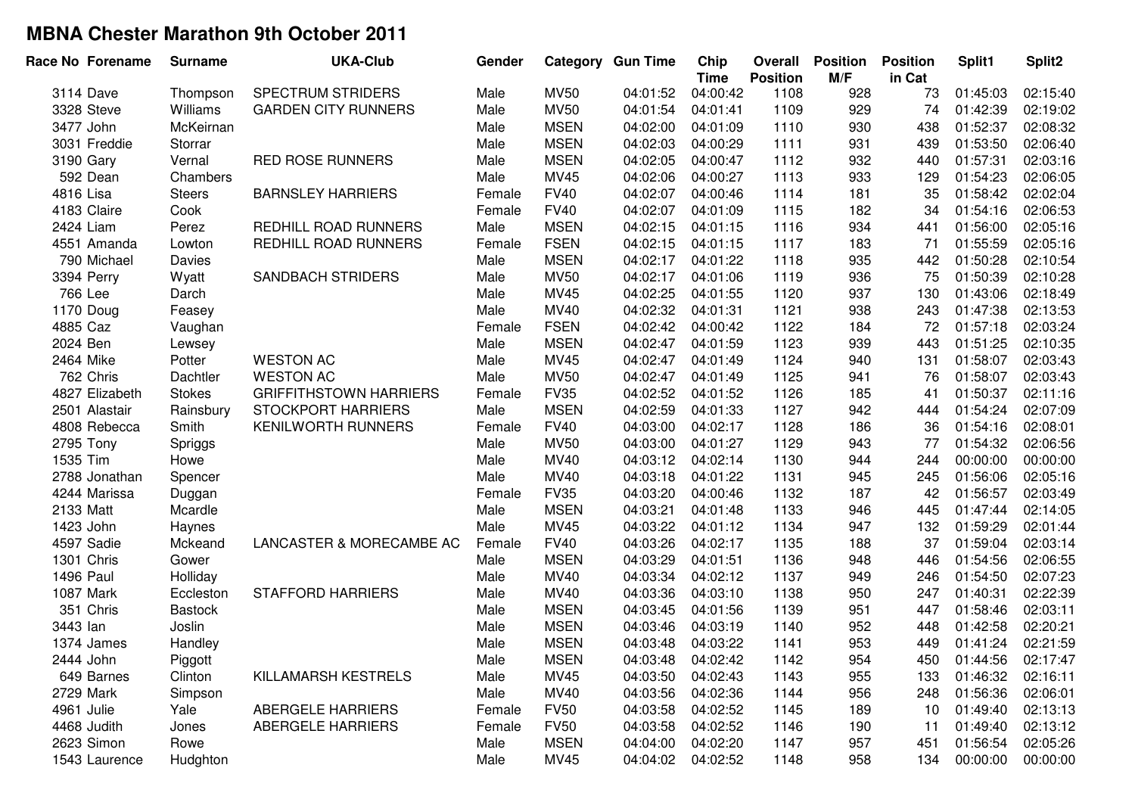| Race No Forename | <b>Surname</b> | <b>UKA-Club</b>               | Gender |             | <b>Category Gun Time</b> | Chip<br><b>Time</b> | Overall<br><b>Position</b> | <b>Position</b><br>M/F | <b>Position</b><br>in Cat | Split1   | Split2   |
|------------------|----------------|-------------------------------|--------|-------------|--------------------------|---------------------|----------------------------|------------------------|---------------------------|----------|----------|
| 3114 Dave        | Thompson       | <b>SPECTRUM STRIDERS</b>      | Male   | <b>MV50</b> | 04:01:52                 | 04:00:42            | 1108                       | 928                    | 73                        | 01:45:03 | 02:15:40 |
| 3328 Steve       | Williams       | <b>GARDEN CITY RUNNERS</b>    | Male   | <b>MV50</b> | 04:01:54                 | 04:01:41            | 1109                       | 929                    | 74                        | 01:42:39 | 02:19:02 |
| 3477 John        | McKeirnan      |                               | Male   | <b>MSEN</b> | 04:02:00                 | 04:01:09            | 1110                       | 930                    | 438                       | 01:52:37 | 02:08:32 |
| 3031 Freddie     | Storrar        |                               | Male   | <b>MSEN</b> | 04:02:03                 | 04:00:29            | 1111                       | 931                    | 439                       | 01:53:50 | 02:06:40 |
| 3190 Gary        | Vernal         | <b>RED ROSE RUNNERS</b>       | Male   | <b>MSEN</b> | 04:02:05                 | 04:00:47            | 1112                       | 932                    | 440                       | 01:57:31 | 02:03:16 |
| 592 Dean         | Chambers       |                               | Male   | MV45        | 04:02:06                 | 04:00:27            | 1113                       | 933                    | 129                       | 01:54:23 | 02:06:05 |
| 4816 Lisa        | <b>Steers</b>  | <b>BARNSLEY HARRIERS</b>      | Female | <b>FV40</b> | 04:02:07                 | 04:00:46            | 1114                       | 181                    | 35                        | 01:58:42 | 02:02:04 |
| 4183 Claire      | Cook           |                               | Female | <b>FV40</b> | 04:02:07                 | 04:01:09            | 1115                       | 182                    | 34                        | 01:54:16 | 02:06:53 |
| 2424 Liam        | Perez          | REDHILL ROAD RUNNERS          | Male   | <b>MSEN</b> | 04:02:15                 | 04:01:15            | 1116                       | 934                    | 441                       | 01:56:00 | 02:05:16 |
| 4551 Amanda      | Lowton         | REDHILL ROAD RUNNERS          | Female | <b>FSEN</b> | 04:02:15                 | 04:01:15            | 1117                       | 183                    | 71                        | 01:55:59 | 02:05:16 |
| 790 Michael      | Davies         |                               | Male   | <b>MSEN</b> | 04:02:17                 | 04:01:22            | 1118                       | 935                    | 442                       | 01:50:28 | 02:10:54 |
| 3394 Perry       | Wyatt          | <b>SANDBACH STRIDERS</b>      | Male   | <b>MV50</b> | 04:02:17                 | 04:01:06            | 1119                       | 936                    | 75                        | 01:50:39 | 02:10:28 |
| 766 Lee          | Darch          |                               | Male   | MV45        | 04:02:25                 | 04:01:55            | 1120                       | 937                    | 130                       | 01:43:06 | 02:18:49 |
| 1170 Doug        | Feasey         |                               | Male   | MV40        | 04:02:32                 | 04:01:31            | 1121                       | 938                    | 243                       | 01:47:38 | 02:13:53 |
| 4885 Caz         | Vaughan        |                               | Female | <b>FSEN</b> | 04:02:42                 | 04:00:42            | 1122                       | 184                    | 72                        | 01:57:18 | 02:03:24 |
| 2024 Ben         | Lewsey         |                               | Male   | <b>MSEN</b> | 04:02:47                 | 04:01:59            | 1123                       | 939                    | 443                       | 01:51:25 | 02:10:35 |
| 2464 Mike        | Potter         | <b>WESTON AC</b>              | Male   | MV45        | 04:02:47                 | 04:01:49            | 1124                       | 940                    | 131                       | 01:58:07 | 02:03:43 |
| 762 Chris        | Dachtler       | <b>WESTON AC</b>              | Male   | <b>MV50</b> | 04:02:47                 | 04:01:49            | 1125                       | 941                    | 76                        | 01:58:07 | 02:03:43 |
| 4827 Elizabeth   | <b>Stokes</b>  | <b>GRIFFITHSTOWN HARRIERS</b> | Female | <b>FV35</b> | 04:02:52                 | 04:01:52            | 1126                       | 185                    | 41                        | 01:50:37 | 02:11:16 |
| 2501 Alastair    | Rainsbury      | <b>STOCKPORT HARRIERS</b>     | Male   | <b>MSEN</b> | 04:02:59                 | 04:01:33            | 1127                       | 942                    | 444                       | 01:54:24 | 02:07:09 |
| 4808 Rebecca     | Smith          | <b>KENILWORTH RUNNERS</b>     | Female | <b>FV40</b> | 04:03:00                 | 04:02:17            | 1128                       | 186                    | 36                        | 01:54:16 | 02:08:01 |
| 2795 Tony        | Spriggs        |                               | Male   | <b>MV50</b> | 04:03:00                 | 04:01:27            | 1129                       | 943                    | 77                        | 01:54:32 | 02:06:56 |
| 1535 Tim         | Howe           |                               | Male   | MV40        | 04:03:12                 | 04:02:14            | 1130                       | 944                    | 244                       | 00:00:00 | 00:00:00 |
| 2788 Jonathan    | Spencer        |                               | Male   | MV40        | 04:03:18                 | 04:01:22            | 1131                       | 945                    | 245                       | 01:56:06 | 02:05:16 |
| 4244 Marissa     | Duggan         |                               | Female | <b>FV35</b> | 04:03:20                 | 04:00:46            | 1132                       | 187                    | 42                        | 01:56:57 | 02:03:49 |
| 2133 Matt        | Mcardle        |                               | Male   | <b>MSEN</b> | 04:03:21                 | 04:01:48            | 1133                       | 946                    | 445                       | 01:47:44 | 02:14:05 |
| 1423 John        | Haynes         |                               | Male   | MV45        | 04:03:22                 | 04:01:12            | 1134                       | 947                    | 132                       | 01:59:29 | 02:01:44 |
| 4597 Sadie       | Mckeand        | LANCASTER & MORECAMBE AC      | Female | <b>FV40</b> | 04:03:26                 | 04:02:17            | 1135                       | 188                    | 37                        | 01:59:04 | 02:03:14 |
| 1301 Chris       | Gower          |                               | Male   | <b>MSEN</b> | 04:03:29                 | 04:01:51            | 1136                       | 948                    | 446                       | 01:54:56 | 02:06:55 |
| 1496 Paul        | Holliday       |                               | Male   | MV40        | 04:03:34                 | 04:02:12            | 1137                       | 949                    | 246                       | 01:54:50 | 02:07:23 |
| 1087 Mark        | Eccleston      | <b>STAFFORD HARRIERS</b>      | Male   | MV40        | 04:03:36                 | 04:03:10            | 1138                       | 950                    | 247                       | 01:40:31 | 02:22:39 |
| 351 Chris        | <b>Bastock</b> |                               | Male   | <b>MSEN</b> | 04:03:45                 | 04:01:56            | 1139                       | 951                    | 447                       | 01:58:46 | 02:03:11 |
| 3443 lan         | Joslin         |                               | Male   | <b>MSEN</b> | 04:03:46                 | 04:03:19            | 1140                       | 952                    | 448                       | 01:42:58 | 02:20:21 |
| 1374 James       | Handley        |                               | Male   | <b>MSEN</b> | 04:03:48                 | 04:03:22            | 1141                       | 953                    | 449                       | 01:41:24 | 02:21:59 |
| 2444 John        | Piggott        |                               | Male   | <b>MSEN</b> | 04:03:48                 | 04:02:42            | 1142                       | 954                    | 450                       | 01:44:56 | 02:17:47 |
| 649 Barnes       | Clinton        | KILLAMARSH KESTRELS           | Male   | MV45        | 04:03:50                 | 04:02:43            | 1143                       | 955                    | 133                       | 01:46:32 | 02:16:11 |
| 2729 Mark        | Simpson        |                               | Male   | MV40        | 04:03:56                 | 04:02:36            | 1144                       | 956                    | 248                       | 01:56:36 | 02:06:01 |
| 4961 Julie       | Yale           | <b>ABERGELE HARRIERS</b>      | Female | <b>FV50</b> | 04:03:58                 | 04:02:52            | 1145                       | 189                    | 10                        | 01:49:40 | 02:13:13 |
| 4468 Judith      | Jones          | <b>ABERGELE HARRIERS</b>      | Female | <b>FV50</b> | 04:03:58                 | 04:02:52            | 1146                       | 190                    | 11                        | 01:49:40 | 02:13:12 |
| 2623 Simon       | Rowe           |                               | Male   | <b>MSEN</b> | 04:04:00                 | 04:02:20            | 1147                       | 957                    | 451                       | 01:56:54 | 02:05:26 |
| 1543 Laurence    | Hudghton       |                               | Male   | MV45        | 04:04:02                 | 04:02:52            | 1148                       | 958                    | 134                       | 00:00:00 | 00:00:00 |
|                  |                |                               |        |             |                          |                     |                            |                        |                           |          |          |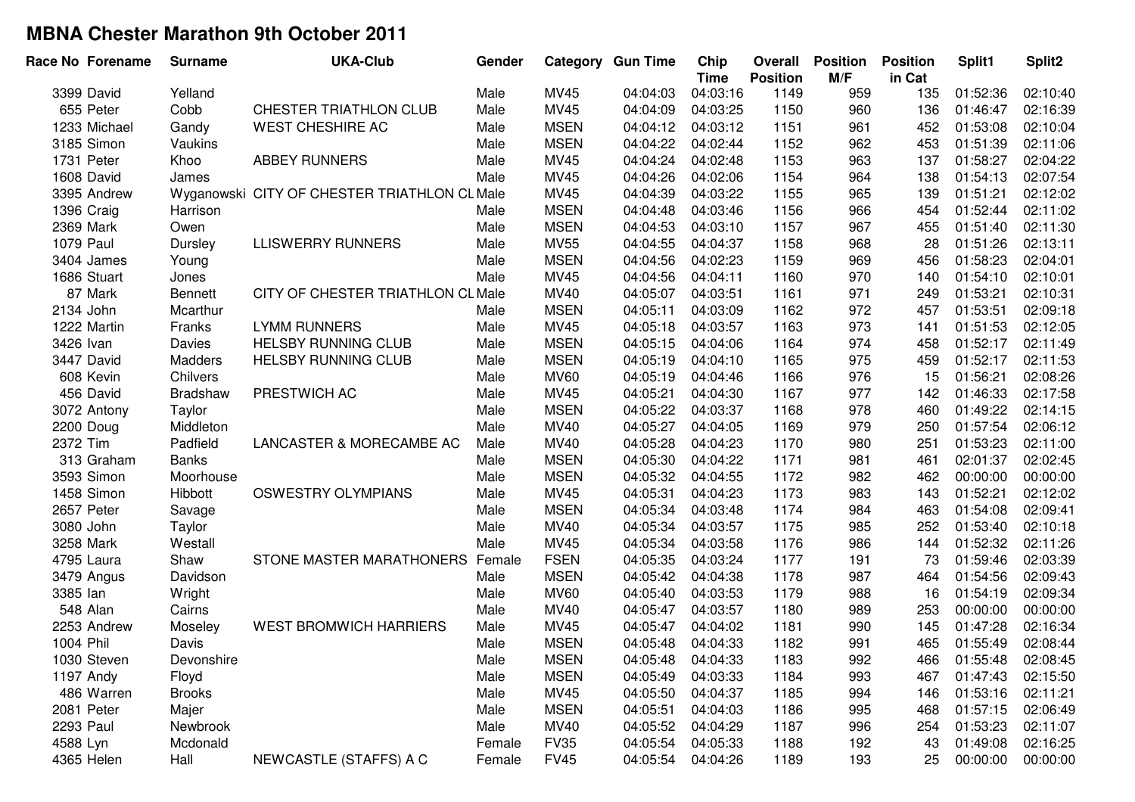| Race No Forename | <b>Surname</b>  | <b>UKA-Club</b>                              | Gender |             | <b>Category Gun Time</b> | Chip<br><b>Time</b> | Overall<br><b>Position</b> | <b>Position</b><br>M/F | <b>Position</b><br>in Cat | Split1   | Split <sub>2</sub> |
|------------------|-----------------|----------------------------------------------|--------|-------------|--------------------------|---------------------|----------------------------|------------------------|---------------------------|----------|--------------------|
| 3399 David       | Yelland         |                                              | Male   | MV45        | 04:04:03                 | 04:03:16            | 1149                       | 959                    | 135                       | 01:52:36 | 02:10:40           |
| 655 Peter        | Cobb            | CHESTER TRIATHLON CLUB                       | Male   | <b>MV45</b> | 04:04:09                 | 04:03:25            | 1150                       | 960                    | 136                       | 01:46:47 | 02:16:39           |
| 1233 Michael     | Gandy           | <b>WEST CHESHIRE AC</b>                      | Male   | <b>MSEN</b> | 04:04:12                 | 04:03:12            | 1151                       | 961                    | 452                       | 01:53:08 | 02:10:04           |
| 3185 Simon       | Vaukins         |                                              | Male   | <b>MSEN</b> | 04:04:22                 | 04:02:44            | 1152                       | 962                    | 453                       | 01:51:39 | 02:11:06           |
| 1731 Peter       | Khoo            | <b>ABBEY RUNNERS</b>                         | Male   | MV45        | 04:04:24                 | 04:02:48            | 1153                       | 963                    | 137                       | 01:58:27 | 02:04:22           |
| 1608 David       | James           |                                              | Male   | MV45        | 04:04:26                 | 04:02:06            | 1154                       | 964                    | 138                       | 01:54:13 | 02:07:54           |
| 3395 Andrew      |                 | Wyganowski CITY OF CHESTER TRIATHLON CL Male |        | MV45        | 04:04:39                 | 04:03:22            | 1155                       | 965                    | 139                       | 01:51:21 | 02:12:02           |
| 1396 Craig       | Harrison        |                                              | Male   | <b>MSEN</b> | 04:04:48                 | 04:03:46            | 1156                       | 966                    | 454                       | 01:52:44 | 02:11:02           |
| 2369 Mark        | Owen            |                                              | Male   | <b>MSEN</b> | 04:04:53                 | 04:03:10            | 1157                       | 967                    | 455                       | 01:51:40 | 02:11:30           |
| 1079 Paul        | Dursley         | <b>LLISWERRY RUNNERS</b>                     | Male   | <b>MV55</b> | 04:04:55                 | 04:04:37            | 1158                       | 968                    | 28                        | 01:51:26 | 02:13:11           |
| 3404 James       | Young           |                                              | Male   | <b>MSEN</b> | 04:04:56                 | 04:02:23            | 1159                       | 969                    | 456                       | 01:58:23 | 02:04:01           |
| 1686 Stuart      | Jones           |                                              | Male   | <b>MV45</b> | 04:04:56                 | 04:04:11            | 1160                       | 970                    | 140                       | 01:54:10 | 02:10:01           |
| 87 Mark          | Bennett         | CITY OF CHESTER TRIATHLON CL Male            |        | MV40        | 04:05:07                 | 04:03:51            | 1161                       | 971                    | 249                       | 01:53:21 | 02:10:31           |
| 2134 John        | Mcarthur        |                                              | Male   | <b>MSEN</b> | 04:05:11                 | 04:03:09            | 1162                       | 972                    | 457                       | 01:53:51 | 02:09:18           |
| 1222 Martin      | Franks          | <b>LYMM RUNNERS</b>                          | Male   | MV45        | 04:05:18                 | 04:03:57            | 1163                       | 973                    | 141                       | 01:51:53 | 02:12:05           |
| 3426 Ivan        | Davies          | <b>HELSBY RUNNING CLUB</b>                   | Male   | <b>MSEN</b> | 04:05:15                 | 04:04:06            | 1164                       | 974                    | 458                       | 01:52:17 | 02:11:49           |
| 3447 David       | Madders         | <b>HELSBY RUNNING CLUB</b>                   | Male   | <b>MSEN</b> | 04:05:19                 | 04:04:10            | 1165                       | 975                    | 459                       | 01:52:17 | 02:11:53           |
| 608 Kevin        | Chilvers        |                                              | Male   | <b>MV60</b> | 04:05:19                 | 04:04:46            | 1166                       | 976                    | 15                        | 01:56:21 | 02:08:26           |
| 456 David        | <b>Bradshaw</b> | PRESTWICH AC                                 | Male   | MV45        | 04:05:21                 | 04:04:30            | 1167                       | 977                    | 142                       | 01:46:33 | 02:17:58           |
| 3072 Antony      | Taylor          |                                              | Male   | <b>MSEN</b> | 04:05:22                 | 04:03:37            | 1168                       | 978                    | 460                       | 01:49:22 | 02:14:15           |
| 2200 Doug        | Middleton       |                                              | Male   | MV40        | 04:05:27                 | 04:04:05            | 1169                       | 979                    | 250                       | 01:57:54 | 02:06:12           |
| 2372 Tim         | Padfield        | LANCASTER & MORECAMBE AC                     | Male   | MV40        | 04:05:28                 | 04:04:23            | 1170                       | 980                    | 251                       | 01:53:23 | 02:11:00           |
| 313 Graham       | <b>Banks</b>    |                                              | Male   | <b>MSEN</b> | 04:05:30                 | 04:04:22            | 1171                       | 981                    | 461                       | 02:01:37 | 02:02:45           |
| 3593 Simon       | Moorhouse       |                                              | Male   | <b>MSEN</b> | 04:05:32                 | 04:04:55            | 1172                       | 982                    | 462                       | 00:00:00 | 00:00:00           |
| 1458 Simon       | Hibbott         | <b>OSWESTRY OLYMPIANS</b>                    | Male   | <b>MV45</b> | 04:05:31                 | 04:04:23            | 1173                       | 983                    | 143                       | 01:52:21 | 02:12:02           |
| 2657 Peter       | Savage          |                                              | Male   | <b>MSEN</b> | 04:05:34                 | 04:03:48            | 1174                       | 984                    | 463                       | 01:54:08 | 02:09:41           |
| 3080 John        | Taylor          |                                              | Male   | MV40        | 04:05:34                 | 04:03:57            | 1175                       | 985                    | 252                       | 01:53:40 | 02:10:18           |
| 3258 Mark        | Westall         |                                              | Male   | MV45        | 04:05:34                 | 04:03:58            | 1176                       | 986                    | 144                       | 01:52:32 | 02:11:26           |
| 4795 Laura       | Shaw            | STONE MASTER MARATHONERS                     | Female | <b>FSEN</b> | 04:05:35                 | 04:03:24            | 1177                       | 191                    | 73                        | 01:59:46 | 02:03:39           |
| 3479 Angus       | Davidson        |                                              | Male   | <b>MSEN</b> | 04:05:42                 | 04:04:38            | 1178                       | 987                    | 464                       | 01:54:56 | 02:09:43           |
| 3385 lan         | Wright          |                                              | Male   | <b>MV60</b> | 04:05:40                 | 04:03:53            | 1179                       | 988                    | 16                        | 01:54:19 | 02:09:34           |
| 548 Alan         | Cairns          |                                              | Male   | <b>MV40</b> | 04:05:47                 | 04:03:57            | 1180                       | 989                    | 253                       | 00:00:00 | 00:00:00           |
| 2253 Andrew      | Moseley         | <b>WEST BROMWICH HARRIERS</b>                | Male   | MV45        | 04:05:47                 | 04:04:02            | 1181                       | 990                    | 145                       | 01:47:28 | 02:16:34           |
| 1004 Phil        | Davis           |                                              | Male   | <b>MSEN</b> | 04:05:48                 | 04:04:33            | 1182                       | 991                    | 465                       | 01:55:49 | 02:08:44           |
| 1030 Steven      | Devonshire      |                                              | Male   | <b>MSEN</b> | 04:05:48                 | 04:04:33            | 1183                       | 992                    | 466                       | 01:55:48 | 02:08:45           |
| 1197 Andy        | Floyd           |                                              | Male   | <b>MSEN</b> | 04:05:49                 | 04:03:33            | 1184                       | 993                    | 467                       | 01:47:43 | 02:15:50           |
| 486 Warren       | <b>Brooks</b>   |                                              | Male   | MV45        | 04:05:50                 | 04:04:37            | 1185                       | 994                    | 146                       | 01:53:16 | 02:11:21           |
| 2081 Peter       | Majer           |                                              | Male   | <b>MSEN</b> | 04:05:51                 | 04:04:03            | 1186                       | 995                    | 468                       | 01:57:15 | 02:06:49           |
| 2293 Paul        | Newbrook        |                                              | Male   | MV40        | 04:05:52                 | 04:04:29            | 1187                       | 996                    | 254                       | 01:53:23 | 02:11:07           |
| 4588 Lyn         | Mcdonald        |                                              | Female | <b>FV35</b> | 04:05:54                 | 04:05:33            | 1188                       | 192                    | 43                        | 01:49:08 | 02:16:25           |
| 4365 Helen       | Hall            | NEWCASTLE (STAFFS) A C                       | Female | <b>FV45</b> | 04:05:54                 | 04:04:26            | 1189                       | 193                    | 25                        | 00:00:00 | 00:00:00           |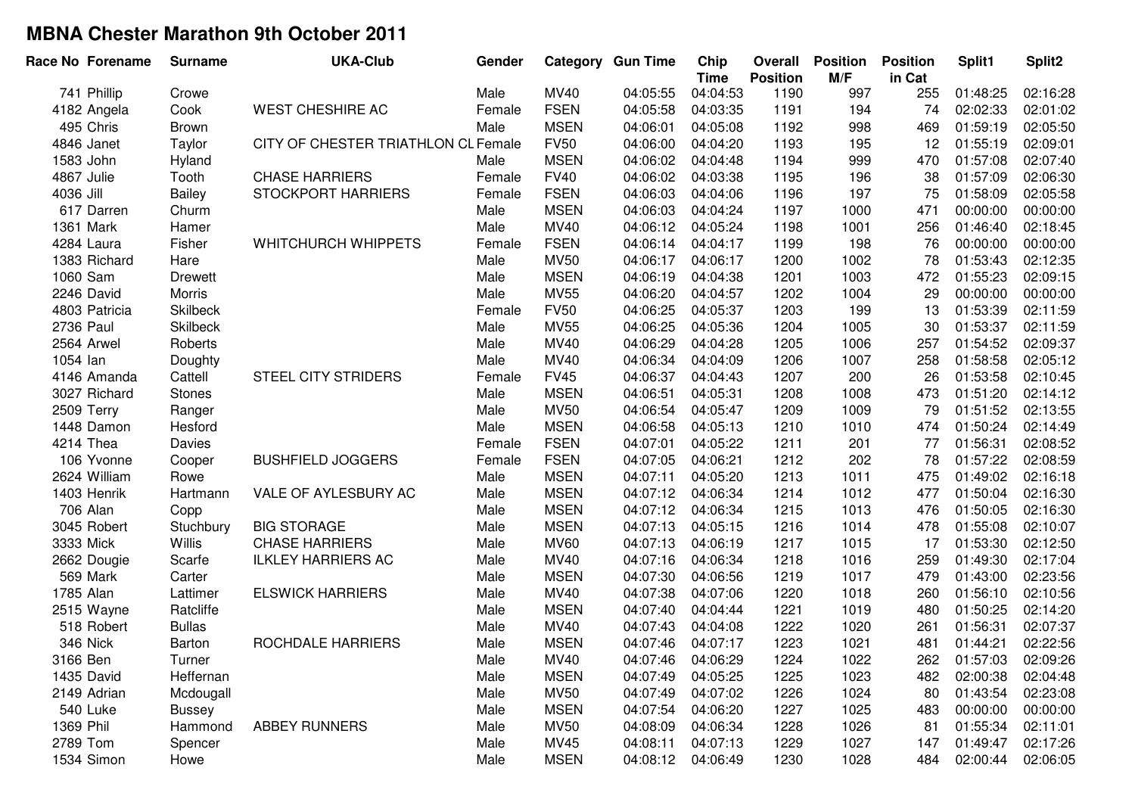| Race No Forename | <b>Surname</b>  | <b>UKA-Club</b>                     | Gender |             | <b>Category Gun Time</b> | Chip<br><b>Time</b> | Overall<br><b>Position</b> | <b>Position</b><br>M/F | <b>Position</b><br>in Cat | Split1   | Split2   |
|------------------|-----------------|-------------------------------------|--------|-------------|--------------------------|---------------------|----------------------------|------------------------|---------------------------|----------|----------|
| 741 Phillip      | Crowe           |                                     | Male   | MV40        | 04:05:55                 | 04:04:53            | 1190                       | 997                    | 255                       | 01:48:25 | 02:16:28 |
| 4182 Angela      | Cook            | <b>WEST CHESHIRE AC</b>             | Female | <b>FSEN</b> | 04:05:58                 | 04:03:35            | 1191                       | 194                    | 74                        | 02:02:33 | 02:01:02 |
| 495 Chris        | <b>Brown</b>    |                                     | Male   | <b>MSEN</b> | 04:06:01                 | 04:05:08            | 1192                       | 998                    | 469                       | 01:59:19 | 02:05:50 |
| 4846 Janet       | Taylor          | CITY OF CHESTER TRIATHLON CL Female |        | <b>FV50</b> | 04:06:00                 | 04:04:20            | 1193                       | 195                    | 12                        | 01:55:19 | 02:09:01 |
| 1583 John        | Hyland          |                                     | Male   | <b>MSEN</b> | 04:06:02                 | 04:04:48            | 1194                       | 999                    | 470                       | 01:57:08 | 02:07:40 |
| 4867 Julie       | Tooth           | <b>CHASE HARRIERS</b>               | Female | <b>FV40</b> | 04:06:02                 | 04:03:38            | 1195                       | 196                    | 38                        | 01:57:09 | 02:06:30 |
| 4036 Jill        | Bailey          | <b>STOCKPORT HARRIERS</b>           | Female | <b>FSEN</b> | 04:06:03                 | 04:04:06            | 1196                       | 197                    | 75                        | 01:58:09 | 02:05:58 |
| 617 Darren       | Churm           |                                     | Male   | <b>MSEN</b> | 04:06:03                 | 04:04:24            | 1197                       | 1000                   | 471                       | 00:00:00 | 00:00:00 |
| 1361 Mark        | Hamer           |                                     | Male   | MV40        | 04:06:12                 | 04:05:24            | 1198                       | 1001                   | 256                       | 01:46:40 | 02:18:45 |
| 4284 Laura       | Fisher          | <b>WHITCHURCH WHIPPETS</b>          | Female | <b>FSEN</b> | 04:06:14                 | 04:04:17            | 1199                       | 198                    | 76                        | 00:00:00 | 00:00:00 |
| 1383 Richard     | Hare            |                                     | Male   | <b>MV50</b> | 04:06:17                 | 04:06:17            | 1200                       | 1002                   | 78                        | 01:53:43 | 02:12:35 |
| 1060 Sam         | <b>Drewett</b>  |                                     | Male   | <b>MSEN</b> | 04:06:19                 | 04:04:38            | 1201                       | 1003                   | 472                       | 01:55:23 | 02:09:15 |
| 2246 David       | Morris          |                                     | Male   | <b>MV55</b> | 04:06:20                 | 04:04:57            | 1202                       | 1004                   | 29                        | 00:00:00 | 00:00:00 |
| 4803 Patricia    | Skilbeck        |                                     | Female | <b>FV50</b> | 04:06:25                 | 04:05:37            | 1203                       | 199                    | 13                        | 01:53:39 | 02:11:59 |
| 2736 Paul        | <b>Skilbeck</b> |                                     | Male   | <b>MV55</b> | 04:06:25                 | 04:05:36            | 1204                       | 1005                   | 30                        | 01:53:37 | 02:11:59 |
| 2564 Arwel       | Roberts         |                                     | Male   | MV40        | 04:06:29                 | 04:04:28            | 1205                       | 1006                   | 257                       | 01:54:52 | 02:09:37 |
| 1054 lan         | Doughty         |                                     | Male   | MV40        | 04:06:34                 | 04:04:09            | 1206                       | 1007                   | 258                       | 01:58:58 | 02:05:12 |
| 4146 Amanda      | Cattell         | <b>STEEL CITY STRIDERS</b>          | Female | <b>FV45</b> | 04:06:37                 | 04:04:43            | 1207                       | 200                    | 26                        | 01:53:58 | 02:10:45 |
| 3027 Richard     | <b>Stones</b>   |                                     | Male   | <b>MSEN</b> | 04:06:51                 | 04:05:31            | 1208                       | 1008                   | 473                       | 01:51:20 | 02:14:12 |
| 2509 Terry       | Ranger          |                                     | Male   | <b>MV50</b> | 04:06:54                 | 04:05:47            | 1209                       | 1009                   | 79                        | 01:51:52 | 02:13:55 |
| 1448 Damon       | Hesford         |                                     | Male   | <b>MSEN</b> | 04:06:58                 | 04:05:13            | 1210                       | 1010                   | 474                       | 01:50:24 | 02:14:49 |
| 4214 Thea        | Davies          |                                     | Female | <b>FSEN</b> | 04:07:01                 | 04:05:22            | 1211                       | 201                    | 77                        | 01:56:31 | 02:08:52 |
| 106 Yvonne       | Cooper          | <b>BUSHFIELD JOGGERS</b>            | Female | <b>FSEN</b> | 04:07:05                 | 04:06:21            | 1212                       | 202                    | 78                        | 01:57:22 | 02:08:59 |
| 2624 William     | Rowe            |                                     | Male   | <b>MSEN</b> | 04:07:11                 | 04:05:20            | 1213                       | 1011                   | 475                       | 01:49:02 | 02:16:18 |
| 1403 Henrik      | Hartmann        | VALE OF AYLESBURY AC                | Male   | <b>MSEN</b> | 04:07:12                 | 04:06:34            | 1214                       | 1012                   | 477                       | 01:50:04 | 02:16:30 |
| 706 Alan         | Copp            |                                     | Male   | <b>MSEN</b> | 04:07:12                 | 04:06:34            | 1215                       | 1013                   | 476                       | 01:50:05 | 02:16:30 |
| 3045 Robert      | Stuchbury       | <b>BIG STORAGE</b>                  | Male   | <b>MSEN</b> | 04:07:13                 | 04:05:15            | 1216                       | 1014                   | 478                       | 01:55:08 | 02:10:07 |
| 3333 Mick        | Willis          | <b>CHASE HARRIERS</b>               | Male   | <b>MV60</b> | 04:07:13                 | 04:06:19            | 1217                       | 1015                   | 17                        | 01:53:30 | 02:12:50 |
| 2662 Dougie      | Scarfe          | <b>ILKLEY HARRIERS AC</b>           | Male   | MV40        | 04:07:16                 | 04:06:34            | 1218                       | 1016                   | 259                       | 01:49:30 | 02:17:04 |
| 569 Mark         | Carter          |                                     | Male   | <b>MSEN</b> | 04:07:30                 | 04:06:56            | 1219                       | 1017                   | 479                       | 01:43:00 | 02:23:56 |
| 1785 Alan        | Lattimer        | <b>ELSWICK HARRIERS</b>             | Male   | MV40        | 04:07:38                 | 04:07:06            | 1220                       | 1018                   | 260                       | 01:56:10 | 02:10:56 |
| 2515 Wayne       | Ratcliffe       |                                     | Male   | <b>MSEN</b> | 04:07:40                 | 04:04:44            | 1221                       | 1019                   | 480                       | 01:50:25 | 02:14:20 |
| 518 Robert       | <b>Bullas</b>   |                                     | Male   | <b>MV40</b> | 04:07:43                 | 04:04:08            | 1222                       | 1020                   | 261                       | 01:56:31 | 02:07:37 |
| 346 Nick         | <b>Barton</b>   | ROCHDALE HARRIERS                   | Male   | <b>MSEN</b> | 04:07:46                 | 04:07:17            | 1223                       | 1021                   | 481                       | 01:44:21 | 02:22:56 |
| 3166 Ben         | Turner          |                                     | Male   | MV40        | 04:07:46                 | 04:06:29            | 1224                       | 1022                   | 262                       | 01:57:03 | 02:09:26 |
| 1435 David       | Heffernan       |                                     | Male   | <b>MSEN</b> | 04:07:49                 | 04:05:25            | 1225                       | 1023                   | 482                       | 02:00:38 | 02:04:48 |
| 2149 Adrian      | Mcdougall       |                                     | Male   | <b>MV50</b> | 04:07:49                 | 04:07:02            | 1226                       | 1024                   | 80                        | 01:43:54 | 02:23:08 |
| 540 Luke         | <b>Bussey</b>   |                                     | Male   | <b>MSEN</b> | 04:07:54                 | 04:06:20            | 1227                       | 1025                   | 483                       | 00:00:00 | 00:00:00 |
| 1369 Phil        | Hammond         | <b>ABBEY RUNNERS</b>                | Male   | <b>MV50</b> | 04:08:09                 | 04:06:34            | 1228                       | 1026                   | 81                        | 01:55:34 | 02:11:01 |
| 2789 Tom         | Spencer         |                                     | Male   | MV45        | 04:08:11                 | 04:07:13            | 1229                       | 1027                   | 147                       | 01:49:47 | 02:17:26 |
| 1534 Simon       | Howe            |                                     | Male   | <b>MSEN</b> | 04:08:12                 | 04:06:49            | 1230                       | 1028                   | 484                       | 02:00:44 | 02:06:05 |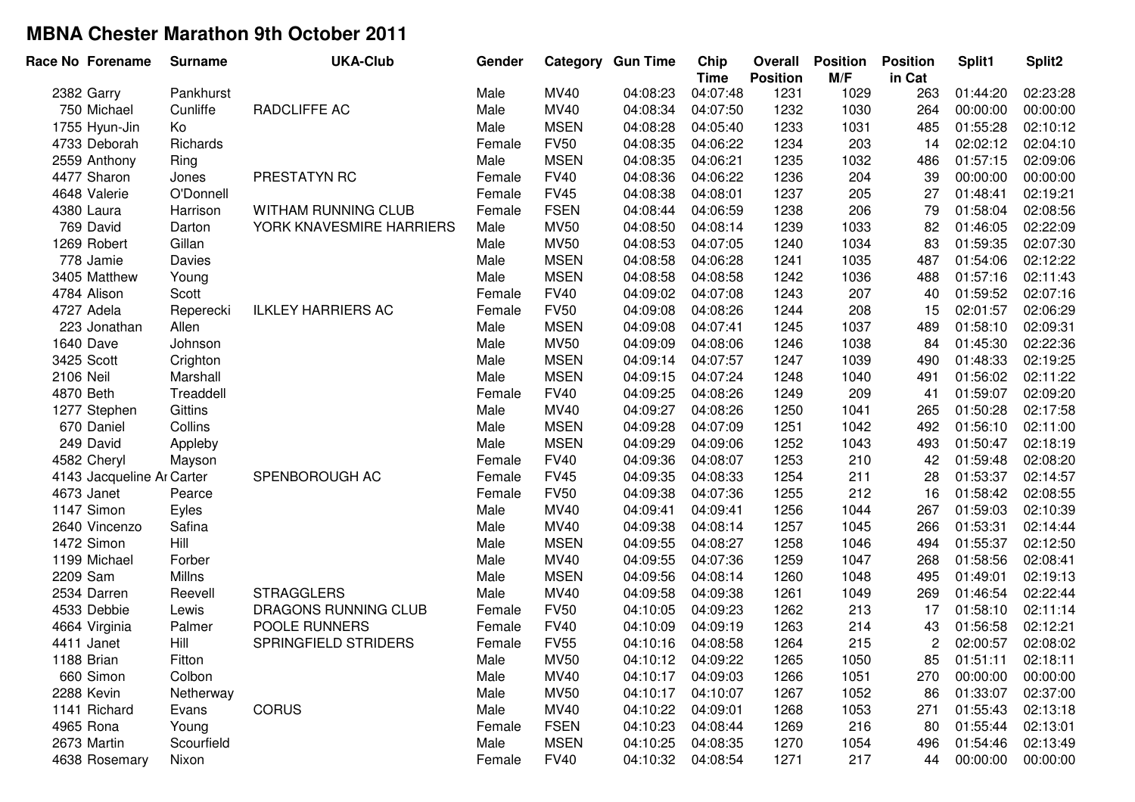| Race No Forename          | <b>Surname</b> | <b>UKA-Club</b>           | Gender |             | <b>Category Gun Time</b> | Chip<br><b>Time</b> | Overall<br><b>Position</b> | <b>Position</b><br>M/F | <b>Position</b><br>in Cat | Split1   | Split2   |
|---------------------------|----------------|---------------------------|--------|-------------|--------------------------|---------------------|----------------------------|------------------------|---------------------------|----------|----------|
| 2382 Garry                | Pankhurst      |                           | Male   | <b>MV40</b> | 04:08:23                 | 04:07:48            | 1231                       | 1029                   | 263                       | 01:44:20 | 02:23:28 |
| 750 Michael               | Cunliffe       | RADCLIFFE AC              | Male   | MV40        | 04:08:34                 | 04:07:50            | 1232                       | 1030                   | 264                       | 00:00:00 | 00:00:00 |
| 1755 Hyun-Jin             | Ko             |                           | Male   | <b>MSEN</b> | 04:08:28                 | 04:05:40            | 1233                       | 1031                   | 485                       | 01:55:28 | 02:10:12 |
| 4733 Deborah              | Richards       |                           | Female | <b>FV50</b> | 04:08:35                 | 04:06:22            | 1234                       | 203                    | 14                        | 02:02:12 | 02:04:10 |
| 2559 Anthony              | Ring           |                           | Male   | <b>MSEN</b> | 04:08:35                 | 04:06:21            | 1235                       | 1032                   | 486                       | 01:57:15 | 02:09:06 |
| 4477 Sharon               | Jones          | PRESTATYN RC              | Female | <b>FV40</b> | 04:08:36                 | 04:06:22            | 1236                       | 204                    | 39                        | 00:00:00 | 00:00:00 |
| 4648 Valerie              | O'Donnell      |                           | Female | <b>FV45</b> | 04:08:38                 | 04:08:01            | 1237                       | 205                    | 27                        | 01:48:41 | 02:19:21 |
| 4380 Laura                | Harrison       | WITHAM RUNNING CLUB       | Female | <b>FSEN</b> | 04:08:44                 | 04:06:59            | 1238                       | 206                    | 79                        | 01:58:04 | 02:08:56 |
| 769 David                 | Darton         | YORK KNAVESMIRE HARRIERS  | Male   | <b>MV50</b> | 04:08:50                 | 04:08:14            | 1239                       | 1033                   | 82                        | 01:46:05 | 02:22:09 |
| 1269 Robert               | Gillan         |                           | Male   | <b>MV50</b> | 04:08:53                 | 04:07:05            | 1240                       | 1034                   | 83                        | 01:59:35 | 02:07:30 |
| 778 Jamie                 | Davies         |                           | Male   | <b>MSEN</b> | 04:08:58                 | 04:06:28            | 1241                       | 1035                   | 487                       | 01:54:06 | 02:12:22 |
| 3405 Matthew              | Young          |                           | Male   | <b>MSEN</b> | 04:08:58                 | 04:08:58            | 1242                       | 1036                   | 488                       | 01:57:16 | 02:11:43 |
| 4784 Alison               | Scott          |                           | Female | <b>FV40</b> | 04:09:02                 | 04:07:08            | 1243                       | 207                    | 40                        | 01:59:52 | 02:07:16 |
| 4727 Adela                | Reperecki      | <b>ILKLEY HARRIERS AC</b> | Female | <b>FV50</b> | 04:09:08                 | 04:08:26            | 1244                       | 208                    | 15                        | 02:01:57 | 02:06:29 |
| 223 Jonathan              | Allen          |                           | Male   | <b>MSEN</b> | 04:09:08                 | 04:07:41            | 1245                       | 1037                   | 489                       | 01:58:10 | 02:09:31 |
| 1640 Dave                 | Johnson        |                           | Male   | <b>MV50</b> | 04:09:09                 | 04:08:06            | 1246                       | 1038                   | 84                        | 01:45:30 | 02:22:36 |
| 3425 Scott                | Crighton       |                           | Male   | <b>MSEN</b> | 04:09:14                 | 04:07:57            | 1247                       | 1039                   | 490                       | 01:48:33 | 02:19:25 |
| 2106 Neil                 | Marshall       |                           | Male   | <b>MSEN</b> | 04:09:15                 | 04:07:24            | 1248                       | 1040                   | 491                       | 01:56:02 | 02:11:22 |
| 4870 Beth                 | Treaddell      |                           | Female | <b>FV40</b> | 04:09:25                 | 04:08:26            | 1249                       | 209                    | 41                        | 01:59:07 | 02:09:20 |
| 1277 Stephen              | Gittins        |                           | Male   | MV40        | 04:09:27                 | 04:08:26            | 1250                       | 1041                   | 265                       | 01:50:28 | 02:17:58 |
| 670 Daniel                | Collins        |                           | Male   | <b>MSEN</b> | 04:09:28                 | 04:07:09            | 1251                       | 1042                   | 492                       | 01:56:10 | 02:11:00 |
| 249 David                 | Appleby        |                           | Male   | <b>MSEN</b> | 04:09:29                 | 04:09:06            | 1252                       | 1043                   | 493                       | 01:50:47 | 02:18:19 |
| 4582 Cheryl               | Mayson         |                           | Female | <b>FV40</b> | 04:09:36                 | 04:08:07            | 1253                       | 210                    | 42                        | 01:59:48 | 02:08:20 |
| 4143 Jacqueline Ar Carter |                | SPENBOROUGH AC            | Female | <b>FV45</b> | 04:09:35                 | 04:08:33            | 1254                       | 211                    | 28                        | 01:53:37 | 02:14:57 |
| 4673 Janet                | Pearce         |                           | Female | <b>FV50</b> | 04:09:38                 | 04:07:36            | 1255                       | 212                    | 16                        | 01:58:42 | 02:08:55 |
| 1147 Simon                | Eyles          |                           | Male   | MV40        | 04:09:41                 | 04:09:41            | 1256                       | 1044                   | 267                       | 01:59:03 | 02:10:39 |
| 2640 Vincenzo             | Safina         |                           | Male   | MV40        | 04:09:38                 | 04:08:14            | 1257                       | 1045                   | 266                       | 01:53:31 | 02:14:44 |
| 1472 Simon                | Hill           |                           | Male   | <b>MSEN</b> | 04:09:55                 | 04:08:27            | 1258                       | 1046                   | 494                       | 01:55:37 | 02:12:50 |
| 1199 Michael              | Forber         |                           | Male   | MV40        | 04:09:55                 | 04:07:36            | 1259                       | 1047                   | 268                       | 01:58:56 | 02:08:41 |
| 2209 Sam                  | Millns         |                           | Male   | <b>MSEN</b> | 04:09:56                 | 04:08:14            | 1260                       | 1048                   | 495                       | 01:49:01 | 02:19:13 |
| 2534 Darren               | Reevell        | <b>STRAGGLERS</b>         | Male   | <b>MV40</b> | 04:09:58                 | 04:09:38            | 1261                       | 1049                   | 269                       | 01:46:54 | 02:22:44 |
| 4533 Debbie               | Lewis          | DRAGONS RUNNING CLUB      | Female | <b>FV50</b> | 04:10:05                 | 04:09:23            | 1262                       | 213                    | 17                        | 01:58:10 | 02:11:14 |
| 4664 Virginia             | Palmer         | POOLE RUNNERS             | Female | <b>FV40</b> | 04:10:09                 | 04:09:19            | 1263                       | 214                    | 43                        | 01:56:58 | 02:12:21 |
| 4411 Janet                | Hill           | SPRINGFIELD STRIDERS      | Female | <b>FV55</b> | 04:10:16                 | 04:08:58            | 1264                       | 215                    | 2                         | 02:00:57 | 02:08:02 |
| 1188 Brian                | Fitton         |                           | Male   | MV50        | 04:10:12                 | 04:09:22            | 1265                       | 1050                   | 85                        | 01:51:11 | 02:18:11 |
| 660 Simon                 | Colbon         |                           | Male   | MV40        | 04:10:17                 | 04:09:03            | 1266                       | 1051                   | 270                       | 00:00:00 | 00:00:00 |
| 2288 Kevin                | Netherway      |                           | Male   | <b>MV50</b> | 04:10:17                 | 04:10:07            | 1267                       | 1052                   | 86                        | 01:33:07 | 02:37:00 |
| 1141 Richard              | Evans          | <b>CORUS</b>              | Male   | MV40        | 04:10:22                 | 04:09:01            | 1268                       | 1053                   | 271                       | 01:55:43 | 02:13:18 |
| 4965 Rona                 | Young          |                           | Female | <b>FSEN</b> | 04:10:23                 | 04:08:44            | 1269                       | 216                    | 80                        | 01:55:44 | 02:13:01 |
| 2673 Martin               | Scourfield     |                           | Male   | <b>MSEN</b> | 04:10:25                 | 04:08:35            | 1270                       | 1054                   | 496                       | 01:54:46 | 02:13:49 |
| 4638 Rosemary             | Nixon          |                           | Female | <b>FV40</b> | 04:10:32                 | 04:08:54            | 1271                       | 217                    | 44                        | 00:00:00 | 00:00:00 |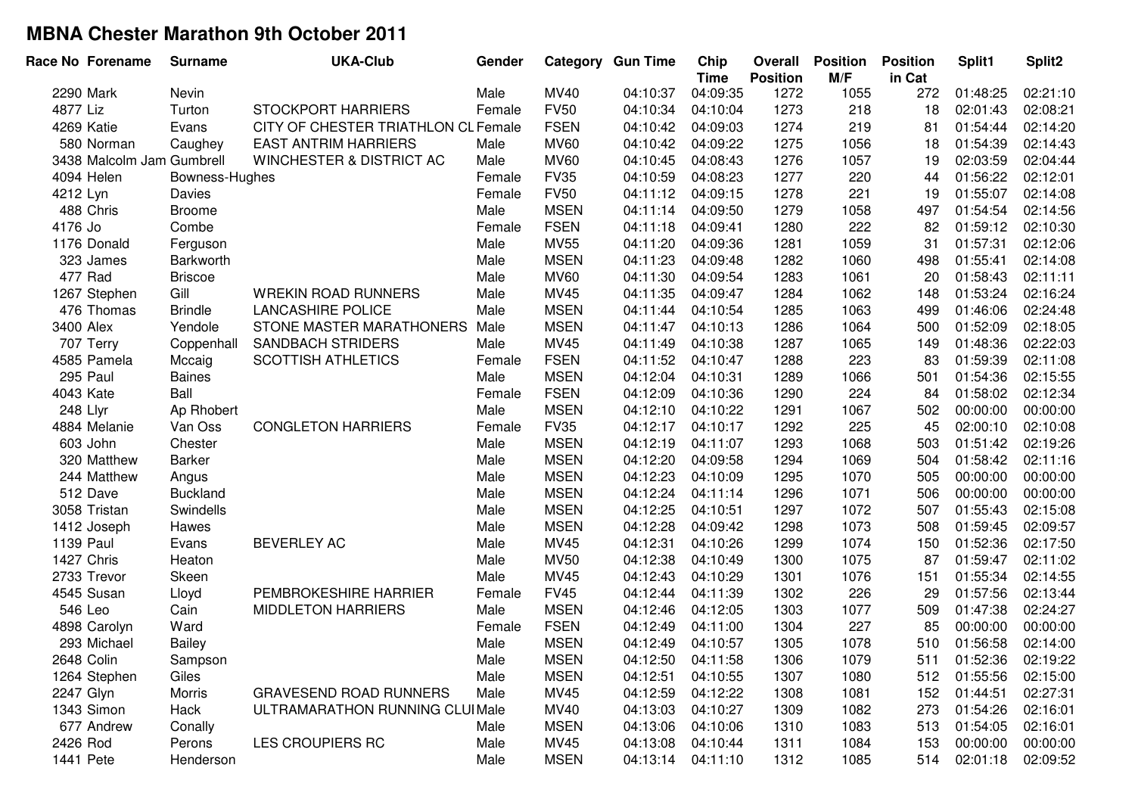|            | Race No Forename          | <b>Surname</b>  | <b>UKA-Club</b>                     | Gender |             | <b>Category Gun Time</b> | Chip<br><b>Time</b> | Overall<br><b>Position</b> | <b>Position</b><br>M/F | <b>Position</b><br>in Cat | Split1   | Split2   |
|------------|---------------------------|-----------------|-------------------------------------|--------|-------------|--------------------------|---------------------|----------------------------|------------------------|---------------------------|----------|----------|
| 2290 Mark  |                           | Nevin           |                                     | Male   | <b>MV40</b> | 04:10:37                 | 04:09:35            | 1272                       | 1055                   | 272                       | 01:48:25 | 02:21:10 |
| 4877 Liz   |                           | Turton          | <b>STOCKPORT HARRIERS</b>           | Female | <b>FV50</b> | 04:10:34                 | 04:10:04            | 1273                       | 218                    | 18                        | 02:01:43 | 02:08:21 |
| 4269 Katie |                           | Evans           | CITY OF CHESTER TRIATHLON CL Female |        | <b>FSEN</b> | 04:10:42                 | 04:09:03            | 1274                       | 219                    | 81                        | 01:54:44 | 02:14:20 |
|            | 580 Norman                | Caughey         | <b>EAST ANTRIM HARRIERS</b>         | Male   | <b>MV60</b> | 04:10:42                 | 04:09:22            | 1275                       | 1056                   | 18                        | 01:54:39 | 02:14:43 |
|            | 3438 Malcolm Jam Gumbrell |                 | WINCHESTER & DISTRICT AC            | Male   | <b>MV60</b> | 04:10:45                 | 04:08:43            | 1276                       | 1057                   | 19                        | 02:03:59 | 02:04:44 |
|            | 4094 Helen                | Bowness-Hughes  |                                     | Female | <b>FV35</b> | 04:10:59                 | 04:08:23            | 1277                       | 220                    | 44                        | 01:56:22 | 02:12:01 |
| 4212 Lyn   |                           | Davies          |                                     | Female | <b>FV50</b> | 04:11:12                 | 04:09:15            | 1278                       | 221                    | 19                        | 01:55:07 | 02:14:08 |
|            | 488 Chris                 | <b>Broome</b>   |                                     | Male   | <b>MSEN</b> | 04:11:14                 | 04:09:50            | 1279                       | 1058                   | 497                       | 01:54:54 | 02:14:56 |
| 4176 Jo    |                           | Combe           |                                     | Female | <b>FSEN</b> | 04:11:18                 | 04:09:41            | 1280                       | 222                    | 82                        | 01:59:12 | 02:10:30 |
|            | 1176 Donald               | Ferguson        |                                     | Male   | <b>MV55</b> | 04:11:20                 | 04:09:36            | 1281                       | 1059                   | 31                        | 01:57:31 | 02:12:06 |
|            | 323 James                 | Barkworth       |                                     | Male   | <b>MSEN</b> | 04:11:23                 | 04:09:48            | 1282                       | 1060                   | 498                       | 01:55:41 | 02:14:08 |
| 477 Rad    |                           | <b>Briscoe</b>  |                                     | Male   | <b>MV60</b> | 04:11:30                 | 04:09:54            | 1283                       | 1061                   | 20                        | 01:58:43 | 02:11:11 |
|            | 1267 Stephen              | Gill            | <b>WREKIN ROAD RUNNERS</b>          | Male   | MV45        | 04:11:35                 | 04:09:47            | 1284                       | 1062                   | 148                       | 01:53:24 | 02:16:24 |
|            | 476 Thomas                | <b>Brindle</b>  | <b>LANCASHIRE POLICE</b>            | Male   | <b>MSEN</b> | 04:11:44                 | 04:10:54            | 1285                       | 1063                   | 499                       | 01:46:06 | 02:24:48 |
| 3400 Alex  |                           | Yendole         | STONE MASTER MARATHONERS            | Male   | <b>MSEN</b> | 04:11:47                 | 04:10:13            | 1286                       | 1064                   | 500                       | 01:52:09 | 02:18:05 |
|            | 707 Terry                 | Coppenhall      | <b>SANDBACH STRIDERS</b>            | Male   | <b>MV45</b> | 04:11:49                 | 04:10:38            | 1287                       | 1065                   | 149                       | 01:48:36 | 02:22:03 |
|            | 4585 Pamela               | Mccaig          | <b>SCOTTISH ATHLETICS</b>           | Female | <b>FSEN</b> | 04:11:52                 | 04:10:47            | 1288                       | 223                    | 83                        | 01:59:39 | 02:11:08 |
|            | 295 Paul                  | <b>Baines</b>   |                                     | Male   | <b>MSEN</b> | 04:12:04                 | 04:10:31            | 1289                       | 1066                   | 501                       | 01:54:36 | 02:15:55 |
| 4043 Kate  |                           | Ball            |                                     | Female | <b>FSEN</b> | 04:12:09                 | 04:10:36            | 1290                       | 224                    | 84                        | 01:58:02 | 02:12:34 |
| 248 Llyr   |                           | Ap Rhobert      |                                     | Male   | <b>MSEN</b> | 04:12:10                 | 04:10:22            | 1291                       | 1067                   | 502                       | 00:00:00 | 00:00:00 |
|            | 4884 Melanie              | Van Oss         | <b>CONGLETON HARRIERS</b>           | Female | <b>FV35</b> | 04:12:17                 | 04:10:17            | 1292                       | 225                    | 45                        | 02:00:10 | 02:10:08 |
|            | 603 John                  | Chester         |                                     | Male   | <b>MSEN</b> | 04:12:19                 | 04:11:07            | 1293                       | 1068                   | 503                       | 01:51:42 | 02:19:26 |
|            | 320 Matthew               | <b>Barker</b>   |                                     | Male   | <b>MSEN</b> | 04:12:20                 | 04:09:58            | 1294                       | 1069                   | 504                       | 01:58:42 | 02:11:16 |
|            | 244 Matthew               | Angus           |                                     | Male   | <b>MSEN</b> | 04:12:23                 | 04:10:09            | 1295                       | 1070                   | 505                       | 00:00:00 | 00:00:00 |
|            | 512 Dave                  | <b>Buckland</b> |                                     | Male   | <b>MSEN</b> | 04:12:24                 | 04:11:14            | 1296                       | 1071                   | 506                       | 00:00:00 | 00:00:00 |
|            | 3058 Tristan              | Swindells       |                                     | Male   | <b>MSEN</b> | 04:12:25                 | 04:10:51            | 1297                       | 1072                   | 507                       | 01:55:43 | 02:15:08 |
|            | 1412 Joseph               | Hawes           |                                     | Male   | <b>MSEN</b> | 04:12:28                 | 04:09:42            | 1298                       | 1073                   | 508                       | 01:59:45 | 02:09:57 |
| 1139 Paul  |                           | Evans           | <b>BEVERLEY AC</b>                  | Male   | <b>MV45</b> | 04:12:31                 | 04:10:26            | 1299                       | 1074                   | 150                       | 01:52:36 | 02:17:50 |
| 1427 Chris |                           | Heaton          |                                     | Male   | <b>MV50</b> | 04:12:38                 | 04:10:49            | 1300                       | 1075                   | 87                        | 01:59:47 | 02:11:02 |
|            | 2733 Trevor               | Skeen           |                                     | Male   | <b>MV45</b> | 04:12:43                 | 04:10:29            | 1301                       | 1076                   | 151                       | 01:55:34 | 02:14:55 |
|            | 4545 Susan                | Lloyd           | PEMBROKESHIRE HARRIER               | Female | <b>FV45</b> | 04:12:44                 | 04:11:39            | 1302                       | 226                    | 29                        | 01:57:56 | 02:13:44 |
| 546 Leo    |                           | Cain            | <b>MIDDLETON HARRIERS</b>           | Male   | <b>MSEN</b> | 04:12:46                 | 04:12:05            | 1303                       | 1077                   | 509                       | 01:47:38 | 02:24:27 |
|            | 4898 Carolyn              | Ward            |                                     | Female | <b>FSEN</b> | 04:12:49                 | 04:11:00            | 1304                       | 227                    | 85                        | 00:00:00 | 00:00:00 |
|            | 293 Michael               | <b>Bailey</b>   |                                     | Male   | <b>MSEN</b> | 04:12:49                 | 04:10:57            | 1305                       | 1078                   | 510                       | 01:56:58 | 02:14:00 |
| 2648 Colin |                           | Sampson         |                                     | Male   | MSEN        | 04:12:50                 | 04:11:58            | 1306                       | 1079                   | 511                       | 01:52:36 | 02:19:22 |
|            | 1264 Stephen              | Giles           |                                     | Male   | <b>MSEN</b> | 04:12:51                 | 04:10:55            | 1307                       | 1080                   | 512                       | 01:55:56 | 02:15:00 |
| 2247 Glyn  |                           | Morris          | <b>GRAVESEND ROAD RUNNERS</b>       | Male   | MV45        | 04:12:59                 | 04:12:22            | 1308                       | 1081                   | 152                       | 01:44:51 | 02:27:31 |
|            | 1343 Simon                | Hack            | ULTRAMARATHON RUNNING CLUIMale      |        | <b>MV40</b> | 04:13:03                 | 04:10:27            | 1309                       | 1082                   | 273                       | 01:54:26 | 02:16:01 |
|            | 677 Andrew                | Conally         |                                     | Male   | <b>MSEN</b> | 04:13:06                 | 04:10:06            | 1310                       | 1083                   | 513                       | 01:54:05 | 02:16:01 |
| 2426 Rod   |                           | Perons          | LES CROUPIERS RC                    | Male   | MV45        | 04:13:08                 | 04:10:44            | 1311                       | 1084                   | 153                       | 00:00:00 | 00:00:00 |
| 1441 Pete  |                           | Henderson       |                                     | Male   | <b>MSEN</b> | 04:13:14                 | 04:11:10            | 1312                       | 1085                   | 514                       | 02:01:18 | 02:09:52 |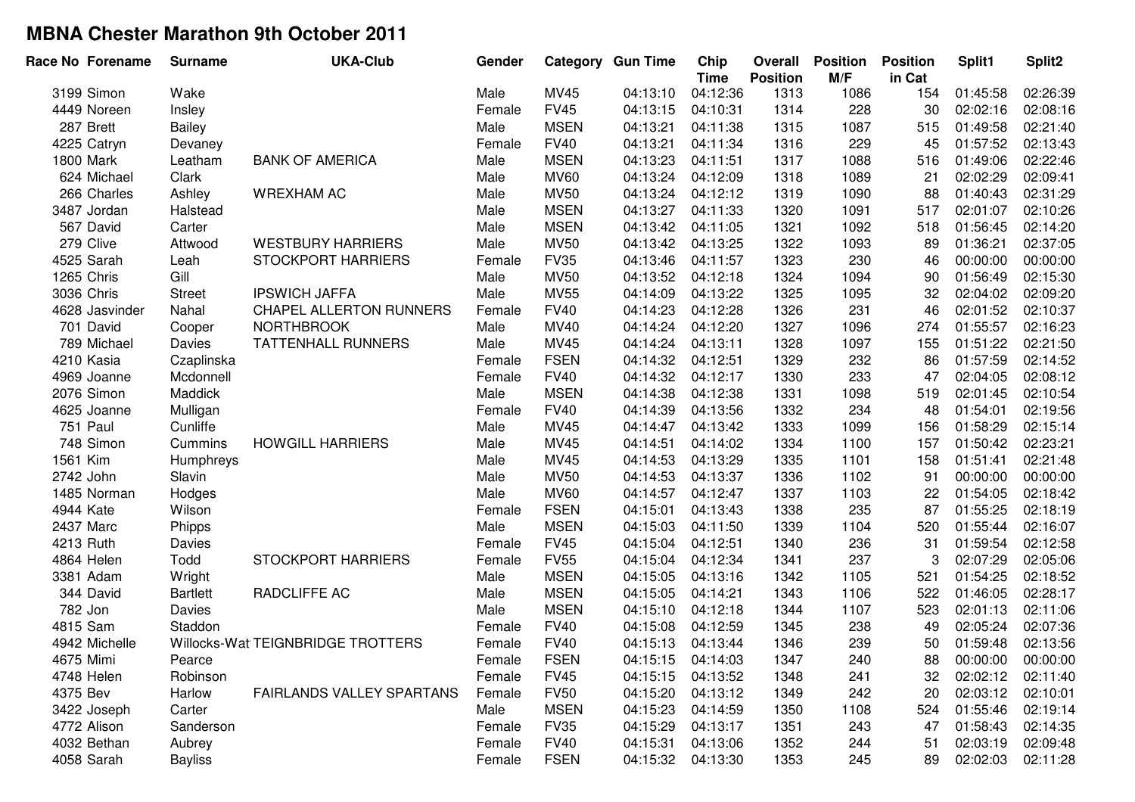|          | Race No Forename | <b>Surname</b>  | <b>UKA-Club</b>                   | Gender |             | <b>Category Gun Time</b> | Chip<br><b>Time</b> | Overall<br><b>Position</b> | <b>Position</b><br>M/F | <b>Position</b><br>in Cat | Split1   | Split2   |
|----------|------------------|-----------------|-----------------------------------|--------|-------------|--------------------------|---------------------|----------------------------|------------------------|---------------------------|----------|----------|
|          | 3199 Simon       | Wake            |                                   | Male   | <b>MV45</b> | 04:13:10                 | 04:12:36            | 1313                       | 1086                   | 154                       | 01:45:58 | 02:26:39 |
|          | 4449 Noreen      | Insley          |                                   | Female | <b>FV45</b> | 04:13:15                 | 04:10:31            | 1314                       | 228                    | 30                        | 02:02:16 | 02:08:16 |
|          | 287 Brett        | <b>Bailey</b>   |                                   | Male   | <b>MSEN</b> | 04:13:21                 | 04:11:38            | 1315                       | 1087                   | 515                       | 01:49:58 | 02:21:40 |
|          | 4225 Catryn      | Devaney         |                                   | Female | <b>FV40</b> | 04:13:21                 | 04:11:34            | 1316                       | 229                    | 45                        | 01:57:52 | 02:13:43 |
|          | 1800 Mark        | Leatham         | <b>BANK OF AMERICA</b>            | Male   | <b>MSEN</b> | 04:13:23                 | 04:11:51            | 1317                       | 1088                   | 516                       | 01:49:06 | 02:22:46 |
|          | 624 Michael      | Clark           |                                   | Male   | <b>MV60</b> | 04:13:24                 | 04:12:09            | 1318                       | 1089                   | 21                        | 02:02:29 | 02:09:41 |
|          | 266 Charles      | Ashley          | <b>WREXHAM AC</b>                 | Male   | <b>MV50</b> | 04:13:24                 | 04:12:12            | 1319                       | 1090                   | 88                        | 01:40:43 | 02:31:29 |
|          | 3487 Jordan      | Halstead        |                                   | Male   | <b>MSEN</b> | 04:13:27                 | 04:11:33            | 1320                       | 1091                   | 517                       | 02:01:07 | 02:10:26 |
|          | 567 David        | Carter          |                                   | Male   | <b>MSEN</b> | 04:13:42                 | 04:11:05            | 1321                       | 1092                   | 518                       | 01:56:45 | 02:14:20 |
|          | 279 Clive        | Attwood         | <b>WESTBURY HARRIERS</b>          | Male   | <b>MV50</b> | 04:13:42                 | 04:13:25            | 1322                       | 1093                   | 89                        | 01:36:21 | 02:37:05 |
|          | 4525 Sarah       | Leah            | <b>STOCKPORT HARRIERS</b>         | Female | <b>FV35</b> | 04:13:46                 | 04:11:57            | 1323                       | 230                    | 46                        | 00:00:00 | 00:00:00 |
|          | 1265 Chris       | Gill            |                                   | Male   | <b>MV50</b> | 04:13:52                 | 04:12:18            | 1324                       | 1094                   | 90                        | 01:56:49 | 02:15:30 |
|          | 3036 Chris       | <b>Street</b>   | <b>IPSWICH JAFFA</b>              | Male   | <b>MV55</b> | 04:14:09                 | 04:13:22            | 1325                       | 1095                   | 32                        | 02:04:02 | 02:09:20 |
|          | 4628 Jasvinder   | Nahal           | <b>CHAPEL ALLERTON RUNNERS</b>    | Female | <b>FV40</b> | 04:14:23                 | 04:12:28            | 1326                       | 231                    | 46                        | 02:01:52 | 02:10:37 |
|          | 701 David        | Cooper          | <b>NORTHBROOK</b>                 | Male   | MV40        | 04:14:24                 | 04:12:20            | 1327                       | 1096                   | 274                       | 01:55:57 | 02:16:23 |
|          | 789 Michael      | Davies          | <b>TATTENHALL RUNNERS</b>         | Male   | <b>MV45</b> | 04:14:24                 | 04:13:11            | 1328                       | 1097                   | 155                       | 01:51:22 | 02:21:50 |
|          | 4210 Kasia       | Czaplinska      |                                   | Female | <b>FSEN</b> | 04:14:32                 | 04:12:51            | 1329                       | 232                    | 86                        | 01:57:59 | 02:14:52 |
|          | 4969 Joanne      | Mcdonnell       |                                   | Female | <b>FV40</b> | 04:14:32                 | 04:12:17            | 1330                       | 233                    | 47                        | 02:04:05 | 02:08:12 |
|          | 2076 Simon       | Maddick         |                                   | Male   | <b>MSEN</b> | 04:14:38                 | 04:12:38            | 1331                       | 1098                   | 519                       | 02:01:45 | 02:10:54 |
|          | 4625 Joanne      | Mulligan        |                                   | Female | <b>FV40</b> | 04:14:39                 | 04:13:56            | 1332                       | 234                    | 48                        | 01:54:01 | 02:19:56 |
|          | 751 Paul         | Cunliffe        |                                   | Male   | MV45        | 04:14:47                 | 04:13:42            | 1333                       | 1099                   | 156                       | 01:58:29 | 02:15:14 |
|          | 748 Simon        | Cummins         | <b>HOWGILL HARRIERS</b>           | Male   | <b>MV45</b> | 04:14:51                 | 04:14:02            | 1334                       | 1100                   | 157                       | 01:50:42 | 02:23:21 |
| 1561 Kim |                  | Humphreys       |                                   | Male   | MV45        | 04:14:53                 | 04:13:29            | 1335                       | 1101                   | 158                       | 01:51:41 | 02:21:48 |
|          | 2742 John        | Slavin          |                                   | Male   | <b>MV50</b> | 04:14:53                 | 04:13:37            | 1336                       | 1102                   | 91                        | 00:00:00 | 00:00:00 |
|          | 1485 Norman      | Hodges          |                                   | Male   | <b>MV60</b> | 04:14:57                 | 04:12:47            | 1337                       | 1103                   | 22                        | 01:54:05 | 02:18:42 |
|          | 4944 Kate        | Wilson          |                                   | Female | <b>FSEN</b> | 04:15:01                 | 04:13:43            | 1338                       | 235                    | 87                        | 01:55:25 | 02:18:19 |
|          | 2437 Marc        | Phipps          |                                   | Male   | <b>MSEN</b> | 04:15:03                 | 04:11:50            | 1339                       | 1104                   | 520                       | 01:55:44 | 02:16:07 |
|          | 4213 Ruth        | Davies          |                                   | Female | <b>FV45</b> | 04:15:04                 | 04:12:51            | 1340                       | 236                    | 31                        | 01:59:54 | 02:12:58 |
|          | 4864 Helen       | Todd            | <b>STOCKPORT HARRIERS</b>         | Female | <b>FV55</b> | 04:15:04                 | 04:12:34            | 1341                       | 237                    | 3                         | 02:07:29 | 02:05:06 |
|          | 3381 Adam        | Wright          |                                   | Male   | <b>MSEN</b> | 04:15:05                 | 04:13:16            | 1342                       | 1105                   | 521                       | 01:54:25 | 02:18:52 |
|          | 344 David        | <b>Bartlett</b> | RADCLIFFE AC                      | Male   | <b>MSEN</b> | 04:15:05                 | 04:14:21            | 1343                       | 1106                   | 522                       | 01:46:05 | 02:28:17 |
|          | 782 Jon          | Davies          |                                   | Male   | <b>MSEN</b> | 04:15:10                 | 04:12:18            | 1344                       | 1107                   | 523                       | 02:01:13 | 02:11:06 |
|          | 4815 Sam         | Staddon         |                                   | Female | <b>FV40</b> | 04:15:08                 | 04:12:59            | 1345                       | 238                    | 49                        | 02:05:24 | 02:07:36 |
|          | 4942 Michelle    |                 | Willocks-Wat TEIGNBRIDGE TROTTERS | Female | <b>FV40</b> | 04:15:13                 | 04:13:44            | 1346                       | 239                    | 50                        | 01:59:48 | 02:13:56 |
|          | 4675 Mimi        | Pearce          |                                   | Female | <b>FSEN</b> | 04:15:15                 | 04:14:03            | 1347                       | 240                    | 88                        | 00:00:00 | 00:00:00 |
|          | 4748 Helen       | Robinson        |                                   | Female | <b>FV45</b> | 04:15:15                 | 04:13:52            | 1348                       | 241                    | 32                        | 02:02:12 | 02:11:40 |
| 4375 Bev |                  | Harlow          | <b>FAIRLANDS VALLEY SPARTANS</b>  | Female | <b>FV50</b> | 04:15:20                 | 04:13:12            | 1349                       | 242                    | 20                        | 02:03:12 | 02:10:01 |
|          | 3422 Joseph      | Carter          |                                   | Male   | <b>MSEN</b> | 04:15:23                 | 04:14:59            | 1350                       | 1108                   | 524                       | 01:55:46 | 02:19:14 |
|          | 4772 Alison      | Sanderson       |                                   | Female | <b>FV35</b> | 04:15:29                 | 04:13:17            | 1351                       | 243                    | 47                        | 01:58:43 | 02:14:35 |
|          | 4032 Bethan      | Aubrey          |                                   | Female | <b>FV40</b> | 04:15:31                 | 04:13:06            | 1352                       | 244                    | 51                        | 02:03:19 | 02:09:48 |
|          | 4058 Sarah       | <b>Bayliss</b>  |                                   | Female | <b>FSEN</b> | 04:15:32                 | 04:13:30            | 1353                       | 245                    | 89                        | 02:02:03 | 02:11:28 |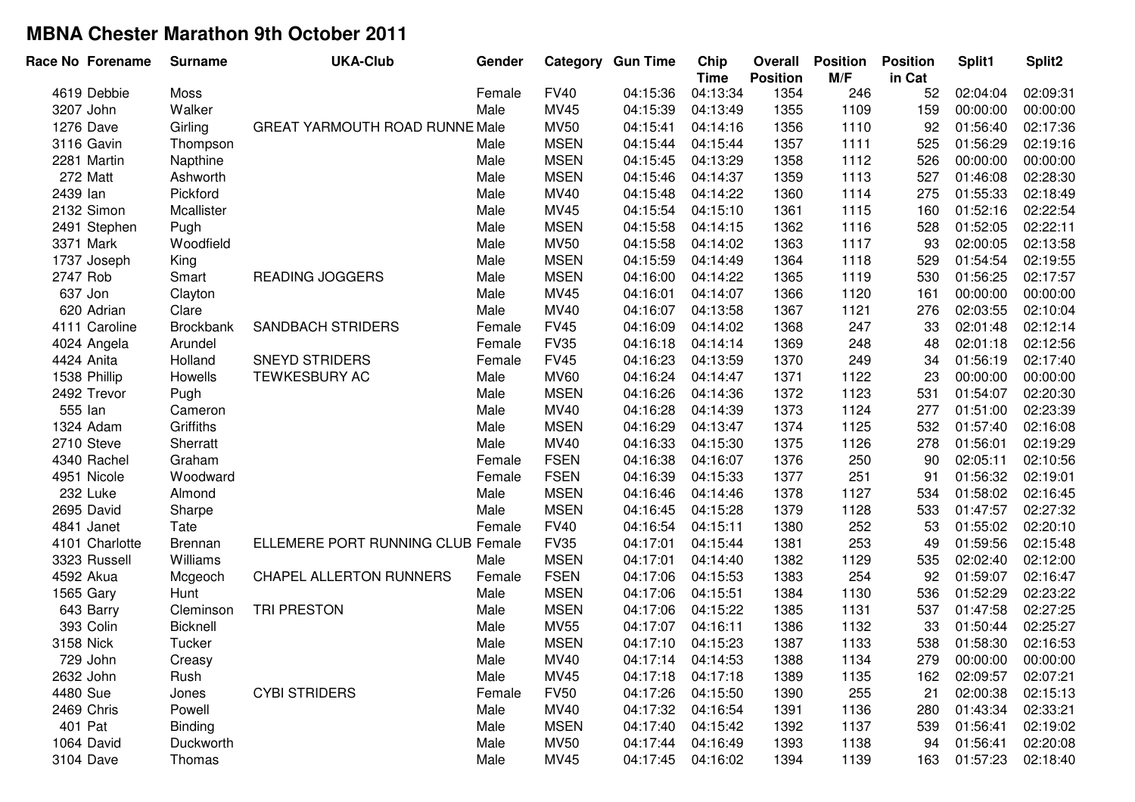|                |                  |                                       |        |             | <b>Category Gun Time</b> | Chip<br><b>Time</b> | Overall<br><b>Position</b> | <b>Position</b><br>M/F | <b>Position</b><br>in Cat | Split1   | Split2   |
|----------------|------------------|---------------------------------------|--------|-------------|--------------------------|---------------------|----------------------------|------------------------|---------------------------|----------|----------|
| 4619 Debbie    | Moss             |                                       | Female | <b>FV40</b> | 04:15:36                 | 04:13:34            | 1354                       | 246                    | 52                        | 02:04:04 | 02:09:31 |
| 3207 John      | Walker           |                                       | Male   | MV45        | 04:15:39                 | 04:13:49            | 1355                       | 1109                   | 159                       | 00:00:00 | 00:00:00 |
| 1276 Dave      | Girling          | <b>GREAT YARMOUTH ROAD RUNNE Male</b> |        | <b>MV50</b> | 04:15:41                 | 04:14:16            | 1356                       | 1110                   | 92                        | 01:56:40 | 02:17:36 |
| 3116 Gavin     | Thompson         |                                       | Male   | <b>MSEN</b> | 04:15:44                 | 04:15:44            | 1357                       | 1111                   | 525                       | 01:56:29 | 02:19:16 |
| 2281 Martin    | Napthine         |                                       | Male   | <b>MSEN</b> | 04:15:45                 | 04:13:29            | 1358                       | 1112                   | 526                       | 00:00:00 | 00:00:00 |
| 272 Matt       | Ashworth         |                                       | Male   | <b>MSEN</b> | 04:15:46                 | 04:14:37            | 1359                       | 1113                   | 527                       | 01:46:08 | 02:28:30 |
| 2439 lan       | Pickford         |                                       | Male   | MV40        | 04:15:48                 | 04:14:22            | 1360                       | 1114                   | 275                       | 01:55:33 | 02:18:49 |
| 2132 Simon     | Mcallister       |                                       | Male   | MV45        | 04:15:54                 | 04:15:10            | 1361                       | 1115                   | 160                       | 01:52:16 | 02:22:54 |
| 2491 Stephen   | Pugh             |                                       | Male   | <b>MSEN</b> | 04:15:58                 | 04:14:15            | 1362                       | 1116                   | 528                       | 01:52:05 | 02:22:11 |
| 3371 Mark      | Woodfield        |                                       | Male   | <b>MV50</b> | 04:15:58                 | 04:14:02            | 1363                       | 1117                   | 93                        | 02:00:05 | 02:13:58 |
| 1737 Joseph    | King             |                                       | Male   | <b>MSEN</b> | 04:15:59                 | 04:14:49            | 1364                       | 1118                   | 529                       | 01:54:54 | 02:19:55 |
| 2747 Rob       | Smart            | <b>READING JOGGERS</b>                | Male   | <b>MSEN</b> | 04:16:00                 | 04:14:22            | 1365                       | 1119                   | 530                       | 01:56:25 | 02:17:57 |
| 637 Jon        | Clayton          |                                       | Male   | <b>MV45</b> | 04:16:01                 | 04:14:07            | 1366                       | 1120                   | 161                       | 00:00:00 | 00:00:00 |
| 620 Adrian     | Clare            |                                       | Male   | MV40        | 04:16:07                 | 04:13:58            | 1367                       | 1121                   | 276                       | 02:03:55 | 02:10:04 |
| 4111 Caroline  | <b>Brockbank</b> | <b>SANDBACH STRIDERS</b>              | Female | <b>FV45</b> | 04:16:09                 | 04:14:02            | 1368                       | 247                    | 33                        | 02:01:48 | 02:12:14 |
| 4024 Angela    | Arundel          |                                       | Female | <b>FV35</b> | 04:16:18                 | 04:14:14            | 1369                       | 248                    | 48                        | 02:01:18 | 02:12:56 |
| 4424 Anita     | Holland          | <b>SNEYD STRIDERS</b>                 | Female | <b>FV45</b> | 04:16:23                 | 04:13:59            | 1370                       | 249                    | 34                        | 01:56:19 | 02:17:40 |
| 1538 Phillip   | Howells          | <b>TEWKESBURY AC</b>                  | Male   | <b>MV60</b> | 04:16:24                 | 04:14:47            | 1371                       | 1122                   | 23                        | 00:00:00 | 00:00:00 |
| 2492 Trevor    | Pugh             |                                       | Male   | <b>MSEN</b> | 04:16:26                 | 04:14:36            | 1372                       | 1123                   | 531                       | 01:54:07 | 02:20:30 |
| 555 lan        | Cameron          |                                       | Male   | <b>MV40</b> | 04:16:28                 | 04:14:39            | 1373                       | 1124                   | 277                       | 01:51:00 | 02:23:39 |
| 1324 Adam      | Griffiths        |                                       | Male   | <b>MSEN</b> | 04:16:29                 | 04:13:47            | 1374                       | 1125                   | 532                       | 01:57:40 | 02:16:08 |
| 2710 Steve     | Sherratt         |                                       | Male   | MV40        | 04:16:33                 | 04:15:30            | 1375                       | 1126                   | 278                       | 01:56:01 | 02:19:29 |
| 4340 Rachel    | Graham           |                                       | Female | <b>FSEN</b> | 04:16:38                 | 04:16:07            | 1376                       | 250                    | 90                        | 02:05:11 | 02:10:56 |
| 4951 Nicole    | Woodward         |                                       | Female | <b>FSEN</b> | 04:16:39                 | 04:15:33            | 1377                       | 251                    | 91                        | 01:56:32 | 02:19:01 |
| 232 Luke       | Almond           |                                       | Male   | <b>MSEN</b> | 04:16:46                 | 04:14:46            | 1378                       | 1127                   | 534                       | 01:58:02 | 02:16:45 |
| 2695 David     | Sharpe           |                                       | Male   | <b>MSEN</b> | 04:16:45                 | 04:15:28            | 1379                       | 1128                   | 533                       | 01:47:57 | 02:27:32 |
| 4841 Janet     | Tate             |                                       | Female | <b>FV40</b> | 04:16:54                 | 04:15:11            | 1380                       | 252                    | 53                        | 01:55:02 | 02:20:10 |
| 4101 Charlotte | Brennan          | ELLEMERE PORT RUNNING CLUB Female     |        | <b>FV35</b> | 04:17:01                 | 04:15:44            | 1381                       | 253                    | 49                        | 01:59:56 | 02:15:48 |
| 3323 Russell   | Williams         |                                       | Male   | <b>MSEN</b> | 04:17:01                 | 04:14:40            | 1382                       | 1129                   | 535                       | 02:02:40 | 02:12:00 |
| 4592 Akua      | Mcgeoch          | <b>CHAPEL ALLERTON RUNNERS</b>        | Female | <b>FSEN</b> | 04:17:06                 | 04:15:53            | 1383                       | 254                    | 92                        | 01:59:07 | 02:16:47 |
| 1565 Gary      | Hunt             |                                       | Male   | <b>MSEN</b> | 04:17:06                 | 04:15:51            | 1384                       | 1130                   | 536                       | 01:52:29 | 02:23:22 |
| 643 Barry      | Cleminson        | TRI PRESTON                           | Male   | <b>MSEN</b> | 04:17:06                 | 04:15:22            | 1385                       | 1131                   | 537                       | 01:47:58 | 02:27:25 |
| 393 Colin      | Bicknell         |                                       | Male   | <b>MV55</b> | 04:17:07                 | 04:16:11            | 1386                       | 1132                   | 33                        | 01:50:44 | 02:25:27 |
| 3158 Nick      | Tucker           |                                       | Male   | <b>MSEN</b> | 04:17:10                 | 04:15:23            | 1387                       | 1133                   | 538                       | 01:58:30 | 02:16:53 |
| 729 John       | Creasy           |                                       | Male   | <b>MV40</b> | 04:17:14                 | 04:14:53            | 1388                       | 1134                   | 279                       | 00:00:00 | 00:00:00 |
| 2632 John      | Rush             |                                       | Male   | MV45        | 04:17:18                 | 04:17:18            | 1389                       | 1135                   | 162                       | 02:09:57 | 02:07:21 |
| 4480 Sue       | Jones            | <b>CYBI STRIDERS</b>                  | Female | <b>FV50</b> | 04:17:26                 | 04:15:50            | 1390                       | 255                    | 21                        | 02:00:38 | 02:15:13 |
| 2469 Chris     | Powell           |                                       | Male   | MV40        | 04:17:32                 | 04:16:54            | 1391                       | 1136                   | 280                       | 01:43:34 | 02:33:21 |
| 401 Pat        | <b>Binding</b>   |                                       | Male   | <b>MSEN</b> | 04:17:40                 | 04:15:42            | 1392                       | 1137                   | 539                       | 01:56:41 | 02:19:02 |
| 1064 David     | Duckworth        |                                       | Male   | <b>MV50</b> | 04:17:44                 | 04:16:49            | 1393                       | 1138                   | 94                        | 01:56:41 | 02:20:08 |
| 3104 Dave      | Thomas           |                                       | Male   | MV45        | 04:17:45                 | 04:16:02            | 1394                       | 1139                   | 163                       | 01:57:23 | 02:18:40 |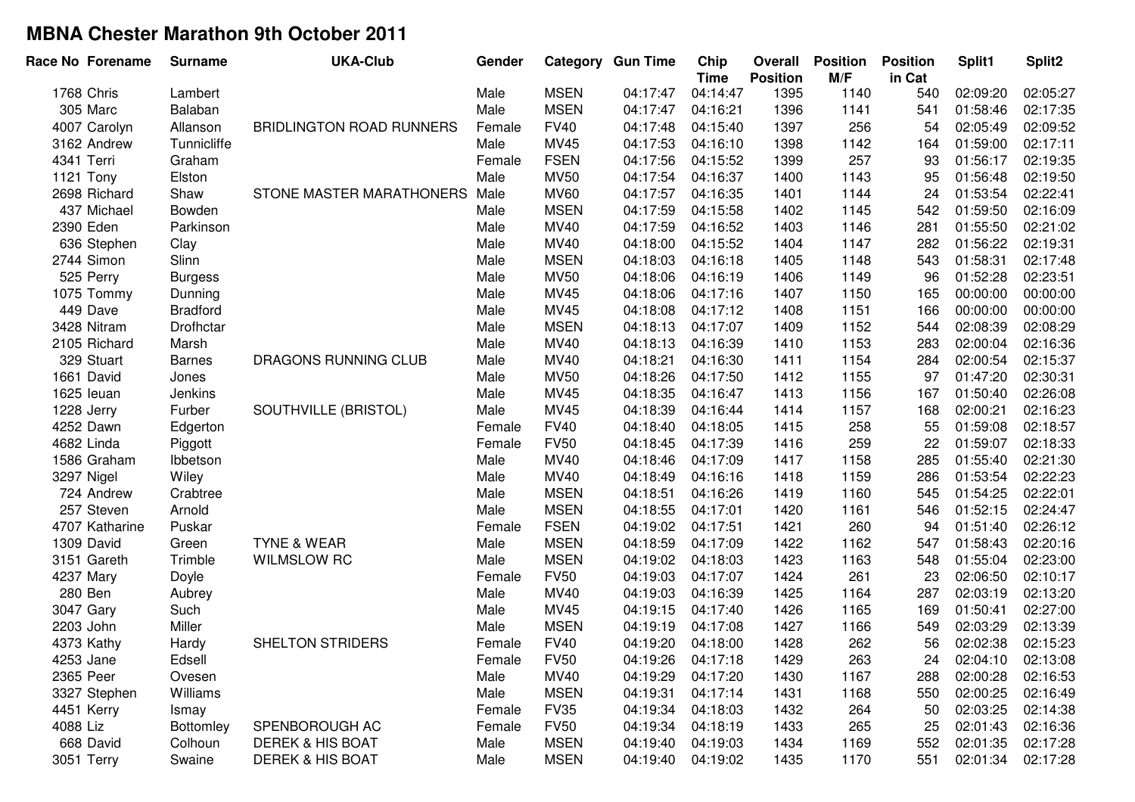| Race No Forename | <b>Surname</b>   | <b>UKA-Club</b>                 | Gender |             | <b>Category Gun Time</b> | Chip<br><b>Time</b> | Overall<br><b>Position</b> | <b>Position</b><br>M/F | <b>Position</b><br>in Cat | Split1   | Split <sub>2</sub> |
|------------------|------------------|---------------------------------|--------|-------------|--------------------------|---------------------|----------------------------|------------------------|---------------------------|----------|--------------------|
| 1768 Chris       | Lambert          |                                 | Male   | <b>MSEN</b> | 04:17:47                 | 04:14:47            | 1395                       | 1140                   | 540                       | 02:09:20 | 02:05:27           |
| 305 Marc         | Balaban          |                                 | Male   | <b>MSEN</b> | 04:17:47                 | 04:16:21            | 1396                       | 1141                   | 541                       | 01:58:46 | 02:17:35           |
| 4007 Carolyn     | Allanson         | <b>BRIDLINGTON ROAD RUNNERS</b> | Female | <b>FV40</b> | 04:17:48                 | 04:15:40            | 1397                       | 256                    | 54                        | 02:05:49 | 02:09:52           |
| 3162 Andrew      | Tunnicliffe      |                                 | Male   | <b>MV45</b> | 04:17:53                 | 04:16:10            | 1398                       | 1142                   | 164                       | 01:59:00 | 02:17:11           |
| 4341 Terri       | Graham           |                                 | Female | <b>FSEN</b> | 04:17:56                 | 04:15:52            | 1399                       | 257                    | 93                        | 01:56:17 | 02:19:35           |
| 1121 Tony        | Elston           |                                 | Male   | <b>MV50</b> | 04:17:54                 | 04:16:37            | 1400                       | 1143                   | 95                        | 01:56:48 | 02:19:50           |
| 2698 Richard     | Shaw             | STONE MASTER MARATHONERS        | Male   | <b>MV60</b> | 04:17:57                 | 04:16:35            | 1401                       | 1144                   | 24                        | 01:53:54 | 02:22:41           |
| 437 Michael      | Bowden           |                                 | Male   | <b>MSEN</b> | 04:17:59                 | 04:15:58            | 1402                       | 1145                   | 542                       | 01:59:50 | 02:16:09           |
| 2390 Eden        | Parkinson        |                                 | Male   | MV40        | 04:17:59                 | 04:16:52            | 1403                       | 1146                   | 281                       | 01:55:50 | 02:21:02           |
| 636 Stephen      | Clay             |                                 | Male   | MV40        | 04:18:00                 | 04:15:52            | 1404                       | 1147                   | 282                       | 01:56:22 | 02:19:31           |
| 2744 Simon       | Slinn            |                                 | Male   | <b>MSEN</b> | 04:18:03                 | 04:16:18            | 1405                       | 1148                   | 543                       | 01:58:31 | 02:17:48           |
| 525 Perry        | <b>Burgess</b>   |                                 | Male   | <b>MV50</b> | 04:18:06                 | 04:16:19            | 1406                       | 1149                   | 96                        | 01:52:28 | 02:23:51           |
| 1075 Tommy       | Dunning          |                                 | Male   | <b>MV45</b> | 04:18:06                 | 04:17:16            | 1407                       | 1150                   | 165                       | 00:00:00 | 00:00:00           |
| 449 Dave         | <b>Bradford</b>  |                                 | Male   | <b>MV45</b> | 04:18:08                 | 04:17:12            | 1408                       | 1151                   | 166                       | 00:00:00 | 00:00:00           |
| 3428 Nitram      | Drofhctar        |                                 | Male   | <b>MSEN</b> | 04:18:13                 | 04:17:07            | 1409                       | 1152                   | 544                       | 02:08:39 | 02:08:29           |
| 2105 Richard     | Marsh            |                                 | Male   | <b>MV40</b> | 04:18:13                 | 04:16:39            | 1410                       | 1153                   | 283                       | 02:00:04 | 02:16:36           |
| 329 Stuart       | <b>Barnes</b>    | DRAGONS RUNNING CLUB            | Male   | MV40        | 04:18:21                 | 04:16:30            | 1411                       | 1154                   | 284                       | 02:00:54 | 02:15:37           |
| 1661 David       | Jones            |                                 | Male   | <b>MV50</b> | 04:18:26                 | 04:17:50            | 1412                       | 1155                   | 97                        | 01:47:20 | 02:30:31           |
| 1625 leuan       | Jenkins          |                                 | Male   | MV45        | 04:18:35                 | 04:16:47            | 1413                       | 1156                   | 167                       | 01:50:40 | 02:26:08           |
| 1228 Jerry       | Furber           | SOUTHVILLE (BRISTOL)            | Male   | <b>MV45</b> | 04:18:39                 | 04:16:44            | 1414                       | 1157                   | 168                       | 02:00:21 | 02:16:23           |
| 4252 Dawn        | Edgerton         |                                 | Female | <b>FV40</b> | 04:18:40                 | 04:18:05            | 1415                       | 258                    | 55                        | 01:59:08 | 02:18:57           |
| 4682 Linda       | Piggott          |                                 | Female | <b>FV50</b> | 04:18:45                 | 04:17:39            | 1416                       | 259                    | 22                        | 01:59:07 | 02:18:33           |
| 1586 Graham      | Ibbetson         |                                 | Male   | MV40        | 04:18:46                 | 04:17:09            | 1417                       | 1158                   | 285                       | 01:55:40 | 02:21:30           |
| 3297 Nigel       | Wiley            |                                 | Male   | MV40        | 04:18:49                 | 04:16:16            | 1418                       | 1159                   | 286                       | 01:53:54 | 02:22:23           |
| 724 Andrew       | Crabtree         |                                 | Male   | <b>MSEN</b> | 04:18:51                 | 04:16:26            | 1419                       | 1160                   | 545                       | 01:54:25 | 02:22:01           |
| 257 Steven       | Arnold           |                                 | Male   | <b>MSEN</b> | 04:18:55                 | 04:17:01            | 1420                       | 1161                   | 546                       | 01:52:15 | 02:24:47           |
| 4707 Katharine   | Puskar           |                                 | Female | <b>FSEN</b> | 04:19:02                 | 04:17:51            | 1421                       | 260                    | 94                        | 01:51:40 | 02:26:12           |
| 1309 David       | Green            | <b>TYNE &amp; WEAR</b>          | Male   | <b>MSEN</b> | 04:18:59                 | 04:17:09            | 1422                       | 1162                   | 547                       | 01:58:43 | 02:20:16           |
| 3151 Gareth      | Trimble          | <b>WILMSLOW RC</b>              | Male   | <b>MSEN</b> | 04:19:02                 | 04:18:03            | 1423                       | 1163                   | 548                       | 01:55:04 | 02:23:00           |
| 4237 Mary        | Doyle            |                                 | Female | <b>FV50</b> | 04:19:03                 | 04:17:07            | 1424                       | 261                    | 23                        | 02:06:50 | 02:10:17           |
| 280 Ben          | Aubrey           |                                 | Male   | MV40        | 04:19:03                 | 04:16:39            | 1425                       | 1164                   | 287                       | 02:03:19 | 02:13:20           |
| 3047 Gary        | Such             |                                 | Male   | MV45        | 04:19:15                 | 04:17:40            | 1426                       | 1165                   | 169                       | 01:50:41 | 02:27:00           |
| 2203 John        | Miller           |                                 | Male   | <b>MSEN</b> | 04:19:19                 | 04:17:08            | 1427                       | 1166                   | 549                       | 02:03:29 | 02:13:39           |
| 4373 Kathy       | Hardy            | <b>SHELTON STRIDERS</b>         | Female | <b>FV40</b> | 04:19:20                 | 04:18:00            | 1428                       | 262                    | 56                        | 02:02:38 | 02:15:23           |
| 4253 Jane        | Edsell           |                                 | Female | <b>FV50</b> | 04:19:26                 | 04:17:18            | 1429                       | 263                    | 24                        | 02:04:10 | 02:13:08           |
| 2365 Peer        | Ovesen           |                                 | Male   | MV40        | 04:19:29                 | 04:17:20            | 1430                       | 1167                   | 288                       | 02:00:28 | 02:16:53           |
| 3327 Stephen     | Williams         |                                 | Male   | <b>MSEN</b> | 04:19:31                 | 04:17:14            | 1431                       | 1168                   | 550                       | 02:00:25 | 02:16:49           |
| 4451 Kerry       | Ismay            |                                 | Female | <b>FV35</b> | 04:19:34                 | 04:18:03            | 1432                       | 264                    | 50                        | 02:03:25 | 02:14:38           |
| 4088 Liz         | <b>Bottomley</b> | SPENBOROUGH AC                  | Female | <b>FV50</b> | 04:19:34                 | 04:18:19            | 1433                       | 265                    | 25                        | 02:01:43 | 02:16:36           |
| 668 David        | Colhoun          | <b>DEREK &amp; HIS BOAT</b>     | Male   | <b>MSEN</b> | 04:19:40                 | 04:19:03            | 1434                       | 1169                   | 552                       | 02:01:35 | 02:17:28           |
| 3051 Terry       | Swaine           | <b>DEREK &amp; HIS BOAT</b>     | Male   | <b>MSEN</b> | 04:19:40                 | 04:19:02            | 1435                       | 1170                   | 551                       | 02:01:34 | 02:17:28           |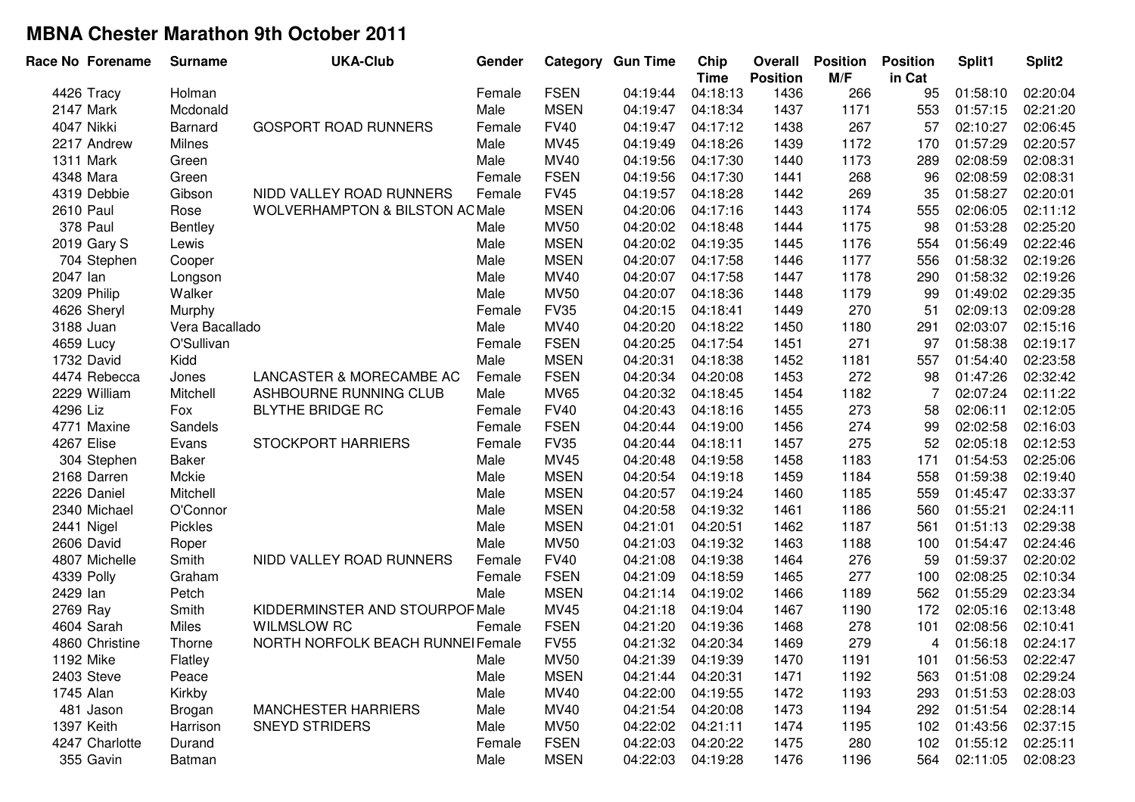| <b>FSEN</b><br>266<br>4426 Tracy<br>Female<br>04:19:44<br>04:18:13<br>1436<br>95<br>01:58:10<br>Holman<br><b>MSEN</b><br>1437<br>1171<br>553<br>01:57:15<br>2147 Mark<br>Mcdonald<br>Male<br>04:19:47<br>04:18:34<br>267<br>4047 Nikki<br><b>GOSPORT ROAD RUNNERS</b><br><b>FV40</b><br>04:19:47<br>1438<br>57<br>02:10:27<br><b>Barnard</b><br>Female<br>04:17:12<br>MV45<br>04:19:49<br>04:18:26<br>1439<br>1172<br>170<br>01:57:29<br>2217 Andrew<br>Milnes<br>Male<br>MV40<br>Male<br>04:19:56<br>1440<br>1173<br>289<br>02:08:59<br>1311 Mark<br>Green<br>04:17:30<br><b>FSEN</b><br>268<br>02:08:59<br>4348 Mara<br>Green<br>Female<br>04:19:56<br>04:17:30<br>1441<br>96<br>269<br>4319 Debbie<br>NIDD VALLEY ROAD RUNNERS<br><b>FV45</b><br>04:19:57<br>1442<br>35<br>01:58:27<br>Gibson<br>Female<br>04:18:28<br><b>MSEN</b><br><b>2610 Paul</b><br><b>WOLVERHAMPTON &amp; BILSTON AC Male</b><br>04:20:06<br>1443<br>1174<br>555<br>02:06:05<br>Rose<br>04:17:16<br>378 Paul<br><b>MV50</b><br>04:20:02<br>01:53:28<br>1444<br>1175<br>Bentley<br>Male<br>04:18:48<br>98<br><b>MSEN</b><br>2019 Gary S<br>04:20:02<br>1445<br>1176<br>554<br>01:56:49<br>Lewis<br>Male<br>04:19:35<br><b>MSEN</b><br>704 Stephen<br>Male<br>04:20:07<br>1446<br>1177<br>556<br>01:58:32<br>04:17:58<br>Cooper<br>MV40<br>2047 lan<br>Male<br>04:20:07<br>1447<br>1178<br>290<br>01:58:32<br>04:17:58<br>Longson<br><b>MV50</b><br>3209 Philip<br>Walker<br>Male<br>04:20:07<br>1448<br>1179<br>01:49:02<br>04:18:36<br>99<br><b>FV35</b><br>270<br>04:20:15<br>1449<br>02:09:13<br>4626 Sheryl<br>Murphy<br>Female<br>04:18:41<br>51<br>Vera Bacallado<br>Male<br>MV40<br>04:20:20<br>1450<br>1180<br>291<br>02:03:07<br>3188 Juan<br>04:18:22<br><b>FSEN</b><br>O'Sullivan<br>04:20:25<br>1451<br>271<br>97<br>01:58:38<br>4659 Lucy<br>Female<br>04:17:54<br><b>MSEN</b><br>Kidd<br>Male<br>04:20:31<br>1452<br>1181<br>557<br>01:54:40<br>1732 David<br>04:18:38<br><b>FSEN</b><br>4474 Rebecca<br>Jones<br>LANCASTER & MORECAMBE AC<br>04:20:34<br>1453<br>272<br>01:47:26<br>Female<br>04:20:08<br>98<br>Mitchell<br>ASHBOURNE RUNNING CLUB<br>MV65<br>04:20:32<br>1454<br>1182<br>7<br>02:07:24<br>2229 William<br>Male<br>04:18:45<br>273<br>4296 Liz<br><b>BLYTHE BRIDGE RC</b><br><b>FV40</b><br>04:20:43<br>1455<br>02:06:11<br>Fox<br>Female<br>04:18:16<br>58<br>274<br><b>FSEN</b><br>04:20:44<br>1456<br>99<br>02:02:58<br>4771 Maxine<br>Sandels<br>Female<br>04:19:00<br>275<br>4267 Elise<br><b>STOCKPORT HARRIERS</b><br><b>FV35</b><br>04:20:44<br>1457<br>52<br>02:05:18<br>Evans<br>Female<br>04:18:11<br>MV45<br>04:20:48<br>1458<br>1183<br>171<br>01:54:53<br>304 Stephen<br>Baker<br>Male<br>04:19:58<br><b>MSEN</b><br>04:20:54<br>2168 Darren<br>Mckie<br>Male<br>1459<br>1184<br>558<br>01:59:38<br>04:19:18<br><b>MSEN</b><br>04:20:57<br>1185<br>01:45:47<br>2226 Daniel<br>Mitchell<br>1460<br>559<br>Male<br>04:19:24<br><b>MSEN</b><br>01:55:21<br>2340 Michael<br>O'Connor<br>04:20:58<br>1461<br>1186<br>Male<br>04:19:32<br>560<br><b>MSEN</b><br>1187<br>2441 Nigel<br>Pickles<br>Male<br>04:21:01<br>04:20:51<br>1462<br>561<br>01:51:13<br>2606 David<br>Male<br><b>MV50</b><br>04:21:03<br>04:19:32<br>1463<br>1188<br>01:54:47<br>100<br>Roper<br>276<br>4807 Michelle<br>Smith<br>NIDD VALLEY ROAD RUNNERS<br><b>FV40</b><br>04:21:08<br>04:19:38<br>1464<br>01:59:37<br>Female<br>59<br>277<br><b>FSEN</b><br>04:21:09<br>1465<br>02:08:25<br>4339 Polly<br>Graham<br>04:18:59<br>100<br>Female<br>2429 lan<br><b>MSEN</b><br>04:21:14<br>1466<br>1189<br>562<br>01:55:29<br>Petch<br>Male<br>04:19:02<br>2769 Ray<br>Smith<br>KIDDERMINSTER AND STOURPOF Male<br>MV45<br>04:21:18<br>1467<br>1190<br>172<br>02:05:16<br>04:19:04<br>278<br>4604 Sarah<br><b>FSEN</b><br>04:21:20<br>1468<br>Miles<br><b>WILMSLOW RC</b><br>04:19:36<br>101<br>02:08:56<br>Female<br>279<br>4860 Christine<br>NORTH NORFOLK BEACH RUNNEI Female<br><b>FV55</b><br>04:21:32<br>04:20:34<br>1469<br>01:56:18<br>Thorne<br>4<br>1192 Mike<br>Flatley<br>Male<br><b>MV50</b><br>04:21:39<br>04:19:39<br>1470<br>1191<br>101<br>01:56:53<br><b>MSEN</b><br>2403 Steve<br>Peace<br>Male<br>04:21:44<br>04:20:31<br>1471<br>1192<br>563<br>01:51:08<br>Kirkby<br>MV40<br>04:22:00<br>1745 Alan<br>Male<br>04:19:55<br>1472<br>1193<br>293<br>01:51:53 | Split2<br>Split1 |
|---------------------------------------------------------------------------------------------------------------------------------------------------------------------------------------------------------------------------------------------------------------------------------------------------------------------------------------------------------------------------------------------------------------------------------------------------------------------------------------------------------------------------------------------------------------------------------------------------------------------------------------------------------------------------------------------------------------------------------------------------------------------------------------------------------------------------------------------------------------------------------------------------------------------------------------------------------------------------------------------------------------------------------------------------------------------------------------------------------------------------------------------------------------------------------------------------------------------------------------------------------------------------------------------------------------------------------------------------------------------------------------------------------------------------------------------------------------------------------------------------------------------------------------------------------------------------------------------------------------------------------------------------------------------------------------------------------------------------------------------------------------------------------------------------------------------------------------------------------------------------------------------------------------------------------------------------------------------------------------------------------------------------------------------------------------------------------------------------------------------------------------------------------------------------------------------------------------------------------------------------------------------------------------------------------------------------------------------------------------------------------------------------------------------------------------------------------------------------------------------------------------------------------------------------------------------------------------------------------------------------------------------------------------------------------------------------------------------------------------------------------------------------------------------------------------------------------------------------------------------------------------------------------------------------------------------------------------------------------------------------------------------------------------------------------------------------------------------------------------------------------------------------------------------------------------------------------------------------------------------------------------------------------------------------------------------------------------------------------------------------------------------------------------------------------------------------------------------------------------------------------------------------------------------------------------------------------------------------------------------------------------------------------------------------------------------------------------------------------------------------------------------------------------------------------------------------------------------------------------------------------------------------------------------------------------------------------------------------------------------------------------------------------------------------------------------------------------------------------------------------------------------------------------------------------------------------------------------------------------------------------------------------------------------------------------------------------------------------------------------|------------------|
|                                                                                                                                                                                                                                                                                                                                                                                                                                                                                                                                                                                                                                                                                                                                                                                                                                                                                                                                                                                                                                                                                                                                                                                                                                                                                                                                                                                                                                                                                                                                                                                                                                                                                                                                                                                                                                                                                                                                                                                                                                                                                                                                                                                                                                                                                                                                                                                                                                                                                                                                                                                                                                                                                                                                                                                                                                                                                                                                                                                                                                                                                                                                                                                                                                                                                                                                                                                                                                                                                                                                                                                                                                                                                                                                                                                                                                                                                                                                                                                                                                                                                                                                                                                                                                                                                                                                                                     | 02:20:04         |
|                                                                                                                                                                                                                                                                                                                                                                                                                                                                                                                                                                                                                                                                                                                                                                                                                                                                                                                                                                                                                                                                                                                                                                                                                                                                                                                                                                                                                                                                                                                                                                                                                                                                                                                                                                                                                                                                                                                                                                                                                                                                                                                                                                                                                                                                                                                                                                                                                                                                                                                                                                                                                                                                                                                                                                                                                                                                                                                                                                                                                                                                                                                                                                                                                                                                                                                                                                                                                                                                                                                                                                                                                                                                                                                                                                                                                                                                                                                                                                                                                                                                                                                                                                                                                                                                                                                                                                     | 02:21:20         |
|                                                                                                                                                                                                                                                                                                                                                                                                                                                                                                                                                                                                                                                                                                                                                                                                                                                                                                                                                                                                                                                                                                                                                                                                                                                                                                                                                                                                                                                                                                                                                                                                                                                                                                                                                                                                                                                                                                                                                                                                                                                                                                                                                                                                                                                                                                                                                                                                                                                                                                                                                                                                                                                                                                                                                                                                                                                                                                                                                                                                                                                                                                                                                                                                                                                                                                                                                                                                                                                                                                                                                                                                                                                                                                                                                                                                                                                                                                                                                                                                                                                                                                                                                                                                                                                                                                                                                                     | 02:06:45         |
|                                                                                                                                                                                                                                                                                                                                                                                                                                                                                                                                                                                                                                                                                                                                                                                                                                                                                                                                                                                                                                                                                                                                                                                                                                                                                                                                                                                                                                                                                                                                                                                                                                                                                                                                                                                                                                                                                                                                                                                                                                                                                                                                                                                                                                                                                                                                                                                                                                                                                                                                                                                                                                                                                                                                                                                                                                                                                                                                                                                                                                                                                                                                                                                                                                                                                                                                                                                                                                                                                                                                                                                                                                                                                                                                                                                                                                                                                                                                                                                                                                                                                                                                                                                                                                                                                                                                                                     | 02:20:57         |
|                                                                                                                                                                                                                                                                                                                                                                                                                                                                                                                                                                                                                                                                                                                                                                                                                                                                                                                                                                                                                                                                                                                                                                                                                                                                                                                                                                                                                                                                                                                                                                                                                                                                                                                                                                                                                                                                                                                                                                                                                                                                                                                                                                                                                                                                                                                                                                                                                                                                                                                                                                                                                                                                                                                                                                                                                                                                                                                                                                                                                                                                                                                                                                                                                                                                                                                                                                                                                                                                                                                                                                                                                                                                                                                                                                                                                                                                                                                                                                                                                                                                                                                                                                                                                                                                                                                                                                     | 02:08:31         |
|                                                                                                                                                                                                                                                                                                                                                                                                                                                                                                                                                                                                                                                                                                                                                                                                                                                                                                                                                                                                                                                                                                                                                                                                                                                                                                                                                                                                                                                                                                                                                                                                                                                                                                                                                                                                                                                                                                                                                                                                                                                                                                                                                                                                                                                                                                                                                                                                                                                                                                                                                                                                                                                                                                                                                                                                                                                                                                                                                                                                                                                                                                                                                                                                                                                                                                                                                                                                                                                                                                                                                                                                                                                                                                                                                                                                                                                                                                                                                                                                                                                                                                                                                                                                                                                                                                                                                                     | 02:08:31         |
|                                                                                                                                                                                                                                                                                                                                                                                                                                                                                                                                                                                                                                                                                                                                                                                                                                                                                                                                                                                                                                                                                                                                                                                                                                                                                                                                                                                                                                                                                                                                                                                                                                                                                                                                                                                                                                                                                                                                                                                                                                                                                                                                                                                                                                                                                                                                                                                                                                                                                                                                                                                                                                                                                                                                                                                                                                                                                                                                                                                                                                                                                                                                                                                                                                                                                                                                                                                                                                                                                                                                                                                                                                                                                                                                                                                                                                                                                                                                                                                                                                                                                                                                                                                                                                                                                                                                                                     | 02:20:01         |
|                                                                                                                                                                                                                                                                                                                                                                                                                                                                                                                                                                                                                                                                                                                                                                                                                                                                                                                                                                                                                                                                                                                                                                                                                                                                                                                                                                                                                                                                                                                                                                                                                                                                                                                                                                                                                                                                                                                                                                                                                                                                                                                                                                                                                                                                                                                                                                                                                                                                                                                                                                                                                                                                                                                                                                                                                                                                                                                                                                                                                                                                                                                                                                                                                                                                                                                                                                                                                                                                                                                                                                                                                                                                                                                                                                                                                                                                                                                                                                                                                                                                                                                                                                                                                                                                                                                                                                     | 02:11:12         |
|                                                                                                                                                                                                                                                                                                                                                                                                                                                                                                                                                                                                                                                                                                                                                                                                                                                                                                                                                                                                                                                                                                                                                                                                                                                                                                                                                                                                                                                                                                                                                                                                                                                                                                                                                                                                                                                                                                                                                                                                                                                                                                                                                                                                                                                                                                                                                                                                                                                                                                                                                                                                                                                                                                                                                                                                                                                                                                                                                                                                                                                                                                                                                                                                                                                                                                                                                                                                                                                                                                                                                                                                                                                                                                                                                                                                                                                                                                                                                                                                                                                                                                                                                                                                                                                                                                                                                                     | 02:25:20         |
|                                                                                                                                                                                                                                                                                                                                                                                                                                                                                                                                                                                                                                                                                                                                                                                                                                                                                                                                                                                                                                                                                                                                                                                                                                                                                                                                                                                                                                                                                                                                                                                                                                                                                                                                                                                                                                                                                                                                                                                                                                                                                                                                                                                                                                                                                                                                                                                                                                                                                                                                                                                                                                                                                                                                                                                                                                                                                                                                                                                                                                                                                                                                                                                                                                                                                                                                                                                                                                                                                                                                                                                                                                                                                                                                                                                                                                                                                                                                                                                                                                                                                                                                                                                                                                                                                                                                                                     | 02:22:46         |
|                                                                                                                                                                                                                                                                                                                                                                                                                                                                                                                                                                                                                                                                                                                                                                                                                                                                                                                                                                                                                                                                                                                                                                                                                                                                                                                                                                                                                                                                                                                                                                                                                                                                                                                                                                                                                                                                                                                                                                                                                                                                                                                                                                                                                                                                                                                                                                                                                                                                                                                                                                                                                                                                                                                                                                                                                                                                                                                                                                                                                                                                                                                                                                                                                                                                                                                                                                                                                                                                                                                                                                                                                                                                                                                                                                                                                                                                                                                                                                                                                                                                                                                                                                                                                                                                                                                                                                     | 02:19:26         |
|                                                                                                                                                                                                                                                                                                                                                                                                                                                                                                                                                                                                                                                                                                                                                                                                                                                                                                                                                                                                                                                                                                                                                                                                                                                                                                                                                                                                                                                                                                                                                                                                                                                                                                                                                                                                                                                                                                                                                                                                                                                                                                                                                                                                                                                                                                                                                                                                                                                                                                                                                                                                                                                                                                                                                                                                                                                                                                                                                                                                                                                                                                                                                                                                                                                                                                                                                                                                                                                                                                                                                                                                                                                                                                                                                                                                                                                                                                                                                                                                                                                                                                                                                                                                                                                                                                                                                                     | 02:19:26         |
|                                                                                                                                                                                                                                                                                                                                                                                                                                                                                                                                                                                                                                                                                                                                                                                                                                                                                                                                                                                                                                                                                                                                                                                                                                                                                                                                                                                                                                                                                                                                                                                                                                                                                                                                                                                                                                                                                                                                                                                                                                                                                                                                                                                                                                                                                                                                                                                                                                                                                                                                                                                                                                                                                                                                                                                                                                                                                                                                                                                                                                                                                                                                                                                                                                                                                                                                                                                                                                                                                                                                                                                                                                                                                                                                                                                                                                                                                                                                                                                                                                                                                                                                                                                                                                                                                                                                                                     | 02:29:35         |
|                                                                                                                                                                                                                                                                                                                                                                                                                                                                                                                                                                                                                                                                                                                                                                                                                                                                                                                                                                                                                                                                                                                                                                                                                                                                                                                                                                                                                                                                                                                                                                                                                                                                                                                                                                                                                                                                                                                                                                                                                                                                                                                                                                                                                                                                                                                                                                                                                                                                                                                                                                                                                                                                                                                                                                                                                                                                                                                                                                                                                                                                                                                                                                                                                                                                                                                                                                                                                                                                                                                                                                                                                                                                                                                                                                                                                                                                                                                                                                                                                                                                                                                                                                                                                                                                                                                                                                     | 02:09:28         |
|                                                                                                                                                                                                                                                                                                                                                                                                                                                                                                                                                                                                                                                                                                                                                                                                                                                                                                                                                                                                                                                                                                                                                                                                                                                                                                                                                                                                                                                                                                                                                                                                                                                                                                                                                                                                                                                                                                                                                                                                                                                                                                                                                                                                                                                                                                                                                                                                                                                                                                                                                                                                                                                                                                                                                                                                                                                                                                                                                                                                                                                                                                                                                                                                                                                                                                                                                                                                                                                                                                                                                                                                                                                                                                                                                                                                                                                                                                                                                                                                                                                                                                                                                                                                                                                                                                                                                                     | 02:15:16         |
|                                                                                                                                                                                                                                                                                                                                                                                                                                                                                                                                                                                                                                                                                                                                                                                                                                                                                                                                                                                                                                                                                                                                                                                                                                                                                                                                                                                                                                                                                                                                                                                                                                                                                                                                                                                                                                                                                                                                                                                                                                                                                                                                                                                                                                                                                                                                                                                                                                                                                                                                                                                                                                                                                                                                                                                                                                                                                                                                                                                                                                                                                                                                                                                                                                                                                                                                                                                                                                                                                                                                                                                                                                                                                                                                                                                                                                                                                                                                                                                                                                                                                                                                                                                                                                                                                                                                                                     | 02:19:17         |
|                                                                                                                                                                                                                                                                                                                                                                                                                                                                                                                                                                                                                                                                                                                                                                                                                                                                                                                                                                                                                                                                                                                                                                                                                                                                                                                                                                                                                                                                                                                                                                                                                                                                                                                                                                                                                                                                                                                                                                                                                                                                                                                                                                                                                                                                                                                                                                                                                                                                                                                                                                                                                                                                                                                                                                                                                                                                                                                                                                                                                                                                                                                                                                                                                                                                                                                                                                                                                                                                                                                                                                                                                                                                                                                                                                                                                                                                                                                                                                                                                                                                                                                                                                                                                                                                                                                                                                     | 02:23:58         |
|                                                                                                                                                                                                                                                                                                                                                                                                                                                                                                                                                                                                                                                                                                                                                                                                                                                                                                                                                                                                                                                                                                                                                                                                                                                                                                                                                                                                                                                                                                                                                                                                                                                                                                                                                                                                                                                                                                                                                                                                                                                                                                                                                                                                                                                                                                                                                                                                                                                                                                                                                                                                                                                                                                                                                                                                                                                                                                                                                                                                                                                                                                                                                                                                                                                                                                                                                                                                                                                                                                                                                                                                                                                                                                                                                                                                                                                                                                                                                                                                                                                                                                                                                                                                                                                                                                                                                                     | 02:32:42         |
|                                                                                                                                                                                                                                                                                                                                                                                                                                                                                                                                                                                                                                                                                                                                                                                                                                                                                                                                                                                                                                                                                                                                                                                                                                                                                                                                                                                                                                                                                                                                                                                                                                                                                                                                                                                                                                                                                                                                                                                                                                                                                                                                                                                                                                                                                                                                                                                                                                                                                                                                                                                                                                                                                                                                                                                                                                                                                                                                                                                                                                                                                                                                                                                                                                                                                                                                                                                                                                                                                                                                                                                                                                                                                                                                                                                                                                                                                                                                                                                                                                                                                                                                                                                                                                                                                                                                                                     | 02:11:22         |
|                                                                                                                                                                                                                                                                                                                                                                                                                                                                                                                                                                                                                                                                                                                                                                                                                                                                                                                                                                                                                                                                                                                                                                                                                                                                                                                                                                                                                                                                                                                                                                                                                                                                                                                                                                                                                                                                                                                                                                                                                                                                                                                                                                                                                                                                                                                                                                                                                                                                                                                                                                                                                                                                                                                                                                                                                                                                                                                                                                                                                                                                                                                                                                                                                                                                                                                                                                                                                                                                                                                                                                                                                                                                                                                                                                                                                                                                                                                                                                                                                                                                                                                                                                                                                                                                                                                                                                     | 02:12:05         |
|                                                                                                                                                                                                                                                                                                                                                                                                                                                                                                                                                                                                                                                                                                                                                                                                                                                                                                                                                                                                                                                                                                                                                                                                                                                                                                                                                                                                                                                                                                                                                                                                                                                                                                                                                                                                                                                                                                                                                                                                                                                                                                                                                                                                                                                                                                                                                                                                                                                                                                                                                                                                                                                                                                                                                                                                                                                                                                                                                                                                                                                                                                                                                                                                                                                                                                                                                                                                                                                                                                                                                                                                                                                                                                                                                                                                                                                                                                                                                                                                                                                                                                                                                                                                                                                                                                                                                                     | 02:16:03         |
|                                                                                                                                                                                                                                                                                                                                                                                                                                                                                                                                                                                                                                                                                                                                                                                                                                                                                                                                                                                                                                                                                                                                                                                                                                                                                                                                                                                                                                                                                                                                                                                                                                                                                                                                                                                                                                                                                                                                                                                                                                                                                                                                                                                                                                                                                                                                                                                                                                                                                                                                                                                                                                                                                                                                                                                                                                                                                                                                                                                                                                                                                                                                                                                                                                                                                                                                                                                                                                                                                                                                                                                                                                                                                                                                                                                                                                                                                                                                                                                                                                                                                                                                                                                                                                                                                                                                                                     | 02:12:53         |
|                                                                                                                                                                                                                                                                                                                                                                                                                                                                                                                                                                                                                                                                                                                                                                                                                                                                                                                                                                                                                                                                                                                                                                                                                                                                                                                                                                                                                                                                                                                                                                                                                                                                                                                                                                                                                                                                                                                                                                                                                                                                                                                                                                                                                                                                                                                                                                                                                                                                                                                                                                                                                                                                                                                                                                                                                                                                                                                                                                                                                                                                                                                                                                                                                                                                                                                                                                                                                                                                                                                                                                                                                                                                                                                                                                                                                                                                                                                                                                                                                                                                                                                                                                                                                                                                                                                                                                     | 02:25:06         |
|                                                                                                                                                                                                                                                                                                                                                                                                                                                                                                                                                                                                                                                                                                                                                                                                                                                                                                                                                                                                                                                                                                                                                                                                                                                                                                                                                                                                                                                                                                                                                                                                                                                                                                                                                                                                                                                                                                                                                                                                                                                                                                                                                                                                                                                                                                                                                                                                                                                                                                                                                                                                                                                                                                                                                                                                                                                                                                                                                                                                                                                                                                                                                                                                                                                                                                                                                                                                                                                                                                                                                                                                                                                                                                                                                                                                                                                                                                                                                                                                                                                                                                                                                                                                                                                                                                                                                                     | 02:19:40         |
|                                                                                                                                                                                                                                                                                                                                                                                                                                                                                                                                                                                                                                                                                                                                                                                                                                                                                                                                                                                                                                                                                                                                                                                                                                                                                                                                                                                                                                                                                                                                                                                                                                                                                                                                                                                                                                                                                                                                                                                                                                                                                                                                                                                                                                                                                                                                                                                                                                                                                                                                                                                                                                                                                                                                                                                                                                                                                                                                                                                                                                                                                                                                                                                                                                                                                                                                                                                                                                                                                                                                                                                                                                                                                                                                                                                                                                                                                                                                                                                                                                                                                                                                                                                                                                                                                                                                                                     | 02:33:37         |
|                                                                                                                                                                                                                                                                                                                                                                                                                                                                                                                                                                                                                                                                                                                                                                                                                                                                                                                                                                                                                                                                                                                                                                                                                                                                                                                                                                                                                                                                                                                                                                                                                                                                                                                                                                                                                                                                                                                                                                                                                                                                                                                                                                                                                                                                                                                                                                                                                                                                                                                                                                                                                                                                                                                                                                                                                                                                                                                                                                                                                                                                                                                                                                                                                                                                                                                                                                                                                                                                                                                                                                                                                                                                                                                                                                                                                                                                                                                                                                                                                                                                                                                                                                                                                                                                                                                                                                     | 02:24:11         |
|                                                                                                                                                                                                                                                                                                                                                                                                                                                                                                                                                                                                                                                                                                                                                                                                                                                                                                                                                                                                                                                                                                                                                                                                                                                                                                                                                                                                                                                                                                                                                                                                                                                                                                                                                                                                                                                                                                                                                                                                                                                                                                                                                                                                                                                                                                                                                                                                                                                                                                                                                                                                                                                                                                                                                                                                                                                                                                                                                                                                                                                                                                                                                                                                                                                                                                                                                                                                                                                                                                                                                                                                                                                                                                                                                                                                                                                                                                                                                                                                                                                                                                                                                                                                                                                                                                                                                                     | 02:29:38         |
|                                                                                                                                                                                                                                                                                                                                                                                                                                                                                                                                                                                                                                                                                                                                                                                                                                                                                                                                                                                                                                                                                                                                                                                                                                                                                                                                                                                                                                                                                                                                                                                                                                                                                                                                                                                                                                                                                                                                                                                                                                                                                                                                                                                                                                                                                                                                                                                                                                                                                                                                                                                                                                                                                                                                                                                                                                                                                                                                                                                                                                                                                                                                                                                                                                                                                                                                                                                                                                                                                                                                                                                                                                                                                                                                                                                                                                                                                                                                                                                                                                                                                                                                                                                                                                                                                                                                                                     | 02:24:46         |
|                                                                                                                                                                                                                                                                                                                                                                                                                                                                                                                                                                                                                                                                                                                                                                                                                                                                                                                                                                                                                                                                                                                                                                                                                                                                                                                                                                                                                                                                                                                                                                                                                                                                                                                                                                                                                                                                                                                                                                                                                                                                                                                                                                                                                                                                                                                                                                                                                                                                                                                                                                                                                                                                                                                                                                                                                                                                                                                                                                                                                                                                                                                                                                                                                                                                                                                                                                                                                                                                                                                                                                                                                                                                                                                                                                                                                                                                                                                                                                                                                                                                                                                                                                                                                                                                                                                                                                     | 02:20:02         |
|                                                                                                                                                                                                                                                                                                                                                                                                                                                                                                                                                                                                                                                                                                                                                                                                                                                                                                                                                                                                                                                                                                                                                                                                                                                                                                                                                                                                                                                                                                                                                                                                                                                                                                                                                                                                                                                                                                                                                                                                                                                                                                                                                                                                                                                                                                                                                                                                                                                                                                                                                                                                                                                                                                                                                                                                                                                                                                                                                                                                                                                                                                                                                                                                                                                                                                                                                                                                                                                                                                                                                                                                                                                                                                                                                                                                                                                                                                                                                                                                                                                                                                                                                                                                                                                                                                                                                                     | 02:10:34         |
|                                                                                                                                                                                                                                                                                                                                                                                                                                                                                                                                                                                                                                                                                                                                                                                                                                                                                                                                                                                                                                                                                                                                                                                                                                                                                                                                                                                                                                                                                                                                                                                                                                                                                                                                                                                                                                                                                                                                                                                                                                                                                                                                                                                                                                                                                                                                                                                                                                                                                                                                                                                                                                                                                                                                                                                                                                                                                                                                                                                                                                                                                                                                                                                                                                                                                                                                                                                                                                                                                                                                                                                                                                                                                                                                                                                                                                                                                                                                                                                                                                                                                                                                                                                                                                                                                                                                                                     | 02:23:34         |
|                                                                                                                                                                                                                                                                                                                                                                                                                                                                                                                                                                                                                                                                                                                                                                                                                                                                                                                                                                                                                                                                                                                                                                                                                                                                                                                                                                                                                                                                                                                                                                                                                                                                                                                                                                                                                                                                                                                                                                                                                                                                                                                                                                                                                                                                                                                                                                                                                                                                                                                                                                                                                                                                                                                                                                                                                                                                                                                                                                                                                                                                                                                                                                                                                                                                                                                                                                                                                                                                                                                                                                                                                                                                                                                                                                                                                                                                                                                                                                                                                                                                                                                                                                                                                                                                                                                                                                     | 02:13:48         |
|                                                                                                                                                                                                                                                                                                                                                                                                                                                                                                                                                                                                                                                                                                                                                                                                                                                                                                                                                                                                                                                                                                                                                                                                                                                                                                                                                                                                                                                                                                                                                                                                                                                                                                                                                                                                                                                                                                                                                                                                                                                                                                                                                                                                                                                                                                                                                                                                                                                                                                                                                                                                                                                                                                                                                                                                                                                                                                                                                                                                                                                                                                                                                                                                                                                                                                                                                                                                                                                                                                                                                                                                                                                                                                                                                                                                                                                                                                                                                                                                                                                                                                                                                                                                                                                                                                                                                                     | 02:10:41         |
|                                                                                                                                                                                                                                                                                                                                                                                                                                                                                                                                                                                                                                                                                                                                                                                                                                                                                                                                                                                                                                                                                                                                                                                                                                                                                                                                                                                                                                                                                                                                                                                                                                                                                                                                                                                                                                                                                                                                                                                                                                                                                                                                                                                                                                                                                                                                                                                                                                                                                                                                                                                                                                                                                                                                                                                                                                                                                                                                                                                                                                                                                                                                                                                                                                                                                                                                                                                                                                                                                                                                                                                                                                                                                                                                                                                                                                                                                                                                                                                                                                                                                                                                                                                                                                                                                                                                                                     | 02:24:17         |
|                                                                                                                                                                                                                                                                                                                                                                                                                                                                                                                                                                                                                                                                                                                                                                                                                                                                                                                                                                                                                                                                                                                                                                                                                                                                                                                                                                                                                                                                                                                                                                                                                                                                                                                                                                                                                                                                                                                                                                                                                                                                                                                                                                                                                                                                                                                                                                                                                                                                                                                                                                                                                                                                                                                                                                                                                                                                                                                                                                                                                                                                                                                                                                                                                                                                                                                                                                                                                                                                                                                                                                                                                                                                                                                                                                                                                                                                                                                                                                                                                                                                                                                                                                                                                                                                                                                                                                     | 02:22:47         |
|                                                                                                                                                                                                                                                                                                                                                                                                                                                                                                                                                                                                                                                                                                                                                                                                                                                                                                                                                                                                                                                                                                                                                                                                                                                                                                                                                                                                                                                                                                                                                                                                                                                                                                                                                                                                                                                                                                                                                                                                                                                                                                                                                                                                                                                                                                                                                                                                                                                                                                                                                                                                                                                                                                                                                                                                                                                                                                                                                                                                                                                                                                                                                                                                                                                                                                                                                                                                                                                                                                                                                                                                                                                                                                                                                                                                                                                                                                                                                                                                                                                                                                                                                                                                                                                                                                                                                                     | 02:29:24         |
|                                                                                                                                                                                                                                                                                                                                                                                                                                                                                                                                                                                                                                                                                                                                                                                                                                                                                                                                                                                                                                                                                                                                                                                                                                                                                                                                                                                                                                                                                                                                                                                                                                                                                                                                                                                                                                                                                                                                                                                                                                                                                                                                                                                                                                                                                                                                                                                                                                                                                                                                                                                                                                                                                                                                                                                                                                                                                                                                                                                                                                                                                                                                                                                                                                                                                                                                                                                                                                                                                                                                                                                                                                                                                                                                                                                                                                                                                                                                                                                                                                                                                                                                                                                                                                                                                                                                                                     | 02:28:03         |
| <b>MANCHESTER HARRIERS</b><br>MV40<br>04:21:54<br>1473<br>481 Jason<br>Brogan<br>Male<br>04:20:08<br>1194<br>292<br>01:51:54                                                                                                                                                                                                                                                                                                                                                                                                                                                                                                                                                                                                                                                                                                                                                                                                                                                                                                                                                                                                                                                                                                                                                                                                                                                                                                                                                                                                                                                                                                                                                                                                                                                                                                                                                                                                                                                                                                                                                                                                                                                                                                                                                                                                                                                                                                                                                                                                                                                                                                                                                                                                                                                                                                                                                                                                                                                                                                                                                                                                                                                                                                                                                                                                                                                                                                                                                                                                                                                                                                                                                                                                                                                                                                                                                                                                                                                                                                                                                                                                                                                                                                                                                                                                                                        | 02:28:14         |
| <b>SNEYD STRIDERS</b><br><b>MV50</b><br>1474<br>1397 Keith<br>Harrison<br>Male<br>04:22:02<br>04:21:11<br>1195<br>102<br>01:43:56                                                                                                                                                                                                                                                                                                                                                                                                                                                                                                                                                                                                                                                                                                                                                                                                                                                                                                                                                                                                                                                                                                                                                                                                                                                                                                                                                                                                                                                                                                                                                                                                                                                                                                                                                                                                                                                                                                                                                                                                                                                                                                                                                                                                                                                                                                                                                                                                                                                                                                                                                                                                                                                                                                                                                                                                                                                                                                                                                                                                                                                                                                                                                                                                                                                                                                                                                                                                                                                                                                                                                                                                                                                                                                                                                                                                                                                                                                                                                                                                                                                                                                                                                                                                                                   | 02:37:15         |
| <b>FSEN</b><br>04:22:03<br>1475<br>280<br>01:55:12<br>4247 Charlotte<br>Durand<br>Female<br>04:20:22<br>102                                                                                                                                                                                                                                                                                                                                                                                                                                                                                                                                                                                                                                                                                                                                                                                                                                                                                                                                                                                                                                                                                                                                                                                                                                                                                                                                                                                                                                                                                                                                                                                                                                                                                                                                                                                                                                                                                                                                                                                                                                                                                                                                                                                                                                                                                                                                                                                                                                                                                                                                                                                                                                                                                                                                                                                                                                                                                                                                                                                                                                                                                                                                                                                                                                                                                                                                                                                                                                                                                                                                                                                                                                                                                                                                                                                                                                                                                                                                                                                                                                                                                                                                                                                                                                                         | 02:25:11         |
| 355 Gavin<br><b>MSEN</b><br>04:22:03<br>02:11:05<br>Batman<br>Male<br>04:19:28<br>1476<br>1196<br>564                                                                                                                                                                                                                                                                                                                                                                                                                                                                                                                                                                                                                                                                                                                                                                                                                                                                                                                                                                                                                                                                                                                                                                                                                                                                                                                                                                                                                                                                                                                                                                                                                                                                                                                                                                                                                                                                                                                                                                                                                                                                                                                                                                                                                                                                                                                                                                                                                                                                                                                                                                                                                                                                                                                                                                                                                                                                                                                                                                                                                                                                                                                                                                                                                                                                                                                                                                                                                                                                                                                                                                                                                                                                                                                                                                                                                                                                                                                                                                                                                                                                                                                                                                                                                                                               | 02:08:23         |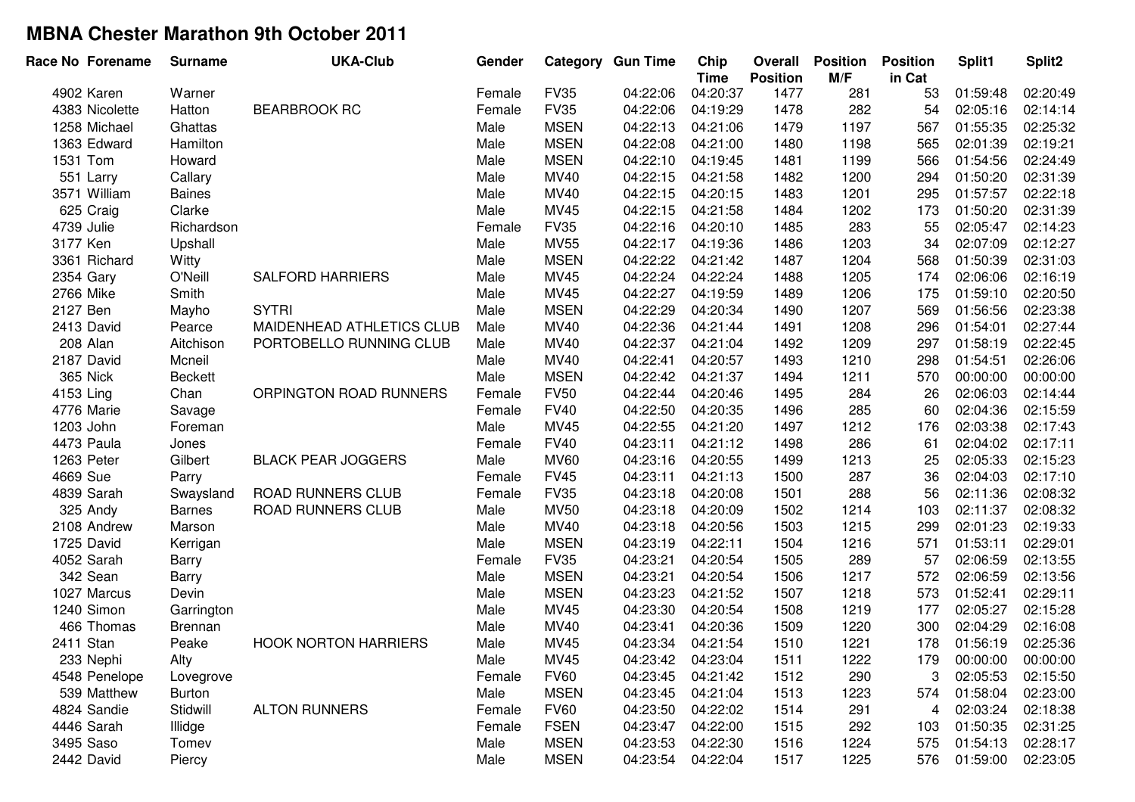| <b>FV35</b><br>04:22:06<br>04:20:37<br>1477<br>53<br>02:20:49<br>4902 Karen<br>281<br>01:59:48<br>Warner<br>Female<br>282<br><b>BEARBROOK RC</b><br><b>FV35</b><br>04:22:06<br>1478<br>02:14:14<br>4383 Nicolette<br>Hatton<br>Female<br>04:19:29<br>54<br>02:05:16<br><b>MSEN</b><br>04:22:13<br>1197<br>01:55:35<br>02:25:32<br>1258 Michael<br>Ghattas<br>Male<br>04:21:06<br>1479<br>567<br>1363 Edward<br>Hamilton<br><b>MSEN</b><br>04:22:08<br>04:21:00<br>1480<br>1198<br>565<br>02:01:39<br>02:19:21<br>Male<br>Howard<br><b>MSEN</b><br>04:22:10<br>1481<br>1199<br>566<br>01:54:56<br>02:24:49<br>1531 Tom<br>Male<br>04:19:45<br>02:31:39<br>551 Larry<br>MV40<br>04:22:15<br>04:21:58<br>1482<br>1200<br>294<br>01:50:20<br>Callary<br>Male<br>MV40<br>3571 William<br>Male<br>04:22:15<br>04:20:15<br>1483<br>1201<br>295<br>01:57:57<br>02:22:18<br><b>Baines</b><br>625 Craig<br>02:31:39<br>Clarke<br>Male<br>MV45<br>04:22:15<br>1202<br>01:50:20<br>04:21:58<br>1484<br>173<br><b>FV35</b><br>283<br>4739 Julie<br>Richardson<br>04:22:16<br>04:20:10<br>1485<br>55<br>02:05:47<br>02:14:23<br>Female<br><b>MV55</b><br>04:22:17<br>02:07:09<br>02:12:27<br>3177 Ken<br>Upshall<br>Male<br>1486<br>1203<br>34<br>04:19:36<br><b>MSEN</b><br>04:22:22<br>01:50:39<br>02:31:03<br>3361 Richard<br>Witty<br>04:21:42<br>1487<br>1204<br>568<br>Male<br>2354 Gary<br>04:22:24<br>O'Neill<br><b>SALFORD HARRIERS</b><br>MV45<br>04:22:24<br>1488<br>1205<br>174<br>02:06:06<br>02:16:19<br>Male<br>04:22:27<br>2766 Mike<br>Smith<br>Male<br>MV45<br>04:19:59<br>1489<br>1206<br>175<br>01:59:10<br>02:20:50<br><b>MSEN</b><br>04:22:29<br>02:23:38<br>2127 Ben<br><b>SYTRI</b><br>Male<br>04:20:34<br>1490<br>1207<br>569<br>01:56:56<br>Mayho<br>MV40<br>04:22:36<br>02:27:44<br>2413 David<br>MAIDENHEAD ATHLETICS CLUB<br>Male<br>04:21:44<br>1491<br>1208<br>296<br>01:54:01<br>Pearce<br>02:22:45<br>208 Alan<br>Aitchison<br>PORTOBELLO RUNNING CLUB<br>Male<br>MV40<br>04:22:37<br>04:21:04<br>1492<br>1209<br>297<br>01:58:19<br>2187 David<br>Mcneil<br>Male<br>MV40<br>04:22:41<br>04:20:57<br>1493<br>1210<br>298<br>01:54:51<br>02:26:06<br>04:22:42<br>Male<br><b>MSEN</b><br>04:21:37<br>1494<br>1211<br>570<br>00:00:00<br>00:00:00<br>365 Nick<br><b>Beckett</b><br>04:22:44<br>284<br>ORPINGTON ROAD RUNNERS<br><b>FV50</b><br>1495<br>26<br>02:06:03<br>02:14:44<br>4153 Ling<br>Chan<br>Female<br>04:20:46<br><b>FV40</b><br>04:22:50<br>285<br>02:04:36<br>02:15:59<br>4776 Marie<br>Female<br>04:20:35<br>1496<br>60<br>Savage<br>1203 John<br><b>MV45</b><br>04:22:55<br>04:21:20<br>1497<br>1212<br>176<br>02:03:38<br>02:17:43<br>Foreman<br>Male<br>04:23:11<br>286<br>4473 Paula<br><b>FV40</b><br>04:21:12<br>1498<br>61<br>02:04:02<br>02:17:11<br>Jones<br>Female<br>04:23:16<br>1213<br>Gilbert<br><b>BLACK PEAR JOGGERS</b><br>Male<br><b>MV60</b><br>1499<br>25<br>02:05:33<br>02:15:23<br>1263 Peter<br>04:20:55<br><b>FV45</b><br>287<br>4669 Sue<br>04:23:11<br>1500<br>36<br>02:04:03<br>02:17:10<br>Parry<br>Female<br>04:21:13<br>288<br>02:11:36<br>4839 Sarah<br>ROAD RUNNERS CLUB<br><b>FV35</b><br>04:23:18<br>04:20:08<br>1501<br>56<br>02:08:32<br>Swaysland<br>Female<br>04:23:18<br>02:08:32<br>325 Andy<br>ROAD RUNNERS CLUB<br>Male<br><b>MV50</b><br>04:20:09<br>1502<br>1214<br>103<br>02:11:37<br><b>Barnes</b><br>MV40<br>04:23:18<br>02:01:23<br>2108 Andrew<br>Male<br>04:20:56<br>1503<br>1215<br>299<br>02:19:33<br>Marson<br><b>MSEN</b><br>04:23:19<br>01:53:11<br>02:29:01<br>1725 David<br>Male<br>04:22:11<br>1504<br>1216<br>571<br>Kerrigan<br>04:23:21<br>289<br>02:13:55<br>4052 Sarah<br><b>FV35</b><br>04:20:54<br>1505<br>57<br>02:06:59<br>Female<br><b>Barry</b><br>342 Sean<br>04:23:21<br>Male<br><b>MSEN</b><br>04:20:54<br>1506<br>1217<br>572<br>02:06:59<br>02:13:56<br>Barry<br><b>MSEN</b><br>04:23:23<br>02:29:11<br>1027 Marcus<br>Male<br>04:21:52<br>1507<br>1218<br>573<br>01:52:41<br>Devin<br>1240 Simon<br>Male<br>MV45<br>04:23:30<br>04:20:54<br>1508<br>1219<br>177<br>02:05:27<br>02:15:28<br>Garrington<br>466 Thomas<br>Male<br>MV40<br>04:23:41<br>1509<br>1220<br>300<br>02:04:29<br>02:16:08<br>04:20:36<br><b>Brennan</b><br>2411 Stan<br><b>HOOK NORTON HARRIERS</b><br><b>MV45</b><br>04:23:34<br>1510<br>1221<br>01:56:19<br>02:25:36<br>Peake<br>Male<br>04:21:54<br>178<br>233 Nephi<br>1511<br><b>MV45</b><br>1222<br>Alty<br>Male<br>04:23:42<br>04:23:04<br>179<br>00:00:00<br>00:00:00<br><b>FV60</b><br>04:23:45<br>1512<br>3<br>4548 Penelope<br>04:21:42<br>290<br>02:05:53<br>02:15:50<br>Lovegrove<br>Female<br>01:58:04<br>539 Matthew<br><b>Burton</b><br>Male<br><b>MSEN</b><br>04:23:45<br>04:21:04<br>1513<br>1223<br>574<br>02:23:00<br><b>ALTON RUNNERS</b><br><b>FV60</b><br>02:03:24<br>02:18:38<br>4824 Sandie<br>Stidwill<br>Female<br>04:23:50<br>04:22:02<br>1514<br>291<br>4<br>4446 Sarah<br><b>FSEN</b><br>04:23:47<br>1515<br>01:50:35<br>02:31:25<br>Illidge<br>Female<br>04:22:00<br>292<br>103<br>3495 Saso<br><b>MSEN</b><br>04:23:53<br>1516<br>575<br>Tomev<br>Male<br>04:22:30<br>1224<br>01:54:13<br>02:28:17 | Race No Forename | <b>Surname</b> | <b>UKA-Club</b> | Gender |             | <b>Category Gun Time</b> | Chip<br><b>Time</b> | Overall<br><b>Position</b> | <b>Position</b><br>M/F | <b>Position</b><br>in Cat | Split1   | Split <sub>2</sub> |
|---------------------------------------------------------------------------------------------------------------------------------------------------------------------------------------------------------------------------------------------------------------------------------------------------------------------------------------------------------------------------------------------------------------------------------------------------------------------------------------------------------------------------------------------------------------------------------------------------------------------------------------------------------------------------------------------------------------------------------------------------------------------------------------------------------------------------------------------------------------------------------------------------------------------------------------------------------------------------------------------------------------------------------------------------------------------------------------------------------------------------------------------------------------------------------------------------------------------------------------------------------------------------------------------------------------------------------------------------------------------------------------------------------------------------------------------------------------------------------------------------------------------------------------------------------------------------------------------------------------------------------------------------------------------------------------------------------------------------------------------------------------------------------------------------------------------------------------------------------------------------------------------------------------------------------------------------------------------------------------------------------------------------------------------------------------------------------------------------------------------------------------------------------------------------------------------------------------------------------------------------------------------------------------------------------------------------------------------------------------------------------------------------------------------------------------------------------------------------------------------------------------------------------------------------------------------------------------------------------------------------------------------------------------------------------------------------------------------------------------------------------------------------------------------------------------------------------------------------------------------------------------------------------------------------------------------------------------------------------------------------------------------------------------------------------------------------------------------------------------------------------------------------------------------------------------------------------------------------------------------------------------------------------------------------------------------------------------------------------------------------------------------------------------------------------------------------------------------------------------------------------------------------------------------------------------------------------------------------------------------------------------------------------------------------------------------------------------------------------------------------------------------------------------------------------------------------------------------------------------------------------------------------------------------------------------------------------------------------------------------------------------------------------------------------------------------------------------------------------------------------------------------------------------------------------------------------------------------------------------------------------------------------------------------------------------------------------------------------------------------------------------------------------------------------------------------------------------------------------------------------------------------------------------------------------------------------------------------------------------------------------------------------------------------------------------------------------------------------------------------------------------------------------------------------------------------------------------------------------------------------------------------------------------------------------------------------------------------------------------------------------------------------------------------------------------------------------------------------------------------------------------------------------------------|------------------|----------------|-----------------|--------|-------------|--------------------------|---------------------|----------------------------|------------------------|---------------------------|----------|--------------------|
|                                                                                                                                                                                                                                                                                                                                                                                                                                                                                                                                                                                                                                                                                                                                                                                                                                                                                                                                                                                                                                                                                                                                                                                                                                                                                                                                                                                                                                                                                                                                                                                                                                                                                                                                                                                                                                                                                                                                                                                                                                                                                                                                                                                                                                                                                                                                                                                                                                                                                                                                                                                                                                                                                                                                                                                                                                                                                                                                                                                                                                                                                                                                                                                                                                                                                                                                                                                                                                                                                                                                                                                                                                                                                                                                                                                                                                                                                                                                                                                                                                                                                                                                                                                                                                                                                                                                                                                                                                                                                                                                                                                                                                                                                                                                                                                                                                                                                                                                                                                                                                                                                                                                                                     |                  |                |                 |        |             |                          |                     |                            |                        |                           |          |                    |
|                                                                                                                                                                                                                                                                                                                                                                                                                                                                                                                                                                                                                                                                                                                                                                                                                                                                                                                                                                                                                                                                                                                                                                                                                                                                                                                                                                                                                                                                                                                                                                                                                                                                                                                                                                                                                                                                                                                                                                                                                                                                                                                                                                                                                                                                                                                                                                                                                                                                                                                                                                                                                                                                                                                                                                                                                                                                                                                                                                                                                                                                                                                                                                                                                                                                                                                                                                                                                                                                                                                                                                                                                                                                                                                                                                                                                                                                                                                                                                                                                                                                                                                                                                                                                                                                                                                                                                                                                                                                                                                                                                                                                                                                                                                                                                                                                                                                                                                                                                                                                                                                                                                                                                     |                  |                |                 |        |             |                          |                     |                            |                        |                           |          |                    |
|                                                                                                                                                                                                                                                                                                                                                                                                                                                                                                                                                                                                                                                                                                                                                                                                                                                                                                                                                                                                                                                                                                                                                                                                                                                                                                                                                                                                                                                                                                                                                                                                                                                                                                                                                                                                                                                                                                                                                                                                                                                                                                                                                                                                                                                                                                                                                                                                                                                                                                                                                                                                                                                                                                                                                                                                                                                                                                                                                                                                                                                                                                                                                                                                                                                                                                                                                                                                                                                                                                                                                                                                                                                                                                                                                                                                                                                                                                                                                                                                                                                                                                                                                                                                                                                                                                                                                                                                                                                                                                                                                                                                                                                                                                                                                                                                                                                                                                                                                                                                                                                                                                                                                                     |                  |                |                 |        |             |                          |                     |                            |                        |                           |          |                    |
|                                                                                                                                                                                                                                                                                                                                                                                                                                                                                                                                                                                                                                                                                                                                                                                                                                                                                                                                                                                                                                                                                                                                                                                                                                                                                                                                                                                                                                                                                                                                                                                                                                                                                                                                                                                                                                                                                                                                                                                                                                                                                                                                                                                                                                                                                                                                                                                                                                                                                                                                                                                                                                                                                                                                                                                                                                                                                                                                                                                                                                                                                                                                                                                                                                                                                                                                                                                                                                                                                                                                                                                                                                                                                                                                                                                                                                                                                                                                                                                                                                                                                                                                                                                                                                                                                                                                                                                                                                                                                                                                                                                                                                                                                                                                                                                                                                                                                                                                                                                                                                                                                                                                                                     |                  |                |                 |        |             |                          |                     |                            |                        |                           |          |                    |
|                                                                                                                                                                                                                                                                                                                                                                                                                                                                                                                                                                                                                                                                                                                                                                                                                                                                                                                                                                                                                                                                                                                                                                                                                                                                                                                                                                                                                                                                                                                                                                                                                                                                                                                                                                                                                                                                                                                                                                                                                                                                                                                                                                                                                                                                                                                                                                                                                                                                                                                                                                                                                                                                                                                                                                                                                                                                                                                                                                                                                                                                                                                                                                                                                                                                                                                                                                                                                                                                                                                                                                                                                                                                                                                                                                                                                                                                                                                                                                                                                                                                                                                                                                                                                                                                                                                                                                                                                                                                                                                                                                                                                                                                                                                                                                                                                                                                                                                                                                                                                                                                                                                                                                     |                  |                |                 |        |             |                          |                     |                            |                        |                           |          |                    |
|                                                                                                                                                                                                                                                                                                                                                                                                                                                                                                                                                                                                                                                                                                                                                                                                                                                                                                                                                                                                                                                                                                                                                                                                                                                                                                                                                                                                                                                                                                                                                                                                                                                                                                                                                                                                                                                                                                                                                                                                                                                                                                                                                                                                                                                                                                                                                                                                                                                                                                                                                                                                                                                                                                                                                                                                                                                                                                                                                                                                                                                                                                                                                                                                                                                                                                                                                                                                                                                                                                                                                                                                                                                                                                                                                                                                                                                                                                                                                                                                                                                                                                                                                                                                                                                                                                                                                                                                                                                                                                                                                                                                                                                                                                                                                                                                                                                                                                                                                                                                                                                                                                                                                                     |                  |                |                 |        |             |                          |                     |                            |                        |                           |          |                    |
|                                                                                                                                                                                                                                                                                                                                                                                                                                                                                                                                                                                                                                                                                                                                                                                                                                                                                                                                                                                                                                                                                                                                                                                                                                                                                                                                                                                                                                                                                                                                                                                                                                                                                                                                                                                                                                                                                                                                                                                                                                                                                                                                                                                                                                                                                                                                                                                                                                                                                                                                                                                                                                                                                                                                                                                                                                                                                                                                                                                                                                                                                                                                                                                                                                                                                                                                                                                                                                                                                                                                                                                                                                                                                                                                                                                                                                                                                                                                                                                                                                                                                                                                                                                                                                                                                                                                                                                                                                                                                                                                                                                                                                                                                                                                                                                                                                                                                                                                                                                                                                                                                                                                                                     |                  |                |                 |        |             |                          |                     |                            |                        |                           |          |                    |
|                                                                                                                                                                                                                                                                                                                                                                                                                                                                                                                                                                                                                                                                                                                                                                                                                                                                                                                                                                                                                                                                                                                                                                                                                                                                                                                                                                                                                                                                                                                                                                                                                                                                                                                                                                                                                                                                                                                                                                                                                                                                                                                                                                                                                                                                                                                                                                                                                                                                                                                                                                                                                                                                                                                                                                                                                                                                                                                                                                                                                                                                                                                                                                                                                                                                                                                                                                                                                                                                                                                                                                                                                                                                                                                                                                                                                                                                                                                                                                                                                                                                                                                                                                                                                                                                                                                                                                                                                                                                                                                                                                                                                                                                                                                                                                                                                                                                                                                                                                                                                                                                                                                                                                     |                  |                |                 |        |             |                          |                     |                            |                        |                           |          |                    |
|                                                                                                                                                                                                                                                                                                                                                                                                                                                                                                                                                                                                                                                                                                                                                                                                                                                                                                                                                                                                                                                                                                                                                                                                                                                                                                                                                                                                                                                                                                                                                                                                                                                                                                                                                                                                                                                                                                                                                                                                                                                                                                                                                                                                                                                                                                                                                                                                                                                                                                                                                                                                                                                                                                                                                                                                                                                                                                                                                                                                                                                                                                                                                                                                                                                                                                                                                                                                                                                                                                                                                                                                                                                                                                                                                                                                                                                                                                                                                                                                                                                                                                                                                                                                                                                                                                                                                                                                                                                                                                                                                                                                                                                                                                                                                                                                                                                                                                                                                                                                                                                                                                                                                                     |                  |                |                 |        |             |                          |                     |                            |                        |                           |          |                    |
|                                                                                                                                                                                                                                                                                                                                                                                                                                                                                                                                                                                                                                                                                                                                                                                                                                                                                                                                                                                                                                                                                                                                                                                                                                                                                                                                                                                                                                                                                                                                                                                                                                                                                                                                                                                                                                                                                                                                                                                                                                                                                                                                                                                                                                                                                                                                                                                                                                                                                                                                                                                                                                                                                                                                                                                                                                                                                                                                                                                                                                                                                                                                                                                                                                                                                                                                                                                                                                                                                                                                                                                                                                                                                                                                                                                                                                                                                                                                                                                                                                                                                                                                                                                                                                                                                                                                                                                                                                                                                                                                                                                                                                                                                                                                                                                                                                                                                                                                                                                                                                                                                                                                                                     |                  |                |                 |        |             |                          |                     |                            |                        |                           |          |                    |
|                                                                                                                                                                                                                                                                                                                                                                                                                                                                                                                                                                                                                                                                                                                                                                                                                                                                                                                                                                                                                                                                                                                                                                                                                                                                                                                                                                                                                                                                                                                                                                                                                                                                                                                                                                                                                                                                                                                                                                                                                                                                                                                                                                                                                                                                                                                                                                                                                                                                                                                                                                                                                                                                                                                                                                                                                                                                                                                                                                                                                                                                                                                                                                                                                                                                                                                                                                                                                                                                                                                                                                                                                                                                                                                                                                                                                                                                                                                                                                                                                                                                                                                                                                                                                                                                                                                                                                                                                                                                                                                                                                                                                                                                                                                                                                                                                                                                                                                                                                                                                                                                                                                                                                     |                  |                |                 |        |             |                          |                     |                            |                        |                           |          |                    |
|                                                                                                                                                                                                                                                                                                                                                                                                                                                                                                                                                                                                                                                                                                                                                                                                                                                                                                                                                                                                                                                                                                                                                                                                                                                                                                                                                                                                                                                                                                                                                                                                                                                                                                                                                                                                                                                                                                                                                                                                                                                                                                                                                                                                                                                                                                                                                                                                                                                                                                                                                                                                                                                                                                                                                                                                                                                                                                                                                                                                                                                                                                                                                                                                                                                                                                                                                                                                                                                                                                                                                                                                                                                                                                                                                                                                                                                                                                                                                                                                                                                                                                                                                                                                                                                                                                                                                                                                                                                                                                                                                                                                                                                                                                                                                                                                                                                                                                                                                                                                                                                                                                                                                                     |                  |                |                 |        |             |                          |                     |                            |                        |                           |          |                    |
|                                                                                                                                                                                                                                                                                                                                                                                                                                                                                                                                                                                                                                                                                                                                                                                                                                                                                                                                                                                                                                                                                                                                                                                                                                                                                                                                                                                                                                                                                                                                                                                                                                                                                                                                                                                                                                                                                                                                                                                                                                                                                                                                                                                                                                                                                                                                                                                                                                                                                                                                                                                                                                                                                                                                                                                                                                                                                                                                                                                                                                                                                                                                                                                                                                                                                                                                                                                                                                                                                                                                                                                                                                                                                                                                                                                                                                                                                                                                                                                                                                                                                                                                                                                                                                                                                                                                                                                                                                                                                                                                                                                                                                                                                                                                                                                                                                                                                                                                                                                                                                                                                                                                                                     |                  |                |                 |        |             |                          |                     |                            |                        |                           |          |                    |
|                                                                                                                                                                                                                                                                                                                                                                                                                                                                                                                                                                                                                                                                                                                                                                                                                                                                                                                                                                                                                                                                                                                                                                                                                                                                                                                                                                                                                                                                                                                                                                                                                                                                                                                                                                                                                                                                                                                                                                                                                                                                                                                                                                                                                                                                                                                                                                                                                                                                                                                                                                                                                                                                                                                                                                                                                                                                                                                                                                                                                                                                                                                                                                                                                                                                                                                                                                                                                                                                                                                                                                                                                                                                                                                                                                                                                                                                                                                                                                                                                                                                                                                                                                                                                                                                                                                                                                                                                                                                                                                                                                                                                                                                                                                                                                                                                                                                                                                                                                                                                                                                                                                                                                     |                  |                |                 |        |             |                          |                     |                            |                        |                           |          |                    |
|                                                                                                                                                                                                                                                                                                                                                                                                                                                                                                                                                                                                                                                                                                                                                                                                                                                                                                                                                                                                                                                                                                                                                                                                                                                                                                                                                                                                                                                                                                                                                                                                                                                                                                                                                                                                                                                                                                                                                                                                                                                                                                                                                                                                                                                                                                                                                                                                                                                                                                                                                                                                                                                                                                                                                                                                                                                                                                                                                                                                                                                                                                                                                                                                                                                                                                                                                                                                                                                                                                                                                                                                                                                                                                                                                                                                                                                                                                                                                                                                                                                                                                                                                                                                                                                                                                                                                                                                                                                                                                                                                                                                                                                                                                                                                                                                                                                                                                                                                                                                                                                                                                                                                                     |                  |                |                 |        |             |                          |                     |                            |                        |                           |          |                    |
|                                                                                                                                                                                                                                                                                                                                                                                                                                                                                                                                                                                                                                                                                                                                                                                                                                                                                                                                                                                                                                                                                                                                                                                                                                                                                                                                                                                                                                                                                                                                                                                                                                                                                                                                                                                                                                                                                                                                                                                                                                                                                                                                                                                                                                                                                                                                                                                                                                                                                                                                                                                                                                                                                                                                                                                                                                                                                                                                                                                                                                                                                                                                                                                                                                                                                                                                                                                                                                                                                                                                                                                                                                                                                                                                                                                                                                                                                                                                                                                                                                                                                                                                                                                                                                                                                                                                                                                                                                                                                                                                                                                                                                                                                                                                                                                                                                                                                                                                                                                                                                                                                                                                                                     |                  |                |                 |        |             |                          |                     |                            |                        |                           |          |                    |
|                                                                                                                                                                                                                                                                                                                                                                                                                                                                                                                                                                                                                                                                                                                                                                                                                                                                                                                                                                                                                                                                                                                                                                                                                                                                                                                                                                                                                                                                                                                                                                                                                                                                                                                                                                                                                                                                                                                                                                                                                                                                                                                                                                                                                                                                                                                                                                                                                                                                                                                                                                                                                                                                                                                                                                                                                                                                                                                                                                                                                                                                                                                                                                                                                                                                                                                                                                                                                                                                                                                                                                                                                                                                                                                                                                                                                                                                                                                                                                                                                                                                                                                                                                                                                                                                                                                                                                                                                                                                                                                                                                                                                                                                                                                                                                                                                                                                                                                                                                                                                                                                                                                                                                     |                  |                |                 |        |             |                          |                     |                            |                        |                           |          |                    |
|                                                                                                                                                                                                                                                                                                                                                                                                                                                                                                                                                                                                                                                                                                                                                                                                                                                                                                                                                                                                                                                                                                                                                                                                                                                                                                                                                                                                                                                                                                                                                                                                                                                                                                                                                                                                                                                                                                                                                                                                                                                                                                                                                                                                                                                                                                                                                                                                                                                                                                                                                                                                                                                                                                                                                                                                                                                                                                                                                                                                                                                                                                                                                                                                                                                                                                                                                                                                                                                                                                                                                                                                                                                                                                                                                                                                                                                                                                                                                                                                                                                                                                                                                                                                                                                                                                                                                                                                                                                                                                                                                                                                                                                                                                                                                                                                                                                                                                                                                                                                                                                                                                                                                                     |                  |                |                 |        |             |                          |                     |                            |                        |                           |          |                    |
|                                                                                                                                                                                                                                                                                                                                                                                                                                                                                                                                                                                                                                                                                                                                                                                                                                                                                                                                                                                                                                                                                                                                                                                                                                                                                                                                                                                                                                                                                                                                                                                                                                                                                                                                                                                                                                                                                                                                                                                                                                                                                                                                                                                                                                                                                                                                                                                                                                                                                                                                                                                                                                                                                                                                                                                                                                                                                                                                                                                                                                                                                                                                                                                                                                                                                                                                                                                                                                                                                                                                                                                                                                                                                                                                                                                                                                                                                                                                                                                                                                                                                                                                                                                                                                                                                                                                                                                                                                                                                                                                                                                                                                                                                                                                                                                                                                                                                                                                                                                                                                                                                                                                                                     |                  |                |                 |        |             |                          |                     |                            |                        |                           |          |                    |
|                                                                                                                                                                                                                                                                                                                                                                                                                                                                                                                                                                                                                                                                                                                                                                                                                                                                                                                                                                                                                                                                                                                                                                                                                                                                                                                                                                                                                                                                                                                                                                                                                                                                                                                                                                                                                                                                                                                                                                                                                                                                                                                                                                                                                                                                                                                                                                                                                                                                                                                                                                                                                                                                                                                                                                                                                                                                                                                                                                                                                                                                                                                                                                                                                                                                                                                                                                                                                                                                                                                                                                                                                                                                                                                                                                                                                                                                                                                                                                                                                                                                                                                                                                                                                                                                                                                                                                                                                                                                                                                                                                                                                                                                                                                                                                                                                                                                                                                                                                                                                                                                                                                                                                     |                  |                |                 |        |             |                          |                     |                            |                        |                           |          |                    |
|                                                                                                                                                                                                                                                                                                                                                                                                                                                                                                                                                                                                                                                                                                                                                                                                                                                                                                                                                                                                                                                                                                                                                                                                                                                                                                                                                                                                                                                                                                                                                                                                                                                                                                                                                                                                                                                                                                                                                                                                                                                                                                                                                                                                                                                                                                                                                                                                                                                                                                                                                                                                                                                                                                                                                                                                                                                                                                                                                                                                                                                                                                                                                                                                                                                                                                                                                                                                                                                                                                                                                                                                                                                                                                                                                                                                                                                                                                                                                                                                                                                                                                                                                                                                                                                                                                                                                                                                                                                                                                                                                                                                                                                                                                                                                                                                                                                                                                                                                                                                                                                                                                                                                                     |                  |                |                 |        |             |                          |                     |                            |                        |                           |          |                    |
|                                                                                                                                                                                                                                                                                                                                                                                                                                                                                                                                                                                                                                                                                                                                                                                                                                                                                                                                                                                                                                                                                                                                                                                                                                                                                                                                                                                                                                                                                                                                                                                                                                                                                                                                                                                                                                                                                                                                                                                                                                                                                                                                                                                                                                                                                                                                                                                                                                                                                                                                                                                                                                                                                                                                                                                                                                                                                                                                                                                                                                                                                                                                                                                                                                                                                                                                                                                                                                                                                                                                                                                                                                                                                                                                                                                                                                                                                                                                                                                                                                                                                                                                                                                                                                                                                                                                                                                                                                                                                                                                                                                                                                                                                                                                                                                                                                                                                                                                                                                                                                                                                                                                                                     |                  |                |                 |        |             |                          |                     |                            |                        |                           |          |                    |
|                                                                                                                                                                                                                                                                                                                                                                                                                                                                                                                                                                                                                                                                                                                                                                                                                                                                                                                                                                                                                                                                                                                                                                                                                                                                                                                                                                                                                                                                                                                                                                                                                                                                                                                                                                                                                                                                                                                                                                                                                                                                                                                                                                                                                                                                                                                                                                                                                                                                                                                                                                                                                                                                                                                                                                                                                                                                                                                                                                                                                                                                                                                                                                                                                                                                                                                                                                                                                                                                                                                                                                                                                                                                                                                                                                                                                                                                                                                                                                                                                                                                                                                                                                                                                                                                                                                                                                                                                                                                                                                                                                                                                                                                                                                                                                                                                                                                                                                                                                                                                                                                                                                                                                     |                  |                |                 |        |             |                          |                     |                            |                        |                           |          |                    |
|                                                                                                                                                                                                                                                                                                                                                                                                                                                                                                                                                                                                                                                                                                                                                                                                                                                                                                                                                                                                                                                                                                                                                                                                                                                                                                                                                                                                                                                                                                                                                                                                                                                                                                                                                                                                                                                                                                                                                                                                                                                                                                                                                                                                                                                                                                                                                                                                                                                                                                                                                                                                                                                                                                                                                                                                                                                                                                                                                                                                                                                                                                                                                                                                                                                                                                                                                                                                                                                                                                                                                                                                                                                                                                                                                                                                                                                                                                                                                                                                                                                                                                                                                                                                                                                                                                                                                                                                                                                                                                                                                                                                                                                                                                                                                                                                                                                                                                                                                                                                                                                                                                                                                                     |                  |                |                 |        |             |                          |                     |                            |                        |                           |          |                    |
|                                                                                                                                                                                                                                                                                                                                                                                                                                                                                                                                                                                                                                                                                                                                                                                                                                                                                                                                                                                                                                                                                                                                                                                                                                                                                                                                                                                                                                                                                                                                                                                                                                                                                                                                                                                                                                                                                                                                                                                                                                                                                                                                                                                                                                                                                                                                                                                                                                                                                                                                                                                                                                                                                                                                                                                                                                                                                                                                                                                                                                                                                                                                                                                                                                                                                                                                                                                                                                                                                                                                                                                                                                                                                                                                                                                                                                                                                                                                                                                                                                                                                                                                                                                                                                                                                                                                                                                                                                                                                                                                                                                                                                                                                                                                                                                                                                                                                                                                                                                                                                                                                                                                                                     |                  |                |                 |        |             |                          |                     |                            |                        |                           |          |                    |
|                                                                                                                                                                                                                                                                                                                                                                                                                                                                                                                                                                                                                                                                                                                                                                                                                                                                                                                                                                                                                                                                                                                                                                                                                                                                                                                                                                                                                                                                                                                                                                                                                                                                                                                                                                                                                                                                                                                                                                                                                                                                                                                                                                                                                                                                                                                                                                                                                                                                                                                                                                                                                                                                                                                                                                                                                                                                                                                                                                                                                                                                                                                                                                                                                                                                                                                                                                                                                                                                                                                                                                                                                                                                                                                                                                                                                                                                                                                                                                                                                                                                                                                                                                                                                                                                                                                                                                                                                                                                                                                                                                                                                                                                                                                                                                                                                                                                                                                                                                                                                                                                                                                                                                     |                  |                |                 |        |             |                          |                     |                            |                        |                           |          |                    |
|                                                                                                                                                                                                                                                                                                                                                                                                                                                                                                                                                                                                                                                                                                                                                                                                                                                                                                                                                                                                                                                                                                                                                                                                                                                                                                                                                                                                                                                                                                                                                                                                                                                                                                                                                                                                                                                                                                                                                                                                                                                                                                                                                                                                                                                                                                                                                                                                                                                                                                                                                                                                                                                                                                                                                                                                                                                                                                                                                                                                                                                                                                                                                                                                                                                                                                                                                                                                                                                                                                                                                                                                                                                                                                                                                                                                                                                                                                                                                                                                                                                                                                                                                                                                                                                                                                                                                                                                                                                                                                                                                                                                                                                                                                                                                                                                                                                                                                                                                                                                                                                                                                                                                                     |                  |                |                 |        |             |                          |                     |                            |                        |                           |          |                    |
|                                                                                                                                                                                                                                                                                                                                                                                                                                                                                                                                                                                                                                                                                                                                                                                                                                                                                                                                                                                                                                                                                                                                                                                                                                                                                                                                                                                                                                                                                                                                                                                                                                                                                                                                                                                                                                                                                                                                                                                                                                                                                                                                                                                                                                                                                                                                                                                                                                                                                                                                                                                                                                                                                                                                                                                                                                                                                                                                                                                                                                                                                                                                                                                                                                                                                                                                                                                                                                                                                                                                                                                                                                                                                                                                                                                                                                                                                                                                                                                                                                                                                                                                                                                                                                                                                                                                                                                                                                                                                                                                                                                                                                                                                                                                                                                                                                                                                                                                                                                                                                                                                                                                                                     |                  |                |                 |        |             |                          |                     |                            |                        |                           |          |                    |
|                                                                                                                                                                                                                                                                                                                                                                                                                                                                                                                                                                                                                                                                                                                                                                                                                                                                                                                                                                                                                                                                                                                                                                                                                                                                                                                                                                                                                                                                                                                                                                                                                                                                                                                                                                                                                                                                                                                                                                                                                                                                                                                                                                                                                                                                                                                                                                                                                                                                                                                                                                                                                                                                                                                                                                                                                                                                                                                                                                                                                                                                                                                                                                                                                                                                                                                                                                                                                                                                                                                                                                                                                                                                                                                                                                                                                                                                                                                                                                                                                                                                                                                                                                                                                                                                                                                                                                                                                                                                                                                                                                                                                                                                                                                                                                                                                                                                                                                                                                                                                                                                                                                                                                     |                  |                |                 |        |             |                          |                     |                            |                        |                           |          |                    |
|                                                                                                                                                                                                                                                                                                                                                                                                                                                                                                                                                                                                                                                                                                                                                                                                                                                                                                                                                                                                                                                                                                                                                                                                                                                                                                                                                                                                                                                                                                                                                                                                                                                                                                                                                                                                                                                                                                                                                                                                                                                                                                                                                                                                                                                                                                                                                                                                                                                                                                                                                                                                                                                                                                                                                                                                                                                                                                                                                                                                                                                                                                                                                                                                                                                                                                                                                                                                                                                                                                                                                                                                                                                                                                                                                                                                                                                                                                                                                                                                                                                                                                                                                                                                                                                                                                                                                                                                                                                                                                                                                                                                                                                                                                                                                                                                                                                                                                                                                                                                                                                                                                                                                                     |                  |                |                 |        |             |                          |                     |                            |                        |                           |          |                    |
|                                                                                                                                                                                                                                                                                                                                                                                                                                                                                                                                                                                                                                                                                                                                                                                                                                                                                                                                                                                                                                                                                                                                                                                                                                                                                                                                                                                                                                                                                                                                                                                                                                                                                                                                                                                                                                                                                                                                                                                                                                                                                                                                                                                                                                                                                                                                                                                                                                                                                                                                                                                                                                                                                                                                                                                                                                                                                                                                                                                                                                                                                                                                                                                                                                                                                                                                                                                                                                                                                                                                                                                                                                                                                                                                                                                                                                                                                                                                                                                                                                                                                                                                                                                                                                                                                                                                                                                                                                                                                                                                                                                                                                                                                                                                                                                                                                                                                                                                                                                                                                                                                                                                                                     |                  |                |                 |        |             |                          |                     |                            |                        |                           |          |                    |
|                                                                                                                                                                                                                                                                                                                                                                                                                                                                                                                                                                                                                                                                                                                                                                                                                                                                                                                                                                                                                                                                                                                                                                                                                                                                                                                                                                                                                                                                                                                                                                                                                                                                                                                                                                                                                                                                                                                                                                                                                                                                                                                                                                                                                                                                                                                                                                                                                                                                                                                                                                                                                                                                                                                                                                                                                                                                                                                                                                                                                                                                                                                                                                                                                                                                                                                                                                                                                                                                                                                                                                                                                                                                                                                                                                                                                                                                                                                                                                                                                                                                                                                                                                                                                                                                                                                                                                                                                                                                                                                                                                                                                                                                                                                                                                                                                                                                                                                                                                                                                                                                                                                                                                     |                  |                |                 |        |             |                          |                     |                            |                        |                           |          |                    |
|                                                                                                                                                                                                                                                                                                                                                                                                                                                                                                                                                                                                                                                                                                                                                                                                                                                                                                                                                                                                                                                                                                                                                                                                                                                                                                                                                                                                                                                                                                                                                                                                                                                                                                                                                                                                                                                                                                                                                                                                                                                                                                                                                                                                                                                                                                                                                                                                                                                                                                                                                                                                                                                                                                                                                                                                                                                                                                                                                                                                                                                                                                                                                                                                                                                                                                                                                                                                                                                                                                                                                                                                                                                                                                                                                                                                                                                                                                                                                                                                                                                                                                                                                                                                                                                                                                                                                                                                                                                                                                                                                                                                                                                                                                                                                                                                                                                                                                                                                                                                                                                                                                                                                                     |                  |                |                 |        |             |                          |                     |                            |                        |                           |          |                    |
|                                                                                                                                                                                                                                                                                                                                                                                                                                                                                                                                                                                                                                                                                                                                                                                                                                                                                                                                                                                                                                                                                                                                                                                                                                                                                                                                                                                                                                                                                                                                                                                                                                                                                                                                                                                                                                                                                                                                                                                                                                                                                                                                                                                                                                                                                                                                                                                                                                                                                                                                                                                                                                                                                                                                                                                                                                                                                                                                                                                                                                                                                                                                                                                                                                                                                                                                                                                                                                                                                                                                                                                                                                                                                                                                                                                                                                                                                                                                                                                                                                                                                                                                                                                                                                                                                                                                                                                                                                                                                                                                                                                                                                                                                                                                                                                                                                                                                                                                                                                                                                                                                                                                                                     |                  |                |                 |        |             |                          |                     |                            |                        |                           |          |                    |
|                                                                                                                                                                                                                                                                                                                                                                                                                                                                                                                                                                                                                                                                                                                                                                                                                                                                                                                                                                                                                                                                                                                                                                                                                                                                                                                                                                                                                                                                                                                                                                                                                                                                                                                                                                                                                                                                                                                                                                                                                                                                                                                                                                                                                                                                                                                                                                                                                                                                                                                                                                                                                                                                                                                                                                                                                                                                                                                                                                                                                                                                                                                                                                                                                                                                                                                                                                                                                                                                                                                                                                                                                                                                                                                                                                                                                                                                                                                                                                                                                                                                                                                                                                                                                                                                                                                                                                                                                                                                                                                                                                                                                                                                                                                                                                                                                                                                                                                                                                                                                                                                                                                                                                     |                  |                |                 |        |             |                          |                     |                            |                        |                           |          |                    |
|                                                                                                                                                                                                                                                                                                                                                                                                                                                                                                                                                                                                                                                                                                                                                                                                                                                                                                                                                                                                                                                                                                                                                                                                                                                                                                                                                                                                                                                                                                                                                                                                                                                                                                                                                                                                                                                                                                                                                                                                                                                                                                                                                                                                                                                                                                                                                                                                                                                                                                                                                                                                                                                                                                                                                                                                                                                                                                                                                                                                                                                                                                                                                                                                                                                                                                                                                                                                                                                                                                                                                                                                                                                                                                                                                                                                                                                                                                                                                                                                                                                                                                                                                                                                                                                                                                                                                                                                                                                                                                                                                                                                                                                                                                                                                                                                                                                                                                                                                                                                                                                                                                                                                                     |                  |                |                 |        |             |                          |                     |                            |                        |                           |          |                    |
|                                                                                                                                                                                                                                                                                                                                                                                                                                                                                                                                                                                                                                                                                                                                                                                                                                                                                                                                                                                                                                                                                                                                                                                                                                                                                                                                                                                                                                                                                                                                                                                                                                                                                                                                                                                                                                                                                                                                                                                                                                                                                                                                                                                                                                                                                                                                                                                                                                                                                                                                                                                                                                                                                                                                                                                                                                                                                                                                                                                                                                                                                                                                                                                                                                                                                                                                                                                                                                                                                                                                                                                                                                                                                                                                                                                                                                                                                                                                                                                                                                                                                                                                                                                                                                                                                                                                                                                                                                                                                                                                                                                                                                                                                                                                                                                                                                                                                                                                                                                                                                                                                                                                                                     |                  |                |                 |        |             |                          |                     |                            |                        |                           |          |                    |
|                                                                                                                                                                                                                                                                                                                                                                                                                                                                                                                                                                                                                                                                                                                                                                                                                                                                                                                                                                                                                                                                                                                                                                                                                                                                                                                                                                                                                                                                                                                                                                                                                                                                                                                                                                                                                                                                                                                                                                                                                                                                                                                                                                                                                                                                                                                                                                                                                                                                                                                                                                                                                                                                                                                                                                                                                                                                                                                                                                                                                                                                                                                                                                                                                                                                                                                                                                                                                                                                                                                                                                                                                                                                                                                                                                                                                                                                                                                                                                                                                                                                                                                                                                                                                                                                                                                                                                                                                                                                                                                                                                                                                                                                                                                                                                                                                                                                                                                                                                                                                                                                                                                                                                     |                  |                |                 |        |             |                          |                     |                            |                        |                           |          |                    |
|                                                                                                                                                                                                                                                                                                                                                                                                                                                                                                                                                                                                                                                                                                                                                                                                                                                                                                                                                                                                                                                                                                                                                                                                                                                                                                                                                                                                                                                                                                                                                                                                                                                                                                                                                                                                                                                                                                                                                                                                                                                                                                                                                                                                                                                                                                                                                                                                                                                                                                                                                                                                                                                                                                                                                                                                                                                                                                                                                                                                                                                                                                                                                                                                                                                                                                                                                                                                                                                                                                                                                                                                                                                                                                                                                                                                                                                                                                                                                                                                                                                                                                                                                                                                                                                                                                                                                                                                                                                                                                                                                                                                                                                                                                                                                                                                                                                                                                                                                                                                                                                                                                                                                                     |                  |                |                 |        |             |                          |                     |                            |                        |                           |          |                    |
|                                                                                                                                                                                                                                                                                                                                                                                                                                                                                                                                                                                                                                                                                                                                                                                                                                                                                                                                                                                                                                                                                                                                                                                                                                                                                                                                                                                                                                                                                                                                                                                                                                                                                                                                                                                                                                                                                                                                                                                                                                                                                                                                                                                                                                                                                                                                                                                                                                                                                                                                                                                                                                                                                                                                                                                                                                                                                                                                                                                                                                                                                                                                                                                                                                                                                                                                                                                                                                                                                                                                                                                                                                                                                                                                                                                                                                                                                                                                                                                                                                                                                                                                                                                                                                                                                                                                                                                                                                                                                                                                                                                                                                                                                                                                                                                                                                                                                                                                                                                                                                                                                                                                                                     |                  |                |                 |        |             |                          |                     |                            |                        |                           |          |                    |
|                                                                                                                                                                                                                                                                                                                                                                                                                                                                                                                                                                                                                                                                                                                                                                                                                                                                                                                                                                                                                                                                                                                                                                                                                                                                                                                                                                                                                                                                                                                                                                                                                                                                                                                                                                                                                                                                                                                                                                                                                                                                                                                                                                                                                                                                                                                                                                                                                                                                                                                                                                                                                                                                                                                                                                                                                                                                                                                                                                                                                                                                                                                                                                                                                                                                                                                                                                                                                                                                                                                                                                                                                                                                                                                                                                                                                                                                                                                                                                                                                                                                                                                                                                                                                                                                                                                                                                                                                                                                                                                                                                                                                                                                                                                                                                                                                                                                                                                                                                                                                                                                                                                                                                     | 2442 David       | Piercy         |                 | Male   | <b>MSEN</b> | 04:23:54                 | 04:22:04            | 1517                       | 1225                   | 576                       | 01:59:00 | 02:23:05           |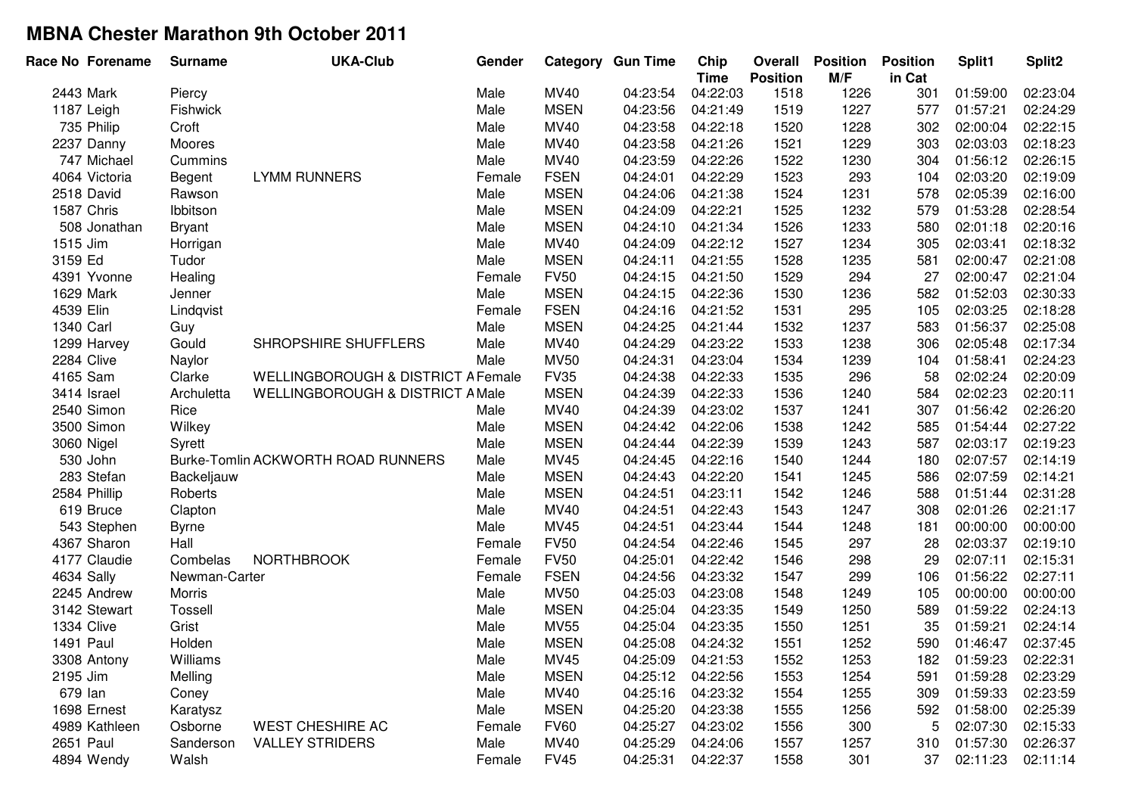| Race No Forename | <b>Surname</b> | <b>UKA-Club</b>                               | Gender |             | <b>Category Gun Time</b> | Chip<br><b>Time</b> | Overall<br><b>Position</b> | <b>Position</b><br>M/F | <b>Position</b><br>in Cat | Split1   | Split <sub>2</sub> |
|------------------|----------------|-----------------------------------------------|--------|-------------|--------------------------|---------------------|----------------------------|------------------------|---------------------------|----------|--------------------|
| 2443 Mark        | Piercy         |                                               | Male   | <b>MV40</b> | 04:23:54                 | 04:22:03            | 1518                       | 1226                   | 301                       | 01:59:00 | 02:23:04           |
| 1187 Leigh       | Fishwick       |                                               | Male   | <b>MSEN</b> | 04:23:56                 | 04:21:49            | 1519                       | 1227                   | 577                       | 01:57:21 | 02:24:29           |
| 735 Philip       | Croft          |                                               | Male   | MV40        | 04:23:58                 | 04:22:18            | 1520                       | 1228                   | 302                       | 02:00:04 | 02:22:15           |
| 2237 Danny       | Moores         |                                               | Male   | MV40        | 04:23:58                 | 04:21:26            | 1521                       | 1229                   | 303                       | 02:03:03 | 02:18:23           |
| 747 Michael      | Cummins        |                                               | Male   | MV40        | 04:23:59                 | 04:22:26            | 1522                       | 1230                   | 304                       | 01:56:12 | 02:26:15           |
| 4064 Victoria    | Begent         | <b>LYMM RUNNERS</b>                           | Female | <b>FSEN</b> | 04:24:01                 | 04:22:29            | 1523                       | 293                    | 104                       | 02:03:20 | 02:19:09           |
| 2518 David       | Rawson         |                                               | Male   | <b>MSEN</b> | 04:24:06                 | 04:21:38            | 1524                       | 1231                   | 578                       | 02:05:39 | 02:16:00           |
| 1587 Chris       | Ibbitson       |                                               | Male   | <b>MSEN</b> | 04:24:09                 | 04:22:21            | 1525                       | 1232                   | 579                       | 01:53:28 | 02:28:54           |
| 508 Jonathan     | <b>Bryant</b>  |                                               | Male   | <b>MSEN</b> | 04:24:10                 | 04:21:34            | 1526                       | 1233                   | 580                       | 02:01:18 | 02:20:16           |
| 1515 Jim         | Horrigan       |                                               | Male   | MV40        | 04:24:09                 | 04:22:12            | 1527                       | 1234                   | 305                       | 02:03:41 | 02:18:32           |
| 3159 Ed          | Tudor          |                                               | Male   | <b>MSEN</b> | 04:24:11                 | 04:21:55            | 1528                       | 1235                   | 581                       | 02:00:47 | 02:21:08           |
| 4391 Yvonne      | Healing        |                                               | Female | <b>FV50</b> | 04:24:15                 | 04:21:50            | 1529                       | 294                    | 27                        | 02:00:47 | 02:21:04           |
| 1629 Mark        | Jenner         |                                               | Male   | <b>MSEN</b> | 04:24:15                 | 04:22:36            | 1530                       | 1236                   | 582                       | 01:52:03 | 02:30:33           |
| 4539 Elin        | Lindqvist      |                                               | Female | <b>FSEN</b> | 04:24:16                 | 04:21:52            | 1531                       | 295                    | 105                       | 02:03:25 | 02:18:28           |
| 1340 Carl        | Guy            |                                               | Male   | <b>MSEN</b> | 04:24:25                 | 04:21:44            | 1532                       | 1237                   | 583                       | 01:56:37 | 02:25:08           |
| 1299 Harvey      | Gould          | SHROPSHIRE SHUFFLERS                          | Male   | MV40        | 04:24:29                 | 04:23:22            | 1533                       | 1238                   | 306                       | 02:05:48 | 02:17:34           |
| 2284 Clive       | Naylor         |                                               | Male   | <b>MV50</b> | 04:24:31                 | 04:23:04            | 1534                       | 1239                   | 104                       | 01:58:41 | 02:24:23           |
| 4165 Sam         | Clarke         | <b>WELLINGBOROUGH &amp; DISTRICT A Female</b> |        | <b>FV35</b> | 04:24:38                 | 04:22:33            | 1535                       | 296                    | 58                        | 02:02:24 | 02:20:09           |
| 3414 Israel      | Archuletta     | <b>WELLINGBOROUGH &amp; DISTRICT A Male</b>   |        | <b>MSEN</b> | 04:24:39                 | 04:22:33            | 1536                       | 1240                   | 584                       | 02:02:23 | 02:20:11           |
| 2540 Simon       | Rice           |                                               | Male   | MV40        | 04:24:39                 | 04:23:02            | 1537                       | 1241                   | 307                       | 01:56:42 | 02:26:20           |
| 3500 Simon       | Wilkey         |                                               | Male   | <b>MSEN</b> | 04:24:42                 | 04:22:06            | 1538                       | 1242                   | 585                       | 01:54:44 | 02:27:22           |
| 3060 Nigel       | Syrett         |                                               | Male   | <b>MSEN</b> | 04:24:44                 | 04:22:39            | 1539                       | 1243                   | 587                       | 02:03:17 | 02:19:23           |
| 530 John         |                | Burke-Tomlin ACKWORTH ROAD RUNNERS            | Male   | MV45        | 04:24:45                 | 04:22:16            | 1540                       | 1244                   | 180                       | 02:07:57 | 02:14:19           |
| 283 Stefan       | Backeljauw     |                                               | Male   | <b>MSEN</b> | 04:24:43                 | 04:22:20            | 1541                       | 1245                   | 586                       | 02:07:59 | 02:14:21           |
| 2584 Phillip     | Roberts        |                                               | Male   | <b>MSEN</b> | 04:24:51                 | 04:23:11            | 1542                       | 1246                   | 588                       | 01:51:44 | 02:31:28           |
| 619 Bruce        | Clapton        |                                               | Male   | MV40        | 04:24:51                 | 04:22:43            | 1543                       | 1247                   | 308                       | 02:01:26 | 02:21:17           |
| 543 Stephen      | <b>Byrne</b>   |                                               | Male   | MV45        | 04:24:51                 | 04:23:44            | 1544                       | 1248                   | 181                       | 00:00:00 | 00:00:00           |
| 4367 Sharon      | Hall           |                                               | Female | <b>FV50</b> | 04:24:54                 | 04:22:46            | 1545                       | 297                    | 28                        | 02:03:37 | 02:19:10           |
| 4177 Claudie     | Combelas       | <b>NORTHBROOK</b>                             | Female | <b>FV50</b> | 04:25:01                 | 04:22:42            | 1546                       | 298                    | 29                        | 02:07:11 | 02:15:31           |
| 4634 Sally       | Newman-Carter  |                                               | Female | <b>FSEN</b> | 04:24:56                 | 04:23:32            | 1547                       | 299                    | 106                       | 01:56:22 | 02:27:11           |
| 2245 Andrew      | Morris         |                                               | Male   | <b>MV50</b> | 04:25:03                 | 04:23:08            | 1548                       | 1249                   | 105                       | 00:00:00 | 00:00:00           |
| 3142 Stewart     | Tossell        |                                               | Male   | <b>MSEN</b> | 04:25:04                 | 04:23:35            | 1549                       | 1250                   | 589                       | 01:59:22 | 02:24:13           |
| 1334 Clive       | Grist          |                                               | Male   | <b>MV55</b> | 04:25:04                 | 04:23:35            | 1550                       | 1251                   | 35                        | 01:59:21 | 02:24:14           |
| 1491 Paul        | Holden         |                                               | Male   | <b>MSEN</b> | 04:25:08                 | 04:24:32            | 1551                       | 1252                   | 590                       | 01:46:47 | 02:37:45           |
| 3308 Antony      | Williams       |                                               | Male   | <b>MV45</b> | 04:25:09                 | 04:21:53            | 1552                       | 1253                   | 182                       | 01:59:23 | 02:22:31           |
| 2195 Jim         | Melling        |                                               | Male   | <b>MSEN</b> | 04:25:12                 | 04:22:56            | 1553                       | 1254                   | 591                       | 01:59:28 | 02:23:29           |
| 679 lan          | Coney          |                                               | Male   | <b>MV40</b> | 04:25:16                 | 04:23:32            | 1554                       | 1255                   | 309                       | 01:59:33 | 02:23:59           |
| 1698 Ernest      | Karatysz       |                                               | Male   | <b>MSEN</b> | 04:25:20                 | 04:23:38            | 1555                       | 1256                   | 592                       | 01:58:00 | 02:25:39           |
| 4989 Kathleen    | Osborne        | <b>WEST CHESHIRE AC</b>                       | Female | <b>FV60</b> | 04:25:27                 | 04:23:02            | 1556                       | 300                    | 5                         | 02:07:30 | 02:15:33           |
| 2651 Paul        | Sanderson      | <b>VALLEY STRIDERS</b>                        | Male   | <b>MV40</b> | 04:25:29                 | 04:24:06            | 1557                       | 1257                   | 310                       | 01:57:30 | 02:26:37           |
| 4894 Wendy       | Walsh          |                                               | Female | <b>FV45</b> | 04:25:31                 | 04:22:37            | 1558                       | 301                    | 37                        | 02:11:23 | 02:11:14           |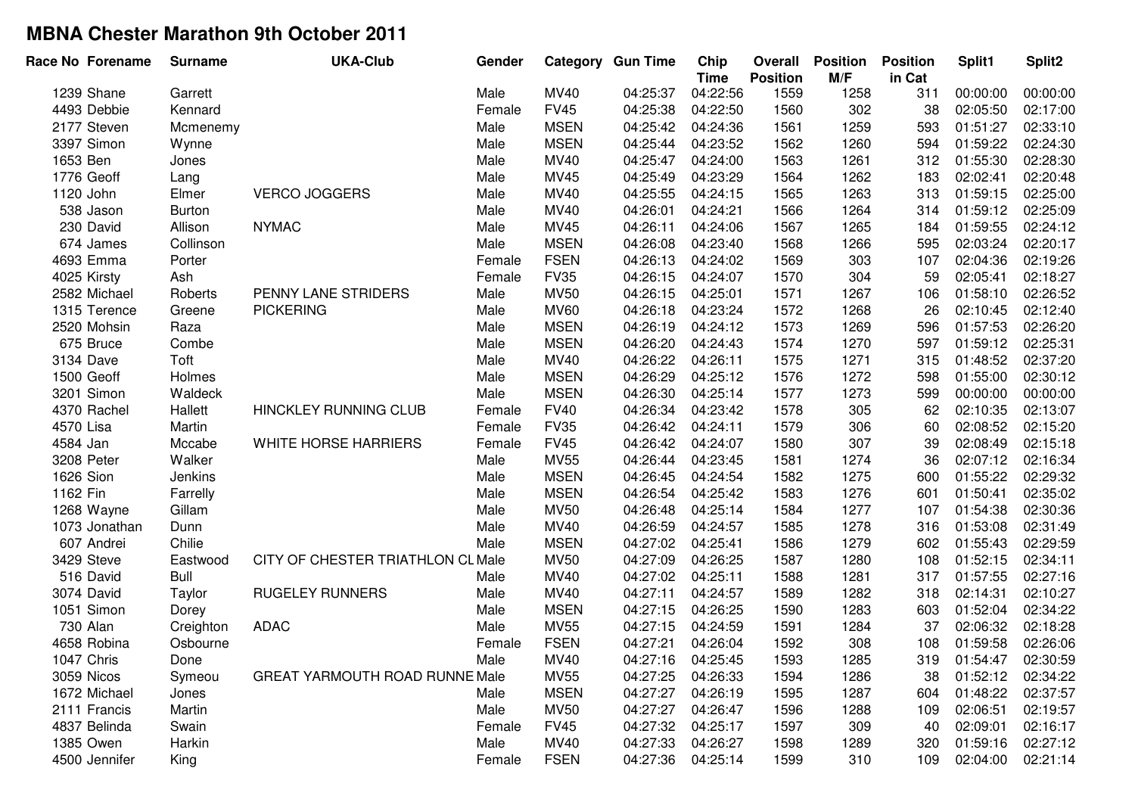| Race No Forename | <b>Surname</b> | <b>UKA-Club</b>                       | Gender |             | <b>Category Gun Time</b> | Chip<br><b>Time</b> | Overall<br><b>Position</b> | <b>Position</b><br>M/F | <b>Position</b><br>in Cat | Split1   | Split <sub>2</sub> |
|------------------|----------------|---------------------------------------|--------|-------------|--------------------------|---------------------|----------------------------|------------------------|---------------------------|----------|--------------------|
| 1239 Shane       | Garrett        |                                       | Male   | <b>MV40</b> | 04:25:37                 | 04:22:56            | 1559                       | 1258                   | 311                       | 00:00:00 | 00:00:00           |
| 4493 Debbie      | Kennard        |                                       | Female | <b>FV45</b> | 04:25:38                 | 04:22:50            | 1560                       | 302                    | 38                        | 02:05:50 | 02:17:00           |
| 2177 Steven      | Mcmenemy       |                                       | Male   | <b>MSEN</b> | 04:25:42                 | 04:24:36            | 1561                       | 1259                   | 593                       | 01:51:27 | 02:33:10           |
| 3397 Simon       | Wynne          |                                       | Male   | <b>MSEN</b> | 04:25:44                 | 04:23:52            | 1562                       | 1260                   | 594                       | 01:59:22 | 02:24:30           |
| 1653 Ben         | Jones          |                                       | Male   | MV40        | 04:25:47                 | 04:24:00            | 1563                       | 1261                   | 312                       | 01:55:30 | 02:28:30           |
| 1776 Geoff       | Lang           |                                       | Male   | MV45        | 04:25:49                 | 04:23:29            | 1564                       | 1262                   | 183                       | 02:02:41 | 02:20:48           |
| 1120 John        | Elmer          | <b>VERCO JOGGERS</b>                  | Male   | MV40        | 04:25:55                 | 04:24:15            | 1565                       | 1263                   | 313                       | 01:59:15 | 02:25:00           |
| 538 Jason        | <b>Burton</b>  |                                       | Male   | MV40        | 04:26:01                 | 04:24:21            | 1566                       | 1264                   | 314                       | 01:59:12 | 02:25:09           |
| 230 David        | Allison        | <b>NYMAC</b>                          | Male   | MV45        | 04:26:11                 | 04:24:06            | 1567                       | 1265                   | 184                       | 01:59:55 | 02:24:12           |
| 674 James        | Collinson      |                                       | Male   | <b>MSEN</b> | 04:26:08                 | 04:23:40            | 1568                       | 1266                   | 595                       | 02:03:24 | 02:20:17           |
| 4693 Emma        | Porter         |                                       | Female | <b>FSEN</b> | 04:26:13                 | 04:24:02            | 1569                       | 303                    | 107                       | 02:04:36 | 02:19:26           |
| 4025 Kirsty      | Ash            |                                       | Female | <b>FV35</b> | 04:26:15                 | 04:24:07            | 1570                       | 304                    | 59                        | 02:05:41 | 02:18:27           |
| 2582 Michael     | Roberts        | PENNY LANE STRIDERS                   | Male   | <b>MV50</b> | 04:26:15                 | 04:25:01            | 1571                       | 1267                   | 106                       | 01:58:10 | 02:26:52           |
| 1315 Terence     | Greene         | <b>PICKERING</b>                      | Male   | <b>MV60</b> | 04:26:18                 | 04:23:24            | 1572                       | 1268                   | 26                        | 02:10:45 | 02:12:40           |
| 2520 Mohsin      | Raza           |                                       | Male   | <b>MSEN</b> | 04:26:19                 | 04:24:12            | 1573                       | 1269                   | 596                       | 01:57:53 | 02:26:20           |
| 675 Bruce        | Combe          |                                       | Male   | <b>MSEN</b> | 04:26:20                 | 04:24:43            | 1574                       | 1270                   | 597                       | 01:59:12 | 02:25:31           |
| 3134 Dave        | Toft           |                                       | Male   | MV40        | 04:26:22                 | 04:26:11            | 1575                       | 1271                   | 315                       | 01:48:52 | 02:37:20           |
| 1500 Geoff       | Holmes         |                                       | Male   | <b>MSEN</b> | 04:26:29                 | 04:25:12            | 1576                       | 1272                   | 598                       | 01:55:00 | 02:30:12           |
| 3201 Simon       | Waldeck        |                                       | Male   | <b>MSEN</b> | 04:26:30                 | 04:25:14            | 1577                       | 1273                   | 599                       | 00:00:00 | 00:00:00           |
| 4370 Rachel      | Hallett        | HINCKLEY RUNNING CLUB                 | Female | <b>FV40</b> | 04:26:34                 | 04:23:42            | 1578                       | 305                    | 62                        | 02:10:35 | 02:13:07           |
| 4570 Lisa        | Martin         |                                       | Female | <b>FV35</b> | 04:26:42                 | 04:24:11            | 1579                       | 306                    | 60                        | 02:08:52 | 02:15:20           |
| 4584 Jan         | Mccabe         | WHITE HORSE HARRIERS                  | Female | <b>FV45</b> | 04:26:42                 | 04:24:07            | 1580                       | 307                    | 39                        | 02:08:49 | 02:15:18           |
| 3208 Peter       | Walker         |                                       | Male   | <b>MV55</b> | 04:26:44                 | 04:23:45            | 1581                       | 1274                   | 36                        | 02:07:12 | 02:16:34           |
| 1626 Sion        | Jenkins        |                                       | Male   | <b>MSEN</b> | 04:26:45                 | 04:24:54            | 1582                       | 1275                   | 600                       | 01:55:22 | 02:29:32           |
| 1162 Fin         | Farrelly       |                                       | Male   | <b>MSEN</b> | 04:26:54                 | 04:25:42            | 1583                       | 1276                   | 601                       | 01:50:41 | 02:35:02           |
| 1268 Wayne       | Gillam         |                                       | Male   | <b>MV50</b> | 04:26:48                 | 04:25:14            | 1584                       | 1277                   | 107                       | 01:54:38 | 02:30:36           |
| 1073 Jonathan    | Dunn           |                                       | Male   | MV40        | 04:26:59                 | 04:24:57            | 1585                       | 1278                   | 316                       | 01:53:08 | 02:31:49           |
| 607 Andrei       | Chilie         |                                       | Male   | <b>MSEN</b> | 04:27:02                 | 04:25:41            | 1586                       | 1279                   | 602                       | 01:55:43 | 02:29:59           |
| 3429 Steve       | Eastwood       | CITY OF CHESTER TRIATHLON CL Male     |        | <b>MV50</b> | 04:27:09                 | 04:26:25            | 1587                       | 1280                   | 108                       | 01:52:15 | 02:34:11           |
| 516 David        | <b>Bull</b>    |                                       | Male   | MV40        | 04:27:02                 | 04:25:11            | 1588                       | 1281                   | 317                       | 01:57:55 | 02:27:16           |
| 3074 David       | Taylor         | <b>RUGELEY RUNNERS</b>                | Male   | MV40        | 04:27:11                 | 04:24:57            | 1589                       | 1282                   | 318                       | 02:14:31 | 02:10:27           |
| 1051 Simon       | Dorey          |                                       | Male   | <b>MSEN</b> | 04:27:15                 | 04:26:25            | 1590                       | 1283                   | 603                       | 01:52:04 | 02:34:22           |
| 730 Alan         | Creighton      | <b>ADAC</b>                           | Male   | <b>MV55</b> | 04:27:15                 | 04:24:59            | 1591                       | 1284                   | 37                        | 02:06:32 | 02:18:28           |
| 4658 Robina      | Osbourne       |                                       | Female | <b>FSEN</b> | 04:27:21                 | 04:26:04            | 1592                       | 308                    | 108                       | 01:59:58 | 02:26:06           |
| 1047 Chris       | Done           |                                       | Male   | MV40        | 04:27:16                 | 04:25:45            | 1593                       | 1285                   | 319                       | 01:54:47 | 02:30:59           |
| 3059 Nicos       | Symeou         | <b>GREAT YARMOUTH ROAD RUNNE Male</b> |        | <b>MV55</b> | 04:27:25                 | 04:26:33            | 1594                       | 1286                   | 38                        | 01:52:12 | 02:34:22           |
| 1672 Michael     | Jones          |                                       | Male   | <b>MSEN</b> | 04:27:27                 | 04:26:19            | 1595                       | 1287                   | 604                       | 01:48:22 | 02:37:57           |
| 2111 Francis     | Martin         |                                       | Male   | <b>MV50</b> | 04:27:27                 | 04:26:47            | 1596                       | 1288                   | 109                       | 02:06:51 | 02:19:57           |
| 4837 Belinda     | Swain          |                                       | Female | <b>FV45</b> | 04:27:32                 | 04:25:17            | 1597                       | 309                    | 40                        | 02:09:01 | 02:16:17           |
| 1385 Owen        | Harkin         |                                       | Male   | MV40        | 04:27:33                 | 04:26:27            | 1598                       | 1289                   | 320                       | 01:59:16 | 02:27:12           |
| 4500 Jennifer    | King           |                                       | Female | <b>FSEN</b> | 04:27:36                 | 04:25:14            | 1599                       | 310                    | 109                       | 02:04:00 | 02:21:14           |
|                  |                |                                       |        |             |                          |                     |                            |                        |                           |          |                    |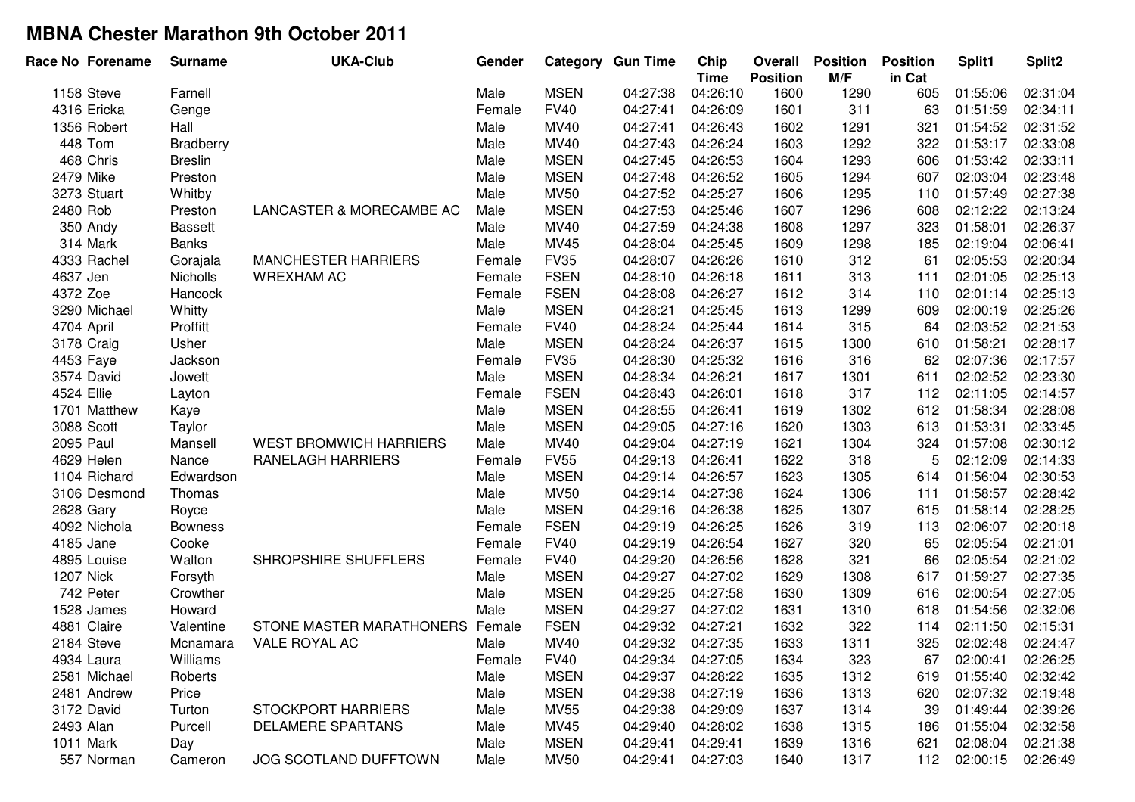| Race No Forename | <b>Surname</b>   | <b>UKA-Club</b>               | Gender |             | <b>Category Gun Time</b> | Chip<br><b>Time</b> | Overall<br><b>Position</b> | <b>Position</b><br>M/F | <b>Position</b><br>in Cat | Split1   | Split2   |
|------------------|------------------|-------------------------------|--------|-------------|--------------------------|---------------------|----------------------------|------------------------|---------------------------|----------|----------|
| 1158 Steve       | Farnell          |                               | Male   | <b>MSEN</b> | 04:27:38                 | 04:26:10            | 1600                       | 1290                   | 605                       | 01:55:06 | 02:31:04 |
| 4316 Ericka      | Genge            |                               | Female | <b>FV40</b> | 04:27:41                 | 04:26:09            | 1601                       | 311                    | 63                        | 01:51:59 | 02:34:11 |
| 1356 Robert      | Hall             |                               | Male   | MV40        | 04:27:41                 | 04:26:43            | 1602                       | 1291                   | 321                       | 01:54:52 | 02:31:52 |
| 448 Tom          | <b>Bradberry</b> |                               | Male   | MV40        | 04:27:43                 | 04:26:24            | 1603                       | 1292                   | 322                       | 01:53:17 | 02:33:08 |
| 468 Chris        | <b>Breslin</b>   |                               | Male   | <b>MSEN</b> | 04:27:45                 | 04:26:53            | 1604                       | 1293                   | 606                       | 01:53:42 | 02:33:11 |
| 2479 Mike        | Preston          |                               | Male   | <b>MSEN</b> | 04:27:48                 | 04:26:52            | 1605                       | 1294                   | 607                       | 02:03:04 | 02:23:48 |
| 3273 Stuart      | Whitby           |                               | Male   | <b>MV50</b> | 04:27:52                 | 04:25:27            | 1606                       | 1295                   | 110                       | 01:57:49 | 02:27:38 |
| 2480 Rob         | Preston          | LANCASTER & MORECAMBE AC      | Male   | <b>MSEN</b> | 04:27:53                 | 04:25:46            | 1607                       | 1296                   | 608                       | 02:12:22 | 02:13:24 |
| 350 Andy         | <b>Bassett</b>   |                               | Male   | MV40        | 04:27:59                 | 04:24:38            | 1608                       | 1297                   | 323                       | 01:58:01 | 02:26:37 |
| 314 Mark         | <b>Banks</b>     |                               | Male   | MV45        | 04:28:04                 | 04:25:45            | 1609                       | 1298                   | 185                       | 02:19:04 | 02:06:41 |
| 4333 Rachel      | Gorajala         | <b>MANCHESTER HARRIERS</b>    | Female | <b>FV35</b> | 04:28:07                 | 04:26:26            | 1610                       | 312                    | 61                        | 02:05:53 | 02:20:34 |
| 4637 Jen         | <b>Nicholls</b>  | <b>WREXHAM AC</b>             | Female | <b>FSEN</b> | 04:28:10                 | 04:26:18            | 1611                       | 313                    | 111                       | 02:01:05 | 02:25:13 |
| 4372 Zoe         | Hancock          |                               | Female | <b>FSEN</b> | 04:28:08                 | 04:26:27            | 1612                       | 314                    | 110                       | 02:01:14 | 02:25:13 |
| 3290 Michael     | Whitty           |                               | Male   | <b>MSEN</b> | 04:28:21                 | 04:25:45            | 1613                       | 1299                   | 609                       | 02:00:19 | 02:25:26 |
| 4704 April       | Proffitt         |                               | Female | <b>FV40</b> | 04:28:24                 | 04:25:44            | 1614                       | 315                    | 64                        | 02:03:52 | 02:21:53 |
| 3178 Craig       | Usher            |                               | Male   | <b>MSEN</b> | 04:28:24                 | 04:26:37            | 1615                       | 1300                   | 610                       | 01:58:21 | 02:28:17 |
| 4453 Faye        | Jackson          |                               | Female | <b>FV35</b> | 04:28:30                 | 04:25:32            | 1616                       | 316                    | 62                        | 02:07:36 | 02:17:57 |
| 3574 David       | Jowett           |                               | Male   | <b>MSEN</b> | 04:28:34                 | 04:26:21            | 1617                       | 1301                   | 611                       | 02:02:52 | 02:23:30 |
| 4524 Ellie       | Layton           |                               | Female | <b>FSEN</b> | 04:28:43                 | 04:26:01            | 1618                       | 317                    | 112                       | 02:11:05 | 02:14:57 |
| 1701 Matthew     | Kaye             |                               | Male   | <b>MSEN</b> | 04:28:55                 | 04:26:41            | 1619                       | 1302                   | 612                       | 01:58:34 | 02:28:08 |
| 3088 Scott       | Taylor           |                               | Male   | <b>MSEN</b> | 04:29:05                 | 04:27:16            | 1620                       | 1303                   | 613                       | 01:53:31 | 02:33:45 |
| 2095 Paul        | Mansell          | <b>WEST BROMWICH HARRIERS</b> | Male   | <b>MV40</b> | 04:29:04                 | 04:27:19            | 1621                       | 1304                   | 324                       | 01:57:08 | 02:30:12 |
| 4629 Helen       | Nance            | <b>RANELAGH HARRIERS</b>      | Female | <b>FV55</b> | 04:29:13                 | 04:26:41            | 1622                       | 318                    | 5                         | 02:12:09 | 02:14:33 |
| 1104 Richard     | Edwardson        |                               | Male   | <b>MSEN</b> | 04:29:14                 | 04:26:57            | 1623                       | 1305                   | 614                       | 01:56:04 | 02:30:53 |
| 3106 Desmond     | Thomas           |                               | Male   | <b>MV50</b> | 04:29:14                 | 04:27:38            | 1624                       | 1306                   | 111                       | 01:58:57 | 02:28:42 |
| 2628 Gary        | Royce            |                               | Male   | <b>MSEN</b> | 04:29:16                 | 04:26:38            | 1625                       | 1307                   | 615                       | 01:58:14 | 02:28:25 |
| 4092 Nichola     | <b>Bowness</b>   |                               | Female | <b>FSEN</b> | 04:29:19                 | 04:26:25            | 1626                       | 319                    | 113                       | 02:06:07 | 02:20:18 |
| 4185 Jane        | Cooke            |                               | Female | <b>FV40</b> | 04:29:19                 | 04:26:54            | 1627                       | 320                    | 65                        | 02:05:54 | 02:21:01 |
| 4895 Louise      | Walton           | SHROPSHIRE SHUFFLERS          | Female | <b>FV40</b> | 04:29:20                 | 04:26:56            | 1628                       | 321                    | 66                        | 02:05:54 | 02:21:02 |
| <b>1207 Nick</b> | Forsyth          |                               | Male   | <b>MSEN</b> | 04:29:27                 | 04:27:02            | 1629                       | 1308                   | 617                       | 01:59:27 | 02:27:35 |
| 742 Peter        | Crowther         |                               | Male   | <b>MSEN</b> | 04:29:25                 | 04:27:58            | 1630                       | 1309                   | 616                       | 02:00:54 | 02:27:05 |
| 1528 James       | Howard           |                               | Male   | <b>MSEN</b> | 04:29:27                 | 04:27:02            | 1631                       | 1310                   | 618                       | 01:54:56 | 02:32:06 |
| 4881 Claire      | Valentine        | STONE MASTER MARATHONERS      | Female | <b>FSEN</b> | 04:29:32                 | 04:27:21            | 1632                       | 322                    | 114                       | 02:11:50 | 02:15:31 |
| 2184 Steve       | Mcnamara         | VALE ROYAL AC                 | Male   | MV40        | 04:29:32                 | 04:27:35            | 1633                       | 1311                   | 325                       | 02:02:48 | 02:24:47 |
| 4934 Laura       | Williams         |                               | Female | <b>FV40</b> | 04:29:34                 | 04:27:05            | 1634                       | 323                    | 67                        | 02:00:41 | 02:26:25 |
| 2581 Michael     | Roberts          |                               | Male   | <b>MSEN</b> | 04:29:37                 | 04:28:22            | 1635                       | 1312                   | 619                       | 01:55:40 | 02:32:42 |
| 2481 Andrew      | Price            |                               | Male   | <b>MSEN</b> | 04:29:38                 | 04:27:19            | 1636                       | 1313                   | 620                       | 02:07:32 | 02:19:48 |
| 3172 David       | Turton           | <b>STOCKPORT HARRIERS</b>     | Male   | <b>MV55</b> | 04:29:38                 | 04:29:09            | 1637                       | 1314                   | 39                        | 01:49:44 | 02:39:26 |
| 2493 Alan        | Purcell          | DELAMERE SPARTANS             | Male   | MV45        | 04:29:40                 | 04:28:02            | 1638                       | 1315                   | 186                       | 01:55:04 | 02:32:58 |
| 1011 Mark        | Day              |                               | Male   | <b>MSEN</b> | 04:29:41                 | 04:29:41            | 1639                       | 1316                   | 621                       | 02:08:04 | 02:21:38 |
| 557 Norman       | Cameron          | JOG SCOTLAND DUFFTOWN         | Male   | <b>MV50</b> | 04:29:41                 | 04:27:03            | 1640                       | 1317                   | 112                       | 02:00:15 | 02:26:49 |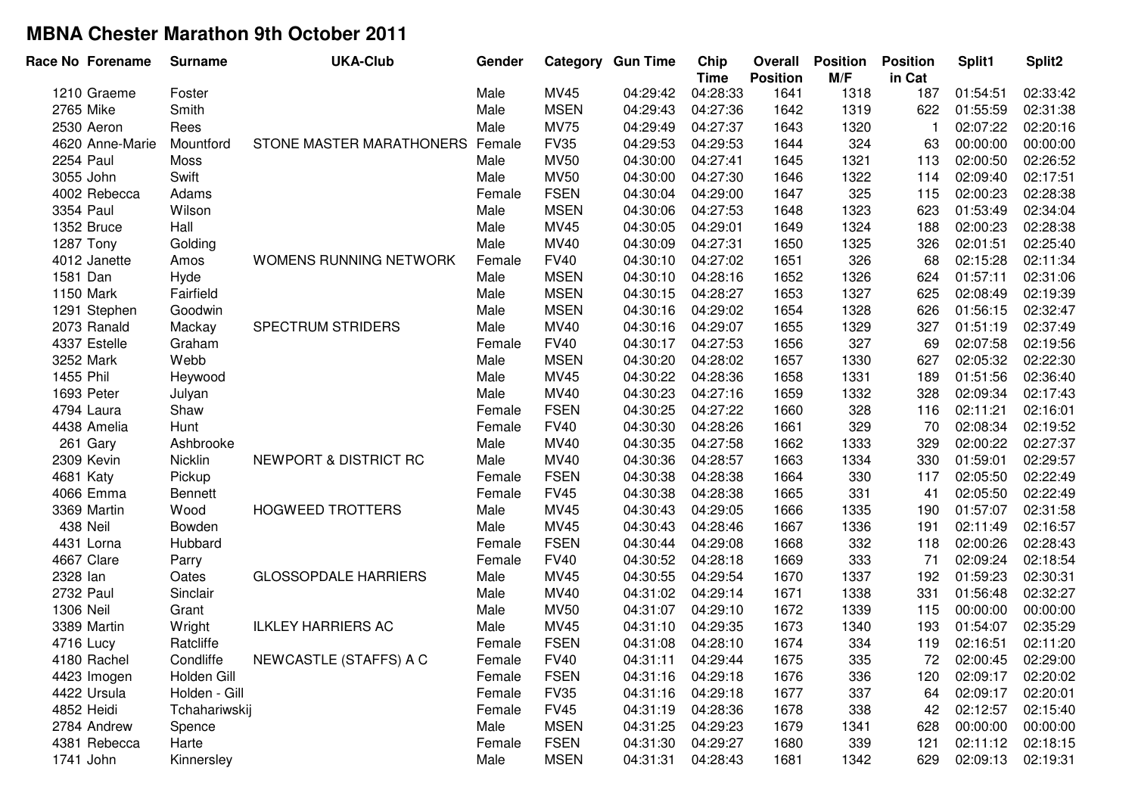| Race No Forename |                 | <b>Surname</b> | <b>UKA-Club</b>             | Gender |             | <b>Category Gun Time</b> | Chip<br><b>Time</b> | Overall<br><b>Position</b> | <b>Position</b><br>M/F | <b>Position</b><br>in Cat | Split1   | Split <sub>2</sub> |
|------------------|-----------------|----------------|-----------------------------|--------|-------------|--------------------------|---------------------|----------------------------|------------------------|---------------------------|----------|--------------------|
| 1210 Graeme      |                 | Foster         |                             | Male   | MV45        | 04:29:42                 | 04:28:33            | 1641                       | 1318                   | 187                       | 01:54:51 | 02:33:42           |
| 2765 Mike        |                 | Smith          |                             | Male   | <b>MSEN</b> | 04:29:43                 | 04:27:36            | 1642                       | 1319                   | 622                       | 01:55:59 | 02:31:38           |
| 2530 Aeron       |                 | Rees           |                             | Male   | <b>MV75</b> | 04:29:49                 | 04:27:37            | 1643                       | 1320                   |                           | 02:07:22 | 02:20:16           |
|                  | 4620 Anne-Marie | Mountford      | STONE MASTER MARATHONERS    | Female | <b>FV35</b> | 04:29:53                 | 04:29:53            | 1644                       | 324                    | 63                        | 00:00:00 | 00:00:00           |
| 2254 Paul        |                 | Moss           |                             | Male   | <b>MV50</b> | 04:30:00                 | 04:27:41            | 1645                       | 1321                   | 113                       | 02:00:50 | 02:26:52           |
| 3055 John        |                 | Swift          |                             | Male   | <b>MV50</b> | 04:30:00                 | 04:27:30            | 1646                       | 1322                   | 114                       | 02:09:40 | 02:17:51           |
|                  | 4002 Rebecca    | Adams          |                             | Female | <b>FSEN</b> | 04:30:04                 | 04:29:00            | 1647                       | 325                    | 115                       | 02:00:23 | 02:28:38           |
| 3354 Paul        |                 | Wilson         |                             | Male   | <b>MSEN</b> | 04:30:06                 | 04:27:53            | 1648                       | 1323                   | 623                       | 01:53:49 | 02:34:04           |
| 1352 Bruce       |                 | Hall           |                             | Male   | MV45        | 04:30:05                 | 04:29:01            | 1649                       | 1324                   | 188                       | 02:00:23 | 02:28:38           |
| 1287 Tony        |                 | Golding        |                             | Male   | MV40        | 04:30:09                 | 04:27:31            | 1650                       | 1325                   | 326                       | 02:01:51 | 02:25:40           |
| 4012 Janette     |                 | Amos           | WOMENS RUNNING NETWORK      | Female | <b>FV40</b> | 04:30:10                 | 04:27:02            | 1651                       | 326                    | 68                        | 02:15:28 | 02:11:34           |
| 1581 Dan         |                 | Hyde           |                             | Male   | <b>MSEN</b> | 04:30:10                 | 04:28:16            | 1652                       | 1326                   | 624                       | 01:57:11 | 02:31:06           |
| 1150 Mark        |                 | Fairfield      |                             | Male   | <b>MSEN</b> | 04:30:15                 | 04:28:27            | 1653                       | 1327                   | 625                       | 02:08:49 | 02:19:39           |
| 1291 Stephen     |                 | Goodwin        |                             | Male   | <b>MSEN</b> | 04:30:16                 | 04:29:02            | 1654                       | 1328                   | 626                       | 01:56:15 | 02:32:47           |
| 2073 Ranald      |                 | Mackay         | SPECTRUM STRIDERS           | Male   | MV40        | 04:30:16                 | 04:29:07            | 1655                       | 1329                   | 327                       | 01:51:19 | 02:37:49           |
| 4337 Estelle     |                 | Graham         |                             | Female | <b>FV40</b> | 04:30:17                 | 04:27:53            | 1656                       | 327                    | 69                        | 02:07:58 | 02:19:56           |
| 3252 Mark        |                 | Webb           |                             | Male   | <b>MSEN</b> | 04:30:20                 | 04:28:02            | 1657                       | 1330                   | 627                       | 02:05:32 | 02:22:30           |
| 1455 Phil        |                 | Heywood        |                             | Male   | MV45        | 04:30:22                 | 04:28:36            | 1658                       | 1331                   | 189                       | 01:51:56 | 02:36:40           |
| 1693 Peter       |                 | Julyan         |                             | Male   | MV40        | 04:30:23                 | 04:27:16            | 1659                       | 1332                   | 328                       | 02:09:34 | 02:17:43           |
| 4794 Laura       |                 | Shaw           |                             | Female | <b>FSEN</b> | 04:30:25                 | 04:27:22            | 1660                       | 328                    | 116                       | 02:11:21 | 02:16:01           |
| 4438 Amelia      |                 | Hunt           |                             | Female | <b>FV40</b> | 04:30:30                 | 04:28:26            | 1661                       | 329                    | 70                        | 02:08:34 | 02:19:52           |
| 261 Gary         |                 | Ashbrooke      |                             | Male   | MV40        | 04:30:35                 | 04:27:58            | 1662                       | 1333                   | 329                       | 02:00:22 | 02:27:37           |
| 2309 Kevin       |                 | Nicklin        | NEWPORT & DISTRICT RC       | Male   | MV40        | 04:30:36                 | 04:28:57            | 1663                       | 1334                   | 330                       | 01:59:01 | 02:29:57           |
| 4681 Katy        |                 | Pickup         |                             | Female | <b>FSEN</b> | 04:30:38                 | 04:28:38            | 1664                       | 330                    | 117                       | 02:05:50 | 02:22:49           |
| 4066 Emma        |                 | Bennett        |                             | Female | <b>FV45</b> | 04:30:38                 | 04:28:38            | 1665                       | 331                    | 41                        | 02:05:50 | 02:22:49           |
| 3369 Martin      |                 | Wood           | <b>HOGWEED TROTTERS</b>     | Male   | <b>MV45</b> | 04:30:43                 | 04:29:05            | 1666                       | 1335                   | 190                       | 01:57:07 | 02:31:58           |
| 438 Neil         |                 | Bowden         |                             | Male   | MV45        | 04:30:43                 | 04:28:46            | 1667                       | 1336                   | 191                       | 02:11:49 | 02:16:57           |
| 4431 Lorna       |                 | Hubbard        |                             | Female | <b>FSEN</b> | 04:30:44                 | 04:29:08            | 1668                       | 332                    | 118                       | 02:00:26 | 02:28:43           |
| 4667 Clare       |                 | Parry          |                             | Female | <b>FV40</b> | 04:30:52                 | 04:28:18            | 1669                       | 333                    | 71                        | 02:09:24 | 02:18:54           |
| 2328 lan         |                 | Oates          | <b>GLOSSOPDALE HARRIERS</b> | Male   | MV45        | 04:30:55                 | 04:29:54            | 1670                       | 1337                   | 192                       | 01:59:23 | 02:30:31           |
| 2732 Paul        |                 | Sinclair       |                             | Male   | MV40        | 04:31:02                 | 04:29:14            | 1671                       | 1338                   | 331                       | 01:56:48 | 02:32:27           |
| 1306 Neil        |                 | Grant          |                             | Male   | <b>MV50</b> | 04:31:07                 | 04:29:10            | 1672                       | 1339                   | 115                       | 00:00:00 | 00:00:00           |
| 3389 Martin      |                 | Wright         | <b>ILKLEY HARRIERS AC</b>   | Male   | MV45        | 04:31:10                 | 04:29:35            | 1673                       | 1340                   | 193                       | 01:54:07 | 02:35:29           |
| 4716 Lucy        |                 | Ratcliffe      |                             | Female | <b>FSEN</b> | 04:31:08                 | 04:28:10            | 1674                       | 334                    | 119                       | 02:16:51 | 02:11:20           |
| 4180 Rachel      |                 | Condliffe      | NEWCASTLE (STAFFS) A C      | Female | <b>FV40</b> | 04:31:11                 | 04:29:44            | 1675                       | 335                    | 72                        | 02:00:45 | 02:29:00           |
| 4423 Imogen      |                 | Holden Gill    |                             | Female | <b>FSEN</b> | 04:31:16                 | 04:29:18            | 1676                       | 336                    | 120                       | 02:09:17 | 02:20:02           |
| 4422 Ursula      |                 | Holden - Gill  |                             | Female | <b>FV35</b> | 04:31:16                 | 04:29:18            | 1677                       | 337                    | 64                        | 02:09:17 | 02:20:01           |
| 4852 Heidi       |                 | Tchahariwskij  |                             | Female | <b>FV45</b> | 04:31:19                 | 04:28:36            | 1678                       | 338                    | 42                        | 02:12:57 | 02:15:40           |
| 2784 Andrew      |                 | Spence         |                             | Male   | <b>MSEN</b> | 04:31:25                 | 04:29:23            | 1679                       | 1341                   | 628                       | 00:00:00 | 00:00:00           |
|                  | 4381 Rebecca    | Harte          |                             | Female | <b>FSEN</b> | 04:31:30                 | 04:29:27            | 1680                       | 339                    | 121                       | 02:11:12 | 02:18:15           |
| 1741 John        |                 | Kinnersley     |                             | Male   | <b>MSEN</b> | 04:31:31                 | 04:28:43            | 1681                       | 1342                   | 629                       | 02:09:13 | 02:19:31           |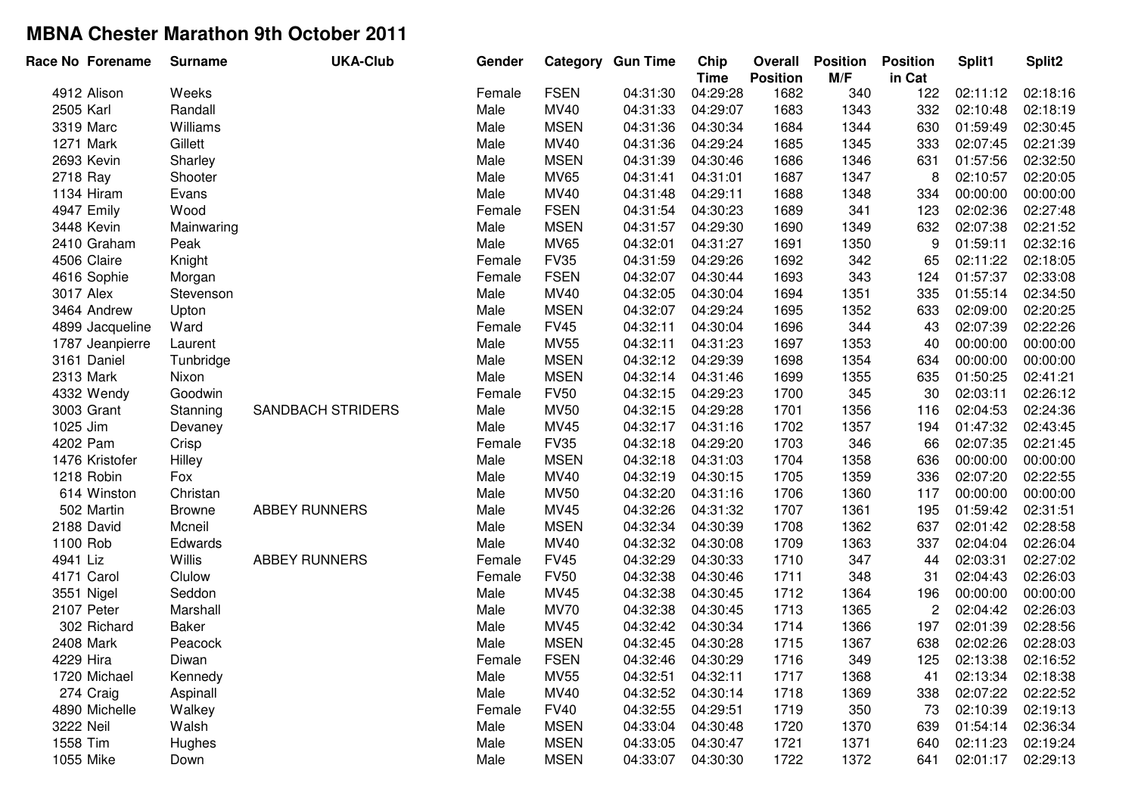| Race No Forename | <b>Surname</b> | <b>UKA-Club</b>          | Gender |             | <b>Category Gun Time</b> | Chip<br><b>Time</b> | Overall<br><b>Position</b> | <b>Position</b><br>M/F | <b>Position</b><br>in Cat | Split1   | Split2   |
|------------------|----------------|--------------------------|--------|-------------|--------------------------|---------------------|----------------------------|------------------------|---------------------------|----------|----------|
| 4912 Alison      | Weeks          |                          | Female | <b>FSEN</b> | 04:31:30                 | 04:29:28            | 1682                       | 340                    | 122                       | 02:11:12 | 02:18:16 |
| 2505 Karl        | Randall        |                          | Male   | <b>MV40</b> | 04:31:33                 | 04:29:07            | 1683                       | 1343                   | 332                       | 02:10:48 | 02:18:19 |
| 3319 Marc        | Williams       |                          | Male   | <b>MSEN</b> | 04:31:36                 | 04:30:34            | 1684                       | 1344                   | 630                       | 01:59:49 | 02:30:45 |
| 1271 Mark        | Gillett        |                          | Male   | MV40        | 04:31:36                 | 04:29:24            | 1685                       | 1345                   | 333                       | 02:07:45 | 02:21:39 |
| 2693 Kevin       | Sharley        |                          | Male   | <b>MSEN</b> | 04:31:39                 | 04:30:46            | 1686                       | 1346                   | 631                       | 01:57:56 | 02:32:50 |
| 2718 Ray         | Shooter        |                          | Male   | <b>MV65</b> | 04:31:41                 | 04:31:01            | 1687                       | 1347                   | 8                         | 02:10:57 | 02:20:05 |
| 1134 Hiram       | Evans          |                          | Male   | MV40        | 04:31:48                 | 04:29:11            | 1688                       | 1348                   | 334                       | 00:00:00 | 00:00:00 |
| 4947 Emily       | Wood           |                          | Female | <b>FSEN</b> | 04:31:54                 | 04:30:23            | 1689                       | 341                    | 123                       | 02:02:36 | 02:27:48 |
| 3448 Kevin       | Mainwaring     |                          | Male   | <b>MSEN</b> | 04:31:57                 | 04:29:30            | 1690                       | 1349                   | 632                       | 02:07:38 | 02:21:52 |
| 2410 Graham      | Peak           |                          | Male   | <b>MV65</b> | 04:32:01                 | 04:31:27            | 1691                       | 1350                   | 9                         | 01:59:11 | 02:32:16 |
| 4506 Claire      | Knight         |                          | Female | <b>FV35</b> | 04:31:59                 | 04:29:26            | 1692                       | 342                    | 65                        | 02:11:22 | 02:18:05 |
| 4616 Sophie      | Morgan         |                          | Female | <b>FSEN</b> | 04:32:07                 | 04:30:44            | 1693                       | 343                    | 124                       | 01:57:37 | 02:33:08 |
| 3017 Alex        | Stevenson      |                          | Male   | MV40        | 04:32:05                 | 04:30:04            | 1694                       | 1351                   | 335                       | 01:55:14 | 02:34:50 |
| 3464 Andrew      | Upton          |                          | Male   | <b>MSEN</b> | 04:32:07                 | 04:29:24            | 1695                       | 1352                   | 633                       | 02:09:00 | 02:20:25 |
| 4899 Jacqueline  | Ward           |                          | Female | <b>FV45</b> | 04:32:11                 | 04:30:04            | 1696                       | 344                    | 43                        | 02:07:39 | 02:22:26 |
| 1787 Jeanpierre  | Laurent        |                          | Male   | <b>MV55</b> | 04:32:11                 | 04:31:23            | 1697                       | 1353                   | 40                        | 00:00:00 | 00:00:00 |
| 3161 Daniel      | Tunbridge      |                          | Male   | <b>MSEN</b> | 04:32:12                 | 04:29:39            | 1698                       | 1354                   | 634                       | 00:00:00 | 00:00:00 |
| 2313 Mark        | Nixon          |                          | Male   | <b>MSEN</b> | 04:32:14                 | 04:31:46            | 1699                       | 1355                   | 635                       | 01:50:25 | 02:41:21 |
| 4332 Wendy       | Goodwin        |                          | Female | <b>FV50</b> | 04:32:15                 | 04:29:23            | 1700                       | 345                    | 30                        | 02:03:11 | 02:26:12 |
| 3003 Grant       | Stanning       | <b>SANDBACH STRIDERS</b> | Male   | <b>MV50</b> | 04:32:15                 | 04:29:28            | 1701                       | 1356                   | 116                       | 02:04:53 | 02:24:36 |
| 1025 Jim         | Devaney        |                          | Male   | MV45        | 04:32:17                 | 04:31:16            | 1702                       | 1357                   | 194                       | 01:47:32 | 02:43:45 |
| 4202 Pam         | Crisp          |                          | Female | <b>FV35</b> | 04:32:18                 | 04:29:20            | 1703                       | 346                    | 66                        | 02:07:35 | 02:21:45 |
| 1476 Kristofer   | Hilley         |                          | Male   | <b>MSEN</b> | 04:32:18                 | 04:31:03            | 1704                       | 1358                   | 636                       | 00:00:00 | 00:00:00 |
| 1218 Robin       | Fox            |                          | Male   | MV40        | 04:32:19                 | 04:30:15            | 1705                       | 1359                   | 336                       | 02:07:20 | 02:22:55 |
| 614 Winston      | Christan       |                          | Male   | <b>MV50</b> | 04:32:20                 | 04:31:16            | 1706                       | 1360                   | 117                       | 00:00:00 | 00:00:00 |
| 502 Martin       | <b>Browne</b>  | <b>ABBEY RUNNERS</b>     | Male   | MV45        | 04:32:26                 | 04:31:32            | 1707                       | 1361                   | 195                       | 01:59:42 | 02:31:51 |
| 2188 David       | Mcneil         |                          | Male   | <b>MSEN</b> | 04:32:34                 | 04:30:39            | 1708                       | 1362                   | 637                       | 02:01:42 | 02:28:58 |
| 1100 Rob         | Edwards        |                          | Male   | MV40        | 04:32:32                 | 04:30:08            | 1709                       | 1363                   | 337                       | 02:04:04 | 02:26:04 |
| 4941 Liz         | Willis         | <b>ABBEY RUNNERS</b>     | Female | <b>FV45</b> | 04:32:29                 | 04:30:33            | 1710                       | 347                    | 44                        | 02:03:31 | 02:27:02 |
| 4171 Carol       | Clulow         |                          | Female | <b>FV50</b> | 04:32:38                 | 04:30:46            | 1711                       | 348                    | 31                        | 02:04:43 | 02:26:03 |
| 3551 Nigel       | Seddon         |                          | Male   | MV45        | 04:32:38                 | 04:30:45            | 1712                       | 1364                   | 196                       | 00:00:00 | 00:00:00 |
| 2107 Peter       | Marshall       |                          | Male   | <b>MV70</b> | 04:32:38                 | 04:30:45            | 1713                       | 1365                   | $\overline{c}$            | 02:04:42 | 02:26:03 |
| 302 Richard      | Baker          |                          | Male   | MV45        | 04:32:42                 | 04:30:34            | 1714                       | 1366                   | 197                       | 02:01:39 | 02:28:56 |
| 2408 Mark        | Peacock        |                          | Male   | <b>MSEN</b> | 04:32:45                 | 04:30:28            | 1715                       | 1367                   | 638                       | 02:02:26 | 02:28:03 |
| 4229 Hira        | Diwan          |                          | Female | <b>FSEN</b> | 04:32:46                 | 04:30:29            | 1716                       | 349                    | 125                       | 02:13:38 | 02:16:52 |
| 1720 Michael     | Kennedy        |                          | Male   | <b>MV55</b> | 04:32:51                 | 04:32:11            | 1717                       | 1368                   | 41                        | 02:13:34 | 02:18:38 |
| 274 Craig        | Aspinall       |                          | Male   | MV40        | 04:32:52                 | 04:30:14            | 1718                       | 1369                   | 338                       | 02:07:22 | 02:22:52 |
| 4890 Michelle    | Walkey         |                          | Female | <b>FV40</b> | 04:32:55                 | 04:29:51            | 1719                       | 350                    | 73                        | 02:10:39 | 02:19:13 |
| 3222 Neil        | Walsh          |                          | Male   | <b>MSEN</b> | 04:33:04                 | 04:30:48            | 1720                       | 1370                   | 639                       | 01:54:14 | 02:36:34 |
| 1558 Tim         | Hughes         |                          | Male   | <b>MSEN</b> | 04:33:05                 | 04:30:47            | 1721                       | 1371                   | 640                       | 02:11:23 | 02:19:24 |
| 1055 Mike        | Down           |                          | Male   | <b>MSEN</b> | 04:33:07                 | 04:30:30            | 1722                       | 1372                   | 641                       | 02:01:17 | 02:29:13 |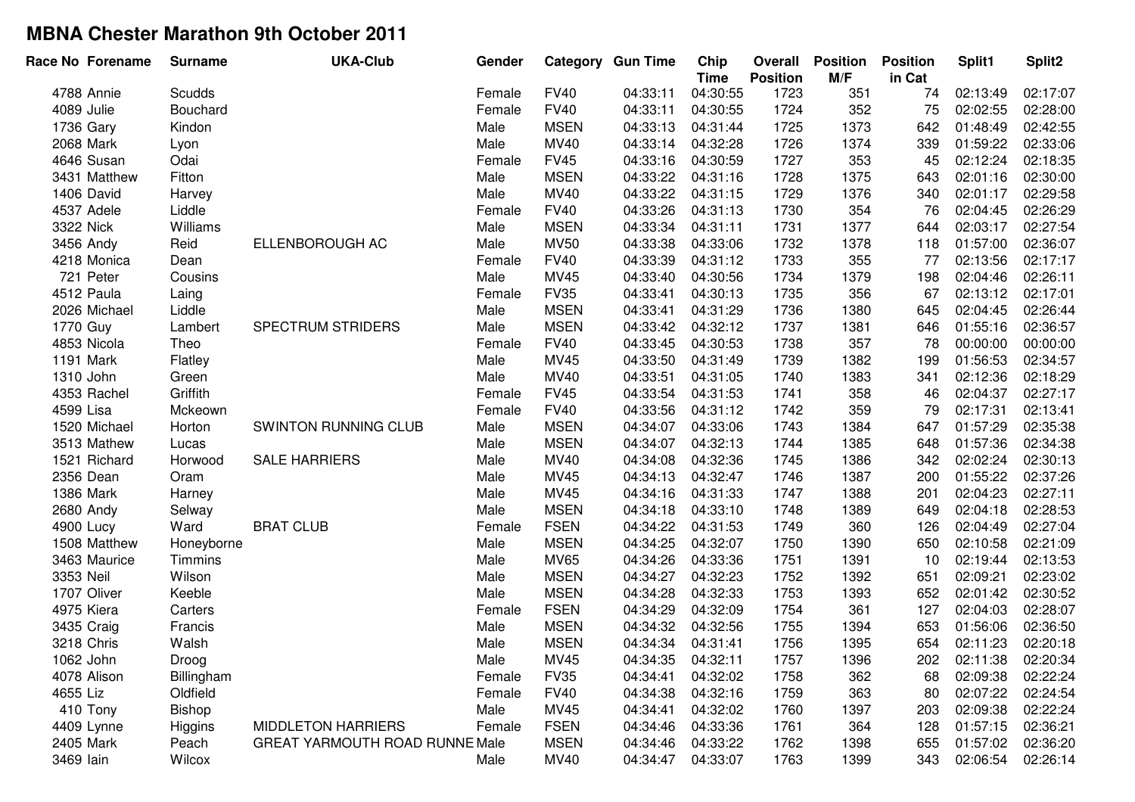| Race No Forename | <b>Surname</b> | <b>UKA-Club</b>                | Gender |             | <b>Category Gun Time</b> | Chip<br><b>Time</b> | Overall<br><b>Position</b> | <b>Position</b><br>M/F | <b>Position</b><br>in Cat | Split1   | Split2   |
|------------------|----------------|--------------------------------|--------|-------------|--------------------------|---------------------|----------------------------|------------------------|---------------------------|----------|----------|
| 4788 Annie       | Scudds         |                                | Female | <b>FV40</b> | 04:33:11                 | 04:30:55            | 1723                       | 351                    | 74                        | 02:13:49 | 02:17:07 |
| 4089 Julie       | Bouchard       |                                | Female | <b>FV40</b> | 04:33:11                 | 04:30:55            | 1724                       | 352                    | 75                        | 02:02:55 | 02:28:00 |
| 1736 Gary        | Kindon         |                                | Male   | <b>MSEN</b> | 04:33:13                 | 04:31:44            | 1725                       | 1373                   | 642                       | 01:48:49 | 02:42:55 |
| 2068 Mark        | Lyon           |                                | Male   | <b>MV40</b> | 04:33:14                 | 04:32:28            | 1726                       | 1374                   | 339                       | 01:59:22 | 02:33:06 |
| 4646 Susan       | Odai           |                                | Female | <b>FV45</b> | 04:33:16                 | 04:30:59            | 1727                       | 353                    | 45                        | 02:12:24 | 02:18:35 |
| 3431 Matthew     | Fitton         |                                | Male   | <b>MSEN</b> | 04:33:22                 | 04:31:16            | 1728                       | 1375                   | 643                       | 02:01:16 | 02:30:00 |
| 1406 David       | Harvey         |                                | Male   | MV40        | 04:33:22                 | 04:31:15            | 1729                       | 1376                   | 340                       | 02:01:17 | 02:29:58 |
| 4537 Adele       | Liddle         |                                | Female | <b>FV40</b> | 04:33:26                 | 04:31:13            | 1730                       | 354                    | 76                        | 02:04:45 | 02:26:29 |
| 3322 Nick        | Williams       |                                | Male   | <b>MSEN</b> | 04:33:34                 | 04:31:11            | 1731                       | 1377                   | 644                       | 02:03:17 | 02:27:54 |
| 3456 Andy        | Reid           | ELLENBOROUGH AC                | Male   | <b>MV50</b> | 04:33:38                 | 04:33:06            | 1732                       | 1378                   | 118                       | 01:57:00 | 02:36:07 |
| 4218 Monica      | Dean           |                                | Female | <b>FV40</b> | 04:33:39                 | 04:31:12            | 1733                       | 355                    | 77                        | 02:13:56 | 02:17:17 |
| 721 Peter        | Cousins        |                                | Male   | MV45        | 04:33:40                 | 04:30:56            | 1734                       | 1379                   | 198                       | 02:04:46 | 02:26:11 |
| 4512 Paula       | Laing          |                                | Female | <b>FV35</b> | 04:33:41                 | 04:30:13            | 1735                       | 356                    | 67                        | 02:13:12 | 02:17:01 |
| 2026 Michael     | Liddle         |                                | Male   | <b>MSEN</b> | 04:33:41                 | 04:31:29            | 1736                       | 1380                   | 645                       | 02:04:45 | 02:26:44 |
| 1770 Guy         | Lambert        | SPECTRUM STRIDERS              | Male   | <b>MSEN</b> | 04:33:42                 | 04:32:12            | 1737                       | 1381                   | 646                       | 01:55:16 | 02:36:57 |
| 4853 Nicola      | Theo           |                                | Female | <b>FV40</b> | 04:33:45                 | 04:30:53            | 1738                       | 357                    | 78                        | 00:00:00 | 00:00:00 |
| 1191 Mark        | Flatley        |                                | Male   | MV45        | 04:33:50                 | 04:31:49            | 1739                       | 1382                   | 199                       | 01:56:53 | 02:34:57 |
| 1310 John        | Green          |                                | Male   | <b>MV40</b> | 04:33:51                 | 04:31:05            | 1740                       | 1383                   | 341                       | 02:12:36 | 02:18:29 |
| 4353 Rachel      | Griffith       |                                | Female | <b>FV45</b> | 04:33:54                 | 04:31:53            | 1741                       | 358                    | 46                        | 02:04:37 | 02:27:17 |
| 4599 Lisa        | Mckeown        |                                | Female | <b>FV40</b> | 04:33:56                 | 04:31:12            | 1742                       | 359                    | 79                        | 02:17:31 | 02:13:41 |
| 1520 Michael     | Horton         | SWINTON RUNNING CLUB           | Male   | <b>MSEN</b> | 04:34:07                 | 04:33:06            | 1743                       | 1384                   | 647                       | 01:57:29 | 02:35:38 |
| 3513 Mathew      | Lucas          |                                | Male   | <b>MSEN</b> | 04:34:07                 | 04:32:13            | 1744                       | 1385                   | 648                       | 01:57:36 | 02:34:38 |
| 1521 Richard     | Horwood        | <b>SALE HARRIERS</b>           | Male   | MV40        | 04:34:08                 | 04:32:36            | 1745                       | 1386                   | 342                       | 02:02:24 | 02:30:13 |
| 2356 Dean        | Oram           |                                | Male   | MV45        | 04:34:13                 | 04:32:47            | 1746                       | 1387                   | 200                       | 01:55:22 | 02:37:26 |
| 1386 Mark        | Harney         |                                | Male   | MV45        | 04:34:16                 | 04:31:33            | 1747                       | 1388                   | 201                       | 02:04:23 | 02:27:11 |
| 2680 Andy        | Selway         |                                | Male   | <b>MSEN</b> | 04:34:18                 | 04:33:10            | 1748                       | 1389                   | 649                       | 02:04:18 | 02:28:53 |
| 4900 Lucy        | Ward           | <b>BRAT CLUB</b>               | Female | <b>FSEN</b> | 04:34:22                 | 04:31:53            | 1749                       | 360                    | 126                       | 02:04:49 | 02:27:04 |
| 1508 Matthew     | Honeyborne     |                                | Male   | <b>MSEN</b> | 04:34:25                 | 04:32:07            | 1750                       | 1390                   | 650                       | 02:10:58 | 02:21:09 |
| 3463 Maurice     | Timmins        |                                | Male   | <b>MV65</b> | 04:34:26                 | 04:33:36            | 1751                       | 1391                   | 10                        | 02:19:44 | 02:13:53 |
| 3353 Neil        | Wilson         |                                | Male   | <b>MSEN</b> | 04:34:27                 | 04:32:23            | 1752                       | 1392                   | 651                       | 02:09:21 | 02:23:02 |
| 1707 Oliver      | Keeble         |                                | Male   | <b>MSEN</b> | 04:34:28                 | 04:32:33            | 1753                       | 1393                   | 652                       | 02:01:42 | 02:30:52 |
| 4975 Kiera       | Carters        |                                | Female | <b>FSEN</b> | 04:34:29                 | 04:32:09            | 1754                       | 361                    | 127                       | 02:04:03 | 02:28:07 |
| 3435 Craig       | Francis        |                                | Male   | <b>MSEN</b> | 04:34:32                 | 04:32:56            | 1755                       | 1394                   | 653                       | 01:56:06 | 02:36:50 |
| 3218 Chris       | Walsh          |                                | Male   | <b>MSEN</b> | 04:34:34                 | 04:31:41            | 1756                       | 1395                   | 654                       | 02:11:23 | 02:20:18 |
| 1062 John        | Droog          |                                | Male   | MV45        | 04:34:35                 | 04:32:11            | 1757                       | 1396                   | 202                       | 02:11:38 | 02:20:34 |
| 4078 Alison      | Billingham     |                                | Female | <b>FV35</b> | 04:34:41                 | 04:32:02            | 1758                       | 362                    | 68                        | 02:09:38 | 02:22:24 |
| 4655 Liz         | Oldfield       |                                | Female | <b>FV40</b> | 04:34:38                 | 04:32:16            | 1759                       | 363                    | 80                        | 02:07:22 | 02:24:54 |
| 410 Tony         | <b>Bishop</b>  |                                | Male   | MV45        | 04:34:41                 | 04:32:02            | 1760                       | 1397                   | 203                       | 02:09:38 | 02:22:24 |
| 4409 Lynne       | Higgins        | <b>MIDDLETON HARRIERS</b>      | Female | <b>FSEN</b> | 04:34:46                 | 04:33:36            | 1761                       | 364                    | 128                       | 01:57:15 | 02:36:21 |
| 2405 Mark        | Peach          | GREAT YARMOUTH ROAD RUNNE Male |        | <b>MSEN</b> | 04:34:46                 | 04:33:22            | 1762                       | 1398                   | 655                       | 01:57:02 | 02:36:20 |
| 3469 lain        | Wilcox         |                                | Male   | MV40        | 04:34:47                 | 04:33:07            | 1763                       | 1399                   | 343                       | 02:06:54 | 02:26:14 |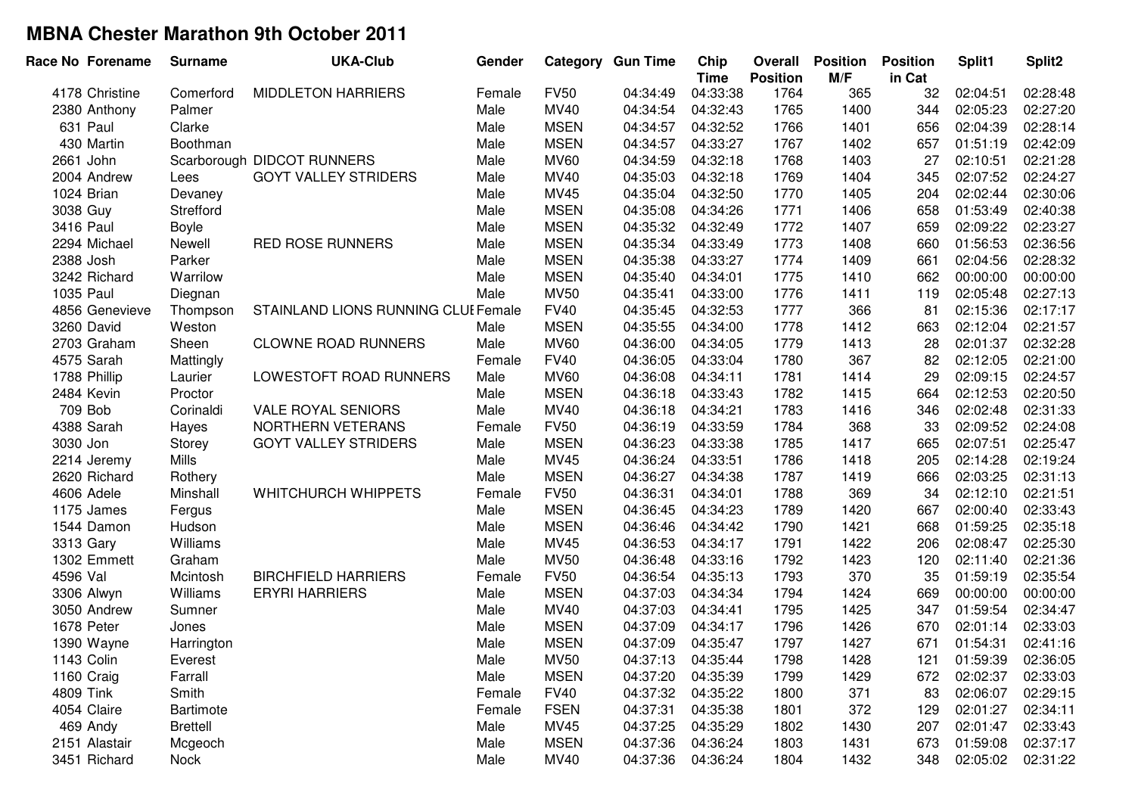|           | Race No Forename | <b>Surname</b>  | <b>UKA-Club</b>                     | Gender |             | <b>Category Gun Time</b> | Chip<br><b>Time</b> | Overall<br><b>Position</b> | <b>Position</b><br>M/F | <b>Position</b><br>in Cat | Split1   | Split <sub>2</sub> |
|-----------|------------------|-----------------|-------------------------------------|--------|-------------|--------------------------|---------------------|----------------------------|------------------------|---------------------------|----------|--------------------|
|           | 4178 Christine   | Comerford       | <b>MIDDLETON HARRIERS</b>           | Female | <b>FV50</b> | 04:34:49                 | 04:33:38            | 1764                       | 365                    | 32                        | 02:04:51 | 02:28:48           |
|           | 2380 Anthony     | Palmer          |                                     | Male   | MV40        | 04:34:54                 | 04:32:43            | 1765                       | 1400                   | 344                       | 02:05:23 | 02:27:20           |
|           | 631 Paul         | Clarke          |                                     | Male   | <b>MSEN</b> | 04:34:57                 | 04:32:52            | 1766                       | 1401                   | 656                       | 02:04:39 | 02:28:14           |
|           | 430 Martin       | Boothman        |                                     | Male   | <b>MSEN</b> | 04:34:57                 | 04:33:27            | 1767                       | 1402                   | 657                       | 01:51:19 | 02:42:09           |
|           | 2661 John        |                 | Scarborough DIDCOT RUNNERS          | Male   | <b>MV60</b> | 04:34:59                 | 04:32:18            | 1768                       | 1403                   | 27                        | 02:10:51 | 02:21:28           |
|           | 2004 Andrew      | Lees            | <b>GOYT VALLEY STRIDERS</b>         | Male   | MV40        | 04:35:03                 | 04:32:18            | 1769                       | 1404                   | 345                       | 02:07:52 | 02:24:27           |
|           | 1024 Brian       | Devaney         |                                     | Male   | MV45        | 04:35:04                 | 04:32:50            | 1770                       | 1405                   | 204                       | 02:02:44 | 02:30:06           |
| 3038 Guy  |                  | Strefford       |                                     | Male   | <b>MSEN</b> | 04:35:08                 | 04:34:26            | 1771                       | 1406                   | 658                       | 01:53:49 | 02:40:38           |
| 3416 Paul |                  | Boyle           |                                     | Male   | <b>MSEN</b> | 04:35:32                 | 04:32:49            | 1772                       | 1407                   | 659                       | 02:09:22 | 02:23:27           |
|           | 2294 Michael     | Newell          | <b>RED ROSE RUNNERS</b>             | Male   | <b>MSEN</b> | 04:35:34                 | 04:33:49            | 1773                       | 1408                   | 660                       | 01:56:53 | 02:36:56           |
| 2388 Josh |                  | Parker          |                                     | Male   | <b>MSEN</b> | 04:35:38                 | 04:33:27            | 1774                       | 1409                   | 661                       | 02:04:56 | 02:28:32           |
|           | 3242 Richard     | Warrilow        |                                     | Male   | <b>MSEN</b> | 04:35:40                 | 04:34:01            | 1775                       | 1410                   | 662                       | 00:00:00 | 00:00:00           |
| 1035 Paul |                  | Diegnan         |                                     | Male   | <b>MV50</b> | 04:35:41                 | 04:33:00            | 1776                       | 1411                   | 119                       | 02:05:48 | 02:27:13           |
|           | 4856 Genevieve   | Thompson        | STAINLAND LIONS RUNNING CLUI Female |        | <b>FV40</b> | 04:35:45                 | 04:32:53            | 1777                       | 366                    | 81                        | 02:15:36 | 02:17:17           |
|           | 3260 David       | Weston          |                                     | Male   | <b>MSEN</b> | 04:35:55                 | 04:34:00            | 1778                       | 1412                   | 663                       | 02:12:04 | 02:21:57           |
|           | 2703 Graham      | Sheen           | <b>CLOWNE ROAD RUNNERS</b>          | Male   | <b>MV60</b> | 04:36:00                 | 04:34:05            | 1779                       | 1413                   | 28                        | 02:01:37 | 02:32:28           |
|           | 4575 Sarah       | Mattingly       |                                     | Female | <b>FV40</b> | 04:36:05                 | 04:33:04            | 1780                       | 367                    | 82                        | 02:12:05 | 02:21:00           |
|           | 1788 Phillip     | Laurier         | LOWESTOFT ROAD RUNNERS              | Male   | <b>MV60</b> | 04:36:08                 | 04:34:11            | 1781                       | 1414                   | 29                        | 02:09:15 | 02:24:57           |
|           | 2484 Kevin       | Proctor         |                                     | Male   | <b>MSEN</b> | 04:36:18                 | 04:33:43            | 1782                       | 1415                   | 664                       | 02:12:53 | 02:20:50           |
|           | 709 Bob          | Corinaldi       | <b>VALE ROYAL SENIORS</b>           | Male   | MV40        | 04:36:18                 | 04:34:21            | 1783                       | 1416                   | 346                       | 02:02:48 | 02:31:33           |
|           | 4388 Sarah       | Hayes           | NORTHERN VETERANS                   | Female | <b>FV50</b> | 04:36:19                 | 04:33:59            | 1784                       | 368                    | 33                        | 02:09:52 | 02:24:08           |
| 3030 Jon  |                  | Storey          | <b>GOYT VALLEY STRIDERS</b>         | Male   | <b>MSEN</b> | 04:36:23                 | 04:33:38            | 1785                       | 1417                   | 665                       | 02:07:51 | 02:25:47           |
|           | 2214 Jeremy      | <b>Mills</b>    |                                     | Male   | MV45        | 04:36:24                 | 04:33:51            | 1786                       | 1418                   | 205                       | 02:14:28 | 02:19:24           |
|           | 2620 Richard     | Rothery         |                                     | Male   | <b>MSEN</b> | 04:36:27                 | 04:34:38            | 1787                       | 1419                   | 666                       | 02:03:25 | 02:31:13           |
|           | 4606 Adele       | Minshall        | <b>WHITCHURCH WHIPPETS</b>          | Female | <b>FV50</b> | 04:36:31                 | 04:34:01            | 1788                       | 369                    | 34                        | 02:12:10 | 02:21:51           |
|           | 1175 James       | Fergus          |                                     | Male   | <b>MSEN</b> | 04:36:45                 | 04:34:23            | 1789                       | 1420                   | 667                       | 02:00:40 | 02:33:43           |
|           | 1544 Damon       | Hudson          |                                     | Male   | <b>MSEN</b> | 04:36:46                 | 04:34:42            | 1790                       | 1421                   | 668                       | 01:59:25 | 02:35:18           |
|           | 3313 Gary        | Williams        |                                     | Male   | MV45        | 04:36:53                 | 04:34:17            | 1791                       | 1422                   | 206                       | 02:08:47 | 02:25:30           |
|           | 1302 Emmett      | Graham          |                                     | Male   | <b>MV50</b> | 04:36:48                 | 04:33:16            | 1792                       | 1423                   | 120                       | 02:11:40 | 02:21:36           |
| 4596 Val  |                  | Mcintosh        | <b>BIRCHFIELD HARRIERS</b>          | Female | <b>FV50</b> | 04:36:54                 | 04:35:13            | 1793                       | 370                    | 35                        | 01:59:19 | 02:35:54           |
|           | 3306 Alwyn       | Williams        | <b>ERYRI HARRIERS</b>               | Male   | <b>MSEN</b> | 04:37:03                 | 04:34:34            | 1794                       | 1424                   | 669                       | 00:00:00 | 00:00:00           |
|           | 3050 Andrew      | Sumner          |                                     | Male   | MV40        | 04:37:03                 | 04:34:41            | 1795                       | 1425                   | 347                       | 01:59:54 | 02:34:47           |
|           | 1678 Peter       | Jones           |                                     | Male   | <b>MSEN</b> | 04:37:09                 | 04:34:17            | 1796                       | 1426                   | 670                       | 02:01:14 | 02:33:03           |
|           | 1390 Wayne       | Harrington      |                                     | Male   | <b>MSEN</b> | 04:37:09                 | 04:35:47            | 1797                       | 1427                   | 671                       | 01:54:31 | 02:41:16           |
|           | 1143 Colin       | Everest         |                                     | Male   | <b>MV50</b> | 04:37:13                 | 04:35:44            | 1798                       | 1428                   | 121                       | 01:59:39 | 02:36:05           |
|           | 1160 Craig       | Farrall         |                                     | Male   | <b>MSEN</b> | 04:37:20                 | 04:35:39            | 1799                       | 1429                   | 672                       | 02:02:37 | 02:33:03           |
| 4809 Tink |                  | Smith           |                                     | Female | <b>FV40</b> | 04:37:32                 | 04:35:22            | 1800                       | 371                    | 83                        | 02:06:07 | 02:29:15           |
|           | 4054 Claire      | Bartimote       |                                     | Female | <b>FSEN</b> | 04:37:31                 | 04:35:38            | 1801                       | 372                    | 129                       | 02:01:27 | 02:34:11           |
|           | 469 Andy         | <b>Brettell</b> |                                     | Male   | <b>MV45</b> | 04:37:25                 | 04:35:29            | 1802                       | 1430                   | 207                       | 02:01:47 | 02:33:43           |
|           | 2151 Alastair    | Mcgeoch         |                                     | Male   | <b>MSEN</b> | 04:37:36                 | 04:36:24            | 1803                       | 1431                   | 673                       | 01:59:08 | 02:37:17           |
|           | 3451 Richard     | <b>Nock</b>     |                                     | Male   | <b>MV40</b> | 04:37:36                 | 04:36:24            | 1804                       | 1432                   | 348                       | 02:05:02 | 02:31:22           |
|           |                  |                 |                                     |        |             |                          |                     |                            |                        |                           |          |                    |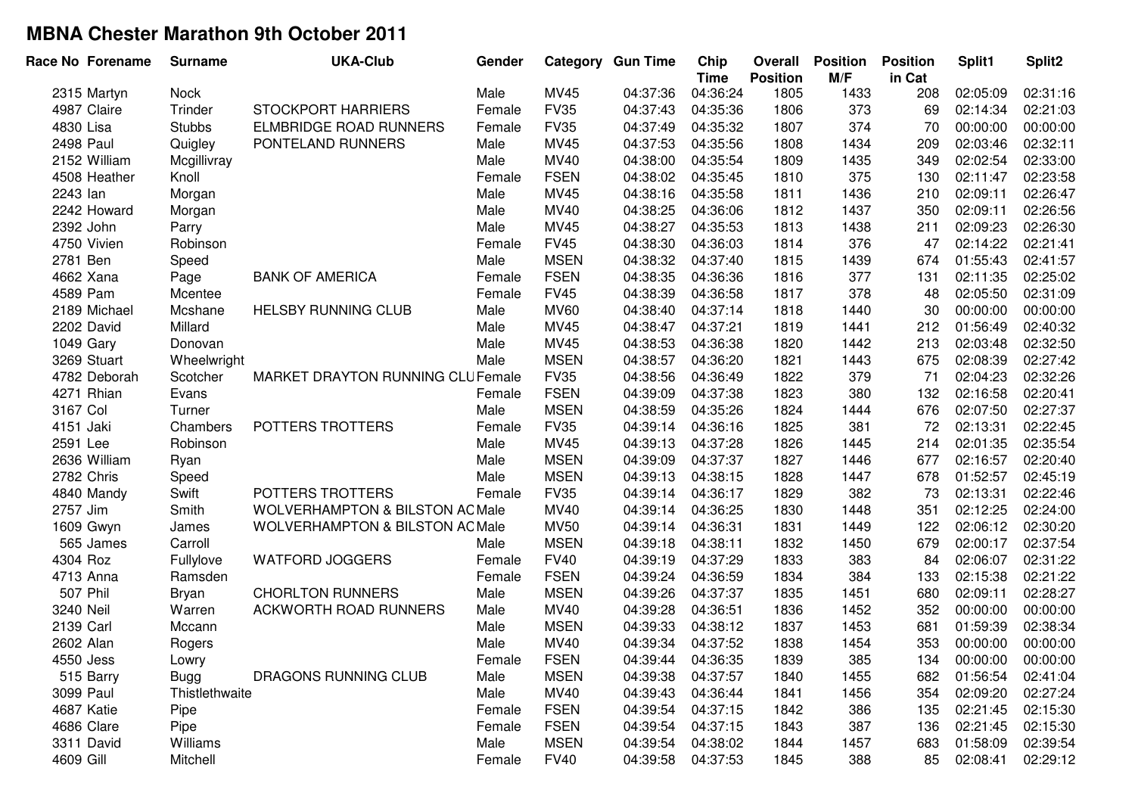| Race No Forename | <b>Surname</b> | <b>UKA-Club</b>                            | Gender |             | <b>Category Gun Time</b> | Chip<br><b>Time</b> | <b>Overall</b><br><b>Position</b> | <b>Position</b><br>M/F | <b>Position</b><br>in Cat | Split1   | Split <sub>2</sub> |
|------------------|----------------|--------------------------------------------|--------|-------------|--------------------------|---------------------|-----------------------------------|------------------------|---------------------------|----------|--------------------|
| 2315 Martyn      | Nock           |                                            | Male   | <b>MV45</b> | 04:37:36                 | 04:36:24            | 1805                              | 1433                   | 208                       | 02:05:09 | 02:31:16           |
| 4987 Claire      | Trinder        | <b>STOCKPORT HARRIERS</b>                  | Female | <b>FV35</b> | 04:37:43                 | 04:35:36            | 1806                              | 373                    | 69                        | 02:14:34 | 02:21:03           |
| 4830 Lisa        | <b>Stubbs</b>  | <b>ELMBRIDGE ROAD RUNNERS</b>              | Female | <b>FV35</b> | 04:37:49                 | 04:35:32            | 1807                              | 374                    | 70                        | 00:00:00 | 00:00:00           |
| <b>2498 Paul</b> | Quigley        | PONTELAND RUNNERS                          | Male   | MV45        | 04:37:53                 | 04:35:56            | 1808                              | 1434                   | 209                       | 02:03:46 | 02:32:11           |
| 2152 William     | Mcgillivray    |                                            | Male   | MV40        | 04:38:00                 | 04:35:54            | 1809                              | 1435                   | 349                       | 02:02:54 | 02:33:00           |
| 4508 Heather     | Knoll          |                                            | Female | <b>FSEN</b> | 04:38:02                 | 04:35:45            | 1810                              | 375                    | 130                       | 02:11:47 | 02:23:58           |
| 2243 lan         | Morgan         |                                            | Male   | MV45        | 04:38:16                 | 04:35:58            | 1811                              | 1436                   | 210                       | 02:09:11 | 02:26:47           |
| 2242 Howard      | Morgan         |                                            | Male   | MV40        | 04:38:25                 | 04:36:06            | 1812                              | 1437                   | 350                       | 02:09:11 | 02:26:56           |
| 2392 John        | Parry          |                                            | Male   | MV45        | 04:38:27                 | 04:35:53            | 1813                              | 1438                   | 211                       | 02:09:23 | 02:26:30           |
| 4750 Vivien      | Robinson       |                                            | Female | <b>FV45</b> | 04:38:30                 | 04:36:03            | 1814                              | 376                    | 47                        | 02:14:22 | 02:21:41           |
| 2781 Ben         | Speed          |                                            | Male   | <b>MSEN</b> | 04:38:32                 | 04:37:40            | 1815                              | 1439                   | 674                       | 01:55:43 | 02:41:57           |
| 4662 Xana        | Page           | <b>BANK OF AMERICA</b>                     | Female | <b>FSEN</b> | 04:38:35                 | 04:36:36            | 1816                              | 377                    | 131                       | 02:11:35 | 02:25:02           |
| 4589 Pam         | Mcentee        |                                            | Female | <b>FV45</b> | 04:38:39                 | 04:36:58            | 1817                              | 378                    | 48                        | 02:05:50 | 02:31:09           |
| 2189 Michael     | Mcshane        | <b>HELSBY RUNNING CLUB</b>                 | Male   | <b>MV60</b> | 04:38:40                 | 04:37:14            | 1818                              | 1440                   | 30                        | 00:00:00 | 00:00:00           |
| 2202 David       | Millard        |                                            | Male   | MV45        | 04:38:47                 | 04:37:21            | 1819                              | 1441                   | 212                       | 01:56:49 | 02:40:32           |
| 1049 Gary        | Donovan        |                                            | Male   | MV45        | 04:38:53                 | 04:36:38            | 1820                              | 1442                   | 213                       | 02:03:48 | 02:32:50           |
| 3269 Stuart      | Wheelwright    |                                            | Male   | <b>MSEN</b> | 04:38:57                 | 04:36:20            | 1821                              | 1443                   | 675                       | 02:08:39 | 02:27:42           |
| 4782 Deborah     | Scotcher       | MARKET DRAYTON RUNNING CLUFemale           |        | <b>FV35</b> | 04:38:56                 | 04:36:49            | 1822                              | 379                    | 71                        | 02:04:23 | 02:32:26           |
| 4271 Rhian       | Evans          |                                            | Female | <b>FSEN</b> | 04:39:09                 | 04:37:38            | 1823                              | 380                    | 132                       | 02:16:58 | 02:20:41           |
| 3167 Col         | Turner         |                                            | Male   | <b>MSEN</b> | 04:38:59                 | 04:35:26            | 1824                              | 1444                   | 676                       | 02:07:50 | 02:27:37           |
| 4151 Jaki        | Chambers       | POTTERS TROTTERS                           | Female | <b>FV35</b> | 04:39:14                 | 04:36:16            | 1825                              | 381                    | 72                        | 02:13:31 | 02:22:45           |
| 2591 Lee         | Robinson       |                                            | Male   | MV45        | 04:39:13                 | 04:37:28            | 1826                              | 1445                   | 214                       | 02:01:35 | 02:35:54           |
| 2636 William     | Ryan           |                                            | Male   | <b>MSEN</b> | 04:39:09                 | 04:37:37            | 1827                              | 1446                   | 677                       | 02:16:57 | 02:20:40           |
| 2782 Chris       | Speed          |                                            | Male   | <b>MSEN</b> | 04:39:13                 | 04:38:15            | 1828                              | 1447                   | 678                       | 01:52:57 | 02:45:19           |
| 4840 Mandy       | Swift          | POTTERS TROTTERS                           | Female | <b>FV35</b> | 04:39:14                 | 04:36:17            | 1829                              | 382                    | 73                        | 02:13:31 | 02:22:46           |
| 2757 Jim         | Smith          | <b>WOLVERHAMPTON &amp; BILSTON AC Male</b> |        | <b>MV40</b> | 04:39:14                 | 04:36:25            | 1830                              | 1448                   | 351                       | 02:12:25 | 02:24:00           |
| 1609 Gwyn        | James          | <b>WOLVERHAMPTON &amp; BILSTON AC Male</b> |        | <b>MV50</b> | 04:39:14                 | 04:36:31            | 1831                              | 1449                   | 122                       | 02:06:12 | 02:30:20           |
| 565 James        | Carroll        |                                            | Male   | <b>MSEN</b> | 04:39:18                 | 04:38:11            | 1832                              | 1450                   | 679                       | 02:00:17 | 02:37:54           |
| 4304 Roz         | Fullylove      | <b>WATFORD JOGGERS</b>                     | Female | <b>FV40</b> | 04:39:19                 | 04:37:29            | 1833                              | 383                    | 84                        | 02:06:07 | 02:31:22           |
| 4713 Anna        | Ramsden        |                                            | Female | <b>FSEN</b> | 04:39:24                 | 04:36:59            | 1834                              | 384                    | 133                       | 02:15:38 | 02:21:22           |
| 507 Phil         | <b>Bryan</b>   | <b>CHORLTON RUNNERS</b>                    | Male   | <b>MSEN</b> | 04:39:26                 | 04:37:37            | 1835                              | 1451                   | 680                       | 02:09:11 | 02:28:27           |
| 3240 Neil        | Warren         | <b>ACKWORTH ROAD RUNNERS</b>               | Male   | MV40        | 04:39:28                 | 04:36:51            | 1836                              | 1452                   | 352                       | 00:00:00 | 00:00:00           |
| 2139 Carl        | Mccann         |                                            | Male   | <b>MSEN</b> | 04:39:33                 | 04:38:12            | 1837                              | 1453                   | 681                       | 01:59:39 | 02:38:34           |
| 2602 Alan        | Rogers         |                                            | Male   | <b>MV40</b> | 04:39:34                 | 04:37:52            | 1838                              | 1454                   | 353                       | 00:00:00 | 00:00:00           |
| 4550 Jess        | Lowry          |                                            | Female | <b>FSEN</b> | 04:39:44                 | 04:36:35            | 1839                              | 385                    | 134                       | 00:00:00 | 00:00:00           |
| 515 Barry        | <b>Bugg</b>    | DRAGONS RUNNING CLUB                       | Male   | <b>MSEN</b> | 04:39:38                 | 04:37:57            | 1840                              | 1455                   | 682                       | 01:56:54 | 02:41:04           |
| 3099 Paul        | Thistlethwaite |                                            | Male   | MV40        | 04:39:43                 | 04:36:44            | 1841                              | 1456                   | 354                       | 02:09:20 | 02:27:24           |
| 4687 Katie       | Pipe           |                                            | Female | <b>FSEN</b> | 04:39:54                 | 04:37:15            | 1842                              | 386                    | 135                       | 02:21:45 | 02:15:30           |
| 4686 Clare       | Pipe           |                                            | Female | <b>FSEN</b> | 04:39:54                 | 04:37:15            | 1843                              | 387                    | 136                       | 02:21:45 | 02:15:30           |
| 3311 David       | Williams       |                                            | Male   | <b>MSEN</b> | 04:39:54                 | 04:38:02            | 1844                              | 1457                   | 683                       | 01:58:09 | 02:39:54           |
| 4609 Gill        | Mitchell       |                                            | Female | <b>FV40</b> | 04:39:58                 | 04:37:53            | 1845                              | 388                    | 85                        | 02:08:41 | 02:29:12           |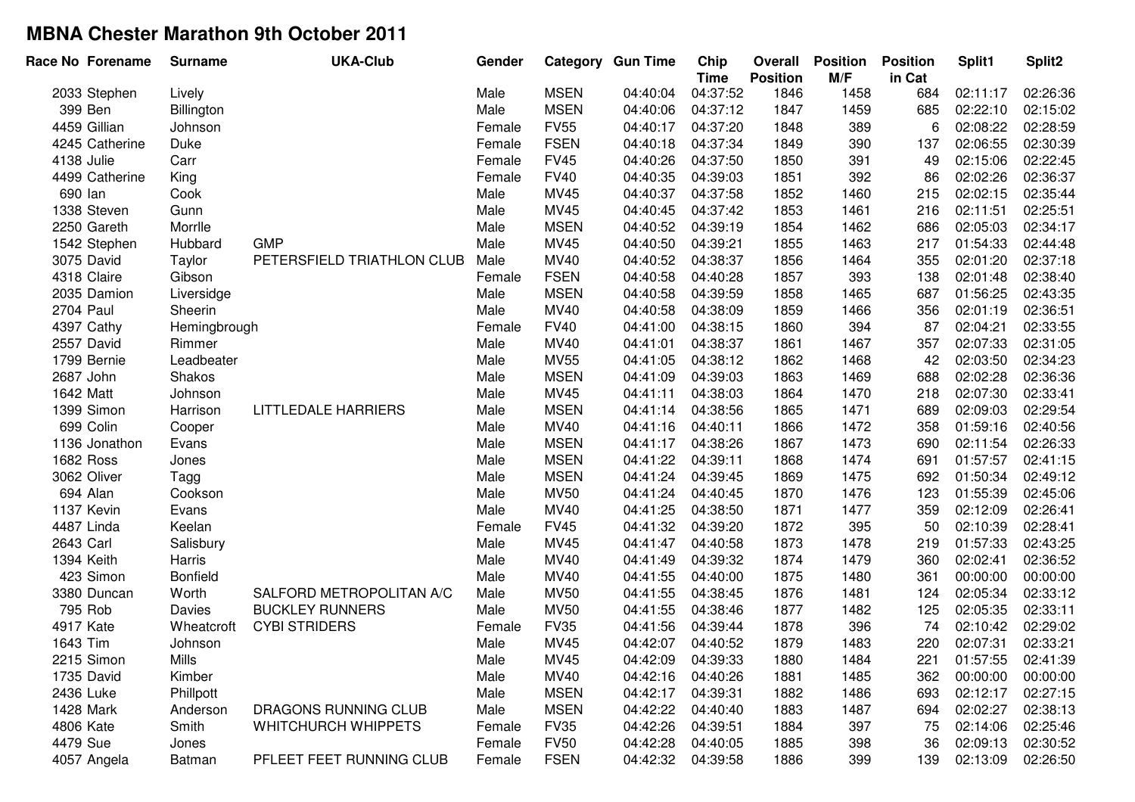| Race No Forename | <b>Surname</b>  | <b>UKA-Club</b>             | Gender |             | <b>Category Gun Time</b> | Chip<br><b>Time</b> | Overall<br><b>Position</b> | <b>Position</b><br>M/F | <b>Position</b><br>in Cat | Split1   | Split2   |
|------------------|-----------------|-----------------------------|--------|-------------|--------------------------|---------------------|----------------------------|------------------------|---------------------------|----------|----------|
| 2033 Stephen     | Lively          |                             | Male   | <b>MSEN</b> | 04:40:04                 | 04:37:52            | 1846                       | 1458                   | 684                       | 02:11:17 | 02:26:36 |
| 399 Ben          | Billington      |                             | Male   | <b>MSEN</b> | 04:40:06                 | 04:37:12            | 1847                       | 1459                   | 685                       | 02:22:10 | 02:15:02 |
| 4459 Gillian     | Johnson         |                             | Female | <b>FV55</b> | 04:40:17                 | 04:37:20            | 1848                       | 389                    | 6                         | 02:08:22 | 02:28:59 |
| 4245 Catherine   | Duke            |                             | Female | <b>FSEN</b> | 04:40:18                 | 04:37:34            | 1849                       | 390                    | 137                       | 02:06:55 | 02:30:39 |
| 4138 Julie       | Carr            |                             | Female | <b>FV45</b> | 04:40:26                 | 04:37:50            | 1850                       | 391                    | 49                        | 02:15:06 | 02:22:45 |
| 4499 Catherine   | King            |                             | Female | <b>FV40</b> | 04:40:35                 | 04:39:03            | 1851                       | 392                    | 86                        | 02:02:26 | 02:36:37 |
| 690 lan          | Cook            |                             | Male   | MV45        | 04:40:37                 | 04:37:58            | 1852                       | 1460                   | 215                       | 02:02:15 | 02:35:44 |
| 1338 Steven      | Gunn            |                             | Male   | <b>MV45</b> | 04:40:45                 | 04:37:42            | 1853                       | 1461                   | 216                       | 02:11:51 | 02:25:51 |
| 2250 Gareth      | Morrlle         |                             | Male   | <b>MSEN</b> | 04:40:52                 | 04:39:19            | 1854                       | 1462                   | 686                       | 02:05:03 | 02:34:17 |
| 1542 Stephen     | Hubbard         | <b>GMP</b>                  | Male   | <b>MV45</b> | 04:40:50                 | 04:39:21            | 1855                       | 1463                   | 217                       | 01:54:33 | 02:44:48 |
| 3075 David       | Taylor          | PETERSFIELD TRIATHLON CLUB  | Male   | MV40        | 04:40:52                 | 04:38:37            | 1856                       | 1464                   | 355                       | 02:01:20 | 02:37:18 |
| 4318 Claire      | Gibson          |                             | Female | <b>FSEN</b> | 04:40:58                 | 04:40:28            | 1857                       | 393                    | 138                       | 02:01:48 | 02:38:40 |
| 2035 Damion      | Liversidge      |                             | Male   | <b>MSEN</b> | 04:40:58                 | 04:39:59            | 1858                       | 1465                   | 687                       | 01:56:25 | 02:43:35 |
| <b>2704 Paul</b> | Sheerin         |                             | Male   | MV40        | 04:40:58                 | 04:38:09            | 1859                       | 1466                   | 356                       | 02:01:19 | 02:36:51 |
| 4397 Cathy       | Hemingbrough    |                             | Female | <b>FV40</b> | 04:41:00                 | 04:38:15            | 1860                       | 394                    | 87                        | 02:04:21 | 02:33:55 |
| 2557 David       | Rimmer          |                             | Male   | MV40        | 04:41:01                 | 04:38:37            | 1861                       | 1467                   | 357                       | 02:07:33 | 02:31:05 |
| 1799 Bernie      | Leadbeater      |                             | Male   | <b>MV55</b> | 04:41:05                 | 04:38:12            | 1862                       | 1468                   | 42                        | 02:03:50 | 02:34:23 |
| 2687 John        | Shakos          |                             | Male   | <b>MSEN</b> | 04:41:09                 | 04:39:03            | 1863                       | 1469                   | 688                       | 02:02:28 | 02:36:36 |
| 1642 Matt        | Johnson         |                             | Male   | <b>MV45</b> | 04:41:11                 | 04:38:03            | 1864                       | 1470                   | 218                       | 02:07:30 | 02:33:41 |
| 1399 Simon       | Harrison        | LITTLEDALE HARRIERS         | Male   | <b>MSEN</b> | 04:41:14                 | 04:38:56            | 1865                       | 1471                   | 689                       | 02:09:03 | 02:29:54 |
| 699 Colin        | Cooper          |                             | Male   | MV40        | 04:41:16                 | 04:40:11            | 1866                       | 1472                   | 358                       | 01:59:16 | 02:40:56 |
| 1136 Jonathon    | Evans           |                             | Male   | <b>MSEN</b> | 04:41:17                 | 04:38:26            | 1867                       | 1473                   | 690                       | 02:11:54 | 02:26:33 |
| 1682 Ross        | Jones           |                             | Male   | <b>MSEN</b> | 04:41:22                 | 04:39:11            | 1868                       | 1474                   | 691                       | 01:57:57 | 02:41:15 |
| 3062 Oliver      | Tagg            |                             | Male   | <b>MSEN</b> | 04:41:24                 | 04:39:45            | 1869                       | 1475                   | 692                       | 01:50:34 | 02:49:12 |
| 694 Alan         | Cookson         |                             | Male   | <b>MV50</b> | 04:41:24                 | 04:40:45            | 1870                       | 1476                   | 123                       | 01:55:39 | 02:45:06 |
| 1137 Kevin       | Evans           |                             | Male   | MV40        | 04:41:25                 | 04:38:50            | 1871                       | 1477                   | 359                       | 02:12:09 | 02:26:41 |
| 4487 Linda       | Keelan          |                             | Female | <b>FV45</b> | 04:41:32                 | 04:39:20            | 1872                       | 395                    | 50                        | 02:10:39 | 02:28:41 |
| 2643 Carl        | Salisbury       |                             | Male   | MV45        | 04:41:47                 | 04:40:58            | 1873                       | 1478                   | 219                       | 01:57:33 | 02:43:25 |
| 1394 Keith       | Harris          |                             | Male   | MV40        | 04:41:49                 | 04:39:32            | 1874                       | 1479                   | 360                       | 02:02:41 | 02:36:52 |
| 423 Simon        | <b>Bonfield</b> |                             | Male   | MV40        | 04:41:55                 | 04:40:00            | 1875                       | 1480                   | 361                       | 00:00:00 | 00:00:00 |
| 3380 Duncan      | Worth           | SALFORD METROPOLITAN A/C    | Male   | <b>MV50</b> | 04:41:55                 | 04:38:45            | 1876                       | 1481                   | 124                       | 02:05:34 | 02:33:12 |
| 795 Rob          | Davies          | <b>BUCKLEY RUNNERS</b>      | Male   | <b>MV50</b> | 04:41:55                 | 04:38:46            | 1877                       | 1482                   | 125                       | 02:05:35 | 02:33:11 |
| 4917 Kate        | Wheatcroft      | <b>CYBI STRIDERS</b>        | Female | <b>FV35</b> | 04:41:56                 | 04:39:44            | 1878                       | 396                    | 74                        | 02:10:42 | 02:29:02 |
| 1643 Tim         | Johnson         |                             | Male   | MV45        | 04:42:07                 | 04:40:52            | 1879                       | 1483                   | 220                       | 02:07:31 | 02:33:21 |
| 2215 Simon       | Mills           |                             | Male   | <b>MV45</b> | 04:42:09                 | 04:39:33            | 1880                       | 1484                   | 221                       | 01:57:55 | 02:41:39 |
| 1735 David       | Kimber          |                             | Male   | MV40        | 04:42:16                 | 04:40:26            | 1881                       | 1485                   | 362                       | 00:00:00 | 00:00:00 |
| 2436 Luke        | Phillpott       |                             | Male   | <b>MSEN</b> | 04:42:17                 | 04:39:31            | 1882                       | 1486                   | 693                       | 02:12:17 | 02:27:15 |
| 1428 Mark        | Anderson        | <b>DRAGONS RUNNING CLUB</b> | Male   | <b>MSEN</b> | 04:42:22                 | 04:40:40            | 1883                       | 1487                   | 694                       | 02:02:27 | 02:38:13 |
| 4806 Kate        | Smith           | <b>WHITCHURCH WHIPPETS</b>  | Female | <b>FV35</b> | 04:42:26                 | 04:39:51            | 1884                       | 397                    | 75                        | 02:14:06 | 02:25:46 |
| 4479 Sue         | Jones           |                             | Female | <b>FV50</b> | 04:42:28                 | 04:40:05            | 1885                       | 398                    | 36                        | 02:09:13 | 02:30:52 |
| 4057 Angela      | Batman          | PFLEET FEET RUNNING CLUB    | Female | <b>FSEN</b> | 04:42:32                 | 04:39:58            | 1886                       | 399                    | 139                       | 02:13:09 | 02:26:50 |
|                  |                 |                             |        |             |                          |                     |                            |                        |                           |          |          |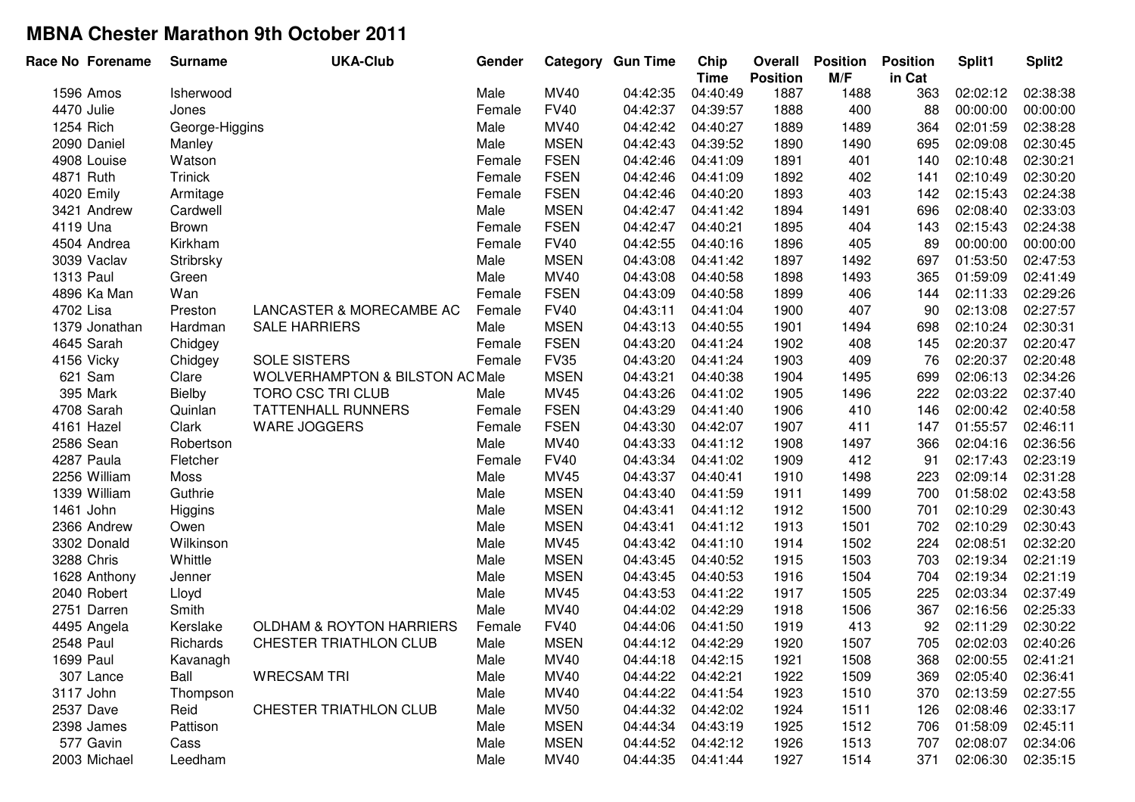|            | Race No Forename | <b>Surname</b> | <b>UKA-Club</b>                           | Gender |             | <b>Category Gun Time</b> | Chip<br><b>Time</b> | Overall<br><b>Position</b> | <b>Position</b><br>M/F | <b>Position</b><br>in Cat | Split1   | Split2   |
|------------|------------------|----------------|-------------------------------------------|--------|-------------|--------------------------|---------------------|----------------------------|------------------------|---------------------------|----------|----------|
|            | 1596 Amos        | Isherwood      |                                           | Male   | <b>MV40</b> | 04:42:35                 | 04:40:49            | 1887                       | 1488                   | 363                       | 02:02:12 | 02:38:38 |
| 4470 Julie |                  | Jones          |                                           | Female | <b>FV40</b> | 04:42:37                 | 04:39:57            | 1888                       | 400                    | 88                        | 00:00:00 | 00:00:00 |
| 1254 Rich  |                  | George-Higgins |                                           | Male   | MV40        | 04:42:42                 | 04:40:27            | 1889                       | 1489                   | 364                       | 02:01:59 | 02:38:28 |
|            | 2090 Daniel      | Manley         |                                           | Male   | <b>MSEN</b> | 04:42:43                 | 04:39:52            | 1890                       | 1490                   | 695                       | 02:09:08 | 02:30:45 |
|            | 4908 Louise      | Watson         |                                           | Female | <b>FSEN</b> | 04:42:46                 | 04:41:09            | 1891                       | 401                    | 140                       | 02:10:48 | 02:30:21 |
| 4871 Ruth  |                  | <b>Trinick</b> |                                           | Female | <b>FSEN</b> | 04:42:46                 | 04:41:09            | 1892                       | 402                    | 141                       | 02:10:49 | 02:30:20 |
|            | 4020 Emily       | Armitage       |                                           | Female | <b>FSEN</b> | 04:42:46                 | 04:40:20            | 1893                       | 403                    | 142                       | 02:15:43 | 02:24:38 |
|            | 3421 Andrew      | Cardwell       |                                           | Male   | <b>MSEN</b> | 04:42:47                 | 04:41:42            | 1894                       | 1491                   | 696                       | 02:08:40 | 02:33:03 |
| 4119 Una   |                  | <b>Brown</b>   |                                           | Female | <b>FSEN</b> | 04:42:47                 | 04:40:21            | 1895                       | 404                    | 143                       | 02:15:43 | 02:24:38 |
|            | 4504 Andrea      | Kirkham        |                                           | Female | <b>FV40</b> | 04:42:55                 | 04:40:16            | 1896                       | 405                    | 89                        | 00:00:00 | 00:00:00 |
|            | 3039 Vaclav      | Stribrsky      |                                           | Male   | <b>MSEN</b> | 04:43:08                 | 04:41:42            | 1897                       | 1492                   | 697                       | 01:53:50 | 02:47:53 |
| 1313 Paul  |                  | Green          |                                           | Male   | MV40        | 04:43:08                 | 04:40:58            | 1898                       | 1493                   | 365                       | 01:59:09 | 02:41:49 |
|            | 4896 Ka Man      | Wan            |                                           | Female | <b>FSEN</b> | 04:43:09                 | 04:40:58            | 1899                       | 406                    | 144                       | 02:11:33 | 02:29:26 |
| 4702 Lisa  |                  | Preston        | LANCASTER & MORECAMBE AC                  | Female | <b>FV40</b> | 04:43:11                 | 04:41:04            | 1900                       | 407                    | 90                        | 02:13:08 | 02:27:57 |
|            | 1379 Jonathan    | Hardman        | <b>SALE HARRIERS</b>                      | Male   | <b>MSEN</b> | 04:43:13                 | 04:40:55            | 1901                       | 1494                   | 698                       | 02:10:24 | 02:30:31 |
|            | 4645 Sarah       | Chidgey        |                                           | Female | <b>FSEN</b> | 04:43:20                 | 04:41:24            | 1902                       | 408                    | 145                       | 02:20:37 | 02:20:47 |
| 4156 Vicky |                  | Chidgey        | <b>SOLE SISTERS</b>                       | Female | <b>FV35</b> | 04:43:20                 | 04:41:24            | 1903                       | 409                    | 76                        | 02:20:37 | 02:20:48 |
|            | 621 Sam          | Clare          | <b>WOLVERHAMPTON &amp; BILSTON ACMale</b> |        | <b>MSEN</b> | 04:43:21                 | 04:40:38            | 1904                       | 1495                   | 699                       | 02:06:13 | 02:34:26 |
|            | 395 Mark         | Bielby         | TORO CSC TRI CLUB                         | Male   | MV45        | 04:43:26                 | 04:41:02            | 1905                       | 1496                   | 222                       | 02:03:22 | 02:37:40 |
|            | 4708 Sarah       | Quinlan        | <b>TATTENHALL RUNNERS</b>                 | Female | <b>FSEN</b> | 04:43:29                 | 04:41:40            | 1906                       | 410                    | 146                       | 02:00:42 | 02:40:58 |
|            | 4161 Hazel       | Clark          | WARE JOGGERS                              | Female | <b>FSEN</b> | 04:43:30                 | 04:42:07            | 1907                       | 411                    | 147                       | 01:55:57 | 02:46:11 |
| 2586 Sean  |                  | Robertson      |                                           | Male   | MV40        | 04:43:33                 | 04:41:12            | 1908                       | 1497                   | 366                       | 02:04:16 | 02:36:56 |
|            | 4287 Paula       | Fletcher       |                                           | Female | <b>FV40</b> | 04:43:34                 | 04:41:02            | 1909                       | 412                    | 91                        | 02:17:43 | 02:23:19 |
|            | 2256 William     | Moss           |                                           | Male   | <b>MV45</b> | 04:43:37                 | 04:40:41            | 1910                       | 1498                   | 223                       | 02:09:14 | 02:31:28 |
|            | 1339 William     | Guthrie        |                                           | Male   | <b>MSEN</b> | 04:43:40                 | 04:41:59            | 1911                       | 1499                   | 700                       | 01:58:02 | 02:43:58 |
| 1461 John  |                  | Higgins        |                                           | Male   | <b>MSEN</b> | 04:43:41                 | 04:41:12            | 1912                       | 1500                   | 701                       | 02:10:29 | 02:30:43 |
|            | 2366 Andrew      | Owen           |                                           | Male   | <b>MSEN</b> | 04:43:41                 | 04:41:12            | 1913                       | 1501                   | 702                       | 02:10:29 | 02:30:43 |
|            | 3302 Donald      | Wilkinson      |                                           | Male   | <b>MV45</b> | 04:43:42                 | 04:41:10            | 1914                       | 1502                   | 224                       | 02:08:51 | 02:32:20 |
| 3288 Chris |                  | Whittle        |                                           | Male   | <b>MSEN</b> | 04:43:45                 | 04:40:52            | 1915                       | 1503                   | 703                       | 02:19:34 | 02:21:19 |
|            | 1628 Anthony     | Jenner         |                                           | Male   | <b>MSEN</b> | 04:43:45                 | 04:40:53            | 1916                       | 1504                   | 704                       | 02:19:34 | 02:21:19 |
|            | 2040 Robert      | Lloyd          |                                           | Male   | MV45        | 04:43:53                 | 04:41:22            | 1917                       | 1505                   | 225                       | 02:03:34 | 02:37:49 |
|            | 2751 Darren      | Smith          |                                           | Male   | MV40        | 04:44:02                 | 04:42:29            | 1918                       | 1506                   | 367                       | 02:16:56 | 02:25:33 |
|            | 4495 Angela      | Kerslake       | <b>OLDHAM &amp; ROYTON HARRIERS</b>       | Female | <b>FV40</b> | 04:44:06                 | 04:41:50            | 1919                       | 413                    | 92                        | 02:11:29 | 02:30:22 |
| 2548 Paul  |                  | Richards       | CHESTER TRIATHLON CLUB                    | Male   | <b>MSEN</b> | 04:44:12                 | 04:42:29            | 1920                       | 1507                   | 705                       | 02:02:03 | 02:40:26 |
| 1699 Paul  |                  | Kavanagh       |                                           | Male   | MV40        | 04:44:18                 | 04:42:15            | 1921                       | 1508                   | 368                       | 02:00:55 | 02:41:21 |
|            | 307 Lance        | Ball           | <b>WRECSAM TRI</b>                        | Male   | MV40        | 04:44:22                 | 04:42:21            | 1922                       | 1509                   | 369                       | 02:05:40 | 02:36:41 |
| 3117 John  |                  | Thompson       |                                           | Male   | MV40        | 04:44:22                 | 04:41:54            | 1923                       | 1510                   | 370                       | 02:13:59 | 02:27:55 |
| 2537 Dave  |                  | Reid           | CHESTER TRIATHLON CLUB                    | Male   | <b>MV50</b> | 04:44:32                 | 04:42:02            | 1924                       | 1511                   | 126                       | 02:08:46 | 02:33:17 |
|            | 2398 James       | Pattison       |                                           | Male   | <b>MSEN</b> | 04:44:34                 | 04:43:19            | 1925                       | 1512                   | 706                       | 01:58:09 | 02:45:11 |
|            | 577 Gavin        | Cass           |                                           | Male   | <b>MSEN</b> | 04:44:52                 | 04:42:12            | 1926                       | 1513                   | 707                       | 02:08:07 | 02:34:06 |
|            | 2003 Michael     | Leedham        |                                           | Male   | MV40        | 04:44:35                 | 04:41:44            | 1927                       | 1514                   | 371                       | 02:06:30 | 02:35:15 |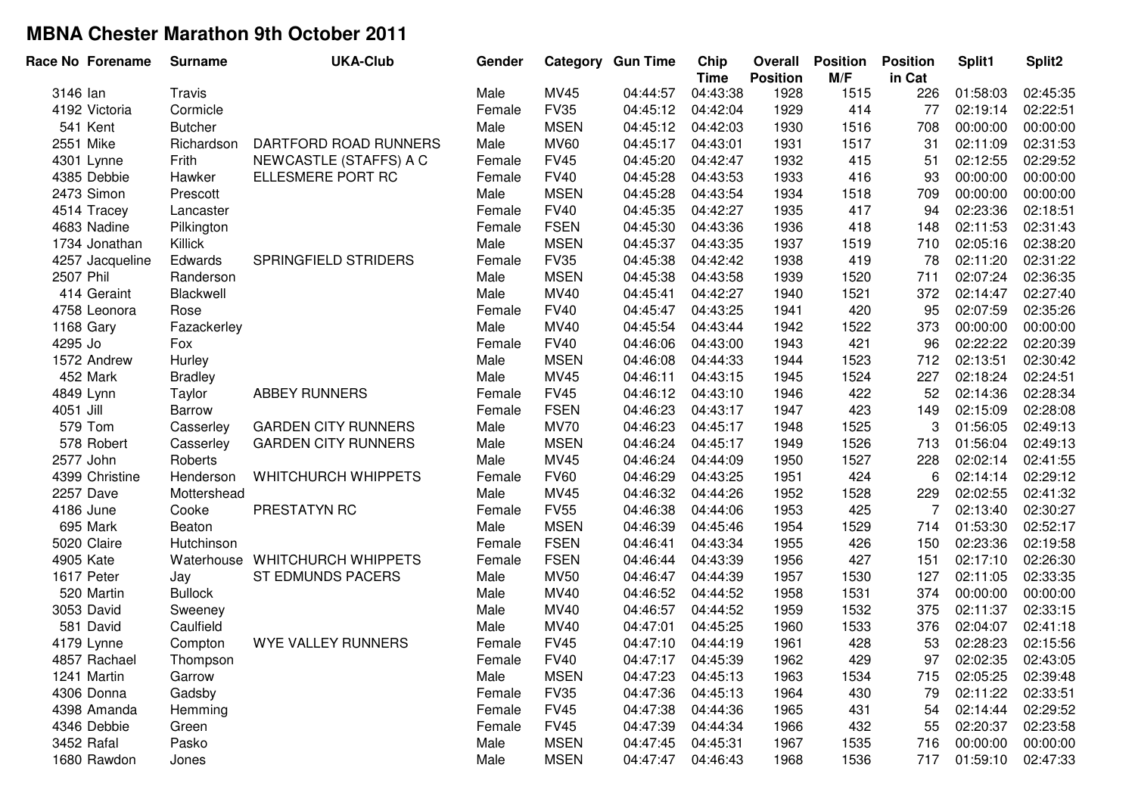| Race No Forename | <b>Surname</b> | <b>UKA-Club</b>                | Gender |             | <b>Category Gun Time</b> | Chip<br><b>Time</b> | Overall<br><b>Position</b> | <b>Position</b><br>M/F | <b>Position</b><br>in Cat | Split1   | Split2   |
|------------------|----------------|--------------------------------|--------|-------------|--------------------------|---------------------|----------------------------|------------------------|---------------------------|----------|----------|
| 3146 lan         | Travis         |                                | Male   | MV45        | 04:44:57                 | 04:43:38            | 1928                       | 1515                   | 226                       | 01:58:03 | 02:45:35 |
| 4192 Victoria    | Cormicle       |                                | Female | <b>FV35</b> | 04:45:12                 | 04:42:04            | 1929                       | 414                    | 77                        | 02:19:14 | 02:22:51 |
| 541 Kent         | <b>Butcher</b> |                                | Male   | <b>MSEN</b> | 04:45:12                 | 04:42:03            | 1930                       | 1516                   | 708                       | 00:00:00 | 00:00:00 |
| 2551 Mike        | Richardson     | DARTFORD ROAD RUNNERS          | Male   | <b>MV60</b> | 04:45:17                 | 04:43:01            | 1931                       | 1517                   | 31                        | 02:11:09 | 02:31:53 |
| 4301 Lynne       | Frith          | NEWCASTLE (STAFFS) A C         | Female | <b>FV45</b> | 04:45:20                 | 04:42:47            | 1932                       | 415                    | 51                        | 02:12:55 | 02:29:52 |
| 4385 Debbie      | Hawker         | ELLESMERE PORT RC              | Female | <b>FV40</b> | 04:45:28                 | 04:43:53            | 1933                       | 416                    | 93                        | 00:00:00 | 00:00:00 |
| 2473 Simon       | Prescott       |                                | Male   | <b>MSEN</b> | 04:45:28                 | 04:43:54            | 1934                       | 1518                   | 709                       | 00:00:00 | 00:00:00 |
| 4514 Tracey      | Lancaster      |                                | Female | <b>FV40</b> | 04:45:35                 | 04:42:27            | 1935                       | 417                    | 94                        | 02:23:36 | 02:18:51 |
| 4683 Nadine      | Pilkington     |                                | Female | <b>FSEN</b> | 04:45:30                 | 04:43:36            | 1936                       | 418                    | 148                       | 02:11:53 | 02:31:43 |
| 1734 Jonathan    | Killick        |                                | Male   | <b>MSEN</b> | 04:45:37                 | 04:43:35            | 1937                       | 1519                   | 710                       | 02:05:16 | 02:38:20 |
| 4257 Jacqueline  | Edwards        | SPRINGFIELD STRIDERS           | Female | <b>FV35</b> | 04:45:38                 | 04:42:42            | 1938                       | 419                    | 78                        | 02:11:20 | 02:31:22 |
| 2507 Phil        | Randerson      |                                | Male   | <b>MSEN</b> | 04:45:38                 | 04:43:58            | 1939                       | 1520                   | 711                       | 02:07:24 | 02:36:35 |
| 414 Geraint      | Blackwell      |                                | Male   | MV40        | 04:45:41                 | 04:42:27            | 1940                       | 1521                   | 372                       | 02:14:47 | 02:27:40 |
| 4758 Leonora     | Rose           |                                | Female | <b>FV40</b> | 04:45:47                 | 04:43:25            | 1941                       | 420                    | 95                        | 02:07:59 | 02:35:26 |
| 1168 Gary        | Fazackerley    |                                | Male   | MV40        | 04:45:54                 | 04:43:44            | 1942                       | 1522                   | 373                       | 00:00:00 | 00:00:00 |
| 4295 Jo          | Fox            |                                | Female | <b>FV40</b> | 04:46:06                 | 04:43:00            | 1943                       | 421                    | 96                        | 02:22:22 | 02:20:39 |
| 1572 Andrew      | Hurley         |                                | Male   | <b>MSEN</b> | 04:46:08                 | 04:44:33            | 1944                       | 1523                   | 712                       | 02:13:51 | 02:30:42 |
| 452 Mark         | <b>Bradley</b> |                                | Male   | MV45        | 04:46:11                 | 04:43:15            | 1945                       | 1524                   | 227                       | 02:18:24 | 02:24:51 |
| 4849 Lynn        | Taylor         | <b>ABBEY RUNNERS</b>           | Female | <b>FV45</b> | 04:46:12                 | 04:43:10            | 1946                       | 422                    | 52                        | 02:14:36 | 02:28:34 |
| 4051 Jill        | Barrow         |                                | Female | <b>FSEN</b> | 04:46:23                 | 04:43:17            | 1947                       | 423                    | 149                       | 02:15:09 | 02:28:08 |
| 579 Tom          | Casserley      | <b>GARDEN CITY RUNNERS</b>     | Male   | <b>MV70</b> | 04:46:23                 | 04:45:17            | 1948                       | 1525                   | 3                         | 01:56:05 | 02:49:13 |
| 578 Robert       | Casserley      | <b>GARDEN CITY RUNNERS</b>     | Male   | <b>MSEN</b> | 04:46:24                 | 04:45:17            | 1949                       | 1526                   | 713                       | 01:56:04 | 02:49:13 |
| 2577 John        | Roberts        |                                | Male   | <b>MV45</b> | 04:46:24                 | 04:44:09            | 1950                       | 1527                   | 228                       | 02:02:14 | 02:41:55 |
| 4399 Christine   | Henderson      | <b>WHITCHURCH WHIPPETS</b>     | Female | <b>FV60</b> | 04:46:29                 | 04:43:25            | 1951                       | 424                    | 6                         | 02:14:14 | 02:29:12 |
| 2257 Dave        | Mottershead    |                                | Male   | <b>MV45</b> | 04:46:32                 | 04:44:26            | 1952                       | 1528                   | 229                       | 02:02:55 | 02:41:32 |
| 4186 June        | Cooke          | PRESTATYN RC                   | Female | <b>FV55</b> | 04:46:38                 | 04:44:06            | 1953                       | 425                    | 7                         | 02:13:40 | 02:30:27 |
| 695 Mark         | Beaton         |                                | Male   | <b>MSEN</b> | 04:46:39                 | 04:45:46            | 1954                       | 1529                   | 714                       | 01:53:30 | 02:52:17 |
| 5020 Claire      | Hutchinson     |                                | Female | <b>FSEN</b> | 04:46:41                 | 04:43:34            | 1955                       | 426                    | 150                       | 02:23:36 | 02:19:58 |
| 4905 Kate        |                | Waterhouse WHITCHURCH WHIPPETS | Female | <b>FSEN</b> | 04:46:44                 | 04:43:39            | 1956                       | 427                    | 151                       | 02:17:10 | 02:26:30 |
| 1617 Peter       | Jay            | ST EDMUNDS PACERS              | Male   | <b>MV50</b> | 04:46:47                 | 04:44:39            | 1957                       | 1530                   | 127                       | 02:11:05 | 02:33:35 |
| 520 Martin       | <b>Bullock</b> |                                | Male   | MV40        | 04:46:52                 | 04:44:52            | 1958                       | 1531                   | 374                       | 00:00:00 | 00:00:00 |
| 3053 David       | Sweeney        |                                | Male   | MV40        | 04:46:57                 | 04:44:52            | 1959                       | 1532                   | 375                       | 02:11:37 | 02:33:15 |
| 581 David        | Caulfield      |                                | Male   | <b>MV40</b> | 04:47:01                 | 04:45:25            | 1960                       | 1533                   | 376                       | 02:04:07 | 02:41:18 |
| 4179 Lynne       | Compton        | WYE VALLEY RUNNERS             | Female | <b>FV45</b> | 04:47:10                 | 04:44:19            | 1961                       | 428                    | 53                        | 02:28:23 | 02:15:56 |
| 4857 Rachael     | Thompson       |                                | Female | <b>FV40</b> | 04:47:17                 | 04:45:39            | 1962                       | 429                    | 97                        | 02:02:35 | 02:43:05 |
| 1241 Martin      | Garrow         |                                | Male   | <b>MSEN</b> | 04:47:23                 | 04:45:13            | 1963                       | 1534                   | 715                       | 02:05:25 | 02:39:48 |
| 4306 Donna       | Gadsby         |                                | Female | <b>FV35</b> | 04:47:36                 | 04:45:13            | 1964                       | 430                    | 79                        | 02:11:22 | 02:33:51 |
| 4398 Amanda      | Hemming        |                                | Female | <b>FV45</b> | 04:47:38                 | 04:44:36            | 1965                       | 431                    | 54                        | 02:14:44 | 02:29:52 |
| 4346 Debbie      | Green          |                                | Female | <b>FV45</b> | 04:47:39                 | 04:44:34            | 1966                       | 432                    | 55                        | 02:20:37 | 02:23:58 |
| 3452 Rafal       | Pasko          |                                | Male   | <b>MSEN</b> | 04:47:45                 | 04:45:31            | 1967                       | 1535                   | 716                       | 00:00:00 | 00:00:00 |
| 1680 Rawdon      | Jones          |                                | Male   | <b>MSEN</b> | 04:47:47                 | 04:46:43            | 1968                       | 1536                   | 717                       | 01:59:10 | 02:47:33 |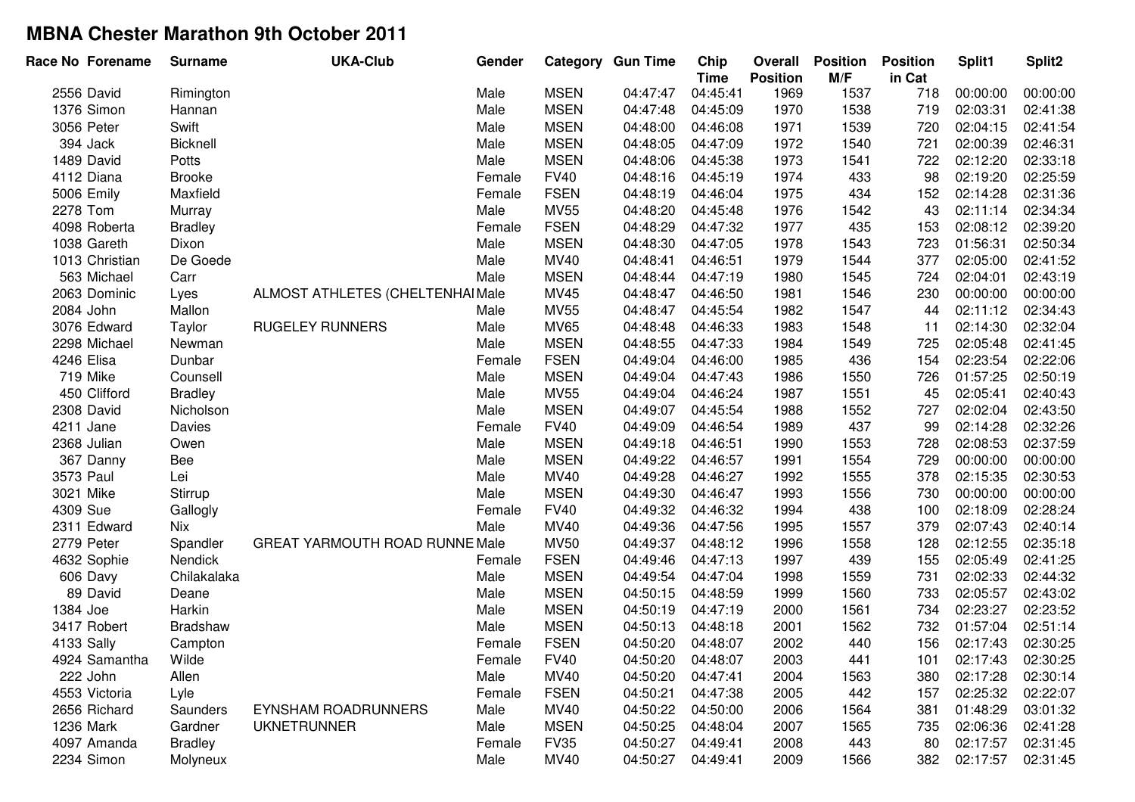| Race No Forename | <b>Surname</b> | <b>UKA-Club</b>                  | Gender |             | Category Gun Time | Chip<br><b>Time</b> | Overall<br><b>Position</b> | <b>Position</b><br>M/F | <b>Position</b><br>in Cat | Split1   | Split2   |
|------------------|----------------|----------------------------------|--------|-------------|-------------------|---------------------|----------------------------|------------------------|---------------------------|----------|----------|
| 2556 David       | Rimington      |                                  | Male   | <b>MSEN</b> | 04:47:47          | 04:45:41            | 1969                       | 1537                   | 718                       | 00:00:00 | 00:00:00 |
| 1376 Simon       | Hannan         |                                  | Male   | <b>MSEN</b> | 04:47:48          | 04:45:09            | 1970                       | 1538                   | 719                       | 02:03:31 | 02:41:38 |
| 3056 Peter       | Swift          |                                  | Male   | <b>MSEN</b> | 04:48:00          | 04:46:08            | 1971                       | 1539                   | 720                       | 02:04:15 | 02:41:54 |
| 394 Jack         | Bicknell       |                                  | Male   | <b>MSEN</b> | 04:48:05          | 04:47:09            | 1972                       | 1540                   | 721                       | 02:00:39 | 02:46:31 |
| 1489 David       | Potts          |                                  | Male   | <b>MSEN</b> | 04:48:06          | 04:45:38            | 1973                       | 1541                   | 722                       | 02:12:20 | 02:33:18 |
| 4112 Diana       | <b>Brooke</b>  |                                  | Female | <b>FV40</b> | 04:48:16          | 04:45:19            | 1974                       | 433                    | 98                        | 02:19:20 | 02:25:59 |
| 5006 Emily       | Maxfield       |                                  | Female | <b>FSEN</b> | 04:48:19          | 04:46:04            | 1975                       | 434                    | 152                       | 02:14:28 | 02:31:36 |
| 2278 Tom         | Murray         |                                  | Male   | <b>MV55</b> | 04:48:20          | 04:45:48            | 1976                       | 1542                   | 43                        | 02:11:14 | 02:34:34 |
| 4098 Roberta     | <b>Bradley</b> |                                  | Female | <b>FSEN</b> | 04:48:29          | 04:47:32            | 1977                       | 435                    | 153                       | 02:08:12 | 02:39:20 |
| 1038 Gareth      | Dixon          |                                  | Male   | <b>MSEN</b> | 04:48:30          | 04:47:05            | 1978                       | 1543                   | 723                       | 01:56:31 | 02:50:34 |
| 1013 Christian   | De Goede       |                                  | Male   | MV40        | 04:48:41          | 04:46:51            | 1979                       | 1544                   | 377                       | 02:05:00 | 02:41:52 |
| 563 Michael      | Carr           |                                  | Male   | <b>MSEN</b> | 04:48:44          | 04:47:19            | 1980                       | 1545                   | 724                       | 02:04:01 | 02:43:19 |
| 2063 Dominic     | Lyes           | ALMOST ATHLETES (CHELTENHAI Male |        | MV45        | 04:48:47          | 04:46:50            | 1981                       | 1546                   | 230                       | 00:00:00 | 00:00:00 |
| 2084 John        | Mallon         |                                  | Male   | <b>MV55</b> | 04:48:47          | 04:45:54            | 1982                       | 1547                   | 44                        | 02:11:12 | 02:34:43 |
| 3076 Edward      | Taylor         | <b>RUGELEY RUNNERS</b>           | Male   | <b>MV65</b> | 04:48:48          | 04:46:33            | 1983                       | 1548                   | 11                        | 02:14:30 | 02:32:04 |
| 2298 Michael     | Newman         |                                  | Male   | <b>MSEN</b> | 04:48:55          | 04:47:33            | 1984                       | 1549                   | 725                       | 02:05:48 | 02:41:45 |
| 4246 Elisa       | Dunbar         |                                  | Female | <b>FSEN</b> | 04:49:04          | 04:46:00            | 1985                       | 436                    | 154                       | 02:23:54 | 02:22:06 |
| 719 Mike         | Counsell       |                                  | Male   | <b>MSEN</b> | 04:49:04          | 04:47:43            | 1986                       | 1550                   | 726                       | 01:57:25 | 02:50:19 |
| 450 Clifford     | <b>Bradley</b> |                                  | Male   | <b>MV55</b> | 04:49:04          | 04:46:24            | 1987                       | 1551                   | 45                        | 02:05:41 | 02:40:43 |
| 2308 David       | Nicholson      |                                  | Male   | <b>MSEN</b> | 04:49:07          | 04:45:54            | 1988                       | 1552                   | 727                       | 02:02:04 | 02:43:50 |
| 4211 Jane        | Davies         |                                  | Female | <b>FV40</b> | 04:49:09          | 04:46:54            | 1989                       | 437                    | 99                        | 02:14:28 | 02:32:26 |
| 2368 Julian      | Owen           |                                  | Male   | <b>MSEN</b> | 04:49:18          | 04:46:51            | 1990                       | 1553                   | 728                       | 02:08:53 | 02:37:59 |
| 367 Danny        | Bee            |                                  | Male   | <b>MSEN</b> | 04:49:22          | 04:46:57            | 1991                       | 1554                   | 729                       | 00:00:00 | 00:00:00 |
| 3573 Paul        | Lei            |                                  | Male   | MV40        | 04:49:28          | 04:46:27            | 1992                       | 1555                   | 378                       | 02:15:35 | 02:30:53 |
| 3021 Mike        | Stirrup        |                                  | Male   | <b>MSEN</b> | 04:49:30          | 04:46:47            | 1993                       | 1556                   | 730                       | 00:00:00 | 00:00:00 |
| 4309 Sue         | Gallogly       |                                  | Female | <b>FV40</b> | 04:49:32          | 04:46:32            | 1994                       | 438                    | 100                       | 02:18:09 | 02:28:24 |
| 2311 Edward      | Nix            |                                  | Male   | MV40        | 04:49:36          | 04:47:56            | 1995                       | 1557                   | 379                       | 02:07:43 | 02:40:14 |
| 2779 Peter       | Spandler       | GREAT YARMOUTH ROAD RUNNE Male   |        | <b>MV50</b> | 04:49:37          | 04:48:12            | 1996                       | 1558                   | 128                       | 02:12:55 | 02:35:18 |
| 4632 Sophie      | Nendick        |                                  | Female | <b>FSEN</b> | 04:49:46          | 04:47:13            | 1997                       | 439                    | 155                       | 02:05:49 | 02:41:25 |
| 606 Davy         | Chilakalaka    |                                  | Male   | <b>MSEN</b> | 04:49:54          | 04:47:04            | 1998                       | 1559                   | 731                       | 02:02:33 | 02:44:32 |
| 89 David         | Deane          |                                  | Male   | <b>MSEN</b> | 04:50:15          | 04:48:59            | 1999                       | 1560                   | 733                       | 02:05:57 | 02:43:02 |
| 1384 Joe         | Harkin         |                                  | Male   | <b>MSEN</b> | 04:50:19          | 04:47:19            | 2000                       | 1561                   | 734                       | 02:23:27 | 02:23:52 |
| 3417 Robert      | Bradshaw       |                                  | Male   | <b>MSEN</b> | 04:50:13          | 04:48:18            | 2001                       | 1562                   | 732                       | 01:57:04 | 02:51:14 |
| 4133 Sally       | Campton        |                                  | Female | <b>FSEN</b> | 04:50:20          | 04:48:07            | 2002                       | 440                    | 156                       | 02:17:43 | 02:30:25 |
| 4924 Samantha    | Wilde          |                                  | Female | <b>FV40</b> | 04:50:20          | 04:48:07            | 2003                       | 441                    | 101                       | 02:17:43 | 02:30:25 |
| 222 John         | Allen          |                                  | Male   | MV40        | 04:50:20          | 04:47:41            | 2004                       | 1563                   | 380                       | 02:17:28 | 02:30:14 |
| 4553 Victoria    | Lyle           |                                  | Female | <b>FSEN</b> | 04:50:21          | 04:47:38            | 2005                       | 442                    | 157                       | 02:25:32 | 02:22:07 |
| 2656 Richard     | Saunders       | <b>EYNSHAM ROADRUNNERS</b>       | Male   | <b>MV40</b> | 04:50:22          | 04:50:00            | 2006                       | 1564                   | 381                       | 01:48:29 | 03:01:32 |
| 1236 Mark        | Gardner        | <b>UKNETRUNNER</b>               | Male   | <b>MSEN</b> | 04:50:25          | 04:48:04            | 2007                       | 1565                   | 735                       | 02:06:36 | 02:41:28 |
| 4097 Amanda      | <b>Bradley</b> |                                  | Female | <b>FV35</b> | 04:50:27          | 04:49:41            | 2008                       | 443                    | 80                        | 02:17:57 | 02:31:45 |
| 2234 Simon       | Molyneux       |                                  | Male   | MV40        | 04:50:27          | 04:49:41            | 2009                       | 1566                   | 382                       | 02:17:57 | 02:31:45 |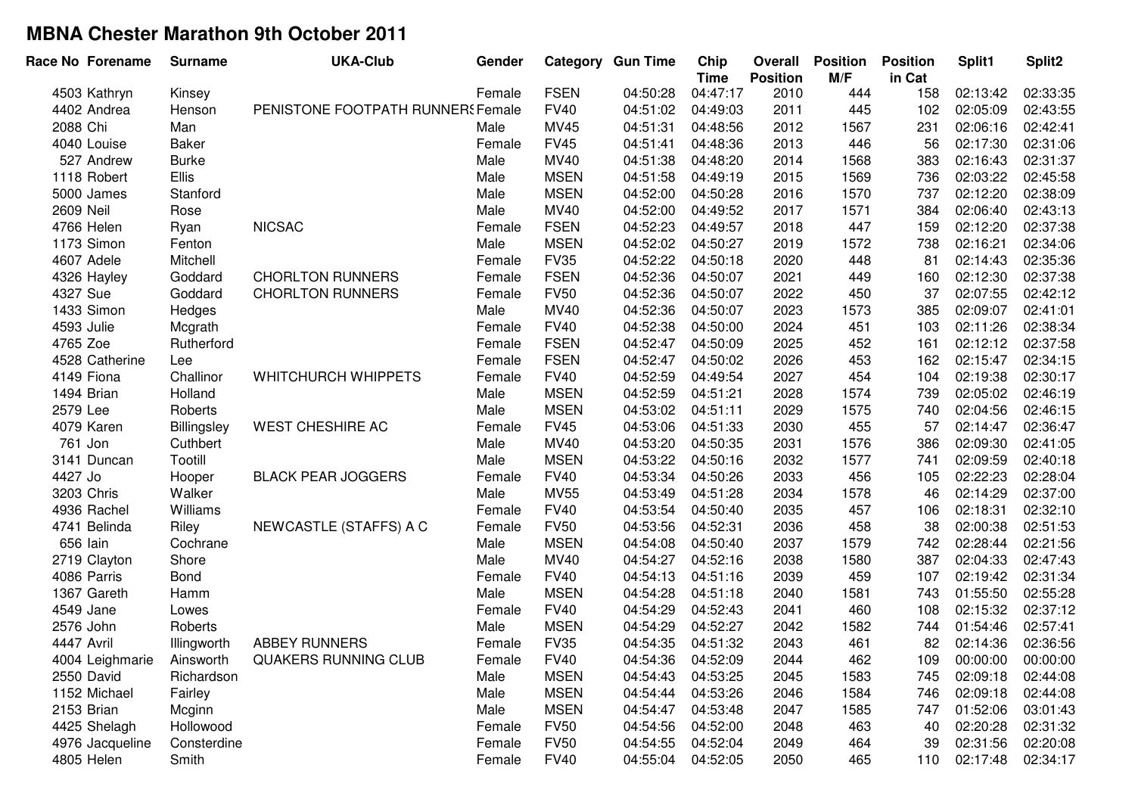| Race No Forename | <b>Surname</b> | <b>UKA-Club</b>                   | Gender |             | <b>Category Gun Time</b> | Chip<br><b>Time</b> | Overall<br><b>Position</b> | <b>Position</b><br>M/F | <b>Position</b><br>in Cat | Split1   | Split2   |
|------------------|----------------|-----------------------------------|--------|-------------|--------------------------|---------------------|----------------------------|------------------------|---------------------------|----------|----------|
| 4503 Kathryn     | Kinsey         |                                   | Female | <b>FSEN</b> | 04:50:28                 | 04:47:17            | 2010                       | 444                    | 158                       | 02:13:42 | 02:33:35 |
| 4402 Andrea      | Henson         | PENISTONE FOOTPATH RUNNERS Female |        | <b>FV40</b> | 04:51:02                 | 04:49:03            | 2011                       | 445                    | 102                       | 02:05:09 | 02:43:55 |
| 2088 Chi         | Man            |                                   | Male   | MV45        | 04:51:31                 | 04:48:56            | 2012                       | 1567                   | 231                       | 02:06:16 | 02:42:41 |
| 4040 Louise      | <b>Baker</b>   |                                   | Female | <b>FV45</b> | 04:51:41                 | 04:48:36            | 2013                       | 446                    | 56                        | 02:17:30 | 02:31:06 |
| 527 Andrew       | <b>Burke</b>   |                                   | Male   | MV40        | 04:51:38                 | 04:48:20            | 2014                       | 1568                   | 383                       | 02:16:43 | 02:31:37 |
| 1118 Robert      | Ellis          |                                   | Male   | <b>MSEN</b> | 04:51:58                 | 04:49:19            | 2015                       | 1569                   | 736                       | 02:03:22 | 02:45:58 |
| 5000 James       | Stanford       |                                   | Male   | <b>MSEN</b> | 04:52:00                 | 04:50:28            | 2016                       | 1570                   | 737                       | 02:12:20 | 02:38:09 |
| 2609 Neil        | Rose           |                                   | Male   | MV40        | 04:52:00                 | 04:49:52            | 2017                       | 1571                   | 384                       | 02:06:40 | 02:43:13 |
| 4766 Helen       | Ryan           | <b>NICSAC</b>                     | Female | <b>FSEN</b> | 04:52:23                 | 04:49:57            | 2018                       | 447                    | 159                       | 02:12:20 | 02:37:38 |
| 1173 Simon       | Fenton         |                                   | Male   | <b>MSEN</b> | 04:52:02                 | 04:50:27            | 2019                       | 1572                   | 738                       | 02:16:21 | 02:34:06 |
| 4607 Adele       | Mitchell       |                                   | Female | <b>FV35</b> | 04:52:22                 | 04:50:18            | 2020                       | 448                    | 81                        | 02:14:43 | 02:35:36 |
| 4326 Hayley      | Goddard        | <b>CHORLTON RUNNERS</b>           | Female | <b>FSEN</b> | 04:52:36                 | 04:50:07            | 2021                       | 449                    | 160                       | 02:12:30 | 02:37:38 |
| 4327 Sue         | Goddard        | <b>CHORLTON RUNNERS</b>           | Female | <b>FV50</b> | 04:52:36                 | 04:50:07            | 2022                       | 450                    | 37                        | 02:07:55 | 02:42:12 |
| 1433 Simon       | Hedges         |                                   | Male   | MV40        | 04:52:36                 | 04:50:07            | 2023                       | 1573                   | 385                       | 02:09:07 | 02:41:01 |
| 4593 Julie       | Mcgrath        |                                   | Female | <b>FV40</b> | 04:52:38                 | 04:50:00            | 2024                       | 451                    | 103                       | 02:11:26 | 02:38:34 |
| 4765 Zoe         | Rutherford     |                                   | Female | <b>FSEN</b> | 04:52:47                 | 04:50:09            | 2025                       | 452                    | 161                       | 02:12:12 | 02:37:58 |
| 4528 Catherine   | Lee            |                                   | Female | <b>FSEN</b> | 04:52:47                 | 04:50:02            | 2026                       | 453                    | 162                       | 02:15:47 | 02:34:15 |
| 4149 Fiona       | Challinor      | WHITCHURCH WHIPPETS               | Female | <b>FV40</b> | 04:52:59                 | 04:49:54            | 2027                       | 454                    | 104                       | 02:19:38 | 02:30:17 |
| 1494 Brian       | Holland        |                                   | Male   | <b>MSEN</b> | 04:52:59                 | 04:51:21            | 2028                       | 1574                   | 739                       | 02:05:02 | 02:46:19 |
| 2579 Lee         | Roberts        |                                   | Male   | <b>MSEN</b> | 04:53:02                 | 04:51:11            | 2029                       | 1575                   | 740                       | 02:04:56 | 02:46:15 |
| 4079 Karen       | Billingsley    | <b>WEST CHESHIRE AC</b>           | Female | <b>FV45</b> | 04:53:06                 | 04:51:33            | 2030                       | 455                    | 57                        | 02:14:47 | 02:36:47 |
| 761 Jon          | Cuthbert       |                                   | Male   | MV40        | 04:53:20                 | 04:50:35            | 2031                       | 1576                   | 386                       | 02:09:30 | 02:41:05 |
| 3141 Duncan      | Tootill        |                                   | Male   | <b>MSEN</b> | 04:53:22                 | 04:50:16            | 2032                       | 1577                   | 741                       | 02:09:59 | 02:40:18 |
| 4427 Jo          | Hooper         | <b>BLACK PEAR JOGGERS</b>         | Female | <b>FV40</b> | 04:53:34                 | 04:50:26            | 2033                       | 456                    | 105                       | 02:22:23 | 02:28:04 |
| 3203 Chris       | Walker         |                                   | Male   | <b>MV55</b> | 04:53:49                 | 04:51:28            | 2034                       | 1578                   | 46                        | 02:14:29 | 02:37:00 |
| 4936 Rachel      | Williams       |                                   | Female | <b>FV40</b> | 04:53:54                 | 04:50:40            | 2035                       | 457                    | 106                       | 02:18:31 | 02:32:10 |
| 4741 Belinda     | Riley          | NEWCASTLE (STAFFS) A C            | Female | <b>FV50</b> | 04:53:56                 | 04:52:31            | 2036                       | 458                    | 38                        | 02:00:38 | 02:51:53 |
| 656 lain         | Cochrane       |                                   | Male   | <b>MSEN</b> | 04:54:08                 | 04:50:40            | 2037                       | 1579                   | 742                       | 02:28:44 | 02:21:56 |
| 2719 Clayton     | Shore          |                                   | Male   | MV40        | 04:54:27                 | 04:52:16            | 2038                       | 1580                   | 387                       | 02:04:33 | 02:47:43 |
| 4086 Parris      | Bond           |                                   | Female | <b>FV40</b> | 04:54:13                 | 04:51:16            | 2039                       | 459                    | 107                       | 02:19:42 | 02:31:34 |
| 1367 Gareth      | Hamm           |                                   | Male   | <b>MSEN</b> | 04:54:28                 | 04:51:18            | 2040                       | 1581                   | 743                       | 01:55:50 | 02:55:28 |
| 4549 Jane        | Lowes          |                                   | Female | <b>FV40</b> | 04:54:29                 | 04:52:43            | 2041                       | 460                    | 108                       | 02:15:32 | 02:37:12 |
| 2576 John        | Roberts        |                                   | Male   | <b>MSEN</b> | 04:54:29                 | 04:52:27            | 2042                       | 1582                   | 744                       | 01:54:46 | 02:57:41 |
| 4447 Avril       | Illingworth    | <b>ABBEY RUNNERS</b>              | Female | <b>FV35</b> | 04:54:35                 | 04:51:32            | 2043                       | 461                    | 82                        | 02:14:36 | 02:36:56 |
| 4004 Leighmarie  | Ainsworth      | QUAKERS RUNNING CLUB              | Female | <b>FV40</b> | 04:54:36                 | 04:52:09            | 2044                       | 462                    | 109                       | 00:00:00 | 00:00:00 |
| 2550 David       | Richardson     |                                   | Male   | <b>MSEN</b> | 04:54:43                 | 04:53:25            | 2045                       | 1583                   | 745                       | 02:09:18 | 02:44:08 |
| 1152 Michael     | Fairley        |                                   | Male   | <b>MSEN</b> | 04:54:44                 | 04:53:26            | 2046                       | 1584                   | 746                       | 02:09:18 | 02:44:08 |
| 2153 Brian       | Mcginn         |                                   | Male   | <b>MSEN</b> | 04:54:47                 | 04:53:48            | 2047                       | 1585                   | 747                       | 01:52:06 | 03:01:43 |
| 4425 Shelagh     | Hollowood      |                                   | Female | <b>FV50</b> | 04:54:56                 | 04:52:00            | 2048                       | 463                    | 40                        | 02:20:28 | 02:31:32 |
| 4976 Jacqueline  | Consterdine    |                                   | Female | <b>FV50</b> | 04:54:55                 | 04:52:04            | 2049                       | 464                    | 39                        | 02:31:56 | 02:20:08 |
| 4805 Helen       | Smith          |                                   | Female | <b>FV40</b> | 04:55:04                 | 04:52:05            | 2050                       | 465                    | 110                       | 02:17:48 | 02:34:17 |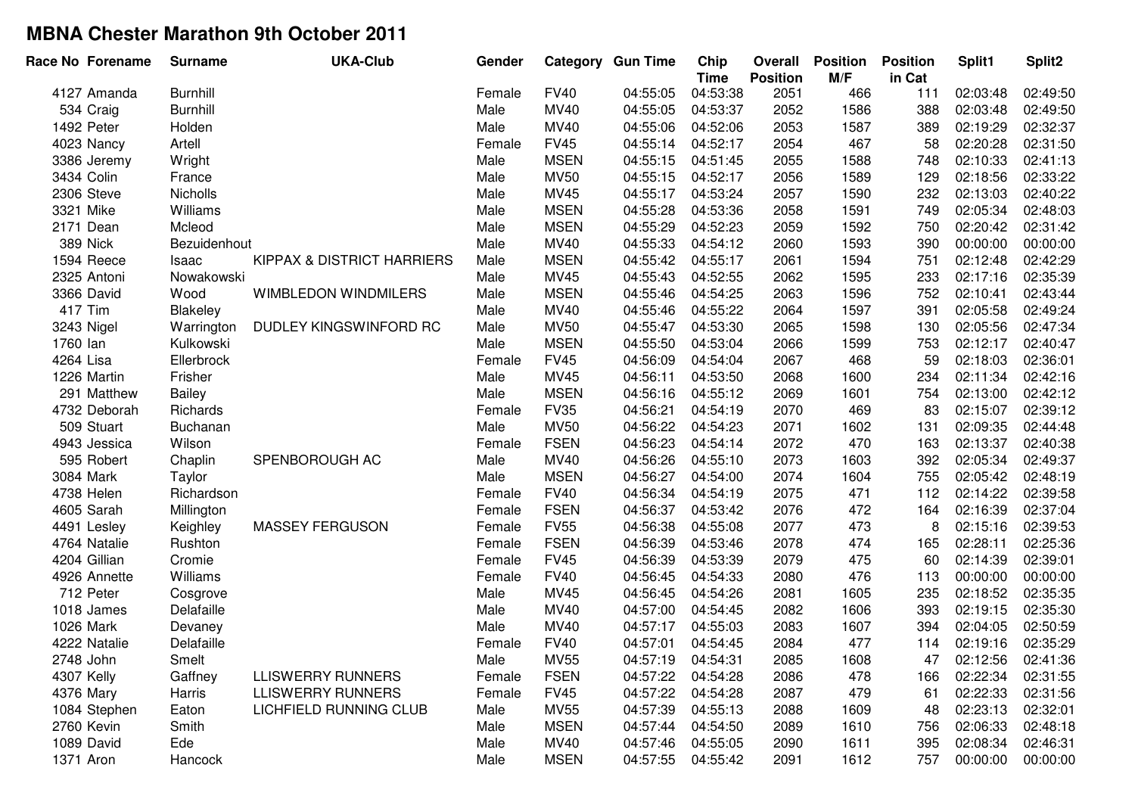|            | Race No Forename | <b>Surname</b>  | <b>UKA-Club</b>            | Gender |             | <b>Category Gun Time</b> | Chip<br><b>Time</b> | Overall<br><b>Position</b> | <b>Position</b><br>M/F | <b>Position</b><br>in Cat | Split1   | Split2   |
|------------|------------------|-----------------|----------------------------|--------|-------------|--------------------------|---------------------|----------------------------|------------------------|---------------------------|----------|----------|
|            | 4127 Amanda      | <b>Burnhill</b> |                            | Female | <b>FV40</b> | 04:55:05                 | 04:53:38            | 2051                       | 466                    | 111                       | 02:03:48 | 02:49:50 |
|            | 534 Craig        | <b>Burnhill</b> |                            | Male   | MV40        | 04:55:05                 | 04:53:37            | 2052                       | 1586                   | 388                       | 02:03:48 | 02:49:50 |
|            | 1492 Peter       | Holden          |                            | Male   | MV40        | 04:55:06                 | 04:52:06            | 2053                       | 1587                   | 389                       | 02:19:29 | 02:32:37 |
|            | 4023 Nancy       | Artell          |                            | Female | <b>FV45</b> | 04:55:14                 | 04:52:17            | 2054                       | 467                    | 58                        | 02:20:28 | 02:31:50 |
|            | 3386 Jeremy      | Wright          |                            | Male   | <b>MSEN</b> | 04:55:15                 | 04:51:45            | 2055                       | 1588                   | 748                       | 02:10:33 | 02:41:13 |
|            | 3434 Colin       | France          |                            | Male   | <b>MV50</b> | 04:55:15                 | 04:52:17            | 2056                       | 1589                   | 129                       | 02:18:56 | 02:33:22 |
|            | 2306 Steve       | Nicholls        |                            | Male   | MV45        | 04:55:17                 | 04:53:24            | 2057                       | 1590                   | 232                       | 02:13:03 | 02:40:22 |
| 3321 Mike  |                  | Williams        |                            | Male   | <b>MSEN</b> | 04:55:28                 | 04:53:36            | 2058                       | 1591                   | 749                       | 02:05:34 | 02:48:03 |
|            | 2171 Dean        | Mcleod          |                            | Male   | <b>MSEN</b> | 04:55:29                 | 04:52:23            | 2059                       | 1592                   | 750                       | 02:20:42 | 02:31:42 |
|            | 389 Nick         | Bezuidenhout    |                            | Male   | MV40        | 04:55:33                 | 04:54:12            | 2060                       | 1593                   | 390                       | 00:00:00 | 00:00:00 |
|            | 1594 Reece       | Isaac           | KIPPAX & DISTRICT HARRIERS | Male   | <b>MSEN</b> | 04:55:42                 | 04:55:17            | 2061                       | 1594                   | 751                       | 02:12:48 | 02:42:29 |
|            | 2325 Antoni      | Nowakowski      |                            | Male   | <b>MV45</b> | 04:55:43                 | 04:52:55            | 2062                       | 1595                   | 233                       | 02:17:16 | 02:35:39 |
|            | 3366 David       | Wood            | WIMBLEDON WINDMILERS       | Male   | <b>MSEN</b> | 04:55:46                 | 04:54:25            | 2063                       | 1596                   | 752                       | 02:10:41 | 02:43:44 |
| 417 Tim    |                  | Blakeley        |                            | Male   | MV40        | 04:55:46                 | 04:55:22            | 2064                       | 1597                   | 391                       | 02:05:58 | 02:49:24 |
|            | 3243 Nigel       | Warrington      | DUDLEY KINGSWINFORD RC     | Male   | <b>MV50</b> | 04:55:47                 | 04:53:30            | 2065                       | 1598                   | 130                       | 02:05:56 | 02:47:34 |
| 1760 lan   |                  | Kulkowski       |                            | Male   | <b>MSEN</b> | 04:55:50                 | 04:53:04            | 2066                       | 1599                   | 753                       | 02:12:17 | 02:40:47 |
| 4264 Lisa  |                  | Ellerbrock      |                            | Female | <b>FV45</b> | 04:56:09                 | 04:54:04            | 2067                       | 468                    | 59                        | 02:18:03 | 02:36:01 |
|            | 1226 Martin      | Frisher         |                            | Male   | MV45        | 04:56:11                 | 04:53:50            | 2068                       | 1600                   | 234                       | 02:11:34 | 02:42:16 |
|            | 291 Matthew      | <b>Bailey</b>   |                            | Male   | <b>MSEN</b> | 04:56:16                 | 04:55:12            | 2069                       | 1601                   | 754                       | 02:13:00 | 02:42:12 |
|            | 4732 Deborah     | Richards        |                            | Female | <b>FV35</b> | 04:56:21                 | 04:54:19            | 2070                       | 469                    | 83                        | 02:15:07 | 02:39:12 |
|            | 509 Stuart       | Buchanan        |                            | Male   | <b>MV50</b> | 04:56:22                 | 04:54:23            | 2071                       | 1602                   | 131                       | 02:09:35 | 02:44:48 |
|            | 4943 Jessica     | Wilson          |                            | Female | <b>FSEN</b> | 04:56:23                 | 04:54:14            | 2072                       | 470                    | 163                       | 02:13:37 | 02:40:38 |
|            | 595 Robert       | Chaplin         | SPENBOROUGH AC             | Male   | MV40        | 04:56:26                 | 04:55:10            | 2073                       | 1603                   | 392                       | 02:05:34 | 02:49:37 |
|            | 3084 Mark        | Taylor          |                            | Male   | <b>MSEN</b> | 04:56:27                 | 04:54:00            | 2074                       | 1604                   | 755                       | 02:05:42 | 02:48:19 |
|            | 4738 Helen       | Richardson      |                            | Female | <b>FV40</b> | 04:56:34                 | 04:54:19            | 2075                       | 471                    | 112                       | 02:14:22 | 02:39:58 |
|            | 4605 Sarah       | Millington      |                            | Female | <b>FSEN</b> | 04:56:37                 | 04:53:42            | 2076                       | 472                    | 164                       | 02:16:39 | 02:37:04 |
|            | 4491 Lesley      | Keighley        | <b>MASSEY FERGUSON</b>     | Female | <b>FV55</b> | 04:56:38                 | 04:55:08            | 2077                       | 473                    | 8                         | 02:15:16 | 02:39:53 |
|            | 4764 Natalie     | Rushton         |                            | Female | <b>FSEN</b> | 04:56:39                 | 04:53:46            | 2078                       | 474                    | 165                       | 02:28:11 | 02:25:36 |
|            | 4204 Gillian     | Cromie          |                            | Female | <b>FV45</b> | 04:56:39                 | 04:53:39            | 2079                       | 475                    | 60                        | 02:14:39 | 02:39:01 |
|            | 4926 Annette     | Williams        |                            | Female | <b>FV40</b> | 04:56:45                 | 04:54:33            | 2080                       | 476                    | 113                       | 00:00:00 | 00:00:00 |
|            | 712 Peter        | Cosgrove        |                            | Male   | MV45        | 04:56:45                 | 04:54:26            | 2081                       | 1605                   | 235                       | 02:18:52 | 02:35:35 |
|            | 1018 James       | Delafaille      |                            | Male   | MV40        | 04:57:00                 | 04:54:45            | 2082                       | 1606                   | 393                       | 02:19:15 | 02:35:30 |
|            | 1026 Mark        | Devaney         |                            | Male   | MV40        | 04:57:17                 | 04:55:03            | 2083                       | 1607                   | 394                       | 02:04:05 | 02:50:59 |
|            | 4222 Natalie     | Delafaille      |                            | Female | <b>FV40</b> | 04:57:01                 | 04:54:45            | 2084                       | 477                    | 114                       | 02:19:16 | 02:35:29 |
| 2748 John  |                  | Smelt           |                            | Male   | <b>MV55</b> | 04:57:19                 | 04:54:31            | 2085                       | 1608                   | 47                        | 02:12:56 | 02:41:36 |
| 4307 Kelly |                  | Gaffney         | <b>LLISWERRY RUNNERS</b>   | Female | <b>FSEN</b> | 04:57:22                 | 04:54:28            | 2086                       | 478                    | 166                       | 02:22:34 | 02:31:55 |
| 4376 Mary  |                  | Harris          | <b>LLISWERRY RUNNERS</b>   | Female | <b>FV45</b> | 04:57:22                 | 04:54:28            | 2087                       | 479                    | 61                        | 02:22:33 | 02:31:56 |
|            | 1084 Stephen     | Eaton           | LICHFIELD RUNNING CLUB     | Male   | <b>MV55</b> | 04:57:39                 | 04:55:13            | 2088                       | 1609                   | 48                        | 02:23:13 | 02:32:01 |
|            | 2760 Kevin       | Smith           |                            | Male   | <b>MSEN</b> | 04:57:44                 | 04:54:50            | 2089                       | 1610                   | 756                       | 02:06:33 | 02:48:18 |
|            | 1089 David       | Ede             |                            | Male   | MV40        | 04:57:46                 | 04:55:05            | 2090                       | 1611                   | 395                       | 02:08:34 | 02:46:31 |
| 1371 Aron  |                  | Hancock         |                            | Male   | <b>MSEN</b> | 04:57:55                 | 04:55:42            | 2091                       | 1612                   | 757                       | 00:00:00 | 00:00:00 |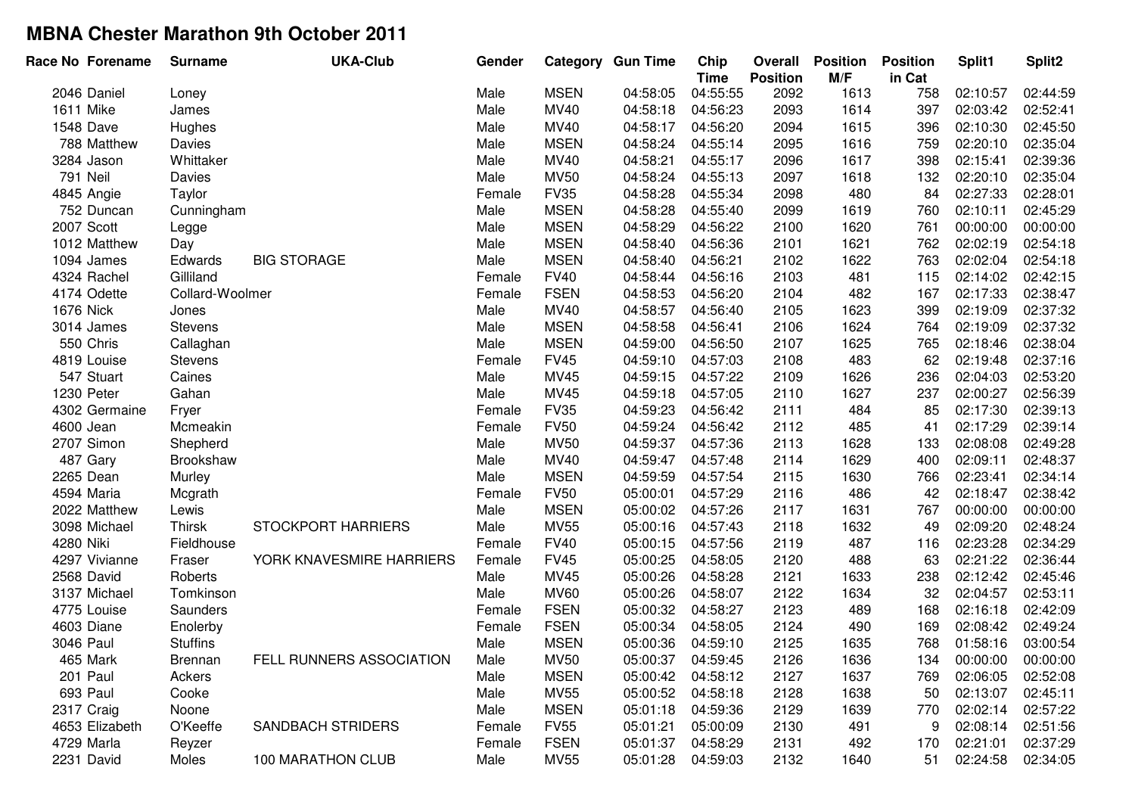| Race No Forename | <b>Surname</b>  | <b>UKA-Club</b>           | Gender |             | Category Gun Time | Chip<br><b>Time</b> | Overall<br><b>Position</b> | <b>Position</b><br>M/F | <b>Position</b><br>in Cat | Split1   | Split2   |
|------------------|-----------------|---------------------------|--------|-------------|-------------------|---------------------|----------------------------|------------------------|---------------------------|----------|----------|
| 2046 Daniel      | Loney           |                           | Male   | <b>MSEN</b> | 04:58:05          | 04:55:55            | 2092                       | 1613                   | 758                       | 02:10:57 | 02:44:59 |
| 1611 Mike        | James           |                           | Male   | <b>MV40</b> | 04:58:18          | 04:56:23            | 2093                       | 1614                   | 397                       | 02:03:42 | 02:52:41 |
| 1548 Dave        | Hughes          |                           | Male   | MV40        | 04:58:17          | 04:56:20            | 2094                       | 1615                   | 396                       | 02:10:30 | 02:45:50 |
| 788 Matthew      | Davies          |                           | Male   | <b>MSEN</b> | 04:58:24          | 04:55:14            | 2095                       | 1616                   | 759                       | 02:20:10 | 02:35:04 |
| 3284 Jason       | Whittaker       |                           | Male   | MV40        | 04:58:21          | 04:55:17            | 2096                       | 1617                   | 398                       | 02:15:41 | 02:39:36 |
| 791 Neil         | Davies          |                           | Male   | <b>MV50</b> | 04:58:24          | 04:55:13            | 2097                       | 1618                   | 132                       | 02:20:10 | 02:35:04 |
| 4845 Angie       | Taylor          |                           | Female | <b>FV35</b> | 04:58:28          | 04:55:34            | 2098                       | 480                    | 84                        | 02:27:33 | 02:28:01 |
| 752 Duncan       | Cunningham      |                           | Male   | <b>MSEN</b> | 04:58:28          | 04:55:40            | 2099                       | 1619                   | 760                       | 02:10:11 | 02:45:29 |
| 2007 Scott       | Legge           |                           | Male   | <b>MSEN</b> | 04:58:29          | 04:56:22            | 2100                       | 1620                   | 761                       | 00:00:00 | 00:00:00 |
| 1012 Matthew     | Day             |                           | Male   | <b>MSEN</b> | 04:58:40          | 04:56:36            | 2101                       | 1621                   | 762                       | 02:02:19 | 02:54:18 |
| 1094 James       | Edwards         | <b>BIG STORAGE</b>        | Male   | <b>MSEN</b> | 04:58:40          | 04:56:21            | 2102                       | 1622                   | 763                       | 02:02:04 | 02:54:18 |
| 4324 Rachel      | Gilliland       |                           | Female | <b>FV40</b> | 04:58:44          | 04:56:16            | 2103                       | 481                    | 115                       | 02:14:02 | 02:42:15 |
| 4174 Odette      | Collard-Woolmer |                           | Female | <b>FSEN</b> | 04:58:53          | 04:56:20            | 2104                       | 482                    | 167                       | 02:17:33 | 02:38:47 |
| 1676 Nick        | Jones           |                           | Male   | MV40        | 04:58:57          | 04:56:40            | 2105                       | 1623                   | 399                       | 02:19:09 | 02:37:32 |
| 3014 James       | <b>Stevens</b>  |                           | Male   | <b>MSEN</b> | 04:58:58          | 04:56:41            | 2106                       | 1624                   | 764                       | 02:19:09 | 02:37:32 |
| 550 Chris        | Callaghan       |                           | Male   | <b>MSEN</b> | 04:59:00          | 04:56:50            | 2107                       | 1625                   | 765                       | 02:18:46 | 02:38:04 |
| 4819 Louise      | <b>Stevens</b>  |                           | Female | <b>FV45</b> | 04:59:10          | 04:57:03            | 2108                       | 483                    | 62                        | 02:19:48 | 02:37:16 |
| 547 Stuart       | Caines          |                           | Male   | MV45        | 04:59:15          | 04:57:22            | 2109                       | 1626                   | 236                       | 02:04:03 | 02:53:20 |
| 1230 Peter       | Gahan           |                           | Male   | MV45        | 04:59:18          | 04:57:05            | 2110                       | 1627                   | 237                       | 02:00:27 | 02:56:39 |
| 4302 Germaine    | Fryer           |                           | Female | <b>FV35</b> | 04:59:23          | 04:56:42            | 2111                       | 484                    | 85                        | 02:17:30 | 02:39:13 |
| 4600 Jean        | Mcmeakin        |                           | Female | <b>FV50</b> | 04:59:24          | 04:56:42            | 2112                       | 485                    | 41                        | 02:17:29 | 02:39:14 |
| 2707 Simon       | Shepherd        |                           | Male   | <b>MV50</b> | 04:59:37          | 04:57:36            | 2113                       | 1628                   | 133                       | 02:08:08 | 02:49:28 |
| 487 Gary         | Brookshaw       |                           | Male   | MV40        | 04:59:47          | 04:57:48            | 2114                       | 1629                   | 400                       | 02:09:11 | 02:48:37 |
| 2265 Dean        | Murley          |                           | Male   | <b>MSEN</b> | 04:59:59          | 04:57:54            | 2115                       | 1630                   | 766                       | 02:23:41 | 02:34:14 |
| 4594 Maria       | Mcgrath         |                           | Female | <b>FV50</b> | 05:00:01          | 04:57:29            | 2116                       | 486                    | 42                        | 02:18:47 | 02:38:42 |
| 2022 Matthew     | Lewis           |                           | Male   | <b>MSEN</b> | 05:00:02          | 04:57:26            | 2117                       | 1631                   | 767                       | 00:00:00 | 00:00:00 |
| 3098 Michael     | <b>Thirsk</b>   | <b>STOCKPORT HARRIERS</b> | Male   | <b>MV55</b> | 05:00:16          | 04:57:43            | 2118                       | 1632                   | 49                        | 02:09:20 | 02:48:24 |
| 4280 Niki        | Fieldhouse      |                           | Female | <b>FV40</b> | 05:00:15          | 04:57:56            | 2119                       | 487                    | 116                       | 02:23:28 | 02:34:29 |
| 4297 Vivianne    | Fraser          | YORK KNAVESMIRE HARRIERS  | Female | <b>FV45</b> | 05:00:25          | 04:58:05            | 2120                       | 488                    | 63                        | 02:21:22 | 02:36:44 |
| 2568 David       | Roberts         |                           | Male   | MV45        | 05:00:26          | 04:58:28            | 2121                       | 1633                   | 238                       | 02:12:42 | 02:45:46 |
| 3137 Michael     | Tomkinson       |                           | Male   | <b>MV60</b> | 05:00:26          | 04:58:07            | 2122                       | 1634                   | 32                        | 02:04:57 | 02:53:11 |
| 4775 Louise      | Saunders        |                           | Female | <b>FSEN</b> | 05:00:32          | 04:58:27            | 2123                       | 489                    | 168                       | 02:16:18 | 02:42:09 |
| 4603 Diane       | Enolerby        |                           | Female | <b>FSEN</b> | 05:00:34          | 04:58:05            | 2124                       | 490                    | 169                       | 02:08:42 | 02:49:24 |
| 3046 Paul        | <b>Stuffins</b> |                           | Male   | <b>MSEN</b> | 05:00:36          | 04:59:10            | 2125                       | 1635                   | 768                       | 01:58:16 | 03:00:54 |
| 465 Mark         | <b>Brennan</b>  | FELL RUNNERS ASSOCIATION  | Male   | MV50        | 05:00:37          | 04:59:45            | 2126                       | 1636                   | 134                       | 00:00:00 | 00:00:00 |
| 201 Paul         | Ackers          |                           | Male   | <b>MSEN</b> | 05:00:42          | 04:58:12            | 2127                       | 1637                   | 769                       | 02:06:05 | 02:52:08 |
| 693 Paul         | Cooke           |                           | Male   | <b>MV55</b> | 05:00:52          | 04:58:18            | 2128                       | 1638                   | 50                        | 02:13:07 | 02:45:11 |
| 2317 Craig       | Noone           |                           | Male   | <b>MSEN</b> | 05:01:18          | 04:59:36            | 2129                       | 1639                   | 770                       | 02:02:14 | 02:57:22 |
| 4653 Elizabeth   | O'Keeffe        | <b>SANDBACH STRIDERS</b>  | Female | <b>FV55</b> | 05:01:21          | 05:00:09            | 2130                       | 491                    | 9                         | 02:08:14 | 02:51:56 |
| 4729 Marla       | Reyzer          |                           | Female | <b>FSEN</b> | 05:01:37          | 04:58:29            | 2131                       | 492                    | 170                       | 02:21:01 | 02:37:29 |
| 2231 David       | Moles           | 100 MARATHON CLUB         | Male   | <b>MV55</b> | 05:01:28          | 04:59:03            | 2132                       | 1640                   | 51                        | 02:24:58 | 02:34:05 |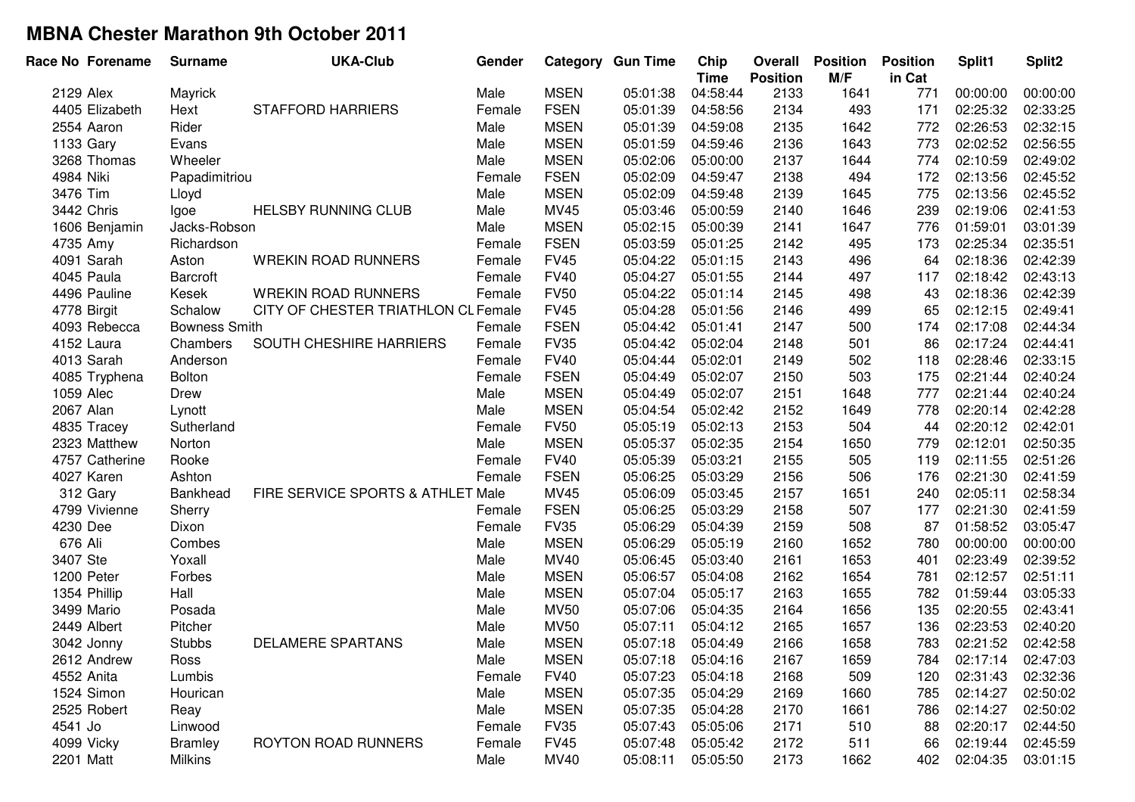|            | Race No Forename | <b>Surname</b>       | <b>UKA-Club</b>                     | Gender |             | <b>Category Gun Time</b> | Chip<br><b>Time</b> | Overall<br><b>Position</b> | <b>Position</b><br>M/F | <b>Position</b><br>in Cat | Split1   | Split2   |
|------------|------------------|----------------------|-------------------------------------|--------|-------------|--------------------------|---------------------|----------------------------|------------------------|---------------------------|----------|----------|
| 2129 Alex  |                  | Mayrick              |                                     | Male   | <b>MSEN</b> | 05:01:38                 | 04:58:44            | 2133                       | 1641                   | 771                       | 00:00:00 | 00:00:00 |
|            | 4405 Elizabeth   | Hext                 | <b>STAFFORD HARRIERS</b>            | Female | <b>FSEN</b> | 05:01:39                 | 04:58:56            | 2134                       | 493                    | 171                       | 02:25:32 | 02:33:25 |
|            | 2554 Aaron       | Rider                |                                     | Male   | <b>MSEN</b> | 05:01:39                 | 04:59:08            | 2135                       | 1642                   | 772                       | 02:26:53 | 02:32:15 |
| 1133 Gary  |                  | Evans                |                                     | Male   | <b>MSEN</b> | 05:01:59                 | 04:59:46            | 2136                       | 1643                   | 773                       | 02:02:52 | 02:56:55 |
|            | 3268 Thomas      | Wheeler              |                                     | Male   | <b>MSEN</b> | 05:02:06                 | 05:00:00            | 2137                       | 1644                   | 774                       | 02:10:59 | 02:49:02 |
| 4984 Niki  |                  | Papadimitriou        |                                     | Female | <b>FSEN</b> | 05:02:09                 | 04:59:47            | 2138                       | 494                    | 172                       | 02:13:56 | 02:45:52 |
| 3476 Tim   |                  | Lloyd                |                                     | Male   | <b>MSEN</b> | 05:02:09                 | 04:59:48            | 2139                       | 1645                   | 775                       | 02:13:56 | 02:45:52 |
|            | 3442 Chris       | Igoe                 | <b>HELSBY RUNNING CLUB</b>          | Male   | <b>MV45</b> | 05:03:46                 | 05:00:59            | 2140                       | 1646                   | 239                       | 02:19:06 | 02:41:53 |
|            | 1606 Benjamin    | Jacks-Robson         |                                     | Male   | <b>MSEN</b> | 05:02:15                 | 05:00:39            | 2141                       | 1647                   | 776                       | 01:59:01 | 03:01:39 |
| 4735 Amy   |                  | Richardson           |                                     | Female | <b>FSEN</b> | 05:03:59                 | 05:01:25            | 2142                       | 495                    | 173                       | 02:25:34 | 02:35:51 |
|            | 4091 Sarah       | Aston                | <b>WREKIN ROAD RUNNERS</b>          | Female | <b>FV45</b> | 05:04:22                 | 05:01:15            | 2143                       | 496                    | 64                        | 02:18:36 | 02:42:39 |
|            | 4045 Paula       | Barcroft             |                                     | Female | <b>FV40</b> | 05:04:27                 | 05:01:55            | 2144                       | 497                    | 117                       | 02:18:42 | 02:43:13 |
|            | 4496 Pauline     | Kesek                | <b>WREKIN ROAD RUNNERS</b>          | Female | <b>FV50</b> | 05:04:22                 | 05:01:14            | 2145                       | 498                    | 43                        | 02:18:36 | 02:42:39 |
|            | 4778 Birgit      | Schalow              | CITY OF CHESTER TRIATHLON CL Female |        | <b>FV45</b> | 05:04:28                 | 05:01:56            | 2146                       | 499                    | 65                        | 02:12:15 | 02:49:41 |
|            | 4093 Rebecca     | <b>Bowness Smith</b> |                                     | Female | <b>FSEN</b> | 05:04:42                 | 05:01:41            | 2147                       | 500                    | 174                       | 02:17:08 | 02:44:34 |
|            | 4152 Laura       | Chambers             | SOUTH CHESHIRE HARRIERS             | Female | <b>FV35</b> | 05:04:42                 | 05:02:04            | 2148                       | 501                    | 86                        | 02:17:24 | 02:44:41 |
|            | 4013 Sarah       | Anderson             |                                     | Female | <b>FV40</b> | 05:04:44                 | 05:02:01            | 2149                       | 502                    | 118                       | 02:28:46 | 02:33:15 |
|            | 4085 Tryphena    | Bolton               |                                     | Female | <b>FSEN</b> | 05:04:49                 | 05:02:07            | 2150                       | 503                    | 175                       | 02:21:44 | 02:40:24 |
| 1059 Alec  |                  | Drew                 |                                     | Male   | <b>MSEN</b> | 05:04:49                 | 05:02:07            | 2151                       | 1648                   | 777                       | 02:21:44 | 02:40:24 |
| 2067 Alan  |                  | Lynott               |                                     | Male   | <b>MSEN</b> | 05:04:54                 | 05:02:42            | 2152                       | 1649                   | 778                       | 02:20:14 | 02:42:28 |
|            | 4835 Tracey      | Sutherland           |                                     | Female | <b>FV50</b> | 05:05:19                 | 05:02:13            | 2153                       | 504                    | 44                        | 02:20:12 | 02:42:01 |
|            | 2323 Matthew     | Norton               |                                     | Male   | <b>MSEN</b> | 05:05:37                 | 05:02:35            | 2154                       | 1650                   | 779                       | 02:12:01 | 02:50:35 |
|            | 4757 Catherine   | Rooke                |                                     | Female | <b>FV40</b> | 05:05:39                 | 05:03:21            | 2155                       | 505                    | 119                       | 02:11:55 | 02:51:26 |
|            | 4027 Karen       | Ashton               |                                     | Female | <b>FSEN</b> | 05:06:25                 | 05:03:29            | 2156                       | 506                    | 176                       | 02:21:30 | 02:41:59 |
|            | 312 Gary         | Bankhead             | FIRE SERVICE SPORTS & ATHLET Male   |        | <b>MV45</b> | 05:06:09                 | 05:03:45            | 2157                       | 1651                   | 240                       | 02:05:11 | 02:58:34 |
|            | 4799 Vivienne    | Sherry               |                                     | Female | <b>FSEN</b> | 05:06:25                 | 05:03:29            | 2158                       | 507                    | 177                       | 02:21:30 | 02:41:59 |
| 4230 Dee   |                  | Dixon                |                                     | Female | <b>FV35</b> | 05:06:29                 | 05:04:39            | 2159                       | 508                    | 87                        | 01:58:52 | 03:05:47 |
| 676 Ali    |                  | Combes               |                                     | Male   | <b>MSEN</b> | 05:06:29                 | 05:05:19            | 2160                       | 1652                   | 780                       | 00:00:00 | 00:00:00 |
| 3407 Ste   |                  | Yoxall               |                                     | Male   | MV40        | 05:06:45                 | 05:03:40            | 2161                       | 1653                   | 401                       | 02:23:49 | 02:39:52 |
|            | 1200 Peter       | Forbes               |                                     | Male   | <b>MSEN</b> | 05:06:57                 | 05:04:08            | 2162                       | 1654                   | 781                       | 02:12:57 | 02:51:11 |
|            | 1354 Phillip     | Hall                 |                                     | Male   | <b>MSEN</b> | 05:07:04                 | 05:05:17            | 2163                       | 1655                   | 782                       | 01:59:44 | 03:05:33 |
|            | 3499 Mario       | Posada               |                                     | Male   | <b>MV50</b> | 05:07:06                 | 05:04:35            | 2164                       | 1656                   | 135                       | 02:20:55 | 02:43:41 |
|            | 2449 Albert      | Pitcher              |                                     | Male   | <b>MV50</b> | 05:07:11                 | 05:04:12            | 2165                       | 1657                   | 136                       | 02:23:53 | 02:40:20 |
|            | 3042 Jonny       | <b>Stubbs</b>        | <b>DELAMERE SPARTANS</b>            | Male   | <b>MSEN</b> | 05:07:18                 | 05:04:49            | 2166                       | 1658                   | 783                       | 02:21:52 | 02:42:58 |
|            | 2612 Andrew      | Ross                 |                                     | Male   | <b>MSEN</b> | 05:07:18                 | 05:04:16            | 2167                       | 1659                   | 784                       | 02:17:14 | 02:47:03 |
| 4552 Anita |                  | Lumbis               |                                     | Female | <b>FV40</b> | 05:07:23                 | 05:04:18            | 2168                       | 509                    | 120                       | 02:31:43 | 02:32:36 |
|            | 1524 Simon       | Hourican             |                                     | Male   | <b>MSEN</b> | 05:07:35                 | 05:04:29            | 2169                       | 1660                   | 785                       | 02:14:27 | 02:50:02 |
|            | 2525 Robert      | Reay                 |                                     | Male   | <b>MSEN</b> | 05:07:35                 | 05:04:28            | 2170                       | 1661                   | 786                       | 02:14:27 | 02:50:02 |
| 4541 Jo    |                  | Linwood              |                                     | Female | <b>FV35</b> | 05:07:43                 | 05:05:06            | 2171                       | 510                    | 88                        | 02:20:17 | 02:44:50 |
|            | 4099 Vicky       | <b>Bramley</b>       | <b>ROYTON ROAD RUNNERS</b>          | Female | <b>FV45</b> | 05:07:48                 | 05:05:42            | 2172                       | 511                    | 66                        | 02:19:44 | 02:45:59 |
| 2201 Matt  |                  | <b>Milkins</b>       |                                     | Male   | MV40        | 05:08:11                 | 05:05:50            | 2173                       | 1662                   | 402                       | 02:04:35 | 03:01:15 |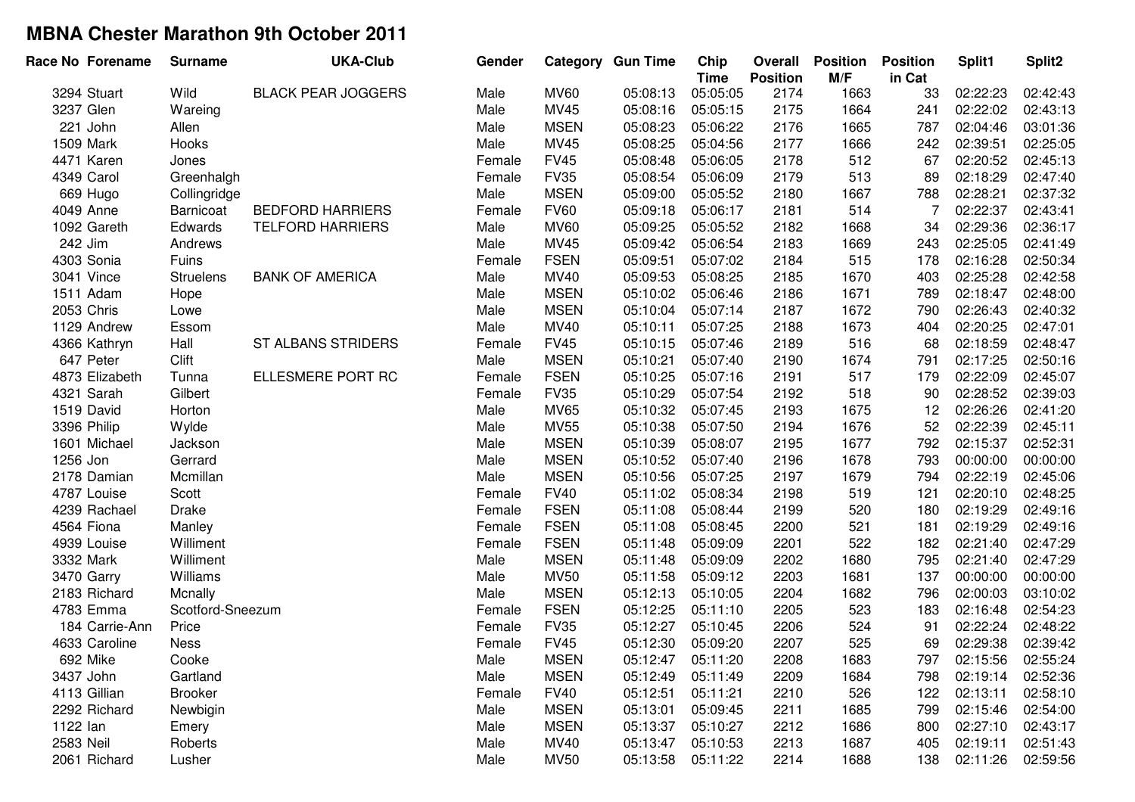| Race No Forename | <b>Surname</b>   | <b>UKA-Club</b>           | Gender |             | <b>Category Gun Time</b> | Chip<br><b>Time</b> | Overall<br><b>Position</b> | <b>Position</b><br>M/F | <b>Position</b><br>in Cat | Split1   | Split2   |
|------------------|------------------|---------------------------|--------|-------------|--------------------------|---------------------|----------------------------|------------------------|---------------------------|----------|----------|
| 3294 Stuart      | Wild             | <b>BLACK PEAR JOGGERS</b> | Male   | <b>MV60</b> | 05:08:13                 | 05:05:05            | 2174                       | 1663                   | 33                        | 02:22:23 | 02:42:43 |
| 3237 Glen        | Wareing          |                           | Male   | MV45        | 05:08:16                 | 05:05:15            | 2175                       | 1664                   | 241                       | 02:22:02 | 02:43:13 |
| 221 John         | Allen            |                           | Male   | <b>MSEN</b> | 05:08:23                 | 05:06:22            | 2176                       | 1665                   | 787                       | 02:04:46 | 03:01:36 |
| 1509 Mark        | Hooks            |                           | Male   | MV45        | 05:08:25                 | 05:04:56            | 2177                       | 1666                   | 242                       | 02:39:51 | 02:25:05 |
| 4471 Karen       | Jones            |                           | Female | <b>FV45</b> | 05:08:48                 | 05:06:05            | 2178                       | 512                    | 67                        | 02:20:52 | 02:45:13 |
| 4349 Carol       | Greenhalgh       |                           | Female | <b>FV35</b> | 05:08:54                 | 05:06:09            | 2179                       | 513                    | 89                        | 02:18:29 | 02:47:40 |
| 669 Hugo         | Collingridge     |                           | Male   | <b>MSEN</b> | 05:09:00                 | 05:05:52            | 2180                       | 1667                   | 788                       | 02:28:21 | 02:37:32 |
| 4049 Anne        | Barnicoat        | <b>BEDFORD HARRIERS</b>   | Female | <b>FV60</b> | 05:09:18                 | 05:06:17            | 2181                       | 514                    | 7                         | 02:22:37 | 02:43:41 |
| 1092 Gareth      | Edwards          | <b>TELFORD HARRIERS</b>   | Male   | <b>MV60</b> | 05:09:25                 | 05:05:52            | 2182                       | 1668                   | 34                        | 02:29:36 | 02:36:17 |
| 242 Jim          | Andrews          |                           | Male   | MV45        | 05:09:42                 | 05:06:54            | 2183                       | 1669                   | 243                       | 02:25:05 | 02:41:49 |
| 4303 Sonia       | Fuins            |                           | Female | <b>FSEN</b> | 05:09:51                 | 05:07:02            | 2184                       | 515                    | 178                       | 02:16:28 | 02:50:34 |
| 3041 Vince       | <b>Struelens</b> | <b>BANK OF AMERICA</b>    | Male   | MV40        | 05:09:53                 | 05:08:25            | 2185                       | 1670                   | 403                       | 02:25:28 | 02:42:58 |
| 1511 Adam        | Hope             |                           | Male   | <b>MSEN</b> | 05:10:02                 | 05:06:46            | 2186                       | 1671                   | 789                       | 02:18:47 | 02:48:00 |
| 2053 Chris       | Lowe             |                           | Male   | <b>MSEN</b> | 05:10:04                 | 05:07:14            | 2187                       | 1672                   | 790                       | 02:26:43 | 02:40:32 |
| 1129 Andrew      | Essom            |                           | Male   | MV40        | 05:10:11                 | 05:07:25            | 2188                       | 1673                   | 404                       | 02:20:25 | 02:47:01 |
| 4366 Kathryn     | Hall             | <b>ST ALBANS STRIDERS</b> | Female | <b>FV45</b> | 05:10:15                 | 05:07:46            | 2189                       | 516                    | 68                        | 02:18:59 | 02:48:47 |
| 647 Peter        | Clift            |                           | Male   | <b>MSEN</b> | 05:10:21                 | 05:07:40            | 2190                       | 1674                   | 791                       | 02:17:25 | 02:50:16 |
| 4873 Elizabeth   | Tunna            | ELLESMERE PORT RC         | Female | <b>FSEN</b> | 05:10:25                 | 05:07:16            | 2191                       | 517                    | 179                       | 02:22:09 | 02:45:07 |
| 4321 Sarah       | Gilbert          |                           | Female | <b>FV35</b> | 05:10:29                 | 05:07:54            | 2192                       | 518                    | 90                        | 02:28:52 | 02:39:03 |
| 1519 David       | Horton           |                           | Male   | <b>MV65</b> | 05:10:32                 | 05:07:45            | 2193                       | 1675                   | 12                        | 02:26:26 | 02:41:20 |
| 3396 Philip      | Wylde            |                           | Male   | <b>MV55</b> | 05:10:38                 | 05:07:50            | 2194                       | 1676                   | 52                        | 02:22:39 | 02:45:11 |
| 1601 Michael     | Jackson          |                           | Male   | <b>MSEN</b> | 05:10:39                 | 05:08:07            | 2195                       | 1677                   | 792                       | 02:15:37 | 02:52:31 |
| 1256 Jon         | Gerrard          |                           | Male   | <b>MSEN</b> | 05:10:52                 | 05:07:40            | 2196                       | 1678                   | 793                       | 00:00:00 | 00:00:00 |
| 2178 Damian      | Mcmillan         |                           | Male   | <b>MSEN</b> | 05:10:56                 | 05:07:25            | 2197                       | 1679                   | 794                       | 02:22:19 | 02:45:06 |
| 4787 Louise      | Scott            |                           | Female | <b>FV40</b> | 05:11:02                 | 05:08:34            | 2198                       | 519                    | 121                       | 02:20:10 | 02:48:25 |
| 4239 Rachael     | <b>Drake</b>     |                           | Female | <b>FSEN</b> | 05:11:08                 | 05:08:44            | 2199                       | 520                    | 180                       | 02:19:29 | 02:49:16 |
| 4564 Fiona       | Manley           |                           | Female | <b>FSEN</b> | 05:11:08                 | 05:08:45            | 2200                       | 521                    | 181                       | 02:19:29 | 02:49:16 |
| 4939 Louise      | Williment        |                           | Female | <b>FSEN</b> | 05:11:48                 | 05:09:09            | 2201                       | 522                    | 182                       | 02:21:40 | 02:47:29 |
| 3332 Mark        | Williment        |                           | Male   | <b>MSEN</b> | 05:11:48                 | 05:09:09            | 2202                       | 1680                   | 795                       | 02:21:40 | 02:47:29 |
| 3470 Garry       | Williams         |                           | Male   | <b>MV50</b> | 05:11:58                 | 05:09:12            | 2203                       | 1681                   | 137                       | 00:00:00 | 00:00:00 |
| 2183 Richard     | Mcnally          |                           | Male   | <b>MSEN</b> | 05:12:13                 | 05:10:05            | 2204                       | 1682                   | 796                       | 02:00:03 | 03:10:02 |
| 4783 Emma        | Scotford-Sneezum |                           | Female | <b>FSEN</b> | 05:12:25                 | 05:11:10            | 2205                       | 523                    | 183                       | 02:16:48 | 02:54:23 |
| 184 Carrie-Ann   | Price            |                           | Female | <b>FV35</b> | 05:12:27                 | 05:10:45            | 2206                       | 524                    | 91                        | 02:22:24 | 02:48:22 |
| 4633 Caroline    | <b>Ness</b>      |                           | Female | <b>FV45</b> | 05:12:30                 | 05:09:20            | 2207                       | 525                    | 69                        | 02:29:38 | 02:39:42 |
| 692 Mike         | Cooke            |                           | Male   | <b>MSEN</b> | 05:12:47                 | 05:11:20            | 2208                       | 1683                   | 797                       | 02:15:56 | 02:55:24 |
| 3437 John        | Gartland         |                           | Male   | <b>MSEN</b> | 05:12:49                 | 05:11:49            | 2209                       | 1684                   | 798                       | 02:19:14 | 02:52:36 |
| 4113 Gillian     | <b>Brooker</b>   |                           | Female | <b>FV40</b> | 05:12:51                 | 05:11:21            | 2210                       | 526                    | 122                       | 02:13:11 | 02:58:10 |
| 2292 Richard     | Newbigin         |                           | Male   | <b>MSEN</b> | 05:13:01                 | 05:09:45            | 2211                       | 1685                   | 799                       | 02:15:46 | 02:54:00 |
| 1122 lan         | Emery            |                           | Male   | <b>MSEN</b> | 05:13:37                 | 05:10:27            | 2212                       | 1686                   | 800                       | 02:27:10 | 02:43:17 |
| 2583 Neil        | Roberts          |                           | Male   | MV40        | 05:13:47                 | 05:10:53            | 2213                       | 1687                   | 405                       | 02:19:11 | 02:51:43 |
| 2061 Richard     | Lusher           |                           | Male   | <b>MV50</b> | 05:13:58                 | 05:11:22            | 2214                       | 1688                   | 138                       | 02:11:26 | 02:59:56 |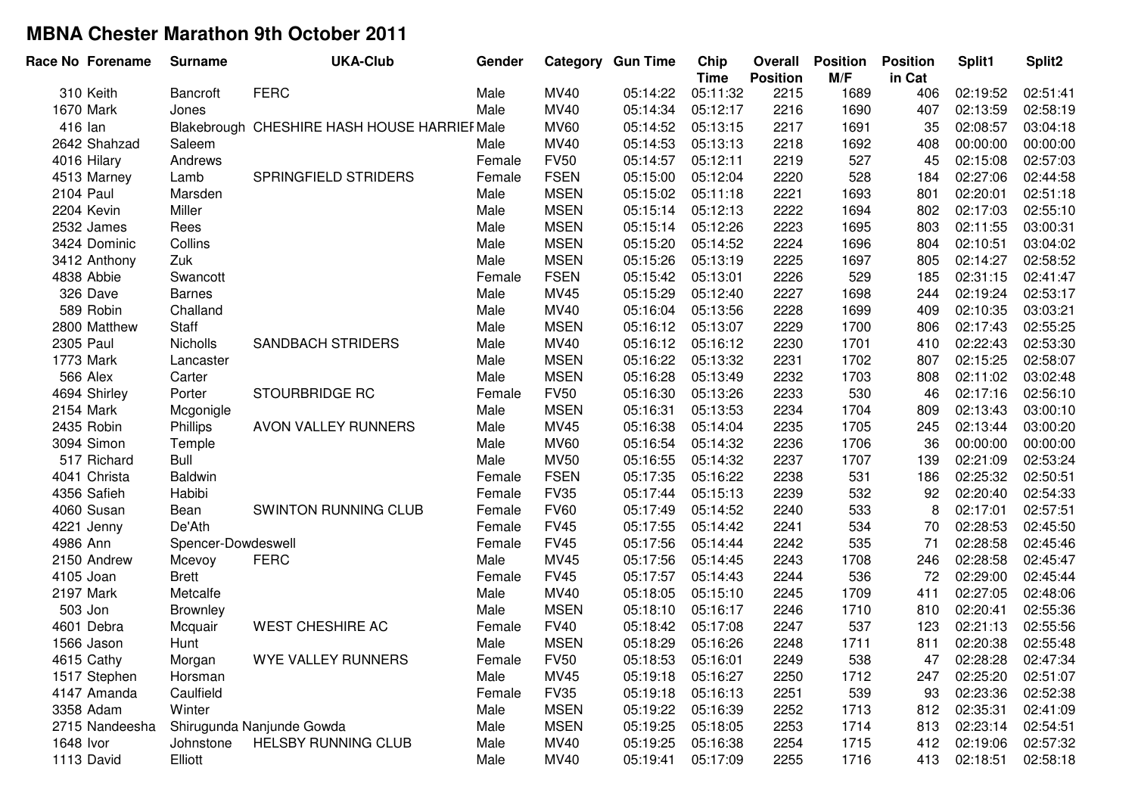| Race No Forename | <b>Surname</b>     | <b>UKA-Club</b>                              | Gender |             | <b>Category Gun Time</b> | Chip<br><b>Time</b> | Overall<br><b>Position</b> | <b>Position</b><br>M/F | <b>Position</b><br>in Cat | Split1   | Split <sub>2</sub> |
|------------------|--------------------|----------------------------------------------|--------|-------------|--------------------------|---------------------|----------------------------|------------------------|---------------------------|----------|--------------------|
| 310 Keith        | Bancroft           | <b>FERC</b>                                  | Male   | <b>MV40</b> | 05:14:22                 | 05:11:32            | 2215                       | 1689                   | 406                       | 02:19:52 | 02:51:41           |
| 1670 Mark        | Jones              |                                              | Male   | MV40        | 05:14:34                 | 05:12:17            | 2216                       | 1690                   | 407                       | 02:13:59 | 02:58:19           |
| 416 lan          |                    | Blakebrough CHESHIRE HASH HOUSE HARRIEF Male |        | <b>MV60</b> | 05:14:52                 | 05:13:15            | 2217                       | 1691                   | 35                        | 02:08:57 | 03:04:18           |
| 2642 Shahzad     | Saleem             |                                              | Male   | MV40        | 05:14:53                 | 05:13:13            | 2218                       | 1692                   | 408                       | 00:00:00 | 00:00:00           |
| 4016 Hilary      | Andrews            |                                              | Female | <b>FV50</b> | 05:14:57                 | 05:12:11            | 2219                       | 527                    | 45                        | 02:15:08 | 02:57:03           |
| 4513 Marney      | Lamb               | SPRINGFIELD STRIDERS                         | Female | <b>FSEN</b> | 05:15:00                 | 05:12:04            | 2220                       | 528                    | 184                       | 02:27:06 | 02:44:58           |
| <b>2104 Paul</b> | Marsden            |                                              | Male   | <b>MSEN</b> | 05:15:02                 | 05:11:18            | 2221                       | 1693                   | 801                       | 02:20:01 | 02:51:18           |
| 2204 Kevin       | Miller             |                                              | Male   | <b>MSEN</b> | 05:15:14                 | 05:12:13            | 2222                       | 1694                   | 802                       | 02:17:03 | 02:55:10           |
| 2532 James       | Rees               |                                              | Male   | <b>MSEN</b> | 05:15:14                 | 05:12:26            | 2223                       | 1695                   | 803                       | 02:11:55 | 03:00:31           |
| 3424 Dominic     | Collins            |                                              | Male   | <b>MSEN</b> | 05:15:20                 | 05:14:52            | 2224                       | 1696                   | 804                       | 02:10:51 | 03:04:02           |
| 3412 Anthony     | Zuk                |                                              | Male   | <b>MSEN</b> | 05:15:26                 | 05:13:19            | 2225                       | 1697                   | 805                       | 02:14:27 | 02:58:52           |
| 4838 Abbie       | Swancott           |                                              | Female | <b>FSEN</b> | 05:15:42                 | 05:13:01            | 2226                       | 529                    | 185                       | 02:31:15 | 02:41:47           |
| 326 Dave         | <b>Barnes</b>      |                                              | Male   | MV45        | 05:15:29                 | 05:12:40            | 2227                       | 1698                   | 244                       | 02:19:24 | 02:53:17           |
| 589 Robin        | Challand           |                                              | Male   | <b>MV40</b> | 05:16:04                 | 05:13:56            | 2228                       | 1699                   | 409                       | 02:10:35 | 03:03:21           |
| 2800 Matthew     | <b>Staff</b>       |                                              | Male   | <b>MSEN</b> | 05:16:12                 | 05:13:07            | 2229                       | 1700                   | 806                       | 02:17:43 | 02:55:25           |
| 2305 Paul        | <b>Nicholls</b>    | <b>SANDBACH STRIDERS</b>                     | Male   | MV40        | 05:16:12                 | 05:16:12            | 2230                       | 1701                   | 410                       | 02:22:43 | 02:53:30           |
| 1773 Mark        | Lancaster          |                                              | Male   | <b>MSEN</b> | 05:16:22                 | 05:13:32            | 2231                       | 1702                   | 807                       | 02:15:25 | 02:58:07           |
| 566 Alex         | Carter             |                                              | Male   | <b>MSEN</b> | 05:16:28                 | 05:13:49            | 2232                       | 1703                   | 808                       | 02:11:02 | 03:02:48           |
| 4694 Shirley     | Porter             | <b>STOURBRIDGE RC</b>                        | Female | <b>FV50</b> | 05:16:30                 | 05:13:26            | 2233                       | 530                    | 46                        | 02:17:16 | 02:56:10           |
| 2154 Mark        | Mcgonigle          |                                              | Male   | <b>MSEN</b> | 05:16:31                 | 05:13:53            | 2234                       | 1704                   | 809                       | 02:13:43 | 03:00:10           |
| 2435 Robin       | Phillips           | AVON VALLEY RUNNERS                          | Male   | <b>MV45</b> | 05:16:38                 | 05:14:04            | 2235                       | 1705                   | 245                       | 02:13:44 | 03:00:20           |
| 3094 Simon       | Temple             |                                              | Male   | <b>MV60</b> | 05:16:54                 | 05:14:32            | 2236                       | 1706                   | 36                        | 00:00:00 | 00:00:00           |
| 517 Richard      | <b>Bull</b>        |                                              | Male   | <b>MV50</b> | 05:16:55                 | 05:14:32            | 2237                       | 1707                   | 139                       | 02:21:09 | 02:53:24           |
| 4041 Christa     | <b>Baldwin</b>     |                                              | Female | <b>FSEN</b> | 05:17:35                 | 05:16:22            | 2238                       | 531                    | 186                       | 02:25:32 | 02:50:51           |
| 4356 Safieh      | Habibi             |                                              | Female | <b>FV35</b> | 05:17:44                 | 05:15:13            | 2239                       | 532                    | 92                        | 02:20:40 | 02:54:33           |
| 4060 Susan       | Bean               | SWINTON RUNNING CLUB                         | Female | <b>FV60</b> | 05:17:49                 | 05:14:52            | 2240                       | 533                    | 8                         | 02:17:01 | 02:57:51           |
| 4221 Jenny       | De'Ath             |                                              | Female | <b>FV45</b> | 05:17:55                 | 05:14:42            | 2241                       | 534                    | 70                        | 02:28:53 | 02:45:50           |
| 4986 Ann         | Spencer-Dowdeswell |                                              | Female | <b>FV45</b> | 05:17:56                 | 05:14:44            | 2242                       | 535                    | 71                        | 02:28:58 | 02:45:46           |
| 2150 Andrew      | Mcevoy             | <b>FERC</b>                                  | Male   | MV45        | 05:17:56                 | 05:14:45            | 2243                       | 1708                   | 246                       | 02:28:58 | 02:45:47           |
| 4105 Joan        | <b>Brett</b>       |                                              | Female | <b>FV45</b> | 05:17:57                 | 05:14:43            | 2244                       | 536                    | 72                        | 02:29:00 | 02:45:44           |
| 2197 Mark        | Metcalfe           |                                              | Male   | MV40        | 05:18:05                 | 05:15:10            | 2245                       | 1709                   | 411                       | 02:27:05 | 02:48:06           |
| 503 Jon          | Brownley           |                                              | Male   | <b>MSEN</b> | 05:18:10                 | 05:16:17            | 2246                       | 1710                   | 810                       | 02:20:41 | 02:55:36           |
| 4601 Debra       | Mcquair            | <b>WEST CHESHIRE AC</b>                      | Female | <b>FV40</b> | 05:18:42                 | 05:17:08            | 2247                       | 537                    | 123                       | 02:21:13 | 02:55:56           |
| 1566 Jason       | Hunt               |                                              | Male   | <b>MSEN</b> | 05:18:29                 | 05:16:26            | 2248                       | 1711                   | 811                       | 02:20:38 | 02:55:48           |
| 4615 Cathy       | Morgan             | WYE VALLEY RUNNERS                           | Female | <b>FV50</b> | 05:18:53                 | 05:16:01            | 2249                       | 538                    | 47                        | 02:28:28 | 02:47:34           |
| 1517 Stephen     | Horsman            |                                              | Male   | MV45        | 05:19:18                 | 05:16:27            | 2250                       | 1712                   | 247                       | 02:25:20 | 02:51:07           |
| 4147 Amanda      | Caulfield          |                                              | Female | <b>FV35</b> | 05:19:18                 | 05:16:13            | 2251                       | 539                    | 93                        | 02:23:36 | 02:52:38           |
| 3358 Adam        | Winter             |                                              | Male   | <b>MSEN</b> | 05:19:22                 | 05:16:39            | 2252                       | 1713                   | 812                       | 02:35:31 | 02:41:09           |
| 2715 Nandeesha   |                    | Shirugunda Nanjunde Gowda                    | Male   | <b>MSEN</b> | 05:19:25                 | 05:18:05            | 2253                       | 1714                   | 813                       | 02:23:14 | 02:54:51           |
| 1648 Ivor        | Johnstone          | <b>HELSBY RUNNING CLUB</b>                   | Male   | MV40        | 05:19:25                 | 05:16:38            | 2254                       | 1715                   | 412                       | 02:19:06 | 02:57:32           |
| 1113 David       | Elliott            |                                              | Male   | MV40        | 05:19:41                 | 05:17:09            | 2255                       | 1716                   | 413                       | 02:18:51 | 02:58:18           |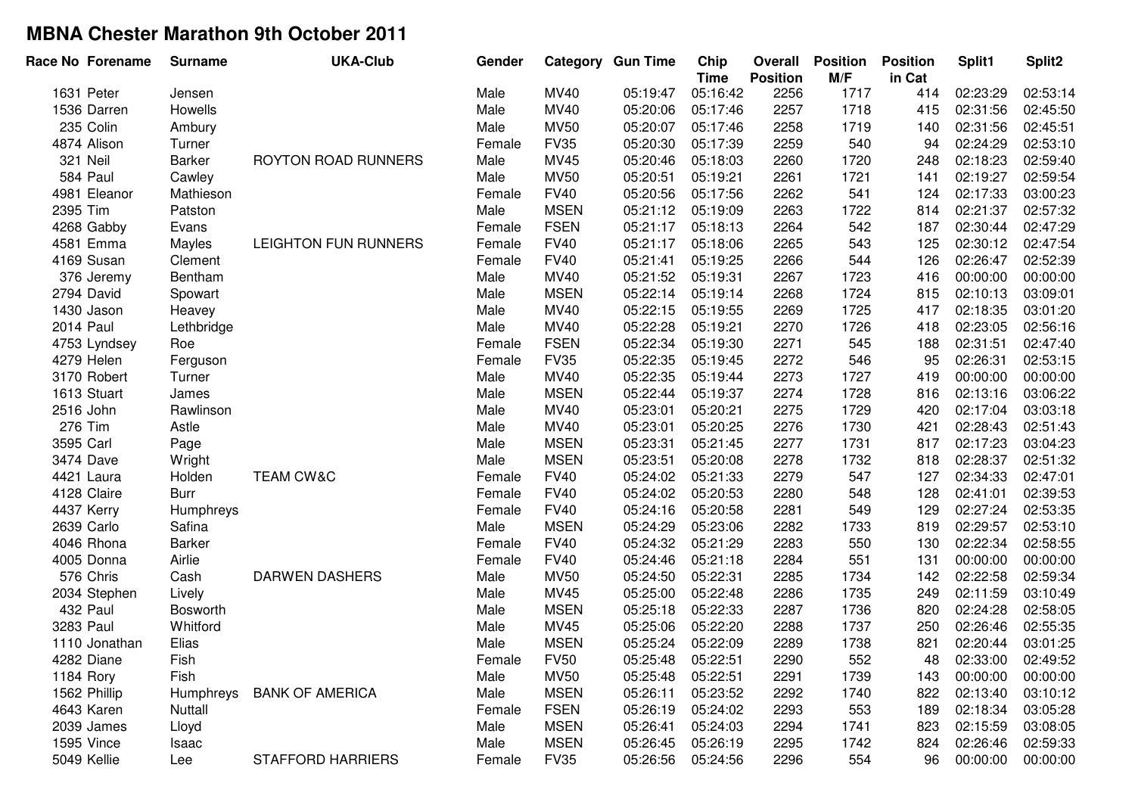| Race No Forename | <b>Surname</b> | <b>UKA-Club</b>             | Gender |             | <b>Category Gun Time</b> | Chip<br><b>Time</b> | Overall<br><b>Position</b> | <b>Position</b><br>M/F | <b>Position</b><br>in Cat | Split1   | Split <sub>2</sub> |
|------------------|----------------|-----------------------------|--------|-------------|--------------------------|---------------------|----------------------------|------------------------|---------------------------|----------|--------------------|
| 1631 Peter       | Jensen         |                             | Male   | <b>MV40</b> | 05:19:47                 | 05:16:42            | 2256                       | 1717                   | 414                       | 02:23:29 | 02:53:14           |
| 1536 Darren      | Howells        |                             | Male   | MV40        | 05:20:06                 | 05:17:46            | 2257                       | 1718                   | 415                       | 02:31:56 | 02:45:50           |
| 235 Colin        | Ambury         |                             | Male   | <b>MV50</b> | 05:20:07                 | 05:17:46            | 2258                       | 1719                   | 140                       | 02:31:56 | 02:45:51           |
| 4874 Alison      | Turner         |                             | Female | <b>FV35</b> | 05:20:30                 | 05:17:39            | 2259                       | 540                    | 94                        | 02:24:29 | 02:53:10           |
| 321 Neil         | Barker         | ROYTON ROAD RUNNERS         | Male   | <b>MV45</b> | 05:20:46                 | 05:18:03            | 2260                       | 1720                   | 248                       | 02:18:23 | 02:59:40           |
| 584 Paul         | Cawley         |                             | Male   | <b>MV50</b> | 05:20:51                 | 05:19:21            | 2261                       | 1721                   | 141                       | 02:19:27 | 02:59:54           |
| 4981 Eleanor     | Mathieson      |                             | Female | <b>FV40</b> | 05:20:56                 | 05:17:56            | 2262                       | 541                    | 124                       | 02:17:33 | 03:00:23           |
| 2395 Tim         | Patston        |                             | Male   | <b>MSEN</b> | 05:21:12                 | 05:19:09            | 2263                       | 1722                   | 814                       | 02:21:37 | 02:57:32           |
| 4268 Gabby       | Evans          |                             | Female | <b>FSEN</b> | 05:21:17                 | 05:18:13            | 2264                       | 542                    | 187                       | 02:30:44 | 02:47:29           |
| 4581 Emma        | Mayles         | <b>LEIGHTON FUN RUNNERS</b> | Female | <b>FV40</b> | 05:21:17                 | 05:18:06            | 2265                       | 543                    | 125                       | 02:30:12 | 02:47:54           |
| 4169 Susan       | Clement        |                             | Female | <b>FV40</b> | 05:21:41                 | 05:19:25            | 2266                       | 544                    | 126                       | 02:26:47 | 02:52:39           |
| 376 Jeremy       | Bentham        |                             | Male   | MV40        | 05:21:52                 | 05:19:31            | 2267                       | 1723                   | 416                       | 00:00:00 | 00:00:00           |
| 2794 David       | Spowart        |                             | Male   | <b>MSEN</b> | 05:22:14                 | 05:19:14            | 2268                       | 1724                   | 815                       | 02:10:13 | 03:09:01           |
| 1430 Jason       | Heavey         |                             | Male   | MV40        | 05:22:15                 | 05:19:55            | 2269                       | 1725                   | 417                       | 02:18:35 | 03:01:20           |
| 2014 Paul        | Lethbridge     |                             | Male   | MV40        | 05:22:28                 | 05:19:21            | 2270                       | 1726                   | 418                       | 02:23:05 | 02:56:16           |
| 4753 Lyndsey     | Roe            |                             | Female | <b>FSEN</b> | 05:22:34                 | 05:19:30            | 2271                       | 545                    | 188                       | 02:31:51 | 02:47:40           |
| 4279 Helen       | Ferguson       |                             | Female | <b>FV35</b> | 05:22:35                 | 05:19:45            | 2272                       | 546                    | 95                        | 02:26:31 | 02:53:15           |
| 3170 Robert      | Turner         |                             | Male   | <b>MV40</b> | 05:22:35                 | 05:19:44            | 2273                       | 1727                   | 419                       | 00:00:00 | 00:00:00           |
| 1613 Stuart      | James          |                             | Male   | <b>MSEN</b> | 05:22:44                 | 05:19:37            | 2274                       | 1728                   | 816                       | 02:13:16 | 03:06:22           |
| 2516 John        | Rawlinson      |                             | Male   | MV40        | 05:23:01                 | 05:20:21            | 2275                       | 1729                   | 420                       | 02:17:04 | 03:03:18           |
| 276 Tim          | Astle          |                             | Male   | MV40        | 05:23:01                 | 05:20:25            | 2276                       | 1730                   | 421                       | 02:28:43 | 02:51:43           |
| 3595 Carl        | Page           |                             | Male   | <b>MSEN</b> | 05:23:31                 | 05:21:45            | 2277                       | 1731                   | 817                       | 02:17:23 | 03:04:23           |
| 3474 Dave        | Wright         |                             | Male   | <b>MSEN</b> | 05:23:51                 | 05:20:08            | 2278                       | 1732                   | 818                       | 02:28:37 | 02:51:32           |
| 4421 Laura       | Holden         | <b>TEAM CW&amp;C</b>        | Female | <b>FV40</b> | 05:24:02                 | 05:21:33            | 2279                       | 547                    | 127                       | 02:34:33 | 02:47:01           |
| 4128 Claire      | <b>Burr</b>    |                             | Female | <b>FV40</b> | 05:24:02                 | 05:20:53            | 2280                       | 548                    | 128                       | 02:41:01 | 02:39:53           |
| 4437 Kerry       | Humphreys      |                             | Female | <b>FV40</b> | 05:24:16                 | 05:20:58            | 2281                       | 549                    | 129                       | 02:27:24 | 02:53:35           |
| 2639 Carlo       | Safina         |                             | Male   | <b>MSEN</b> | 05:24:29                 | 05:23:06            | 2282                       | 1733                   | 819                       | 02:29:57 | 02:53:10           |
| 4046 Rhona       | <b>Barker</b>  |                             | Female | <b>FV40</b> | 05:24:32                 | 05:21:29            | 2283                       | 550                    | 130                       | 02:22:34 | 02:58:55           |
| 4005 Donna       | Airlie         |                             | Female | <b>FV40</b> | 05:24:46                 | 05:21:18            | 2284                       | 551                    | 131                       | 00:00:00 | 00:00:00           |
| 576 Chris        | Cash           | <b>DARWEN DASHERS</b>       | Male   | <b>MV50</b> | 05:24:50                 | 05:22:31            | 2285                       | 1734                   | 142                       | 02:22:58 | 02:59:34           |
| 2034 Stephen     | Lively         |                             | Male   | MV45        | 05:25:00                 | 05:22:48            | 2286                       | 1735                   | 249                       | 02:11:59 | 03:10:49           |
| 432 Paul         | Bosworth       |                             | Male   | <b>MSEN</b> | 05:25:18                 | 05:22:33            | 2287                       | 1736                   | 820                       | 02:24:28 | 02:58:05           |
| 3283 Paul        | Whitford       |                             | Male   | <b>MV45</b> | 05:25:06                 | 05:22:20            | 2288                       | 1737                   | 250                       | 02:26:46 | 02:55:35           |
| 1110 Jonathan    | Elias          |                             | Male   | <b>MSEN</b> | 05:25:24                 | 05:22:09            | 2289                       | 1738                   | 821                       | 02:20:44 | 03:01:25           |
| 4282 Diane       | Fish           |                             | Female | <b>FV50</b> | 05:25:48                 | 05:22:51            | 2290                       | 552                    | 48                        | 02:33:00 | 02:49:52           |
| 1184 Rory        | Fish           |                             | Male   | <b>MV50</b> | 05:25:48                 | 05:22:51            | 2291                       | 1739                   | 143                       | 00:00:00 | 00:00:00           |
| 1562 Phillip     | Humphreys      | <b>BANK OF AMERICA</b>      | Male   | <b>MSEN</b> | 05:26:11                 | 05:23:52            | 2292                       | 1740                   | 822                       | 02:13:40 | 03:10:12           |
| 4643 Karen       | Nuttall        |                             | Female | <b>FSEN</b> | 05:26:19                 | 05:24:02            | 2293                       | 553                    | 189                       | 02:18:34 | 03:05:28           |
| 2039 James       | Lloyd          |                             | Male   | <b>MSEN</b> | 05:26:41                 | 05:24:03            | 2294                       | 1741                   | 823                       | 02:15:59 | 03:08:05           |
| 1595 Vince       | Isaac          |                             | Male   | <b>MSEN</b> | 05:26:45                 | 05:26:19            | 2295                       | 1742                   | 824                       | 02:26:46 | 02:59:33           |
| 5049 Kellie      | Lee            | <b>STAFFORD HARRIERS</b>    | Female | <b>FV35</b> | 05:26:56                 | 05:24:56            | 2296                       | 554                    | 96                        | 00:00:00 | 00:00:00           |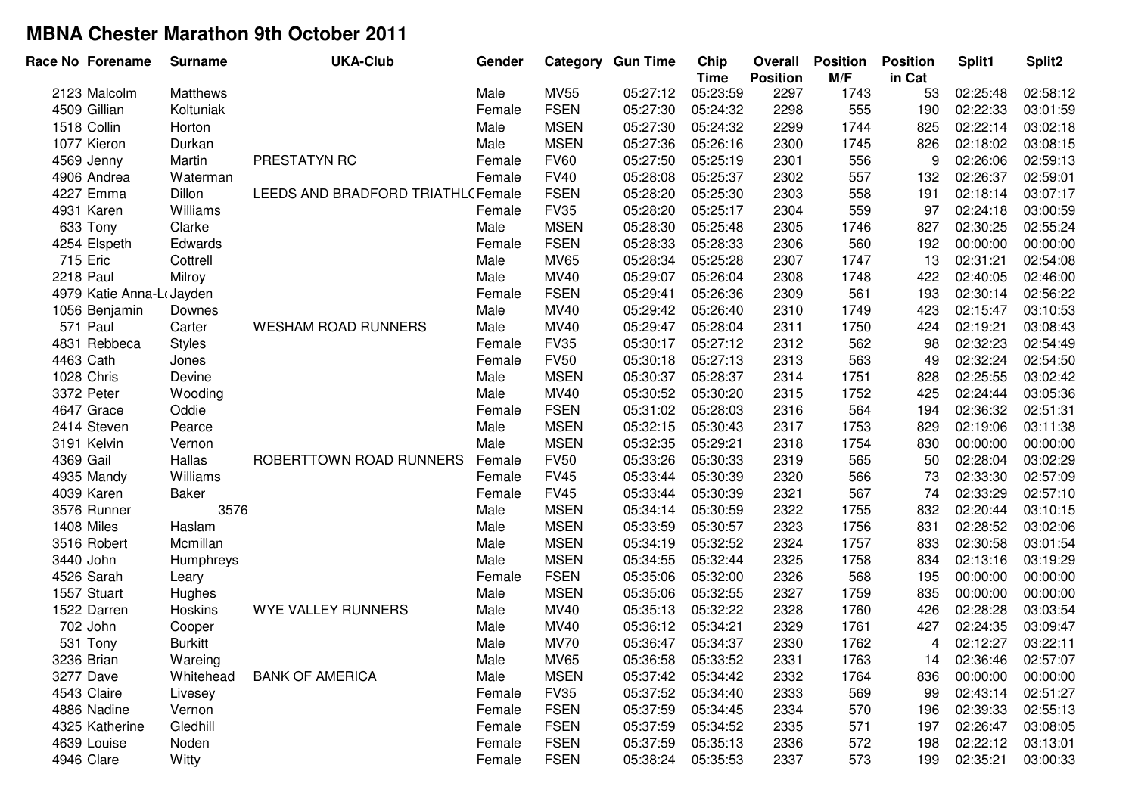|                  | Race No Forename         | <b>Surname</b> | <b>UKA-Club</b>                   | Gender |             | <b>Category Gun Time</b> | Chip<br><b>Time</b> | Overall<br><b>Position</b> | <b>Position</b><br>M/F | <b>Position</b><br>in Cat | Split1   | Split2   |
|------------------|--------------------------|----------------|-----------------------------------|--------|-------------|--------------------------|---------------------|----------------------------|------------------------|---------------------------|----------|----------|
|                  | 2123 Malcolm             | Matthews       |                                   | Male   | <b>MV55</b> | 05:27:12                 | 05:23:59            | 2297                       | 1743                   | 53                        | 02:25:48 | 02:58:12 |
|                  | 4509 Gillian             | Koltuniak      |                                   | Female | <b>FSEN</b> | 05:27:30                 | 05:24:32            | 2298                       | 555                    | 190                       | 02:22:33 | 03:01:59 |
|                  | 1518 Collin              | Horton         |                                   | Male   | <b>MSEN</b> | 05:27:30                 | 05:24:32            | 2299                       | 1744                   | 825                       | 02:22:14 | 03:02:18 |
|                  | 1077 Kieron              | Durkan         |                                   | Male   | <b>MSEN</b> | 05:27:36                 | 05:26:16            | 2300                       | 1745                   | 826                       | 02:18:02 | 03:08:15 |
|                  | 4569 Jenny               | Martin         | PRESTATYN RC                      | Female | <b>FV60</b> | 05:27:50                 | 05:25:19            | 2301                       | 556                    | 9                         | 02:26:06 | 02:59:13 |
|                  | 4906 Andrea              | Waterman       |                                   | Female | <b>FV40</b> | 05:28:08                 | 05:25:37            | 2302                       | 557                    | 132                       | 02:26:37 | 02:59:01 |
|                  | 4227 Emma                | Dillon         | LEEDS AND BRADFORD TRIATHL(Female |        | <b>FSEN</b> | 05:28:20                 | 05:25:30            | 2303                       | 558                    | 191                       | 02:18:14 | 03:07:17 |
|                  | 4931 Karen               | Williams       |                                   | Female | <b>FV35</b> | 05:28:20                 | 05:25:17            | 2304                       | 559                    | 97                        | 02:24:18 | 03:00:59 |
|                  | 633 Tony                 | Clarke         |                                   | Male   | <b>MSEN</b> | 05:28:30                 | 05:25:48            | 2305                       | 1746                   | 827                       | 02:30:25 | 02:55:24 |
|                  | 4254 Elspeth             | Edwards        |                                   | Female | <b>FSEN</b> | 05:28:33                 | 05:28:33            | 2306                       | 560                    | 192                       | 00:00:00 | 00:00:00 |
|                  | 715 Eric                 | Cottrell       |                                   | Male   | <b>MV65</b> | 05:28:34                 | 05:25:28            | 2307                       | 1747                   | 13                        | 02:31:21 | 02:54:08 |
| <b>2218 Paul</b> |                          | Milroy         |                                   | Male   | MV40        | 05:29:07                 | 05:26:04            | 2308                       | 1748                   | 422                       | 02:40:05 | 02:46:00 |
|                  | 4979 Katie Anna-LoJayden |                |                                   | Female | <b>FSEN</b> | 05:29:41                 | 05:26:36            | 2309                       | 561                    | 193                       | 02:30:14 | 02:56:22 |
|                  | 1056 Benjamin            | Downes         |                                   | Male   | MV40        | 05:29:42                 | 05:26:40            | 2310                       | 1749                   | 423                       | 02:15:47 | 03:10:53 |
|                  | 571 Paul                 | Carter         | <b>WESHAM ROAD RUNNERS</b>        | Male   | MV40        | 05:29:47                 | 05:28:04            | 2311                       | 1750                   | 424                       | 02:19:21 | 03:08:43 |
|                  | 4831 Rebbeca             | <b>Styles</b>  |                                   | Female | <b>FV35</b> | 05:30:17                 | 05:27:12            | 2312                       | 562                    | 98                        | 02:32:23 | 02:54:49 |
| 4463 Cath        |                          | Jones          |                                   | Female | <b>FV50</b> | 05:30:18                 | 05:27:13            | 2313                       | 563                    | 49                        | 02:32:24 | 02:54:50 |
|                  | 1028 Chris               | Devine         |                                   | Male   | <b>MSEN</b> | 05:30:37                 | 05:28:37            | 2314                       | 1751                   | 828                       | 02:25:55 | 03:02:42 |
|                  | 3372 Peter               | Wooding        |                                   | Male   | <b>MV40</b> | 05:30:52                 | 05:30:20            | 2315                       | 1752                   | 425                       | 02:24:44 | 03:05:36 |
|                  | 4647 Grace               | Oddie          |                                   | Female | <b>FSEN</b> | 05:31:02                 | 05:28:03            | 2316                       | 564                    | 194                       | 02:36:32 | 02:51:31 |
|                  | 2414 Steven              | Pearce         |                                   | Male   | <b>MSEN</b> | 05:32:15                 | 05:30:43            | 2317                       | 1753                   | 829                       | 02:19:06 | 03:11:38 |
|                  | 3191 Kelvin              | Vernon         |                                   | Male   | <b>MSEN</b> | 05:32:35                 | 05:29:21            | 2318                       | 1754                   | 830                       | 00:00:00 | 00:00:00 |
| 4369 Gail        |                          | Hallas         | ROBERTTOWN ROAD RUNNERS           | Female | <b>FV50</b> | 05:33:26                 | 05:30:33            | 2319                       | 565                    | 50                        | 02:28:04 | 03:02:29 |
|                  | 4935 Mandy               | Williams       |                                   | Female | <b>FV45</b> | 05:33:44                 | 05:30:39            | 2320                       | 566                    | 73                        | 02:33:30 | 02:57:09 |
|                  | 4039 Karen               | <b>Baker</b>   |                                   | Female | <b>FV45</b> | 05:33:44                 | 05:30:39            | 2321                       | 567                    | 74                        | 02:33:29 | 02:57:10 |
|                  | 3576 Runner              | 3576           |                                   | Male   | <b>MSEN</b> | 05:34:14                 | 05:30:59            | 2322                       | 1755                   | 832                       | 02:20:44 | 03:10:15 |
|                  | 1408 Miles               | Haslam         |                                   | Male   | <b>MSEN</b> | 05:33:59                 | 05:30:57            | 2323                       | 1756                   | 831                       | 02:28:52 | 03:02:06 |
|                  | 3516 Robert              | Mcmillan       |                                   | Male   | <b>MSEN</b> | 05:34:19                 | 05:32:52            | 2324                       | 1757                   | 833                       | 02:30:58 | 03:01:54 |
|                  | 3440 John                | Humphreys      |                                   | Male   | <b>MSEN</b> | 05:34:55                 | 05:32:44            | 2325                       | 1758                   | 834                       | 02:13:16 | 03:19:29 |
|                  | 4526 Sarah               | Leary          |                                   | Female | <b>FSEN</b> | 05:35:06                 | 05:32:00            | 2326                       | 568                    | 195                       | 00:00:00 | 00:00:00 |
|                  | 1557 Stuart              | Hughes         |                                   | Male   | <b>MSEN</b> | 05:35:06                 | 05:32:55            | 2327                       | 1759                   | 835                       | 00:00:00 | 00:00:00 |
|                  | 1522 Darren              | Hoskins        | WYE VALLEY RUNNERS                | Male   | <b>MV40</b> | 05:35:13                 | 05:32:22            | 2328                       | 1760                   | 426                       | 02:28:28 | 03:03:54 |
|                  | 702 John                 | Cooper         |                                   | Male   | <b>MV40</b> | 05:36:12                 | 05:34:21            | 2329                       | 1761                   | 427                       | 02:24:35 | 03:09:47 |
|                  | 531 Tony                 | <b>Burkitt</b> |                                   | Male   | <b>MV70</b> | 05:36:47                 | 05:34:37            | 2330                       | 1762                   | 4                         | 02:12:27 | 03:22:11 |
|                  | 3236 Brian               | Wareing        |                                   | Male   | MV65        | 05:36:58                 | 05:33:52            | 2331                       | 1763                   | 14                        | 02:36:46 | 02:57:07 |
|                  | 3277 Dave                | Whitehead      | <b>BANK OF AMERICA</b>            | Male   | <b>MSEN</b> | 05:37:42                 | 05:34:42            | 2332                       | 1764                   | 836                       | 00:00:00 | 00:00:00 |
|                  | 4543 Claire              | Livesey        |                                   | Female | <b>FV35</b> | 05:37:52                 | 05:34:40            | 2333                       | 569                    | 99                        | 02:43:14 | 02:51:27 |
|                  | 4886 Nadine              | Vernon         |                                   | Female | <b>FSEN</b> | 05:37:59                 | 05:34:45            | 2334                       | 570                    | 196                       | 02:39:33 | 02:55:13 |
|                  | 4325 Katherine           | Gledhill       |                                   | Female | <b>FSEN</b> | 05:37:59                 | 05:34:52            | 2335                       | 571                    | 197                       | 02:26:47 | 03:08:05 |
|                  | 4639 Louise              | Noden          |                                   | Female | <b>FSEN</b> | 05:37:59                 | 05:35:13            | 2336                       | 572                    | 198                       | 02:22:12 | 03:13:01 |
|                  | 4946 Clare               | Witty          |                                   | Female | <b>FSEN</b> | 05:38:24                 | 05:35:53            | 2337                       | 573                    | 199                       | 02:35:21 | 03:00:33 |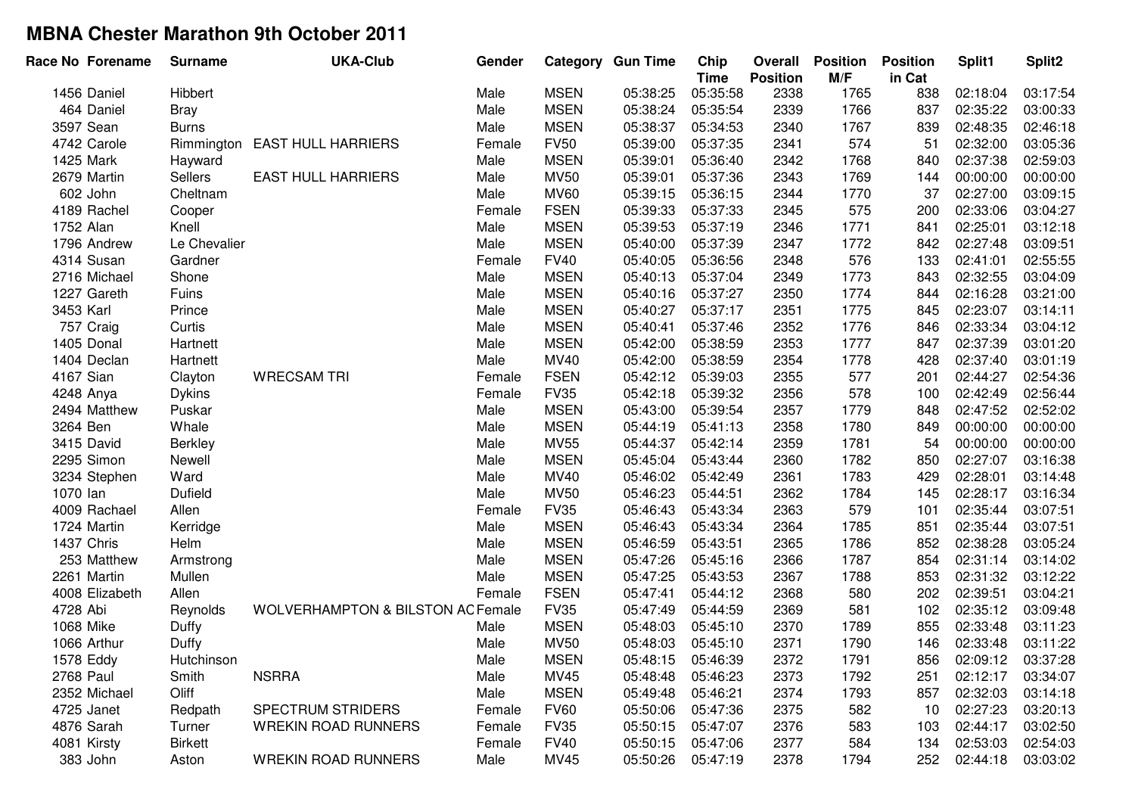| Race No Forename | <b>Surname</b> | <b>UKA-Club</b>                              | Gender |             | <b>Category Gun Time</b> | Chip<br><b>Time</b> | Overall<br><b>Position</b> | <b>Position</b><br>M/F | <b>Position</b><br>in Cat | Split1   | Split2   |
|------------------|----------------|----------------------------------------------|--------|-------------|--------------------------|---------------------|----------------------------|------------------------|---------------------------|----------|----------|
| 1456 Daniel      | Hibbert        |                                              | Male   | <b>MSEN</b> | 05:38:25                 | 05:35:58            | 2338                       | 1765                   | 838                       | 02:18:04 | 03:17:54 |
| 464 Daniel       | <b>Bray</b>    |                                              | Male   | <b>MSEN</b> | 05:38:24                 | 05:35:54            | 2339                       | 1766                   | 837                       | 02:35:22 | 03:00:33 |
| 3597 Sean        | <b>Burns</b>   |                                              | Male   | <b>MSEN</b> | 05:38:37                 | 05:34:53            | 2340                       | 1767                   | 839                       | 02:48:35 | 02:46:18 |
| 4742 Carole      | Rimmington     | <b>EAST HULL HARRIERS</b>                    | Female | <b>FV50</b> | 05:39:00                 | 05:37:35            | 2341                       | 574                    | 51                        | 02:32:00 | 03:05:36 |
| 1425 Mark        | Hayward        |                                              | Male   | <b>MSEN</b> | 05:39:01                 | 05:36:40            | 2342                       | 1768                   | 840                       | 02:37:38 | 02:59:03 |
| 2679 Martin      | Sellers        | <b>EAST HULL HARRIERS</b>                    | Male   | <b>MV50</b> | 05:39:01                 | 05:37:36            | 2343                       | 1769                   | 144                       | 00:00:00 | 00:00:00 |
| 602 John         | Cheltnam       |                                              | Male   | <b>MV60</b> | 05:39:15                 | 05:36:15            | 2344                       | 1770                   | 37                        | 02:27:00 | 03:09:15 |
| 4189 Rachel      | Cooper         |                                              | Female | <b>FSEN</b> | 05:39:33                 | 05:37:33            | 2345                       | 575                    | 200                       | 02:33:06 | 03:04:27 |
| 1752 Alan        | Knell          |                                              | Male   | <b>MSEN</b> | 05:39:53                 | 05:37:19            | 2346                       | 1771                   | 841                       | 02:25:01 | 03:12:18 |
| 1796 Andrew      | Le Chevalier   |                                              | Male   | <b>MSEN</b> | 05:40:00                 | 05:37:39            | 2347                       | 1772                   | 842                       | 02:27:48 | 03:09:51 |
| 4314 Susan       | Gardner        |                                              | Female | <b>FV40</b> | 05:40:05                 | 05:36:56            | 2348                       | 576                    | 133                       | 02:41:01 | 02:55:55 |
| 2716 Michael     | Shone          |                                              | Male   | <b>MSEN</b> | 05:40:13                 | 05:37:04            | 2349                       | 1773                   | 843                       | 02:32:55 | 03:04:09 |
| 1227 Gareth      | Fuins          |                                              | Male   | <b>MSEN</b> | 05:40:16                 | 05:37:27            | 2350                       | 1774                   | 844                       | 02:16:28 | 03:21:00 |
| 3453 Karl        | Prince         |                                              | Male   | <b>MSEN</b> | 05:40:27                 | 05:37:17            | 2351                       | 1775                   | 845                       | 02:23:07 | 03:14:11 |
| 757 Craig        | Curtis         |                                              | Male   | <b>MSEN</b> | 05:40:41                 | 05:37:46            | 2352                       | 1776                   | 846                       | 02:33:34 | 03:04:12 |
| 1405 Donal       | Hartnett       |                                              | Male   | <b>MSEN</b> | 05:42:00                 | 05:38:59            | 2353                       | 1777                   | 847                       | 02:37:39 | 03:01:20 |
| 1404 Declan      | Hartnett       |                                              | Male   | MV40        | 05:42:00                 | 05:38:59            | 2354                       | 1778                   | 428                       | 02:37:40 | 03:01:19 |
| 4167 Sian        | Clayton        | <b>WRECSAM TRI</b>                           | Female | <b>FSEN</b> | 05:42:12                 | 05:39:03            | 2355                       | 577                    | 201                       | 02:44:27 | 02:54:36 |
| 4248 Anya        | <b>Dykins</b>  |                                              | Female | <b>FV35</b> | 05:42:18                 | 05:39:32            | 2356                       | 578                    | 100                       | 02:42:49 | 02:56:44 |
| 2494 Matthew     | Puskar         |                                              | Male   | <b>MSEN</b> | 05:43:00                 | 05:39:54            | 2357                       | 1779                   | 848                       | 02:47:52 | 02:52:02 |
| 3264 Ben         | Whale          |                                              | Male   | <b>MSEN</b> | 05:44:19                 | 05:41:13            | 2358                       | 1780                   | 849                       | 00:00:00 | 00:00:00 |
| 3415 David       | Berkley        |                                              | Male   | <b>MV55</b> | 05:44:37                 | 05:42:14            | 2359                       | 1781                   | 54                        | 00:00:00 | 00:00:00 |
| 2295 Simon       | Newell         |                                              | Male   | <b>MSEN</b> | 05:45:04                 | 05:43:44            | 2360                       | 1782                   | 850                       | 02:27:07 | 03:16:38 |
| 3234 Stephen     | Ward           |                                              | Male   | MV40        | 05:46:02                 | 05:42:49            | 2361                       | 1783                   | 429                       | 02:28:01 | 03:14:48 |
| 1070 lan         | Dufield        |                                              | Male   | <b>MV50</b> | 05:46:23                 | 05:44:51            | 2362                       | 1784                   | 145                       | 02:28:17 | 03:16:34 |
| 4009 Rachael     | Allen          |                                              | Female | <b>FV35</b> | 05:46:43                 | 05:43:34            | 2363                       | 579                    | 101                       | 02:35:44 | 03:07:51 |
| 1724 Martin      | Kerridge       |                                              | Male   | <b>MSEN</b> | 05:46:43                 | 05:43:34            | 2364                       | 1785                   | 851                       | 02:35:44 | 03:07:51 |
| 1437 Chris       | Helm           |                                              | Male   | <b>MSEN</b> | 05:46:59                 | 05:43:51            | 2365                       | 1786                   | 852                       | 02:38:28 | 03:05:24 |
| 253 Matthew      | Armstrong      |                                              | Male   | <b>MSEN</b> | 05:47:26                 | 05:45:16            | 2366                       | 1787                   | 854                       | 02:31:14 | 03:14:02 |
| 2261 Martin      | Mullen         |                                              | Male   | <b>MSEN</b> | 05:47:25                 | 05:43:53            | 2367                       | 1788                   | 853                       | 02:31:32 | 03:12:22 |
| 4008 Elizabeth   | Allen          |                                              | Female | <b>FSEN</b> | 05:47:41                 | 05:44:12            | 2368                       | 580                    | 202                       | 02:39:51 | 03:04:21 |
| 4728 Abi         | Reynolds       | <b>WOLVERHAMPTON &amp; BILSTON AC Female</b> |        | <b>FV35</b> | 05:47:49                 | 05:44:59            | 2369                       | 581                    | 102                       | 02:35:12 | 03:09:48 |
| 1068 Mike        | Duffy          |                                              | Male   | <b>MSEN</b> | 05:48:03                 | 05:45:10            | 2370                       | 1789                   | 855                       | 02:33:48 | 03:11:23 |
| 1066 Arthur      | Duffy          |                                              | Male   | <b>MV50</b> | 05:48:03                 | 05:45:10            | 2371                       | 1790                   | 146                       | 02:33:48 | 03:11:22 |
| 1578 Eddy        | Hutchinson     |                                              | Male   | <b>MSEN</b> | 05:48:15                 | 05:46:39            | 2372                       | 1791                   | 856                       | 02:09:12 | 03:37:28 |
| 2768 Paul        | Smith          | <b>NSRRA</b>                                 | Male   | <b>MV45</b> | 05:48:48                 | 05:46:23            | 2373                       | 1792                   | 251                       | 02:12:17 | 03:34:07 |
| 2352 Michael     | Oliff          |                                              | Male   | <b>MSEN</b> | 05:49:48                 | 05:46:21            | 2374                       | 1793                   | 857                       | 02:32:03 | 03:14:18 |
| 4725 Janet       | Redpath        | <b>SPECTRUM STRIDERS</b>                     | Female | <b>FV60</b> | 05:50:06                 | 05:47:36            | 2375                       | 582                    | 10                        | 02:27:23 | 03:20:13 |
| 4876 Sarah       | Turner         | <b>WREKIN ROAD RUNNERS</b>                   | Female | <b>FV35</b> | 05:50:15                 | 05:47:07            | 2376                       | 583                    | 103                       | 02:44:17 | 03:02:50 |
| 4081 Kirsty      | <b>Birkett</b> |                                              | Female | <b>FV40</b> | 05:50:15                 | 05:47:06            | 2377                       | 584                    | 134                       | 02:53:03 | 02:54:03 |
| 383 John         | Aston          | <b>WREKIN ROAD RUNNERS</b>                   | Male   | MV45        | 05:50:26                 | 05:47:19            | 2378                       | 1794                   | 252                       | 02:44:18 | 03:03:02 |